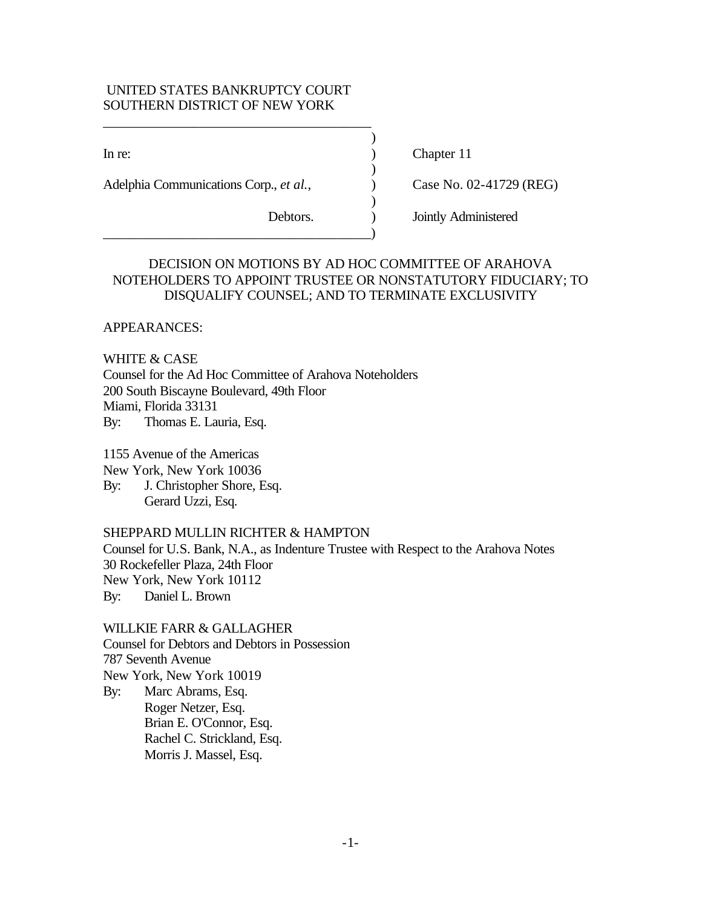### UNITED STATES BANKRUPTCY COURT SOUTHERN DISTRICT OF NEW YORK

\_\_\_\_\_\_\_\_\_\_\_\_\_\_\_\_\_\_\_\_\_\_\_\_\_\_\_\_\_\_\_\_\_\_\_\_\_\_\_

\_\_\_\_\_\_\_\_\_\_\_\_\_\_\_\_\_\_\_\_\_\_\_\_\_\_\_\_\_\_\_\_\_\_\_\_\_\_\_)

Adelphia Communications Corp., *et al.*, Case No. 02-41729 (REG)

In re: (a) Chapter 11

Debtors. ) Jointly Administered

# DECISION ON MOTIONS BY AD HOC COMMITTEE OF ARAHOVA NOTEHOLDERS TO APPOINT TRUSTEE OR NONSTATUTORY FIDUCIARY; TO DISQUALIFY COUNSEL; AND TO TERMINATE EXCLUSIVITY

)

)

)

APPEARANCES:

WHITE & CASE Counsel for the Ad Hoc Committee of Arahova Noteholders 200 South Biscayne Boulevard, 49th Floor Miami, Florida 33131

By: Thomas E. Lauria, Esq.

1155 Avenue of the Americas

New York, New York 10036

By: J. Christopher Shore, Esq. Gerard Uzzi, Esq.

## SHEPPARD MULLIN RICHTER & HAMPTON

Counsel for U.S. Bank, N.A., as Indenture Trustee with Respect to the Arahova Notes 30 Rockefeller Plaza, 24th Floor New York, New York 10112

By: Daniel L. Brown

WILLKIE FARR & GALLAGHER Counsel for Debtors and Debtors in Possession 787 Seventh Avenue New York, New York 10019 By: Marc Abrams, Esq. Roger Netzer, Esq.

Brian E. O'Connor, Esq. Rachel C. Strickland, Esq. Morris J. Massel, Esq.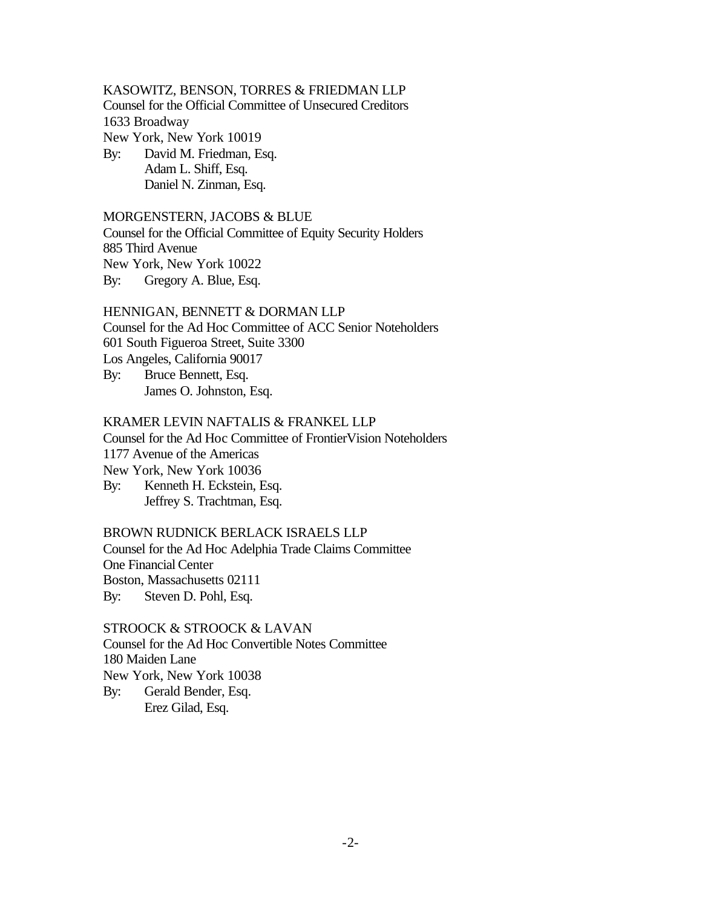## KASOWITZ, BENSON, TORRES & FRIEDMAN LLP Counsel for the Official Committee of Unsecured Creditors 1633 Broadway New York, New York 10019 By: David M. Friedman, Esq.

Adam L. Shiff, Esq. Daniel N. Zinman, Esq.

### MORGENSTERN, JACOBS & BLUE Counsel for the Official Committee of Equity Security Holders

885 Third Avenue New York, New York 10022

By: Gregory A. Blue, Esq.

# HENNIGAN, BENNETT & DORMAN LLP

Counsel for the Ad Hoc Committee of ACC Senior Noteholders 601 South Figueroa Street, Suite 3300

Los Angeles, California 90017

By: Bruce Bennett, Esq. James O. Johnston, Esq.

### KRAMER LEVIN NAFTALIS & FRANKEL LLP

Counsel for the Ad Hoc Committee of FrontierVision Noteholders 1177 Avenue of the Americas

New York, New York 10036

By: Kenneth H. Eckstein, Esq. Jeffrey S. Trachtman, Esq.

## BROWN RUDNICK BERLACK ISRAELS LLP

Counsel for the Ad Hoc Adelphia Trade Claims Committee One Financial Center Boston, Massachusetts 02111 By: Steven D. Pohl, Esq.

## STROOCK & STROOCK & LAVAN Counsel for the Ad Hoc Convertible Notes Committee 180 Maiden Lane New York, New York 10038 By: Gerald Bender, Esq.

Erez Gilad, Esq.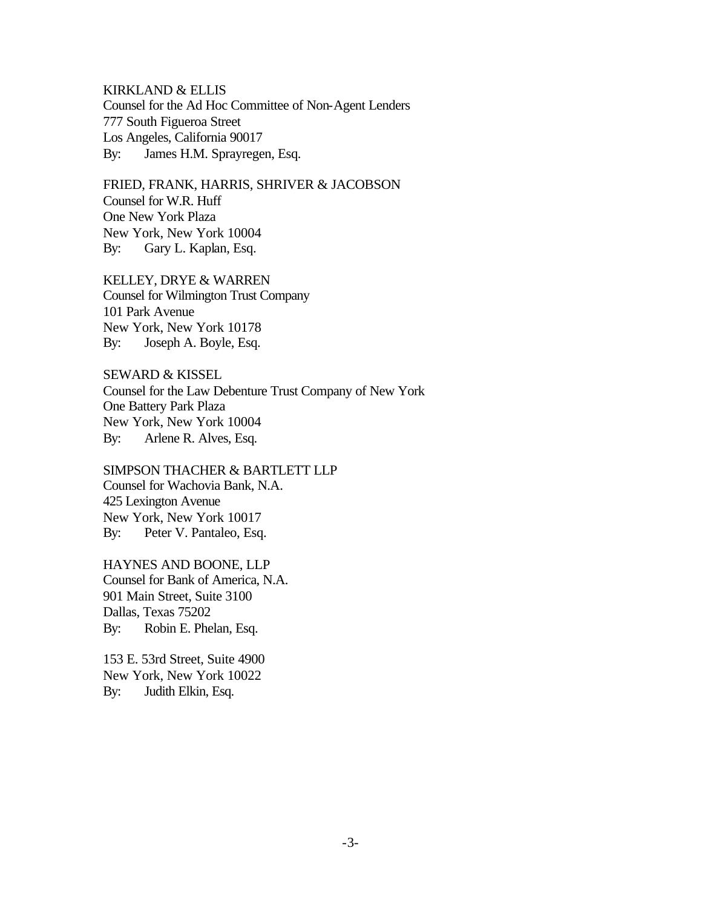KIRKLAND & ELLIS Counsel for the Ad Hoc Committee of Non-Agent Lenders 777 South Figueroa Street Los Angeles, California 90017 By: James H.M. Sprayregen, Esq.

FRIED, FRANK, HARRIS, SHRIVER & JACOBSON Counsel for W.R. Huff One New York Plaza New York, New York 10004 By: Gary L. Kaplan, Esq.

KELLEY, DRYE & WARREN Counsel for Wilmington Trust Company 101 Park Avenue New York, New York 10178 By: Joseph A. Boyle, Esq.

SEWARD & KISSEL Counsel for the Law Debenture Trust Company of New York One Battery Park Plaza New York, New York 10004 By: Arlene R. Alves, Esq.

SIMPSON THACHER & BARTLETT LLP Counsel for Wachovia Bank, N.A. 425 Lexington Avenue New York, New York 10017 By: Peter V. Pantaleo, Esq.

HAYNES AND BOONE, LLP Counsel for Bank of America, N.A. 901 Main Street, Suite 3100 Dallas, Texas 75202 By: Robin E. Phelan, Esq.

153 E. 53rd Street, Suite 4900 New York, New York 10022 By: Judith Elkin, Esq.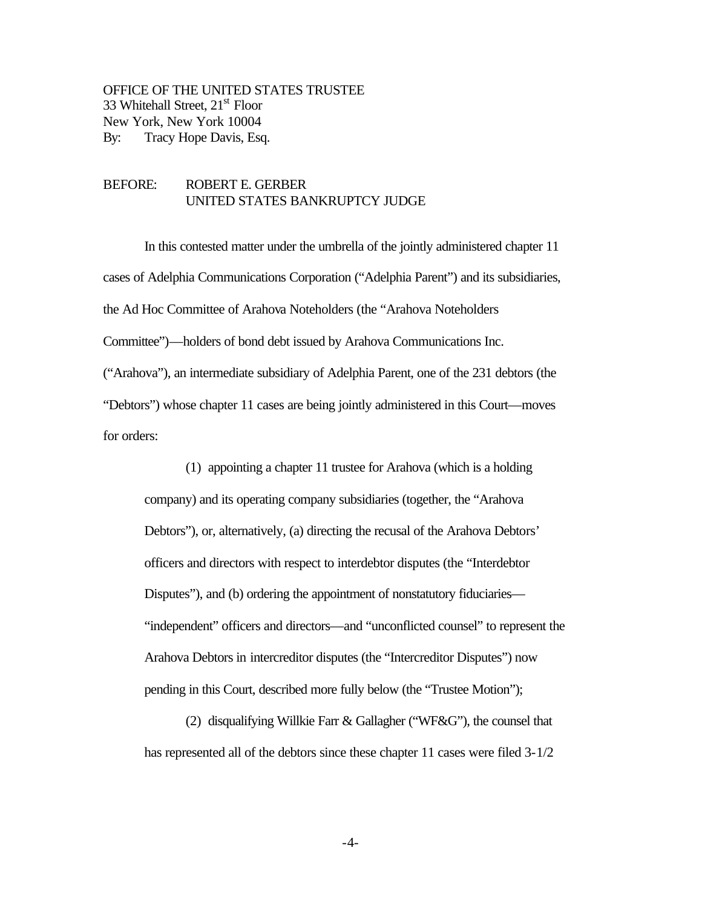OFFICE OF THE UNITED STATES TRUSTEE 33 Whitehall Street, 21<sup>st</sup> Floor New York, New York 10004 By: Tracy Hope Davis, Esq.

### BEFORE: ROBERT E. GERBER UNITED STATES BANKRUPTCY JUDGE

In this contested matter under the umbrella of the jointly administered chapter 11 cases of Adelphia Communications Corporation ("Adelphia Parent") and its subsidiaries, the Ad Hoc Committee of Arahova Noteholders (the "Arahova Noteholders Committee")—holders of bond debt issued by Arahova Communications Inc. ("Arahova"), an intermediate subsidiary of Adelphia Parent, one of the 231 debtors (the "Debtors") whose chapter 11 cases are being jointly administered in this Court—moves for orders:

(1) appointing a chapter 11 trustee for Arahova (which is a holding company) and its operating company subsidiaries (together, the "Arahova Debtors"), or, alternatively, (a) directing the recusal of the Arahova Debtors' officers and directors with respect to interdebtor disputes (the "Interdebtor Disputes"), and (b) ordering the appointment of nonstatutory fiduciaries— "independent" officers and directors—and "unconflicted counsel" to represent the Arahova Debtors in intercreditor disputes (the "Intercreditor Disputes") now pending in this Court, described more fully below (the "Trustee Motion");

(2) disqualifying Willkie Farr & Gallagher ("WF&G"), the counsel that has represented all of the debtors since these chapter 11 cases were filed 3-1/2

-4-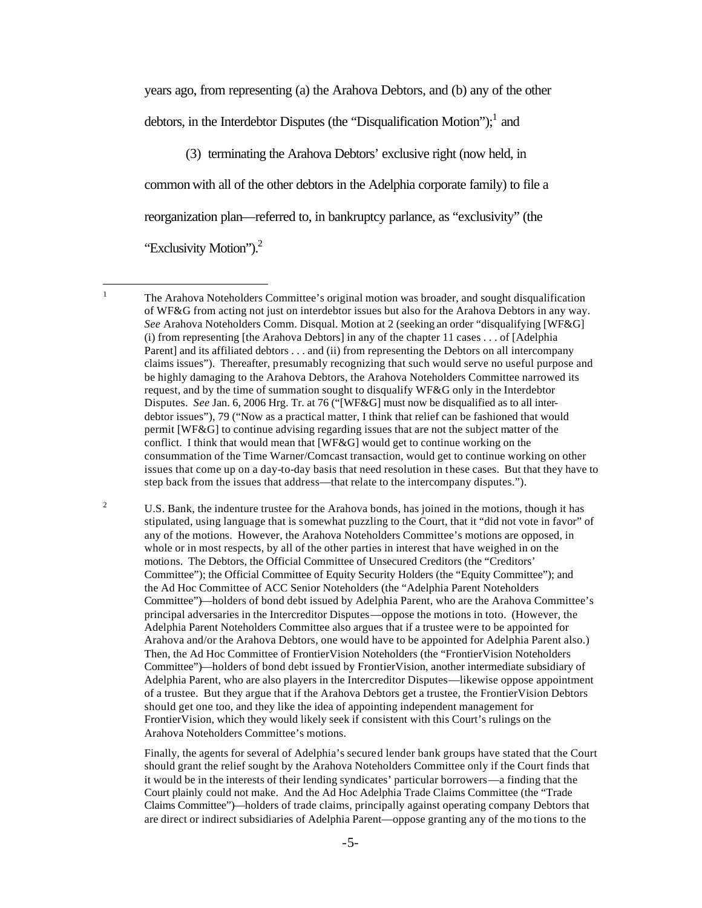years ago, from representing (a) the Arahova Debtors, and (b) any of the other debtors, in the Interdebtor Disputes (the "Disqualification Motion");<sup>1</sup> and

(3) terminating the Arahova Debtors' exclusive right (now held, in common with all of the other debtors in the Adelphia corporate family) to file a reorganization plan—referred to, in bankruptcy parlance, as "exclusivity" (the "Exclusivity Motion").<sup>2</sup>

 $\frac{1}{1}$ 

<sup>2</sup> U.S. Bank, the indenture trustee for the Arahova bonds, has joined in the motions, though it has stipulated, using language that is somewhat puzzling to the Court, that it "did not vote in favor" of any of the motions. However, the Arahova Noteholders Committee's motions are opposed, in whole or in most respects, by all of the other parties in interest that have weighed in on the motions. The Debtors, the Official Committee of Unsecured Creditors (the "Creditors' Committee"); the Official Committee of Equity Security Holders (the "Equity Committee"); and the Ad Hoc Committee of ACC Senior Noteholders (the "Adelphia Parent Noteholders Committee")—holders of bond debt issued by Adelphia Parent, who are the Arahova Committee's principal adversaries in the Intercreditor Disputes—oppose the motions in toto. (However, the Adelphia Parent Noteholders Committee also argues that if a trustee were to be appointed for Arahova and/or the Arahova Debtors, one would have to be appointed for Adelphia Parent also.) Then, the Ad Hoc Committee of FrontierVision Noteholders (the "FrontierVision Noteholders Committee")—holders of bond debt issued by FrontierVision, another intermediate subsidiary of Adelphia Parent, who are also players in the Intercreditor Disputes—likewise oppose appointment of a trustee. But they argue that if the Arahova Debtors get a trustee, the FrontierVision Debtors should get one too, and they like the idea of appointing independent management for FrontierVision, which they would likely seek if consistent with this Court's rulings on the Arahova Noteholders Committee's motions.

Finally, the agents for several of Adelphia's secured lender bank groups have stated that the Court should grant the relief sought by the Arahova Noteholders Committee only if the Court finds that it would be in the interests of their lending syndicates' particular borrowers—a finding that the Court plainly could not make. And the Ad Hoc Adelphia Trade Claims Committee (the "Trade Claims Committee")—holders of trade claims, principally against operating company Debtors that are direct or indirect subsidiaries of Adelphia Parent—oppose granting any of the mo tions to the

The Arahova Noteholders Committee's original motion was broader, and sought disqualification of WF&G from acting not just on interdebtor issues but also for the Arahova Debtors in any way. *See* Arahova Noteholders Comm. Disqual. Motion at 2 (seeking an order "disqualifying [WF&G] (i) from representing [the Arahova Debtors] in any of the chapter 11 cases . . . of [Adelphia Parent] and its affiliated debtors . . . and (ii) from representing the Debtors on all intercompany claims issues"). Thereafter, presumably recognizing that such would serve no useful purpose and be highly damaging to the Arahova Debtors, the Arahova Noteholders Committee narrowed its request, and by the time of summation sought to disqualify WF&G only in the Interdebtor Disputes. *See* Jan. 6, 2006 Hrg. Tr. at 76 ("[WF&G] must now be disqualified as to all interdebtor issues"), 79 ("Now as a practical matter, I think that relief can be fashioned that would permit [WF&G] to continue advising regarding issues that are not the subject matter of the conflict. I think that would mean that [WF&G] would get to continue working on the consummation of the Time Warner/Comcast transaction, would get to continue working on other issues that come up on a day-to-day basis that need resolution in these cases. But that they have to step back from the issues that address—that relate to the intercompany disputes.").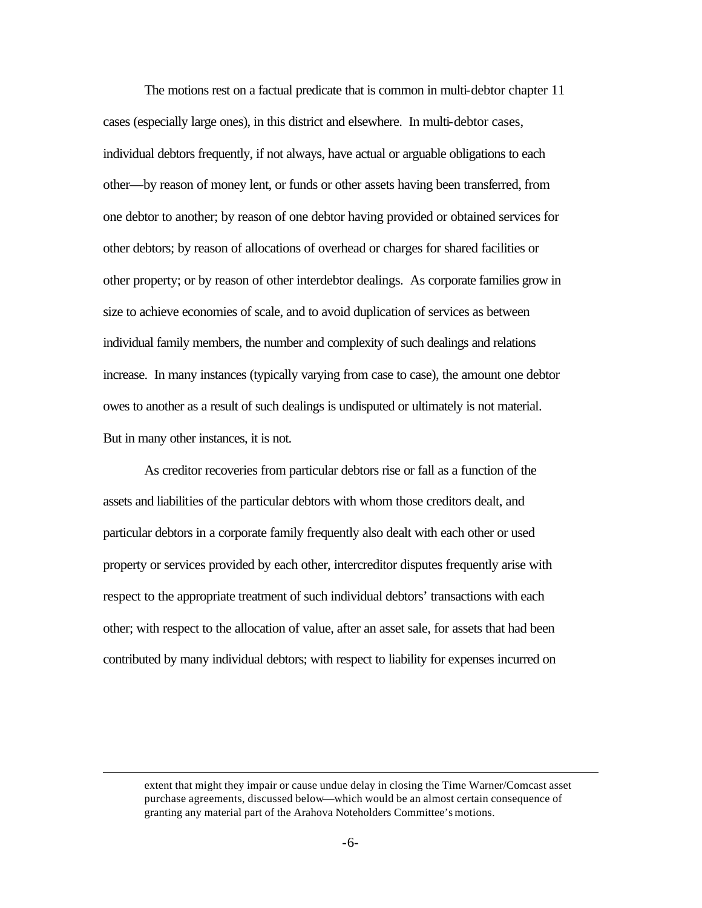The motions rest on a factual predicate that is common in multi-debtor chapter 11 cases (especially large ones), in this district and elsewhere. In multi-debtor cases, individual debtors frequently, if not always, have actual or arguable obligations to each other—by reason of money lent, or funds or other assets having been transferred, from one debtor to another; by reason of one debtor having provided or obtained services for other debtors; by reason of allocations of overhead or charges for shared facilities or other property; or by reason of other interdebtor dealings. As corporate families grow in size to achieve economies of scale, and to avoid duplication of services as between individual family members, the number and complexity of such dealings and relations increase. In many instances (typically varying from case to case), the amount one debtor owes to another as a result of such dealings is undisputed or ultimately is not material. But in many other instances, it is not.

As creditor recoveries from particular debtors rise or fall as a function of the assets and liabilities of the particular debtors with whom those creditors dealt, and particular debtors in a corporate family frequently also dealt with each other or used property or services provided by each other, intercreditor disputes frequently arise with respect to the appropriate treatment of such individual debtors' transactions with each other; with respect to the allocation of value, after an asset sale, for assets that had been contributed by many individual debtors; with respect to liability for expenses incurred on

 $\overline{a}$ 

extent that might they impair or cause undue delay in closing the Time Warner/Comcast asset purchase agreements, discussed below—which would be an almost certain consequence of granting any material part of the Arahova Noteholders Committee's motions.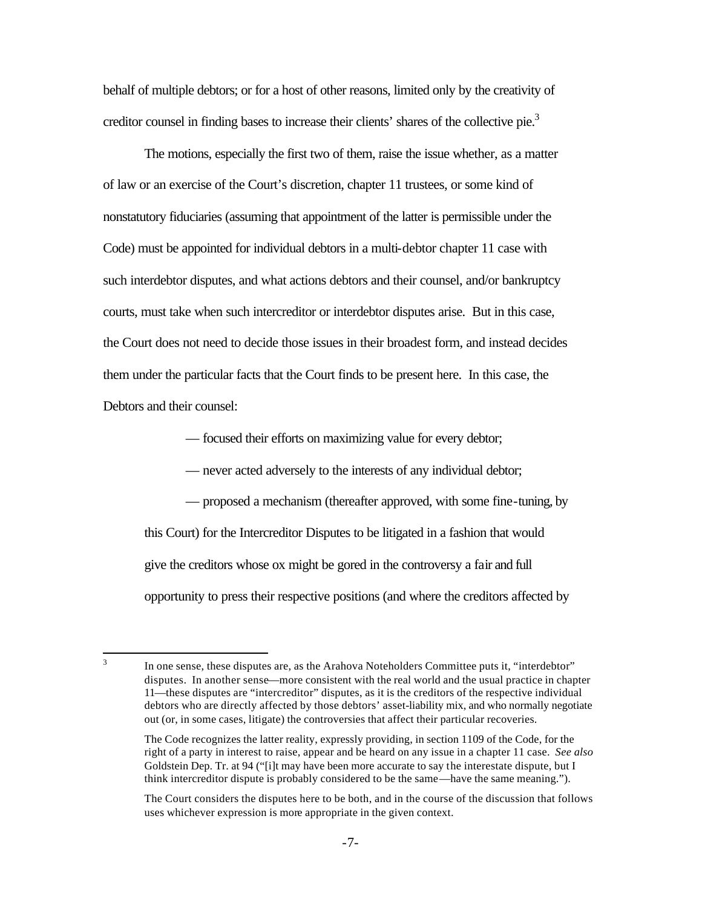behalf of multiple debtors; or for a host of other reasons, limited only by the creativity of creditor counsel in finding bases to increase their clients' shares of the collective pie.<sup>3</sup>

The motions, especially the first two of them, raise the issue whether, as a matter of law or an exercise of the Court's discretion, chapter 11 trustees, or some kind of nonstatutory fiduciaries (assuming that appointment of the latter is permissible under the Code) must be appointed for individual debtors in a multi-debtor chapter 11 case with such interdebtor disputes, and what actions debtors and their counsel, and/or bankruptcy courts, must take when such intercreditor or interdebtor disputes arise. But in this case, the Court does not need to decide those issues in their broadest form, and instead decides them under the particular facts that the Court finds to be present here. In this case, the Debtors and their counsel:

— focused their efforts on maximizing value for every debtor;

— never acted adversely to the interests of any individual debtor;

— proposed a mechanism (thereafter approved, with some fine-tuning, by this Court) for the Intercreditor Disputes to be litigated in a fashion that would give the creditors whose ox might be gored in the controversy a fair and full opportunity to press their respective positions (and where the creditors affected by

<sup>2</sup><br>3

In one sense, these disputes are, as the Arahova Noteholders Committee puts it, "interdebtor" disputes. In another sense—more consistent with the real world and the usual practice in chapter 11—these disputes are "intercreditor" disputes, as it is the creditors of the respective individual debtors who are directly affected by those debtors' asset-liability mix, and who normally negotiate out (or, in some cases, litigate) the controversies that affect their particular recoveries.

The Code recognizes the latter reality, expressly providing, in section 1109 of the Code, for the right of a party in interest to raise, appear and be heard on any issue in a chapter 11 case. *See also* Goldstein Dep. Tr. at 94 ("[i]t may have been more accurate to say the interestate dispute, but I think intercreditor dispute is probably considered to be the same—have the same meaning.").

The Court considers the disputes here to be both, and in the course of the discussion that follows uses whichever expression is more appropriate in the given context.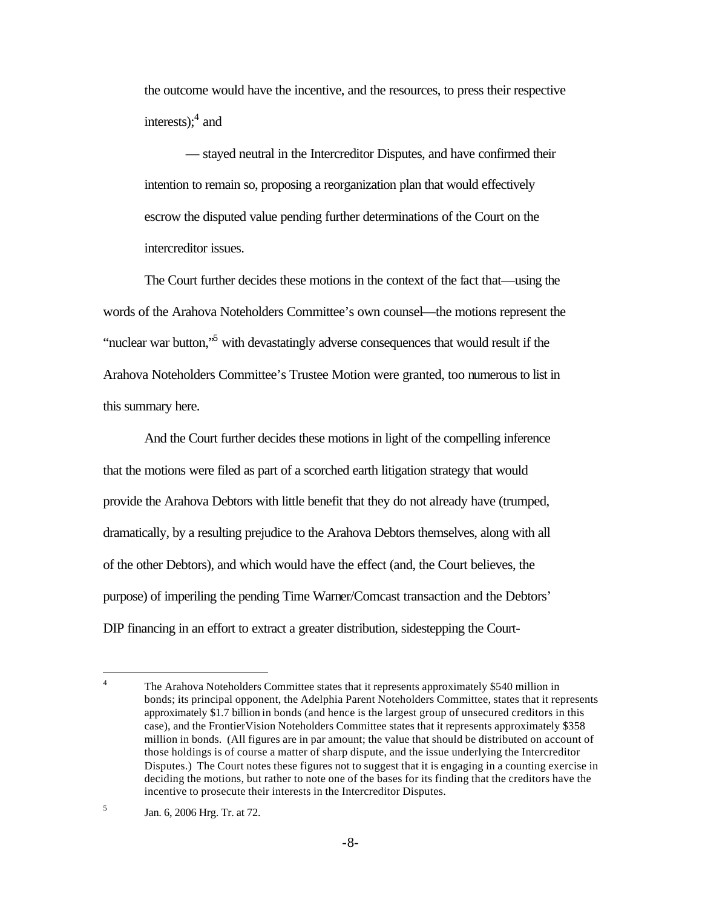the outcome would have the incentive, and the resources, to press their respective interests); $4$  and

— stayed neutral in the Intercreditor Disputes, and have confirmed their intention to remain so, proposing a reorganization plan that would effectively escrow the disputed value pending further determinations of the Court on the intercreditor issues.

The Court further decides these motions in the context of the fact that—using the words of the Arahova Noteholders Committee's own counsel—the motions represent the "nuclear war button,"<sup>5</sup> with devastatingly adverse consequences that would result if the Arahova Noteholders Committee's Trustee Motion were granted, too numerous to list in this summary here.

And the Court further decides these motions in light of the compelling inference that the motions were filed as part of a scorched earth litigation strategy that would provide the Arahova Debtors with little benefit that they do not already have (trumped, dramatically, by a resulting prejudice to the Arahova Debtors themselves, along with all of the other Debtors), and which would have the effect (and, the Court believes, the purpose) of imperiling the pending Time Warner/Comcast transaction and the Debtors' DIP financing in an effort to extract a greater distribution, sidestepping the Court-

 $\frac{1}{4}$ The Arahova Noteholders Committee states that it represents approximately \$540 million in bonds; its principal opponent, the Adelphia Parent Noteholders Committee, states that it represents approximately \$1.7 billion in bonds (and hence is the largest group of unsecured creditors in this case), and the FrontierVision Noteholders Committee states that it represents approximately \$358 million in bonds. (All figures are in par amount; the value that should be distributed on account of those holdings is of course a matter of sharp dispute, and the issue underlying the Intercreditor Disputes.) The Court notes these figures not to suggest that it is engaging in a counting exercise in deciding the motions, but rather to note one of the bases for its finding that the creditors have the incentive to prosecute their interests in the Intercreditor Disputes.

<sup>5</sup> Jan. 6, 2006 Hrg. Tr. at 72.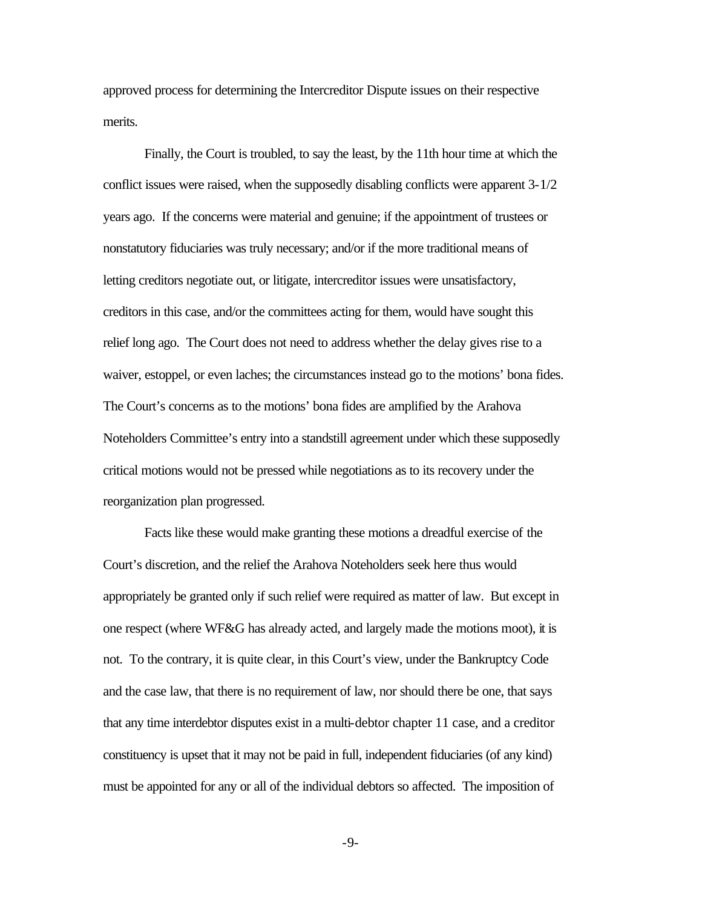approved process for determining the Intercreditor Dispute issues on their respective merits.

Finally, the Court is troubled, to say the least, by the 11th hour time at which the conflict issues were raised, when the supposedly disabling conflicts were apparent 3-1/2 years ago. If the concerns were material and genuine; if the appointment of trustees or nonstatutory fiduciaries was truly necessary; and/or if the more traditional means of letting creditors negotiate out, or litigate, intercreditor issues were unsatisfactory, creditors in this case, and/or the committees acting for them, would have sought this relief long ago. The Court does not need to address whether the delay gives rise to a waiver, estoppel, or even laches; the circumstances instead go to the motions' bona fides. The Court's concerns as to the motions' bona fides are amplified by the Arahova Noteholders Committee's entry into a standstill agreement under which these supposedly critical motions would not be pressed while negotiations as to its recovery under the reorganization plan progressed.

Facts like these would make granting these motions a dreadful exercise of the Court's discretion, and the relief the Arahova Noteholders seek here thus would appropriately be granted only if such relief were required as matter of law. But except in one respect (where WF&G has already acted, and largely made the motions moot), it is not. To the contrary, it is quite clear, in this Court's view, under the Bankruptcy Code and the case law, that there is no requirement of law, nor should there be one, that says that any time interdebtor disputes exist in a multi-debtor chapter 11 case, and a creditor constituency is upset that it may not be paid in full, independent fiduciaries (of any kind) must be appointed for any or all of the individual debtors so affected. The imposition of

-9-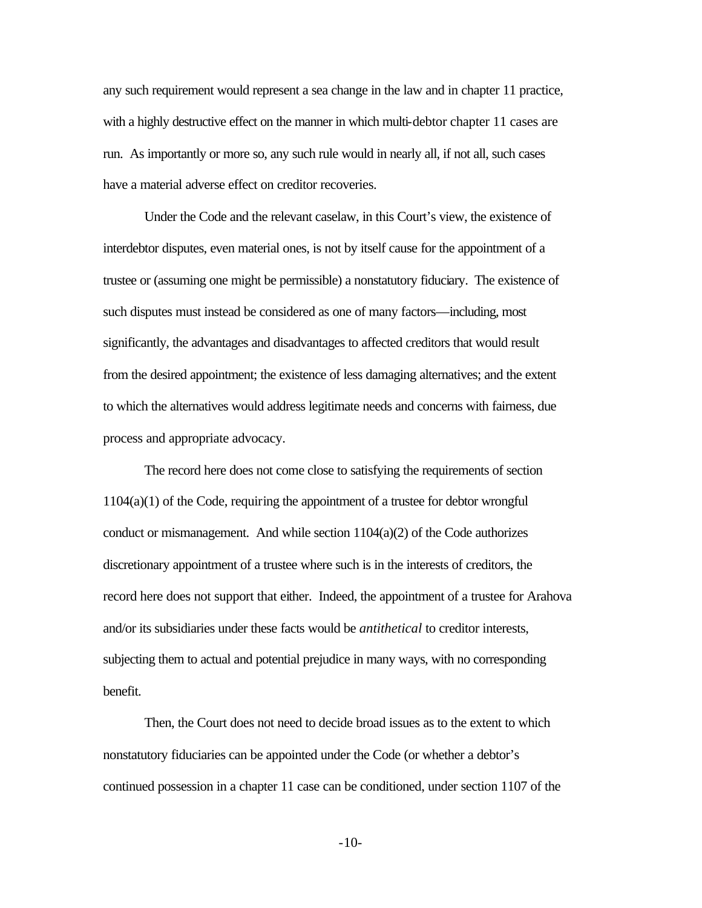any such requirement would represent a sea change in the law and in chapter 11 practice, with a highly destructive effect on the manner in which multi-debtor chapter 11 cases are run. As importantly or more so, any such rule would in nearly all, if not all, such cases have a material adverse effect on creditor recoveries.

Under the Code and the relevant caselaw, in this Court's view, the existence of interdebtor disputes, even material ones, is not by itself cause for the appointment of a trustee or (assuming one might be permissible) a nonstatutory fiduciary. The existence of such disputes must instead be considered as one of many factors—including, most significantly, the advantages and disadvantages to affected creditors that would result from the desired appointment; the existence of less damaging alternatives; and the extent to which the alternatives would address legitimate needs and concerns with fairness, due process and appropriate advocacy.

The record here does not come close to satisfying the requirements of section 1104(a)(1) of the Code, requiring the appointment of a trustee for debtor wrongful conduct or mismanagement. And while section  $1104(a)(2)$  of the Code authorizes discretionary appointment of a trustee where such is in the interests of creditors, the record here does not support that either. Indeed, the appointment of a trustee for Arahova and/or its subsidiaries under these facts would be *antithetical* to creditor interests, subjecting them to actual and potential prejudice in many ways, with no corresponding benefit.

Then, the Court does not need to decide broad issues as to the extent to which nonstatutory fiduciaries can be appointed under the Code (or whether a debtor's continued possession in a chapter 11 case can be conditioned, under section 1107 of the

-10-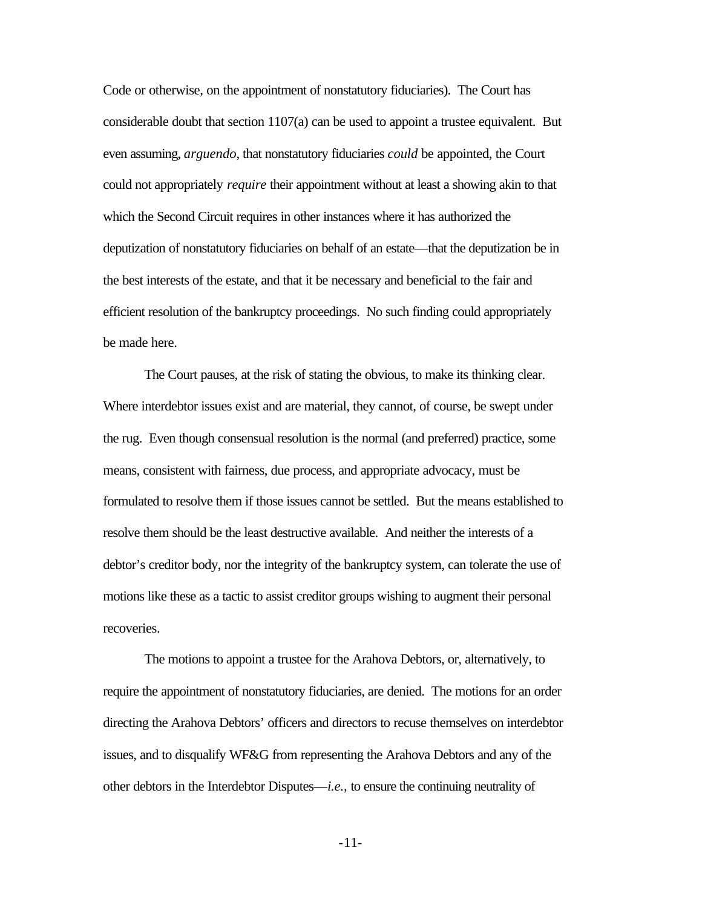Code or otherwise, on the appointment of nonstatutory fiduciaries). The Court has considerable doubt that section  $1107(a)$  can be used to appoint a trustee equivalent. But even assuming, *arguendo*, that nonstatutory fiduciaries *could* be appointed, the Court could not appropriately *require* their appointment without at least a showing akin to that which the Second Circuit requires in other instances where it has authorized the deputization of nonstatutory fiduciaries on behalf of an estate—that the deputization be in the best interests of the estate, and that it be necessary and beneficial to the fair and efficient resolution of the bankruptcy proceedings. No such finding could appropriately be made here.

The Court pauses, at the risk of stating the obvious, to make its thinking clear. Where interdebtor issues exist and are material, they cannot, of course, be swept under the rug. Even though consensual resolution is the normal (and preferred) practice, some means, consistent with fairness, due process, and appropriate advocacy, must be formulated to resolve them if those issues cannot be settled. But the means established to resolve them should be the least destructive available. And neither the interests of a debtor's creditor body, nor the integrity of the bankruptcy system, can tolerate the use of motions like these as a tactic to assist creditor groups wishing to augment their personal recoveries.

The motions to appoint a trustee for the Arahova Debtors, or, alternatively, to require the appointment of nonstatutory fiduciaries, are denied. The motions for an order directing the Arahova Debtors' officers and directors to recuse themselves on interdebtor issues, and to disqualify WF&G from representing the Arahova Debtors and any of the other debtors in the Interdebtor Disputes—*i.e.,* to ensure the continuing neutrality of

-11-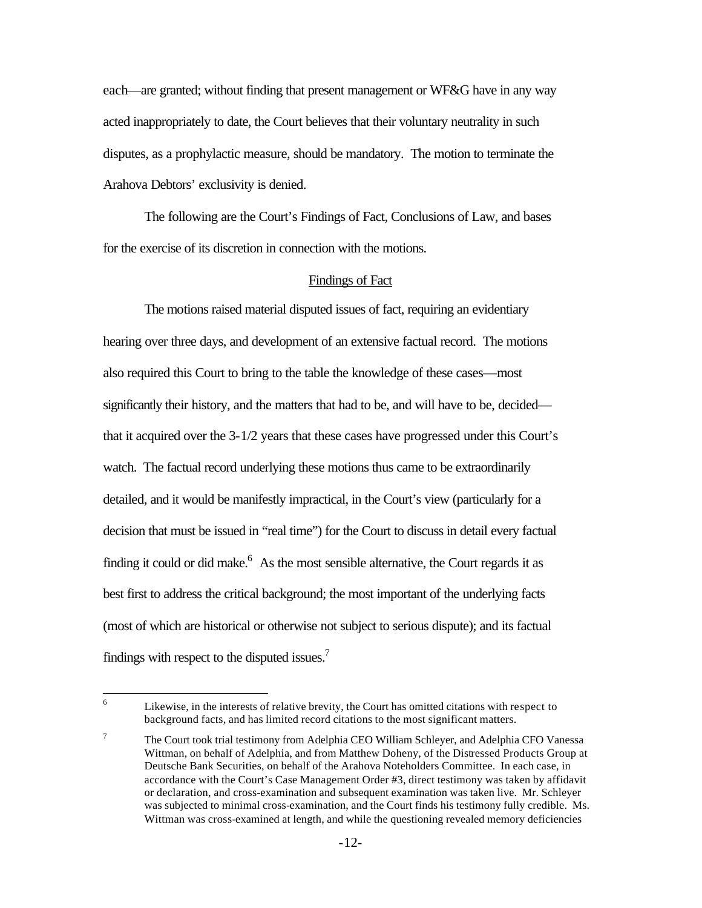each—are granted; without finding that present management or WF&G have in any way acted inappropriately to date, the Court believes that their voluntary neutrality in such disputes, as a prophylactic measure, should be mandatory. The motion to terminate the Arahova Debtors' exclusivity is denied.

The following are the Court's Findings of Fact, Conclusions of Law, and bases for the exercise of its discretion in connection with the motions.

### Findings of Fact

The motions raised material disputed issues of fact, requiring an evidentiary hearing over three days, and development of an extensive factual record. The motions also required this Court to bring to the table the knowledge of these cases—most significantly their history, and the matters that had to be, and will have to be, decided that it acquired over the 3-1/2 years that these cases have progressed under this Court's watch. The factual record underlying these motions thus came to be extraordinarily detailed, and it would be manifestly impractical, in the Court's view (particularly for a decision that must be issued in "real time") for the Court to discuss in detail every factual finding it could or did make. $6$  As the most sensible alternative, the Court regards it as best first to address the critical background; the most important of the underlying facts (most of which are historical or otherwise not subject to serious dispute); and its factual findings with respect to the disputed issues.<sup>7</sup>

6

Likewise, in the interests of relative brevity, the Court has omitted citations with respect to background facts, and has limited record citations to the most significant matters.

<sup>7</sup> The Court took trial testimony from Adelphia CEO William Schleyer, and Adelphia CFO Vanessa Wittman, on behalf of Adelphia, and from Matthew Doheny, of the Distressed Products Group at Deutsche Bank Securities, on behalf of the Arahova Noteholders Committee. In each case, in accordance with the Court's Case Management Order #3, direct testimony was taken by affidavit or declaration, and cross-examination and subsequent examination was taken live. Mr. Schleyer was subjected to minimal cross-examination, and the Court finds his testimony fully credible. Ms. Wittman was cross-examined at length, and while the questioning revealed memory deficiencies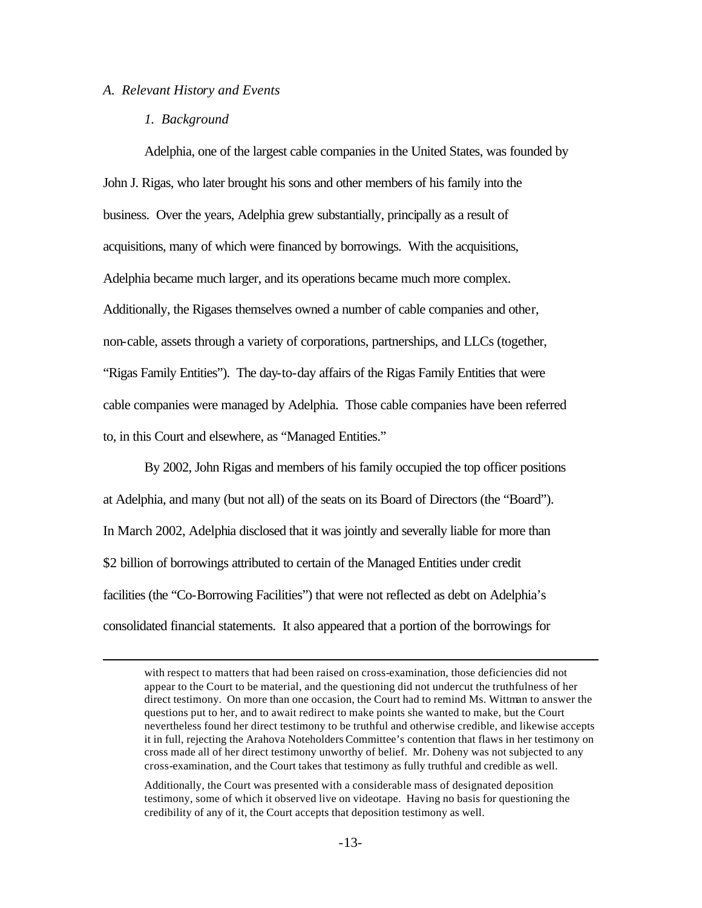#### *A. Relevant History and Events*

#### *1. Background*

 $\overline{a}$ 

Adelphia, one of the largest cable companies in the United States, was founded by John J. Rigas, who later brought his sons and other members of his family into the business. Over the years, Adelphia grew substantially, principally as a result of acquisitions, many of which were financed by borrowings. With the acquisitions, Adelphia became much larger, and its operations became much more complex. Additionally, the Rigases themselves owned a number of cable companies and other, non-cable, assets through a variety of corporations, partnerships, and LLCs (together, "Rigas Family Entities"). The day-to-day affairs of the Rigas Family Entities that were cable companies were managed by Adelphia. Those cable companies have been referred to, in this Court and elsewhere, as "Managed Entities."

By 2002, John Rigas and members of his family occupied the top officer positions at Adelphia, and many (but not all) of the seats on its Board of Directors (the "Board"). In March 2002, Adelphia disclosed that it was jointly and severally liable for more than \$2 billion of borrowings attributed to certain of the Managed Entities under credit facilities (the "Co-Borrowing Facilities") that were not reflected as debt on Adelphia's consolidated financial statements. It also appeared that a portion of the borrowings for

with respect to matters that had been raised on cross-examination, those deficiencies did not appear to the Court to be material, and the questioning did not undercut the truthfulness of her direct testimony. On more than one occasion, the Court had to remind Ms. Wittman to answer the questions put to her, and to await redirect to make points she wanted to make, but the Court nevertheless found her direct testimony to be truthful and otherwise credible, and likewise accepts it in full, rejecting the Arahova Noteholders Committee's contention that flaws in her testimony on cross made all of her direct testimony unworthy of belief. Mr. Doheny was not subjected to any cross-examination, and the Court takes that testimony as fully truthful and credible as well.

Additionally, the Court was presented with a considerable mass of designated deposition testimony, some of which it observed live on videotape. Having no basis for questioning the credibility of any of it, the Court accepts that deposition testimony as well.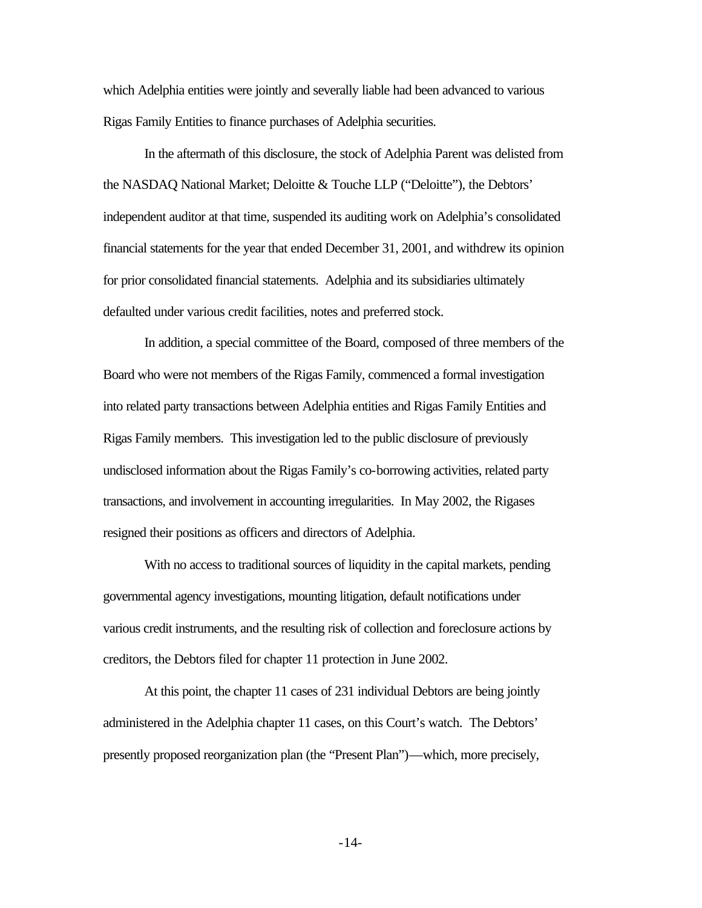which Adelphia entities were jointly and severally liable had been advanced to various Rigas Family Entities to finance purchases of Adelphia securities.

In the aftermath of this disclosure, the stock of Adelphia Parent was delisted from the NASDAQ National Market; Deloitte & Touche LLP ("Deloitte"), the Debtors' independent auditor at that time, suspended its auditing work on Adelphia's consolidated financial statements for the year that ended December 31, 2001, and withdrew its opinion for prior consolidated financial statements. Adelphia and its subsidiaries ultimately defaulted under various credit facilities, notes and preferred stock.

In addition, a special committee of the Board, composed of three members of the Board who were not members of the Rigas Family, commenced a formal investigation into related party transactions between Adelphia entities and Rigas Family Entities and Rigas Family members. This investigation led to the public disclosure of previously undisclosed information about the Rigas Family's co-borrowing activities, related party transactions, and involvement in accounting irregularities. In May 2002, the Rigases resigned their positions as officers and directors of Adelphia.

With no access to traditional sources of liquidity in the capital markets, pending governmental agency investigations, mounting litigation, default notifications under various credit instruments, and the resulting risk of collection and foreclosure actions by creditors, the Debtors filed for chapter 11 protection in June 2002.

At this point, the chapter 11 cases of 231 individual Debtors are being jointly administered in the Adelphia chapter 11 cases, on this Court's watch. The Debtors' presently proposed reorganization plan (the "Present Plan")—which, more precisely,

-14-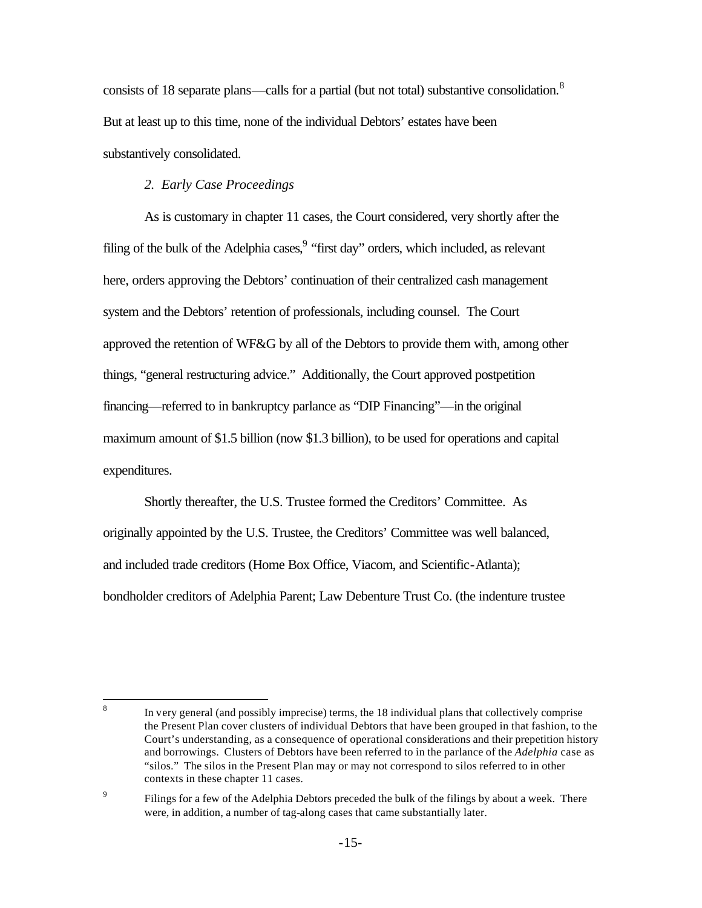consists of 18 separate plans—calls for a partial (but not total) substantive consolidation.<sup>8</sup> But at least up to this time, none of the individual Debtors' estates have been substantively consolidated.

### *2. Early Case Proceedings*

As is customary in chapter 11 cases, the Court considered, very shortly after the filing of the bulk of the Adelphia cases, "first day" orders, which included, as relevant here, orders approving the Debtors' continuation of their centralized cash management system and the Debtors' retention of professionals, including counsel. The Court approved the retention of WF&G by all of the Debtors to provide them with, among other things, "general restructuring advice." Additionally, the Court approved postpetition financing—referred to in bankruptcy parlance as "DIP Financing"—in the original maximum amount of \$1.5 billion (now \$1.3 billion), to be used for operations and capital expenditures.

Shortly thereafter, the U.S. Trustee formed the Creditors' Committee. As originally appointed by the U.S. Trustee, the Creditors' Committee was well balanced, and included trade creditors (Home Box Office, Viacom, and Scientific-Atlanta); bondholder creditors of Adelphia Parent; Law Debenture Trust Co. (the indenture trustee

 8 In very general (and possibly imprecise) terms, the 18 individual plans that collectively comprise the Present Plan cover clusters of individual Debtors that have been grouped in that fashion, to the Court's understanding, as a consequence of operational considerations and their prepetition history and borrowings. Clusters of Debtors have been referred to in the parlance of the *Adelphia* case as "silos." The silos in the Present Plan may or may not correspond to silos referred to in other contexts in these chapter 11 cases.

<sup>9</sup> Filings for a few of the Adelphia Debtors preceded the bulk of the filings by about a week. There were, in addition, a number of tag-along cases that came substantially later.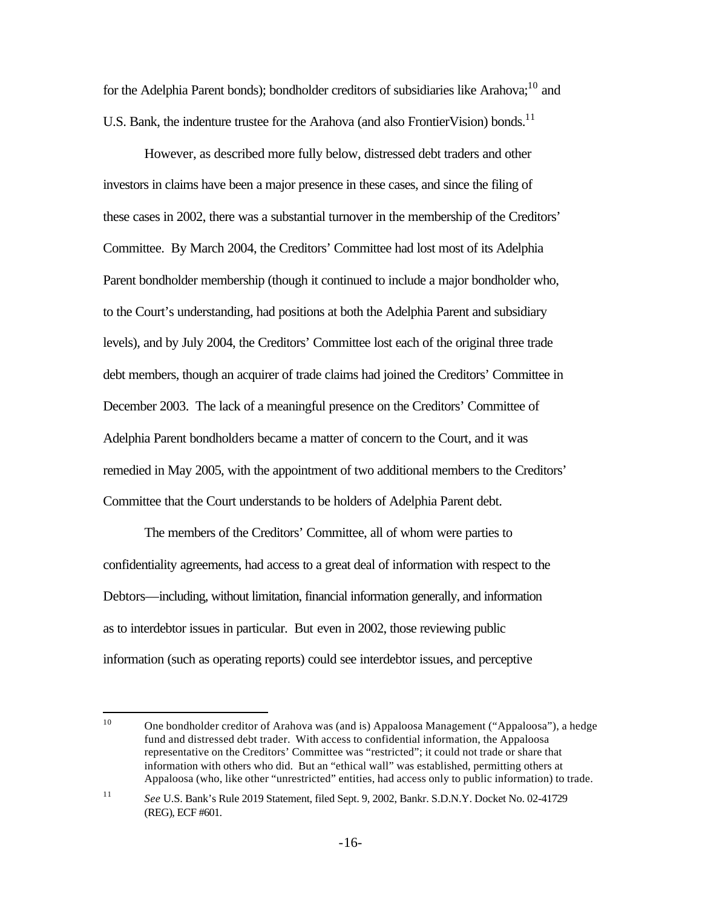for the Adelphia Parent bonds); bondholder creditors of subsidiaries like Arahova;  $^{10}$  and U.S. Bank, the indenture trustee for the Arahova (and also FrontierVision) bonds.<sup>11</sup>

However, as described more fully below, distressed debt traders and other investors in claims have been a major presence in these cases, and since the filing of these cases in 2002, there was a substantial turnover in the membership of the Creditors' Committee. By March 2004, the Creditors' Committee had lost most of its Adelphia Parent bondholder membership (though it continued to include a major bondholder who, to the Court's understanding, had positions at both the Adelphia Parent and subsidiary levels), and by July 2004, the Creditors' Committee lost each of the original three trade debt members, though an acquirer of trade claims had joined the Creditors' Committee in December 2003. The lack of a meaningful presence on the Creditors' Committee of Adelphia Parent bondholders became a matter of concern to the Court, and it was remedied in May 2005, with the appointment of two additional members to the Creditors' Committee that the Court understands to be holders of Adelphia Parent debt.

The members of the Creditors' Committee, all of whom were parties to confidentiality agreements, had access to a great deal of information with respect to the Debtors—including, without limitation, financial information generally, and information as to interdebtor issues in particular. But even in 2002, those reviewing public information (such as operating reports) could see interdebtor issues, and perceptive

 $\overline{a}$ 

<sup>10</sup> One bondholder creditor of Arahova was (and is) Appaloosa Management ("Appaloosa"), a hedge fund and distressed debt trader. With access to confidential information, the Appaloosa representative on the Creditors' Committee was "restricted"; it could not trade or share that information with others who did. But an "ethical wall" was established, permitting others at Appaloosa (who, like other "unrestricted" entities, had access only to public information) to trade.

<sup>11</sup> *See* U.S. Bank's Rule 2019 Statement, filed Sept. 9, 2002, Bankr. S.D.N.Y. Docket No. 02-41729 (REG), ECF #601.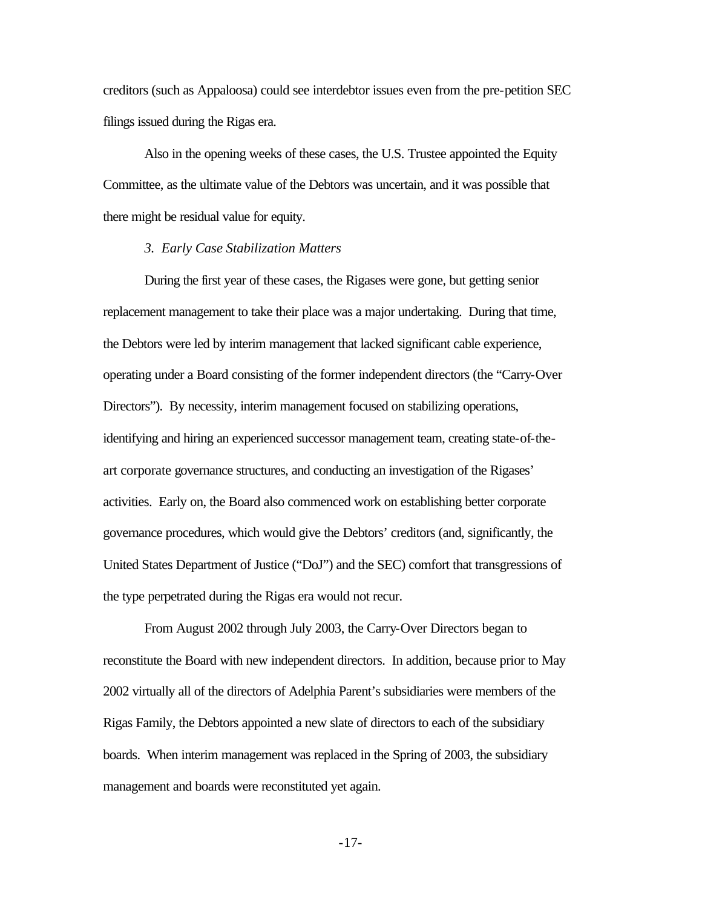creditors (such as Appaloosa) could see interdebtor issues even from the pre-petition SEC filings issued during the Rigas era.

Also in the opening weeks of these cases, the U.S. Trustee appointed the Equity Committee, as the ultimate value of the Debtors was uncertain, and it was possible that there might be residual value for equity.

#### *3. Early Case Stabilization Matters*

During the first year of these cases, the Rigases were gone, but getting senior replacement management to take their place was a major undertaking. During that time, the Debtors were led by interim management that lacked significant cable experience, operating under a Board consisting of the former independent directors (the "Carry-Over Directors"). By necessity, interim management focused on stabilizing operations, identifying and hiring an experienced successor management team, creating state-of-theart corporate governance structures, and conducting an investigation of the Rigases' activities. Early on, the Board also commenced work on establishing better corporate governance procedures, which would give the Debtors' creditors (and, significantly, the United States Department of Justice ("DoJ") and the SEC) comfort that transgressions of the type perpetrated during the Rigas era would not recur.

From August 2002 through July 2003, the Carry-Over Directors began to reconstitute the Board with new independent directors. In addition, because prior to May 2002 virtually all of the directors of Adelphia Parent's subsidiaries were members of the Rigas Family, the Debtors appointed a new slate of directors to each of the subsidiary boards. When interim management was replaced in the Spring of 2003, the subsidiary management and boards were reconstituted yet again.

-17-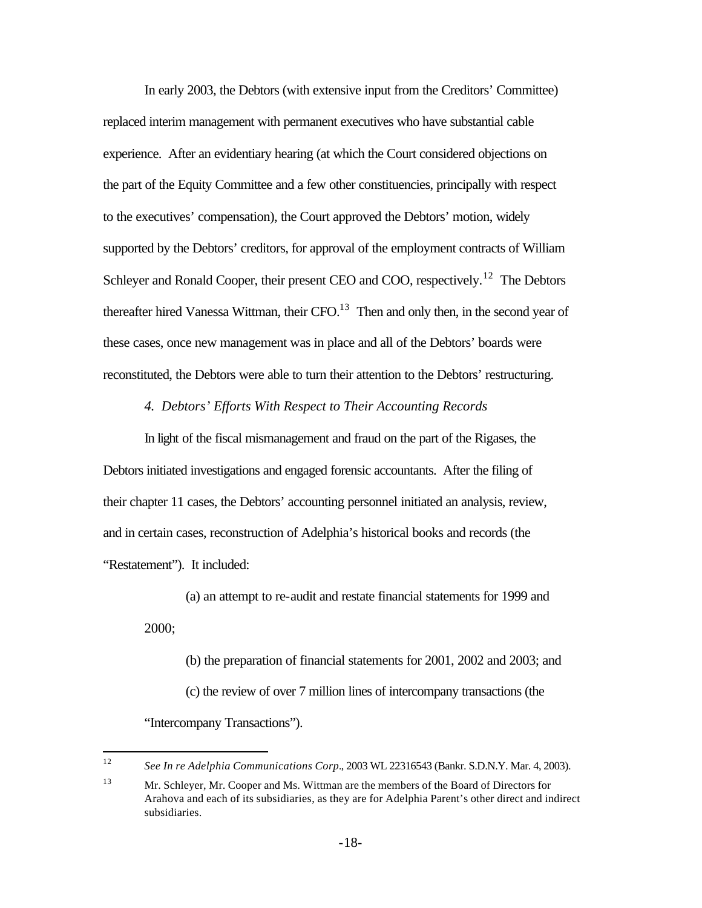In early 2003, the Debtors (with extensive input from the Creditors' Committee) replaced interim management with permanent executives who have substantial cable experience. After an evidentiary hearing (at which the Court considered objections on the part of the Equity Committee and a few other constituencies, principally with respect to the executives' compensation), the Court approved the Debtors' motion, widely supported by the Debtors' creditors, for approval of the employment contracts of William Schleyer and Ronald Cooper, their present CEO and COO, respectively.<sup>12</sup> The Debtors thereafter hired Vanessa Wittman, their CFO. $^{13}$  Then and only then, in the second year of these cases, once new management was in place and all of the Debtors' boards were reconstituted, the Debtors were able to turn their attention to the Debtors' restructuring.

#### *4. Debtors' Efforts With Respect to Their Accounting Records*

In light of the fiscal mismanagement and fraud on the part of the Rigases, the Debtors initiated investigations and engaged forensic accountants. After the filing of their chapter 11 cases, the Debtors' accounting personnel initiated an analysis, review, and in certain cases, reconstruction of Adelphia's historical books and records (the "Restatement"). It included:

(a) an attempt to re-audit and restate financial statements for 1999 and 2000;

(b) the preparation of financial statements for 2001, 2002 and 2003; and (c) the review of over 7 million lines of intercompany transactions (the "Intercompany Transactions").

 $12<sup>°</sup>$ <sup>12</sup> *See In re Adelphia Communications Corp.*, 2003 WL 22316543 (Bankr. S.D.N.Y. Mar. 4, 2003).

<sup>13</sup> Mr. Schleyer, Mr. Cooper and Ms. Wittman are the members of the Board of Directors for Arahova and each of its subsidiaries, as they are for Adelphia Parent's other direct and indirect subsidiaries.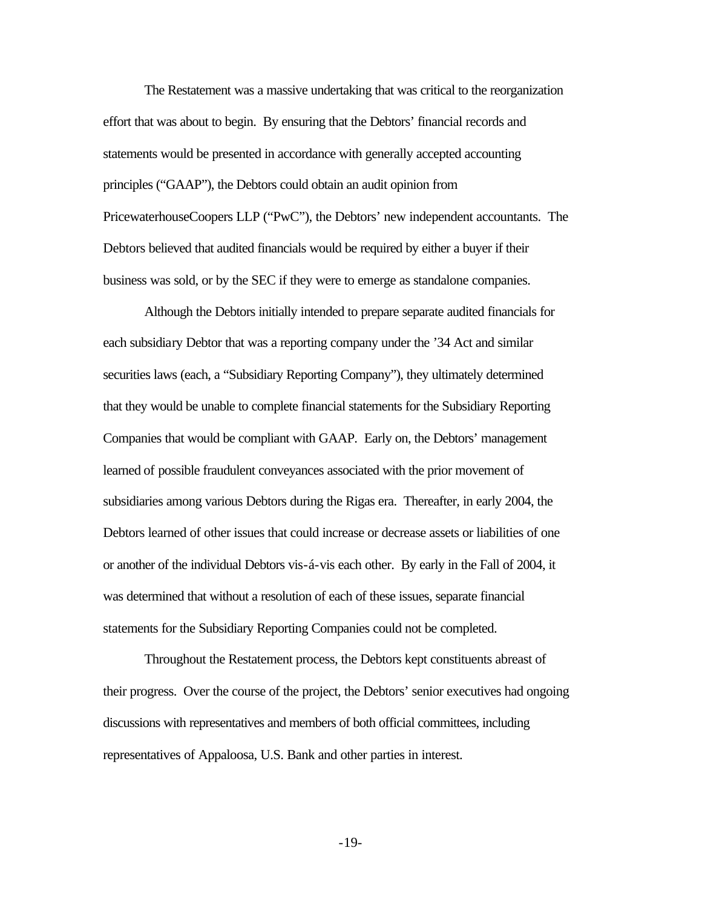The Restatement was a massive undertaking that was critical to the reorganization effort that was about to begin. By ensuring that the Debtors' financial records and statements would be presented in accordance with generally accepted accounting principles ("GAAP"), the Debtors could obtain an audit opinion from PricewaterhouseCoopers LLP ("PwC"), the Debtors' new independent accountants. The Debtors believed that audited financials would be required by either a buyer if their business was sold, or by the SEC if they were to emerge as standalone companies.

Although the Debtors initially intended to prepare separate audited financials for each subsidiary Debtor that was a reporting company under the '34 Act and similar securities laws (each, a "Subsidiary Reporting Company"), they ultimately determined that they would be unable to complete financial statements for the Subsidiary Reporting Companies that would be compliant with GAAP. Early on, the Debtors' management learned of possible fraudulent conveyances associated with the prior movement of subsidiaries among various Debtors during the Rigas era. Thereafter, in early 2004, the Debtors learned of other issues that could increase or decrease assets or liabilities of one or another of the individual Debtors vis-á-vis each other. By early in the Fall of 2004, it was determined that without a resolution of each of these issues, separate financial statements for the Subsidiary Reporting Companies could not be completed.

Throughout the Restatement process, the Debtors kept constituents abreast of their progress. Over the course of the project, the Debtors' senior executives had ongoing discussions with representatives and members of both official committees, including representatives of Appaloosa, U.S. Bank and other parties in interest.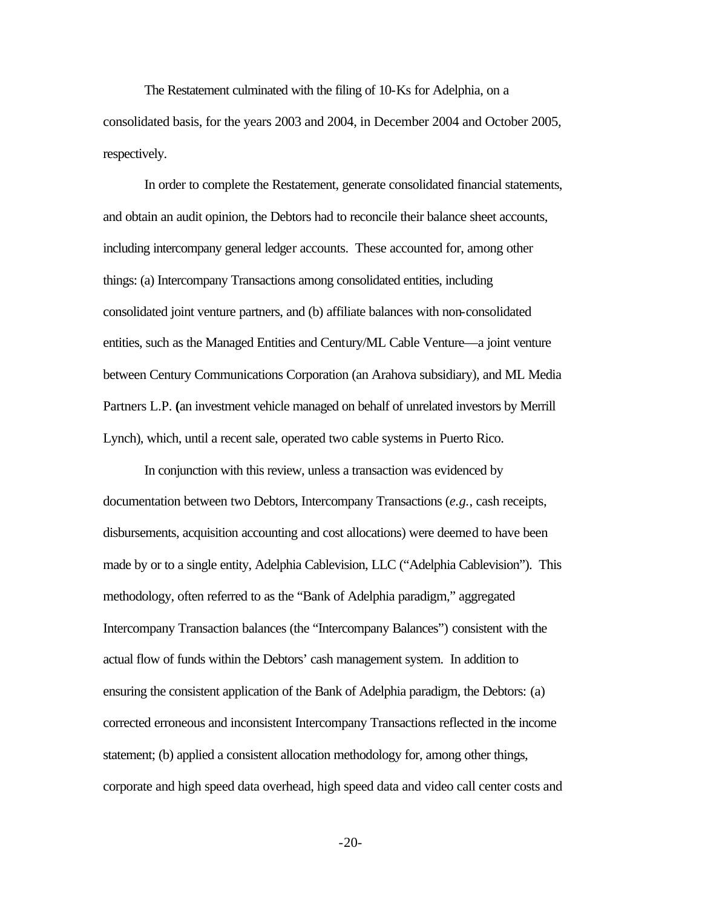The Restatement culminated with the filing of 10-Ks for Adelphia, on a consolidated basis, for the years 2003 and 2004, in December 2004 and October 2005, respectively.

In order to complete the Restatement, generate consolidated financial statements, and obtain an audit opinion, the Debtors had to reconcile their balance sheet accounts, including intercompany general ledger accounts. These accounted for, among other things: (a) Intercompany Transactions among consolidated entities, including consolidated joint venture partners, and (b) affiliate balances with non-consolidated entities, such as the Managed Entities and Century/ML Cable Venture—a joint venture between Century Communications Corporation (an Arahova subsidiary), and ML Media Partners L.P. **(**an investment vehicle managed on behalf of unrelated investors by Merrill Lynch), which, until a recent sale, operated two cable systems in Puerto Rico.

In conjunction with this review, unless a transaction was evidenced by documentation between two Debtors, Intercompany Transactions (*e.g.*, cash receipts, disbursements, acquisition accounting and cost allocations) were deemed to have been made by or to a single entity, Adelphia Cablevision, LLC ("Adelphia Cablevision"). This methodology, often referred to as the "Bank of Adelphia paradigm," aggregated Intercompany Transaction balances (the "Intercompany Balances") consistent with the actual flow of funds within the Debtors' cash management system. In addition to ensuring the consistent application of the Bank of Adelphia paradigm, the Debtors: (a) corrected erroneous and inconsistent Intercompany Transactions reflected in the income statement; (b) applied a consistent allocation methodology for, among other things, corporate and high speed data overhead, high speed data and video call center costs and

-20-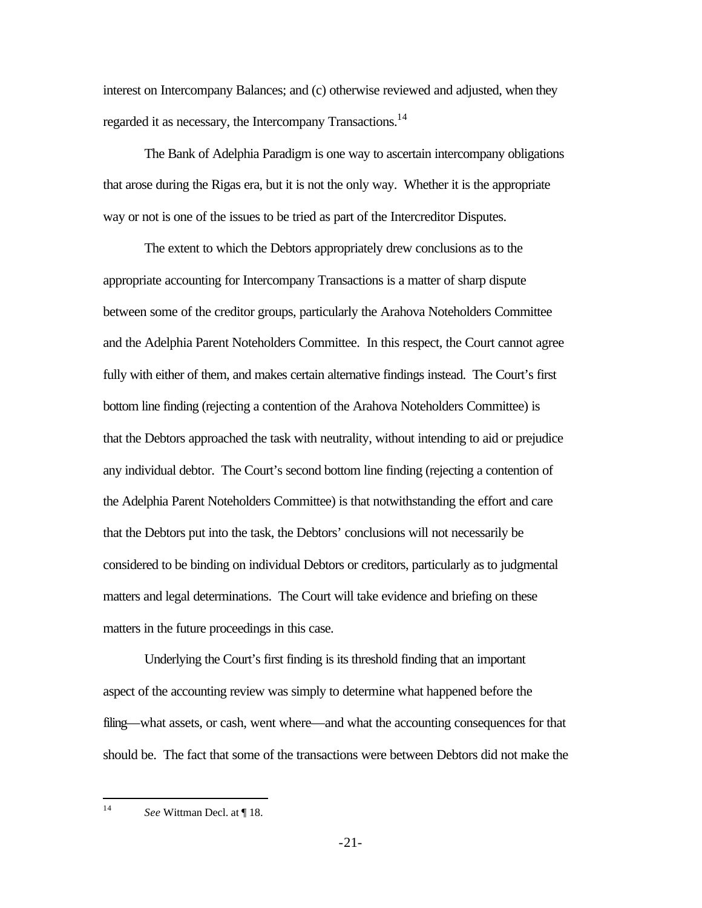interest on Intercompany Balances; and (c) otherwise reviewed and adjusted, when they regarded it as necessary, the Intercompany Transactions.<sup>14</sup>

The Bank of Adelphia Paradigm is one way to ascertain intercompany obligations that arose during the Rigas era, but it is not the only way. Whether it is the appropriate way or not is one of the issues to be tried as part of the Intercreditor Disputes.

The extent to which the Debtors appropriately drew conclusions as to the appropriate accounting for Intercompany Transactions is a matter of sharp dispute between some of the creditor groups, particularly the Arahova Noteholders Committee and the Adelphia Parent Noteholders Committee. In this respect, the Court cannot agree fully with either of them, and makes certain alternative findings instead. The Court's first bottom line finding (rejecting a contention of the Arahova Noteholders Committee) is that the Debtors approached the task with neutrality, without intending to aid or prejudice any individual debtor. The Court's second bottom line finding (rejecting a contention of the Adelphia Parent Noteholders Committee) is that notwithstanding the effort and care that the Debtors put into the task, the Debtors' conclusions will not necessarily be considered to be binding on individual Debtors or creditors, particularly as to judgmental matters and legal determinations. The Court will take evidence and briefing on these matters in the future proceedings in this case.

Underlying the Court's first finding is its threshold finding that an important aspect of the accounting review was simply to determine what happened before the filing—what assets, or cash, went where—and what the accounting consequences for that should be. The fact that some of the transactions were between Debtors did not make the

 $14<sup>1</sup>$ See Wittman Decl. at ¶ 18.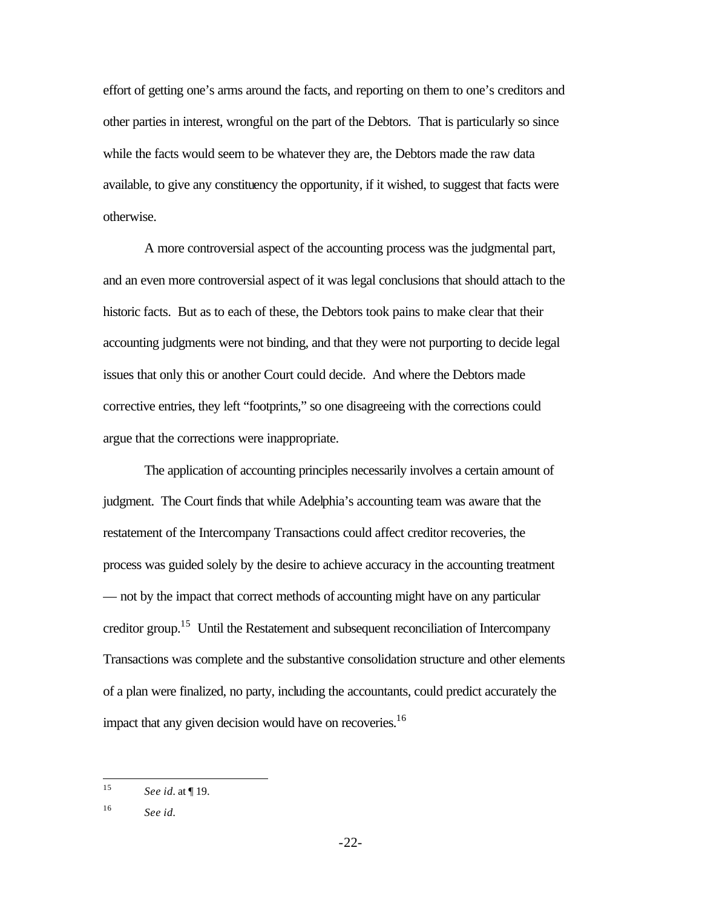effort of getting one's arms around the facts, and reporting on them to one's creditors and other parties in interest, wrongful on the part of the Debtors. That is particularly so since while the facts would seem to be whatever they are, the Debtors made the raw data available, to give any constituency the opportunity, if it wished, to suggest that facts were otherwise.

A more controversial aspect of the accounting process was the judgmental part, and an even more controversial aspect of it was legal conclusions that should attach to the historic facts. But as to each of these, the Debtors took pains to make clear that their accounting judgments were not binding, and that they were not purporting to decide legal issues that only this or another Court could decide. And where the Debtors made corrective entries, they left "footprints," so one disagreeing with the corrections could argue that the corrections were inappropriate.

The application of accounting principles necessarily involves a certain amount of judgment. The Court finds that while Adelphia's accounting team was aware that the restatement of the Intercompany Transactions could affect creditor recoveries, the process was guided solely by the desire to achieve accuracy in the accounting treatment — not by the impact that correct methods of accounting might have on any particular creditor group.<sup>15</sup> Until the Restatement and subsequent reconciliation of Intercompany Transactions was complete and the substantive consolidation structure and other elements of a plan were finalized, no party, including the accountants, could predict accurately the impact that any given decision would have on recoveries.<sup>16</sup>

 $15$ <sup>15</sup> *See id.* at ¶ 19.

<sup>16</sup> *See id.*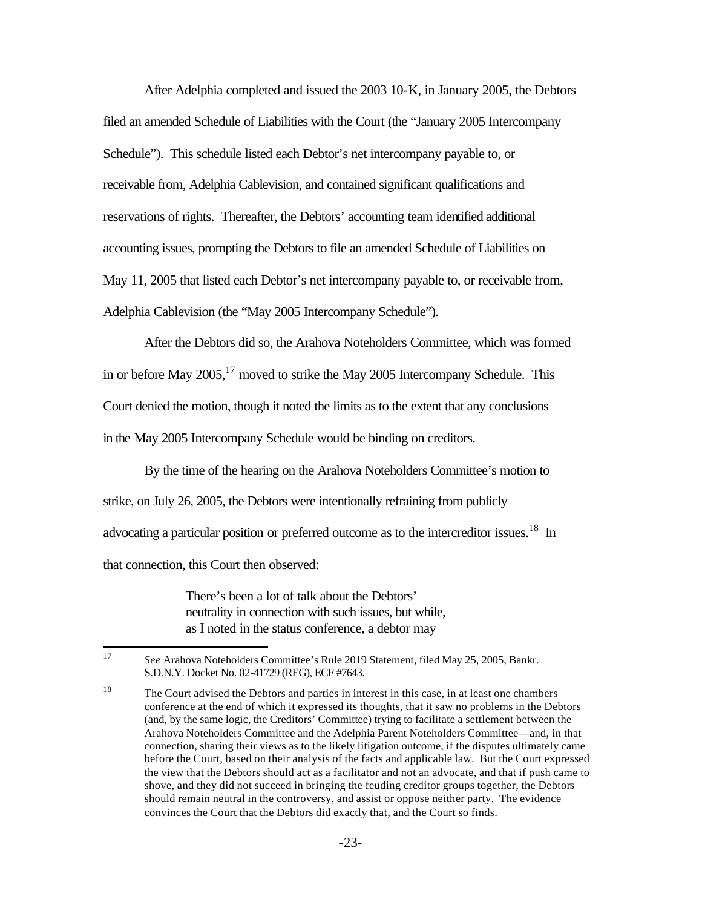After Adelphia completed and issued the 2003 10-K, in January 2005, the Debtors filed an amended Schedule of Liabilities with the Court (the "January 2005 Intercompany Schedule"). This schedule listed each Debtor's net intercompany payable to, or receivable from, Adelphia Cablevision, and contained significant qualifications and reservations of rights. Thereafter, the Debtors' accounting team identified additional accounting issues, prompting the Debtors to file an amended Schedule of Liabilities on May 11, 2005 that listed each Debtor's net intercompany payable to, or receivable from, Adelphia Cablevision (the "May 2005 Intercompany Schedule").

After the Debtors did so, the Arahova Noteholders Committee, which was formed in or before May  $2005$ ,<sup>17</sup> moved to strike the May 2005 Intercompany Schedule. This Court denied the motion, though it noted the limits as to the extent that any conclusions in the May 2005 Intercompany Schedule would be binding on creditors.

By the time of the hearing on the Arahova Noteholders Committee's motion to strike, on July 26, 2005, the Debtors were intentionally refraining from publicly advocating a particular position or preferred outcome as to the intercreditor issues.<sup>18</sup> In that connection, this Court then observed:

> There's been a lot of talk about the Debtors' neutrality in connection with such issues, but while, as I noted in the status conference, a debtor may

 $17<sup>17</sup>$ <sup>17</sup> *See* Arahova Noteholders Committee's Rule 2019 Statement, filed May 25, 2005, Bankr. S.D.N.Y. Docket No. 02-41729 (REG), ECF #7643.

<sup>&</sup>lt;sup>18</sup> The Court advised the Debtors and parties in interest in this case, in at least one chambers conference at the end of which it expressed its thoughts, that it saw no problems in the Debtors (and, by the same logic, the Creditors' Committee) trying to facilitate a settlement between the Arahova Noteholders Committee and the Adelphia Parent Noteholders Committee—and, in that connection, sharing their views as to the likely litigation outcome, if the disputes ultimately came before the Court, based on their analysis of the facts and applicable law. But the Court expressed the view that the Debtors should act as a facilitator and not an advocate, and that if push came to shove, and they did not succeed in bringing the feuding creditor groups together, the Debtors should remain neutral in the controversy, and assist or oppose neither party. The evidence convinces the Court that the Debtors did exactly that, and the Court so finds.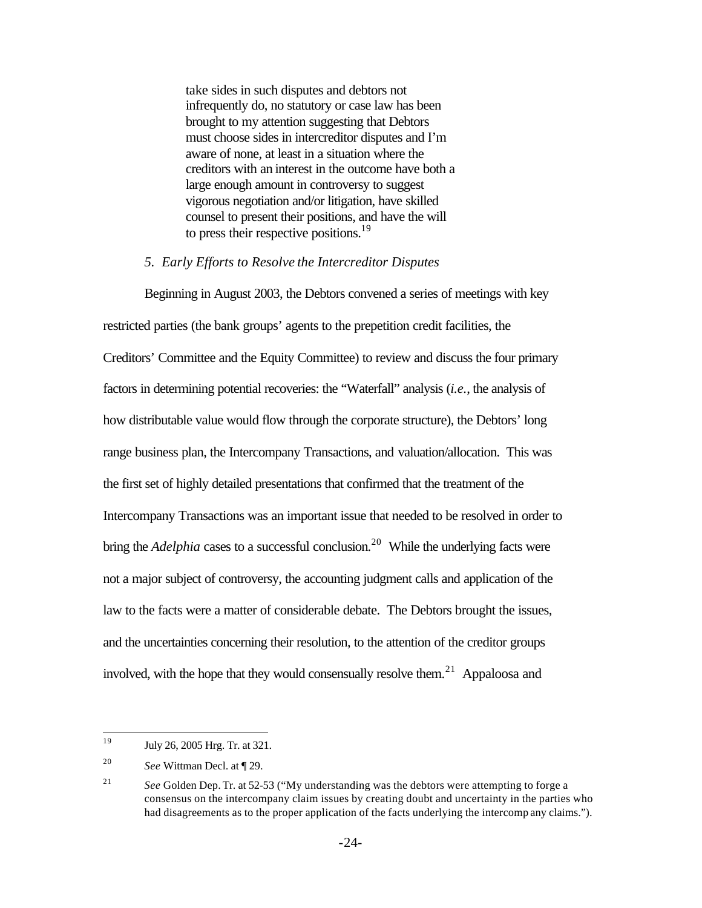take sides in such disputes and debtors not infrequently do, no statutory or case law has been brought to my attention suggesting that Debtors must choose sides in intercreditor disputes and I'm aware of none, at least in a situation where the creditors with an interest in the outcome have both a large enough amount in controversy to suggest vigorous negotiation and/or litigation, have skilled counsel to present their positions, and have the will to press their respective positions.<sup>19</sup>

### *5. Early Efforts to Resolve the Intercreditor Disputes*

Beginning in August 2003, the Debtors convened a series of meetings with key restricted parties (the bank groups' agents to the prepetition credit facilities, the Creditors' Committee and the Equity Committee) to review and discuss the four primary factors in determining potential recoveries: the "Waterfall" analysis (*i.e.*, the analysis of how distributable value would flow through the corporate structure), the Debtors' long range business plan, the Intercompany Transactions, and valuation/allocation. This was the first set of highly detailed presentations that confirmed that the treatment of the Intercompany Transactions was an important issue that needed to be resolved in order to bring the *Adelphia* cases to a successful conclusion.<sup>20</sup> While the underlying facts were not a major subject of controversy, the accounting judgment calls and application of the law to the facts were a matter of considerable debate. The Debtors brought the issues, and the uncertainties concerning their resolution, to the attention of the creditor groups involved, with the hope that they would consensually resolve them.<sup>21</sup> Appaloosa and

<sup>19</sup> <sup>19</sup> July 26, 2005 Hrg. Tr. at 321.

<sup>20</sup> *See* Wittman Decl. at ¶ 29.

<sup>21</sup> *See* Golden Dep. Tr. at 52-53 ("My understanding was the debtors were attempting to forge a consensus on the intercompany claim issues by creating doubt and uncertainty in the parties who had disagreements as to the proper application of the facts underlying the intercomp any claims.").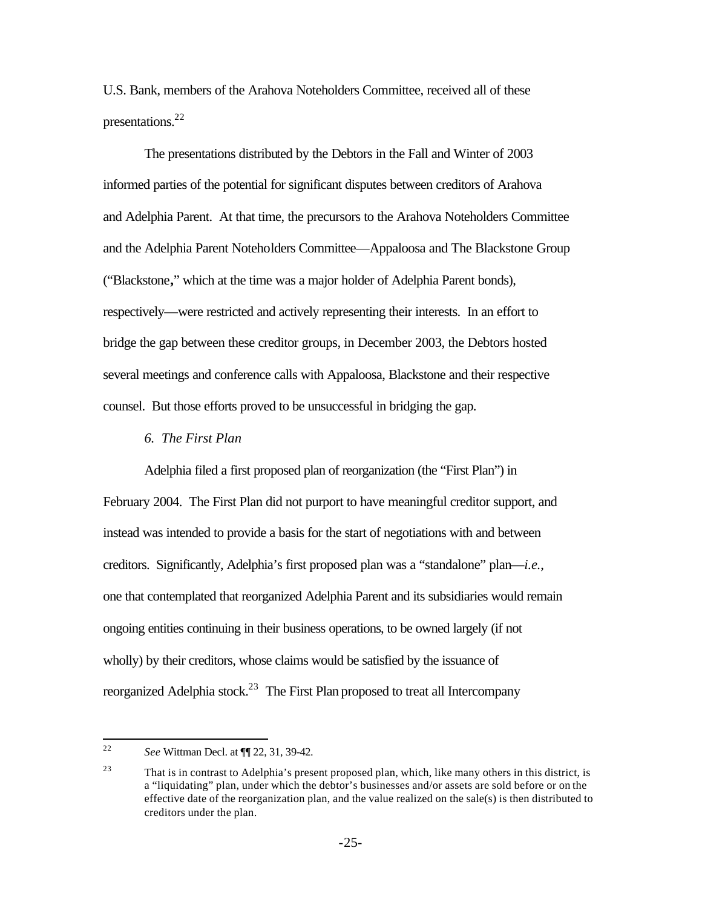U.S. Bank, members of the Arahova Noteholders Committee, received all of these presentations.<sup>22</sup>

The presentations distributed by the Debtors in the Fall and Winter of 2003 informed parties of the potential for significant disputes between creditors of Arahova and Adelphia Parent. At that time, the precursors to the Arahova Noteholders Committee and the Adelphia Parent Noteholders Committee—Appaloosa and The Blackstone Group ("Blackstone**,**" which at the time was a major holder of Adelphia Parent bonds), respectively—were restricted and actively representing their interests. In an effort to bridge the gap between these creditor groups, in December 2003, the Debtors hosted several meetings and conference calls with Appaloosa, Blackstone and their respective counsel. But those efforts proved to be unsuccessful in bridging the gap.

#### *6. The First Plan*

Adelphia filed a first proposed plan of reorganization (the "First Plan") in February 2004. The First Plan did not purport to have meaningful creditor support, and instead was intended to provide a basis for the start of negotiations with and between creditors. Significantly, Adelphia's first proposed plan was a "standalone" plan—*i.e.*, one that contemplated that reorganized Adelphia Parent and its subsidiaries would remain ongoing entities continuing in their business operations, to be owned largely (if not wholly) by their creditors, whose claims would be satisfied by the issuance of reorganized Adelphia stock.<sup>23</sup> The First Plan proposed to treat all Intercompany

 $22$ <sup>22</sup> *See* Wittman Decl. at ¶¶ 22, 31, 39-42.

 $23$  That is in contrast to Adelphia's present proposed plan, which, like many others in this district, is a "liquidating" plan, under which the debtor's businesses and/or assets are sold before or on the effective date of the reorganization plan, and the value realized on the sale(s) is then distributed to creditors under the plan.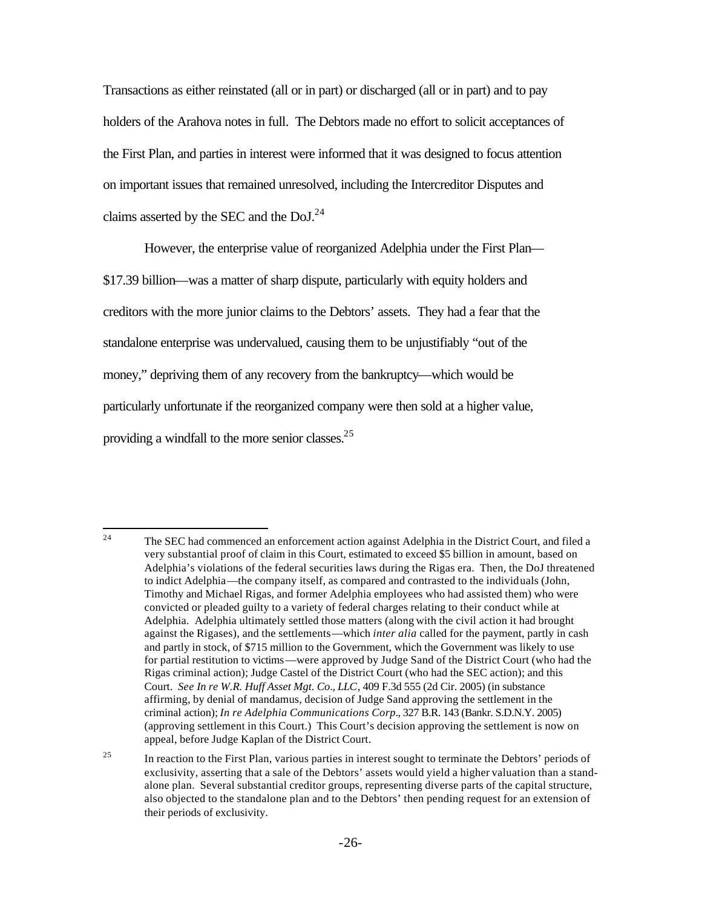Transactions as either reinstated (all or in part) or discharged (all or in part) and to pay holders of the Arahova notes in full. The Debtors made no effort to solicit acceptances of the First Plan, and parties in interest were informed that it was designed to focus attention on important issues that remained unresolved, including the Intercreditor Disputes and claims asserted by the SEC and the  $DoJ.<sup>24</sup>$ 

However, the enterprise value of reorganized Adelphia under the First Plan—

\$17.39 billion—was a matter of sharp dispute, particularly with equity holders and creditors with the more junior claims to the Debtors' assets. They had a fear that the standalone enterprise was undervalued, causing them to be unjustifiably "out of the money," depriving them of any recovery from the bankruptcy—which would be particularly unfortunate if the reorganized company were then sold at a higher value, providing a windfall to the more senior classes.<sup>25</sup>

 $\overline{24}$ <sup>24</sup> The SEC had commenced an enforcement action against Adelphia in the District Court, and filed a very substantial proof of claim in this Court, estimated to exceed \$5 billion in amount, based on Adelphia's violations of the federal securities laws during the Rigas era. Then, the DoJ threatened to indict Adelphia—the company itself, as compared and contrasted to the individuals (John, Timothy and Michael Rigas, and former Adelphia employees who had assisted them) who were convicted or pleaded guilty to a variety of federal charges relating to their conduct while at Adelphia. Adelphia ultimately settled those matters (along with the civil action it had brought against the Rigases), and the settlements—which *inter alia* called for the payment, partly in cash and partly in stock, of \$715 million to the Government, which the Government was likely to use for partial restitution to victims—were approved by Judge Sand of the District Court (who had the Rigas criminal action); Judge Castel of the District Court (who had the SEC action); and this Court. *See In re W.R. Huff Asset Mgt. Co*.*, LLC*, 409 F.3d 555 (2d Cir. 2005) (in substance affirming, by denial of mandamus, decision of Judge Sand approving the settlement in the criminal action); *In re Adelphia Communications Corp.*, 327 B.R. 143 (Bankr. S.D.N.Y. 2005) (approving settlement in this Court.) This Court's decision approving the settlement is now on appeal, before Judge Kaplan of the District Court.

<sup>&</sup>lt;sup>25</sup> In reaction to the First Plan, various parties in interest sought to terminate the Debtors' periods of exclusivity, asserting that a sale of the Debtors' assets would yield a higher valuation than a standalone plan. Several substantial creditor groups, representing diverse parts of the capital structure, also objected to the standalone plan and to the Debtors' then pending request for an extension of their periods of exclusivity.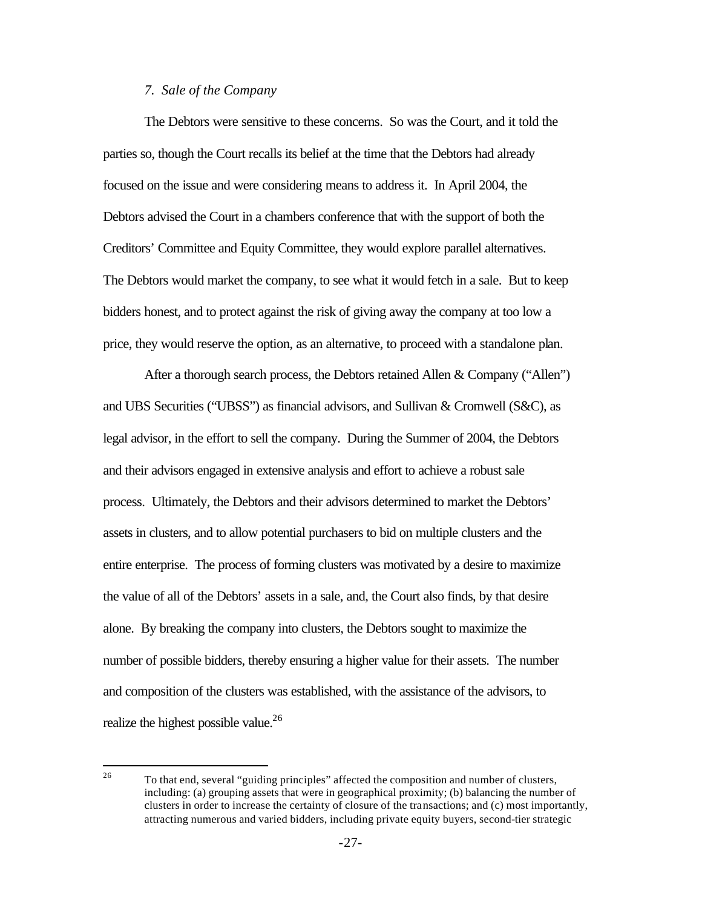#### *7. Sale of the Company*

The Debtors were sensitive to these concerns. So was the Court, and it told the parties so, though the Court recalls its belief at the time that the Debtors had already focused on the issue and were considering means to address it. In April 2004, the Debtors advised the Court in a chambers conference that with the support of both the Creditors' Committee and Equity Committee, they would explore parallel alternatives. The Debtors would market the company, to see what it would fetch in a sale. But to keep bidders honest, and to protect against the risk of giving away the company at too low a price, they would reserve the option, as an alternative, to proceed with a standalone plan.

After a thorough search process, the Debtors retained Allen & Company ("Allen") and UBS Securities ("UBSS") as financial advisors, and Sullivan & Cromwell (S&C), as legal advisor, in the effort to sell the company. During the Summer of 2004, the Debtors and their advisors engaged in extensive analysis and effort to achieve a robust sale process. Ultimately, the Debtors and their advisors determined to market the Debtors' assets in clusters, and to allow potential purchasers to bid on multiple clusters and the entire enterprise. The process of forming clusters was motivated by a desire to maximize the value of all of the Debtors' assets in a sale, and, the Court also finds, by that desire alone. By breaking the company into clusters, the Debtors sought to maximize the number of possible bidders, thereby ensuring a higher value for their assets. The number and composition of the clusters was established, with the assistance of the advisors, to realize the highest possible value.<sup>26</sup>

<sup>26</sup> <sup>26</sup> To that end, several "guiding principles" affected the composition and number of clusters, including: (a) grouping assets that were in geographical proximity; (b) balancing the number of clusters in order to increase the certainty of closure of the transactions; and (c) most importantly, attracting numerous and varied bidders, including private equity buyers, second-tier strategic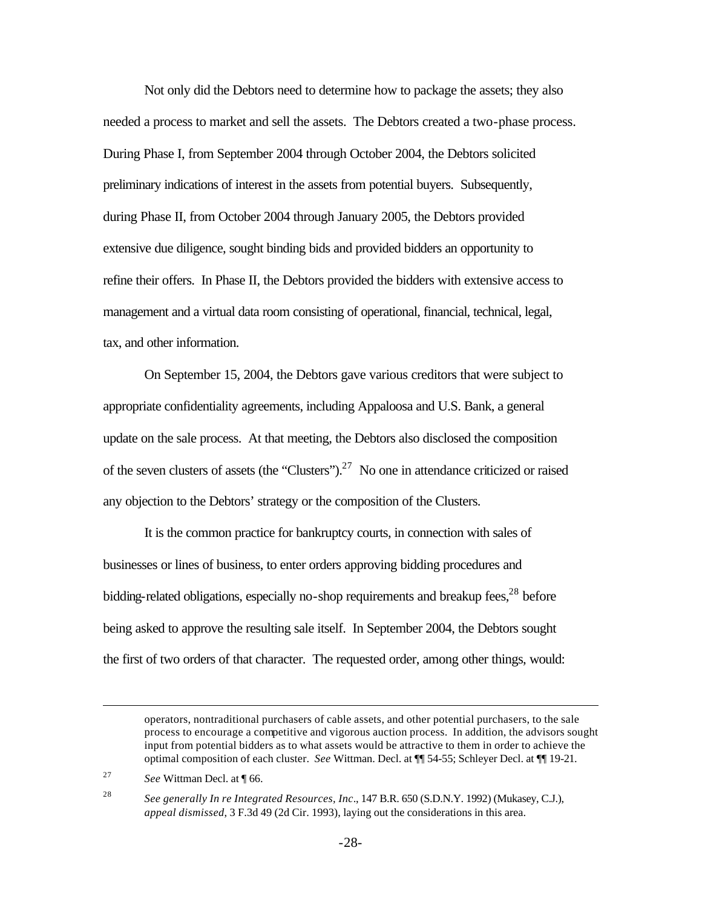Not only did the Debtors need to determine how to package the assets; they also needed a process to market and sell the assets. The Debtors created a two-phase process. During Phase I, from September 2004 through October 2004, the Debtors solicited preliminary indications of interest in the assets from potential buyers. Subsequently, during Phase II, from October 2004 through January 2005, the Debtors provided extensive due diligence, sought binding bids and provided bidders an opportunity to refine their offers. In Phase II, the Debtors provided the bidders with extensive access to management and a virtual data room consisting of operational, financial, technical, legal, tax, and other information.

On September 15, 2004, the Debtors gave various creditors that were subject to appropriate confidentiality agreements, including Appaloosa and U.S. Bank, a general update on the sale process. At that meeting, the Debtors also disclosed the composition of the seven clusters of assets (the "Clusters").<sup>27</sup> No one in attendance criticized or raised any objection to the Debtors' strategy or the composition of the Clusters.

It is the common practice for bankruptcy courts, in connection with sales of businesses or lines of business, to enter orders approving bidding procedures and bidding-related obligations, especially no-shop requirements and breakup fees,  $28$  before being asked to approve the resulting sale itself. In September 2004, the Debtors sought the first of two orders of that character. The requested order, among other things, would:

 $\overline{a}$ 

<sup>28</sup> *See generally In re Integrated Resources, Inc*., 147 B.R. 650 (S.D.N.Y. 1992) (Mukasey, C.J.), *appeal dismissed*, 3 F.3d 49 (2d Cir. 1993), laying out the considerations in this area.

operators, nontraditional purchasers of cable assets, and other potential purchasers, to the sale process to encourage a competitive and vigorous auction process. In addition, the advisors sought input from potential bidders as to what assets would be attractive to them in order to achieve the optimal composition of each cluster. *See* Wittman. Decl. at ¶¶ 54-55; Schleyer Decl. at ¶¶ 19-21.

<sup>27</sup> *See* Wittman Decl. at ¶ 66.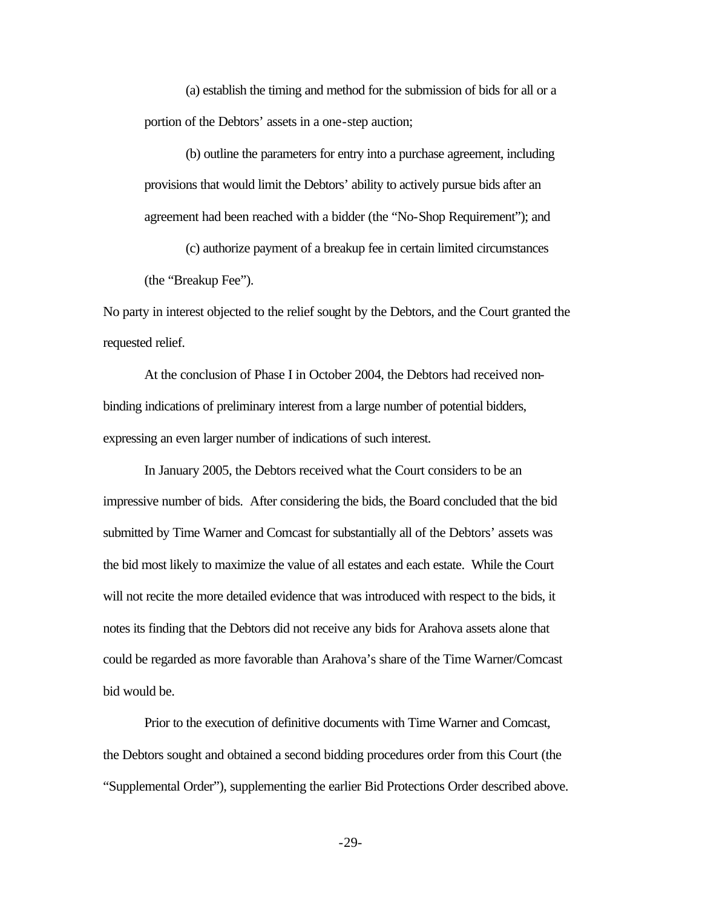(a) establish the timing and method for the submission of bids for all or a portion of the Debtors' assets in a one-step auction;

(b) outline the parameters for entry into a purchase agreement, including provisions that would limit the Debtors' ability to actively pursue bids after an agreement had been reached with a bidder (the "No-Shop Requirement"); and

(c) authorize payment of a breakup fee in certain limited circumstances (the "Breakup Fee").

No party in interest objected to the relief sought by the Debtors, and the Court granted the requested relief.

At the conclusion of Phase I in October 2004, the Debtors had received nonbinding indications of preliminary interest from a large number of potential bidders, expressing an even larger number of indications of such interest.

In January 2005, the Debtors received what the Court considers to be an impressive number of bids. After considering the bids, the Board concluded that the bid submitted by Time Warner and Comcast for substantially all of the Debtors' assets was the bid most likely to maximize the value of all estates and each estate. While the Court will not recite the more detailed evidence that was introduced with respect to the bids, it notes its finding that the Debtors did not receive any bids for Arahova assets alone that could be regarded as more favorable than Arahova's share of the Time Warner/Comcast bid would be.

Prior to the execution of definitive documents with Time Warner and Comcast, the Debtors sought and obtained a second bidding procedures order from this Court (the "Supplemental Order"), supplementing the earlier Bid Protections Order described above.

-29-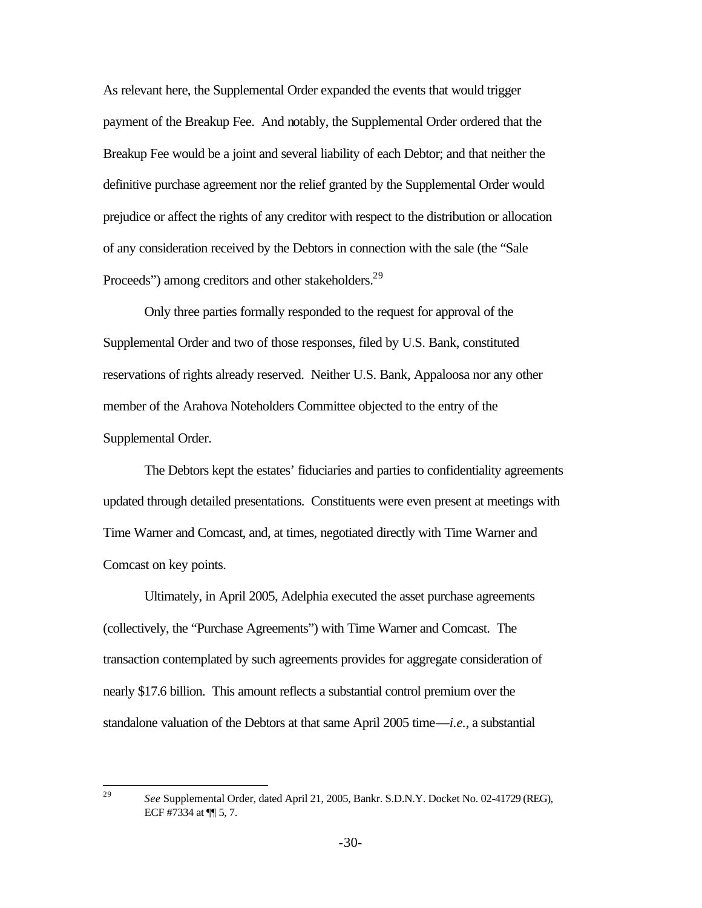As relevant here, the Supplemental Order expanded the events that would trigger payment of the Breakup Fee. And notably, the Supplemental Order ordered that the Breakup Fee would be a joint and several liability of each Debtor; and that neither the definitive purchase agreement nor the relief granted by the Supplemental Order would prejudice or affect the rights of any creditor with respect to the distribution or allocation of any consideration received by the Debtors in connection with the sale (the "Sale Proceeds") among creditors and other stakeholders.<sup>29</sup>

Only three parties formally responded to the request for approval of the Supplemental Order and two of those responses, filed by U.S. Bank, constituted reservations of rights already reserved. Neither U.S. Bank, Appaloosa nor any other member of the Arahova Noteholders Committee objected to the entry of the Supplemental Order.

The Debtors kept the estates' fiduciaries and parties to confidentiality agreements updated through detailed presentations. Constituents were even present at meetings with Time Warner and Comcast, and, at times, negotiated directly with Time Warner and Comcast on key points.

Ultimately, in April 2005, Adelphia executed the asset purchase agreements (collectively, the "Purchase Agreements") with Time Warner and Comcast. The transaction contemplated by such agreements provides for aggregate consideration of nearly \$17.6 billion. This amount reflects a substantial control premium over the standalone valuation of the Debtors at that same April 2005 time—*i.e.*, a substantial

 $29$ 

<sup>29</sup> *See* Supplemental Order, dated April 21, 2005, Bankr. S.D.N.Y. Docket No. 02-41729 (REG), ECF #7334 at ¶¶ 5, 7.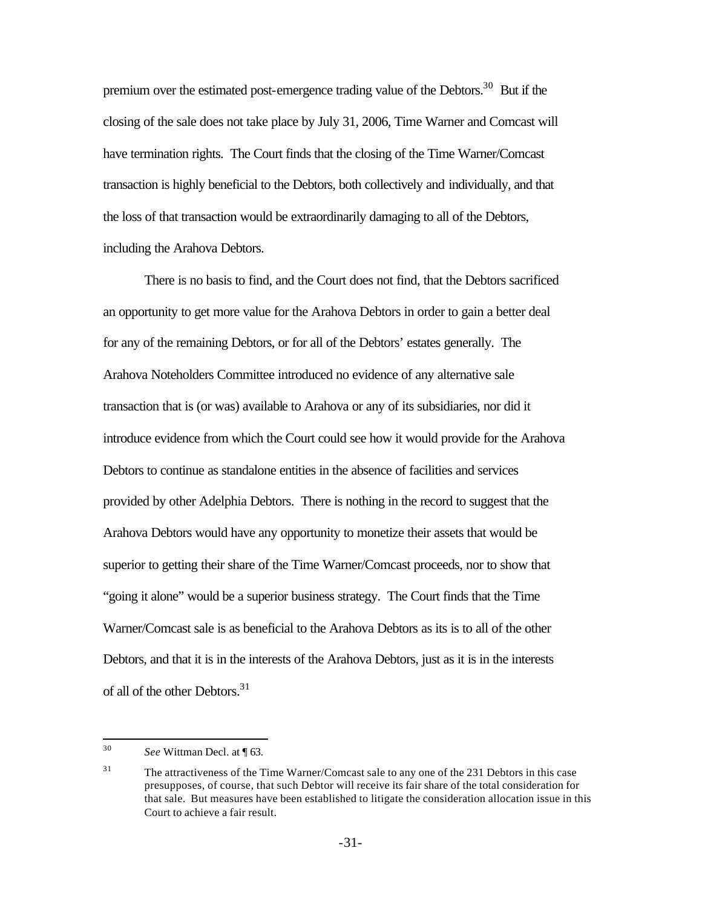premium over the estimated post-emergence trading value of the Debtors.<sup>30</sup> But if the closing of the sale does not take place by July 31, 2006, Time Warner and Comcast will have termination rights. The Court finds that the closing of the Time Warner/Comcast transaction is highly beneficial to the Debtors, both collectively and individually, and that the loss of that transaction would be extraordinarily damaging to all of the Debtors, including the Arahova Debtors.

There is no basis to find, and the Court does not find, that the Debtors sacrificed an opportunity to get more value for the Arahova Debtors in order to gain a better deal for any of the remaining Debtors, or for all of the Debtors' estates generally. The Arahova Noteholders Committee introduced no evidence of any alternative sale transaction that is (or was) available to Arahova or any of its subsidiaries, nor did it introduce evidence from which the Court could see how it would provide for the Arahova Debtors to continue as standalone entities in the absence of facilities and services provided by other Adelphia Debtors. There is nothing in the record to suggest that the Arahova Debtors would have any opportunity to monetize their assets that would be superior to getting their share of the Time Warner/Comcast proceeds, nor to show that "going it alone" would be a superior business strategy. The Court finds that the Time Warner/Comcast sale is as beneficial to the Arahova Debtors as its is to all of the other Debtors, and that it is in the interests of the Arahova Debtors, just as it is in the interests of all of the other Debtors.<sup>31</sup>

<sup>30</sup> See Wittman Decl. at ¶ 63.

<sup>&</sup>lt;sup>31</sup> The attractiveness of the Time Warner/Comcast sale to any one of the 231 Debtors in this case presupposes, of course, that such Debtor will receive its fair share of the total consideration for that sale. But measures have been established to litigate the consideration allocation issue in this Court to achieve a fair result.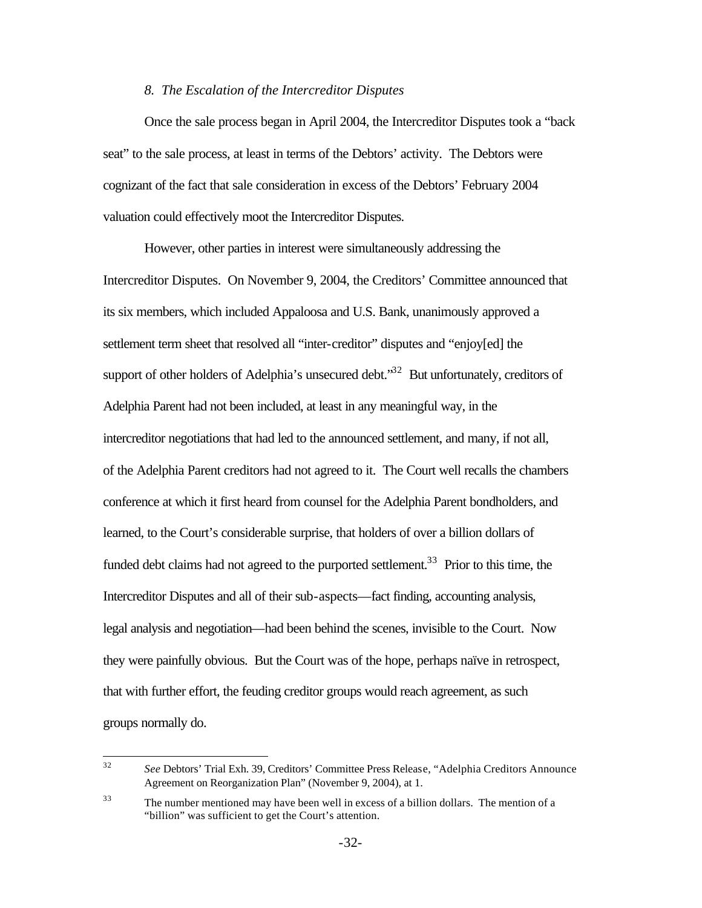#### *8. The Escalation of the Intercreditor Disputes*

Once the sale process began in April 2004, the Intercreditor Disputes took a "back seat" to the sale process, at least in terms of the Debtors' activity. The Debtors were cognizant of the fact that sale consideration in excess of the Debtors' February 2004 valuation could effectively moot the Intercreditor Disputes.

However, other parties in interest were simultaneously addressing the Intercreditor Disputes. On November 9, 2004, the Creditors' Committee announced that its six members, which included Appaloosa and U.S. Bank, unanimously approved a settlement term sheet that resolved all "inter-creditor" disputes and "enjoy[ed] the support of other holders of Adelphia's unsecured debt.<sup>32</sup> But unfortunately, creditors of Adelphia Parent had not been included, at least in any meaningful way, in the intercreditor negotiations that had led to the announced settlement, and many, if not all, of the Adelphia Parent creditors had not agreed to it. The Court well recalls the chambers conference at which it first heard from counsel for the Adelphia Parent bondholders, and learned, to the Court's considerable surprise, that holders of over a billion dollars of funded debt claims had not agreed to the purported settlement.<sup>33</sup> Prior to this time, the Intercreditor Disputes and all of their sub-aspects—fact finding, accounting analysis, legal analysis and negotiation—had been behind the scenes, invisible to the Court. Now they were painfully obvious. But the Court was of the hope, perhaps naïve in retrospect, that with further effort, the feuding creditor groups would reach agreement, as such groups normally do.

<sup>32</sup> <sup>32</sup> *See* Debtors' Trial Exh. 39, Creditors' Committee Press Release, "Adelphia Creditors Announce Agreement on Reorganization Plan" (November 9, 2004), at 1.

<sup>&</sup>lt;sup>33</sup> The number mentioned may have been well in excess of a billion dollars. The mention of a "billion" was sufficient to get the Court's attention.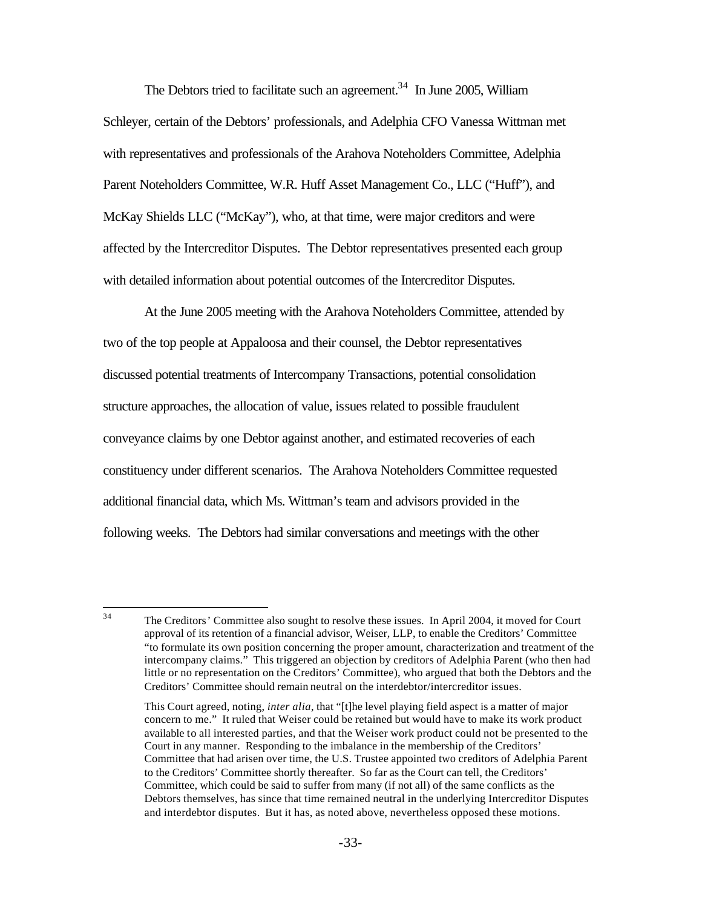The Debtors tried to facilitate such an agreement.<sup>34</sup> In June 2005, William Schleyer, certain of the Debtors' professionals, and Adelphia CFO Vanessa Wittman met with representatives and professionals of the Arahova Noteholders Committee, Adelphia Parent Noteholders Committee, W.R. Huff Asset Management Co., LLC ("Huff"), and McKay Shields LLC ("McKay"), who, at that time, were major creditors and were affected by the Intercreditor Disputes. The Debtor representatives presented each group with detailed information about potential outcomes of the Intercreditor Disputes.

At the June 2005 meeting with the Arahova Noteholders Committee, attended by two of the top people at Appaloosa and their counsel, the Debtor representatives discussed potential treatments of Intercompany Transactions, potential consolidation structure approaches, the allocation of value, issues related to possible fraudulent conveyance claims by one Debtor against another, and estimated recoveries of each constituency under different scenarios. The Arahova Noteholders Committee requested additional financial data, which Ms. Wittman's team and advisors provided in the following weeks. The Debtors had similar conversations and meetings with the other

 $34$ The Creditors' Committee also sought to resolve these issues. In April 2004, it moved for Court approval of its retention of a financial advisor, Weiser, LLP, to enable the Creditors' Committee "to formulate its own position concerning the proper amount, characterization and treatment of the intercompany claims." This triggered an objection by creditors of Adelphia Parent (who then had little or no representation on the Creditors' Committee), who argued that both the Debtors and the Creditors' Committee should remain neutral on the interdebtor/intercreditor issues.

This Court agreed, noting, *inter alia*, that "[t]he level playing field aspect is a matter of major concern to me." It ruled that Weiser could be retained but would have to make its work product available to all interested parties, and that the Weiser work product could not be presented to the Court in any manner. Responding to the imbalance in the membership of the Creditors' Committee that had arisen over time, the U.S. Trustee appointed two creditors of Adelphia Parent to the Creditors' Committee shortly thereafter. So far as the Court can tell, the Creditors' Committee, which could be said to suffer from many (if not all) of the same conflicts as the Debtors themselves, has since that time remained neutral in the underlying Intercreditor Disputes and interdebtor disputes. But it has, as noted above, nevertheless opposed these motions.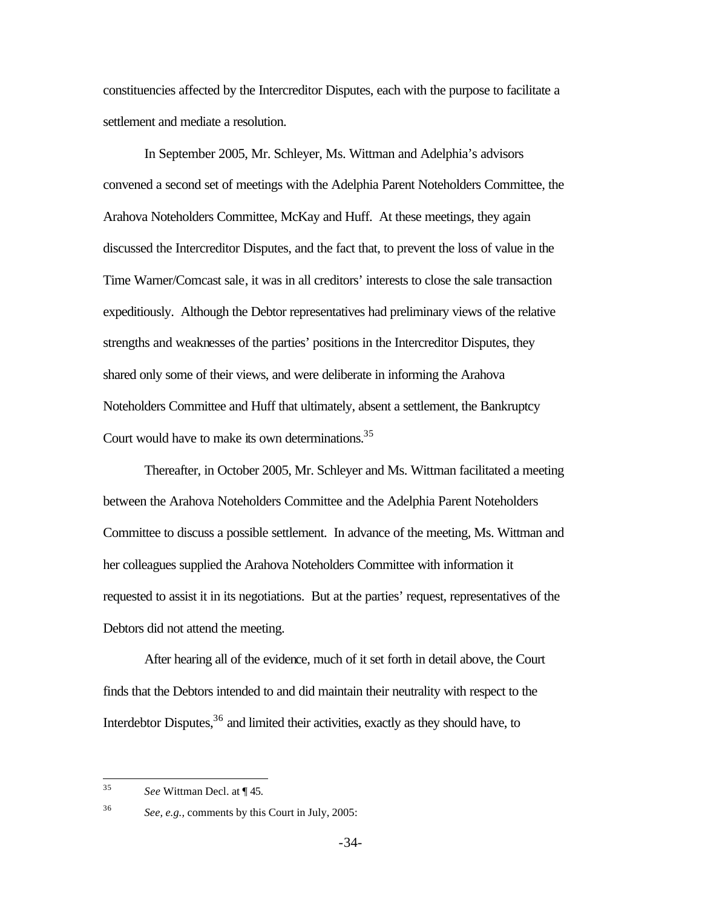constituencies affected by the Intercreditor Disputes, each with the purpose to facilitate a settlement and mediate a resolution.

In September 2005, Mr. Schleyer, Ms. Wittman and Adelphia's advisors convened a second set of meetings with the Adelphia Parent Noteholders Committee, the Arahova Noteholders Committee, McKay and Huff. At these meetings, they again discussed the Intercreditor Disputes, and the fact that, to prevent the loss of value in the Time Warner/Comcast sale, it was in all creditors' interests to close the sale transaction expeditiously. Although the Debtor representatives had preliminary views of the relative strengths and weaknesses of the parties' positions in the Intercreditor Disputes, they shared only some of their views, and were deliberate in informing the Arahova Noteholders Committee and Huff that ultimately, absent a settlement, the Bankruptcy Court would have to make its own determinations.<sup>35</sup>

Thereafter, in October 2005, Mr. Schleyer and Ms. Wittman facilitated a meeting between the Arahova Noteholders Committee and the Adelphia Parent Noteholders Committee to discuss a possible settlement. In advance of the meeting, Ms. Wittman and her colleagues supplied the Arahova Noteholders Committee with information it requested to assist it in its negotiations. But at the parties' request, representatives of the Debtors did not attend the meeting.

After hearing all of the evidence, much of it set forth in detail above, the Court finds that the Debtors intended to and did maintain their neutrality with respect to the Interdebtor Disputes, $36$  and limited their activities, exactly as they should have, to

 $35$ See Wittman Decl. at ¶ 45.

<sup>36</sup> *See, e.g.,* comments by this Court in July, 2005: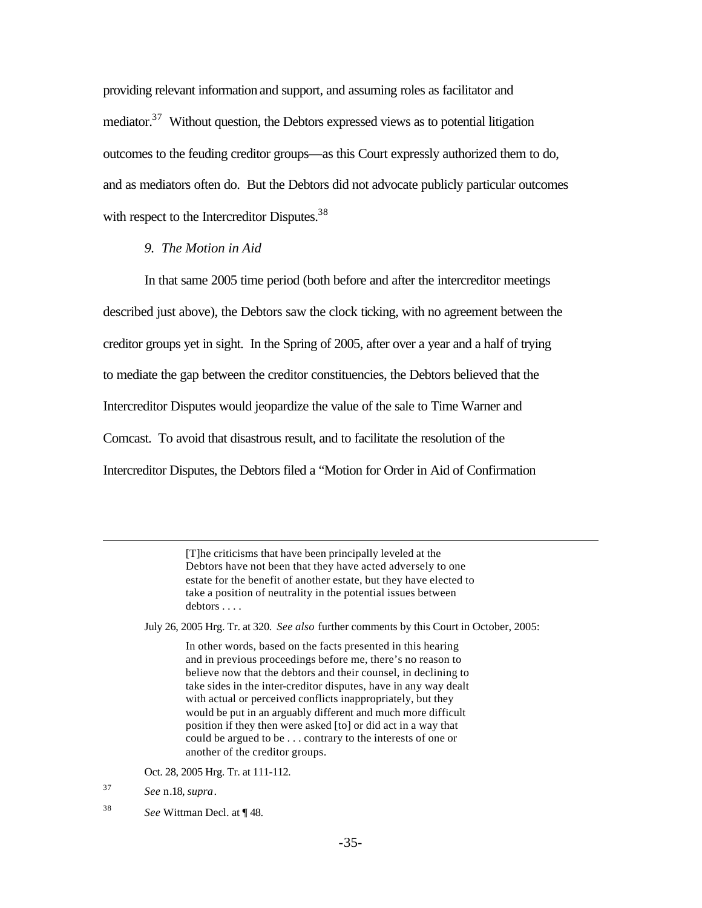providing relevant information and support, and assuming roles as facilitator and mediator.<sup>37</sup> Without question, the Debtors expressed views as to potential litigation outcomes to the feuding creditor groups—as this Court expressly authorized them to do, and as mediators often do. But the Debtors did not advocate publicly particular outcomes with respect to the Intercreditor Disputes.<sup>38</sup>

#### *9. The Motion in Aid*

In that same 2005 time period (both before and after the intercreditor meetings described just above), the Debtors saw the clock ticking, with no agreement between the creditor groups yet in sight. In the Spring of 2005, after over a year and a half of trying to mediate the gap between the creditor constituencies, the Debtors believed that the Intercreditor Disputes would jeopardize the value of the sale to Time Warner and Comcast. To avoid that disastrous result, and to facilitate the resolution of the Intercreditor Disputes, the Debtors filed a "Motion for Order in Aid of Confirmation

> [T]he criticisms that have been principally leveled at the Debtors have not been that they have acted adversely to one estate for the benefit of another estate, but they have elected to take a position of neutrality in the potential issues between debtors . . . .

July 26, 2005 Hrg. Tr. at 320. *See also* further comments by this Court in October, 2005:

In other words, based on the facts presented in this hearing and in previous proceedings before me, there's no reason to believe now that the debtors and their counsel, in declining to take sides in the inter-creditor disputes, have in any way dealt with actual or perceived conflicts inappropriately, but they would be put in an arguably different and much more difficult position if they then were asked [to] or did act in a way that could be argued to be . . . contrary to the interests of one or another of the creditor groups.

Oct. 28, 2005 Hrg. Tr. at 111-112.

<sup>37</sup> *See* n.18, *supra*.

 $\overline{a}$ 

<sup>38</sup> *See* Wittman Decl. at ¶ 48.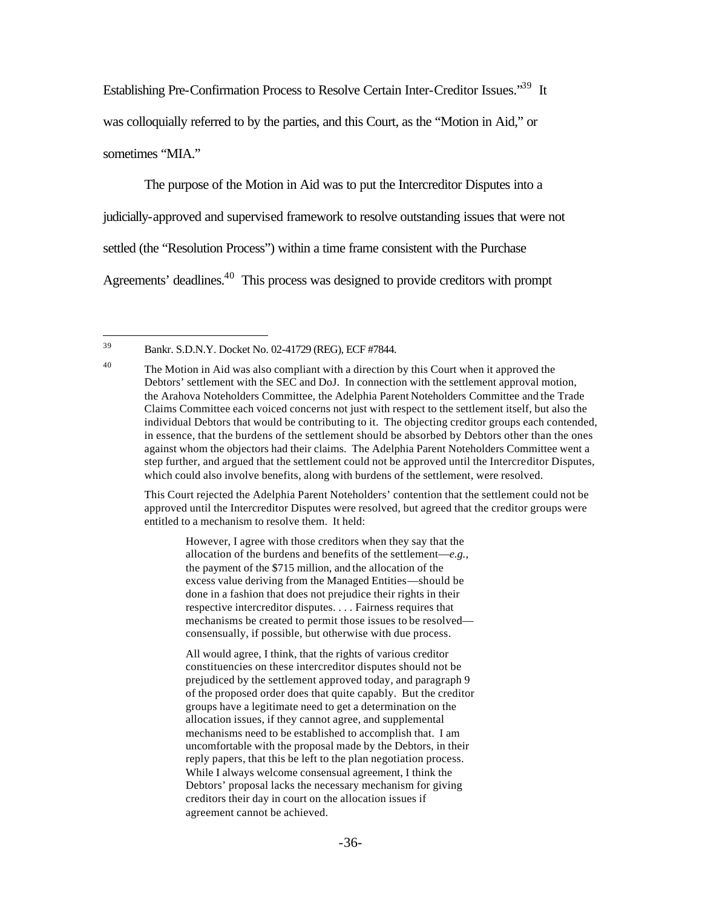Establishing Pre-Confirmation Process to Resolve Certain Inter-Creditor Issues.<sup>39</sup> It was colloquially referred to by the parties, and this Court, as the "Motion in Aid," or sometimes "MIA."

The purpose of the Motion in Aid was to put the Intercreditor Disputes into a judicially-approved and supervised framework to resolve outstanding issues that were not settled (the "Resolution Process") within a time frame consistent with the Purchase Agreements' deadlines.<sup>40</sup> This process was designed to provide creditors with prompt

This Court rejected the Adelphia Parent Noteholders' contention that the settlement could not be approved until the Intercreditor Disputes were resolved, but agreed that the creditor groups were entitled to a mechanism to resolve them. It held:

However, I agree with those creditors when they say that the allocation of the burdens and benefits of the settlement—*e.g.,*  the payment of the \$715 million, and the allocation of the excess value deriving from the Managed Entities—should be done in a fashion that does not prejudice their rights in their respective intercreditor disputes. . . . Fairness requires that mechanisms be created to permit those issues to be resolved consensually, if possible, but otherwise with due process.

All would agree, I think, that the rights of various creditor constituencies on these intercreditor disputes should not be prejudiced by the settlement approved today, and paragraph 9 of the proposed order does that quite capably. But the creditor groups have a legitimate need to get a determination on the allocation issues, if they cannot agree, and supplemental mechanisms need to be established to accomplish that. I am uncomfortable with the proposal made by the Debtors, in their reply papers, that this be left to the plan negotiation process. While I always welcome consensual agreement, I think the Debtors' proposal lacks the necessary mechanism for giving creditors their day in court on the allocation issues if agreement cannot be achieved.

<sup>39</sup> <sup>39</sup> Bankr. S.D.N.Y. Docket No. 02-41729 (REG), ECF #7844.

 $40$  The Motion in Aid was also compliant with a direction by this Court when it approved the Debtors' settlement with the SEC and DoJ. In connection with the settlement approval motion, the Arahova Noteholders Committee, the Adelphia Parent Noteholders Committee and the Trade Claims Committee each voiced concerns not just with respect to the settlement itself, but also the individual Debtors that would be contributing to it. The objecting creditor groups each contended, in essence, that the burdens of the settlement should be absorbed by Debtors other than the ones against whom the objectors had their claims. The Adelphia Parent Noteholders Committee went a step further, and argued that the settlement could not be approved until the Intercreditor Disputes, which could also involve benefits, along with burdens of the settlement, were resolved.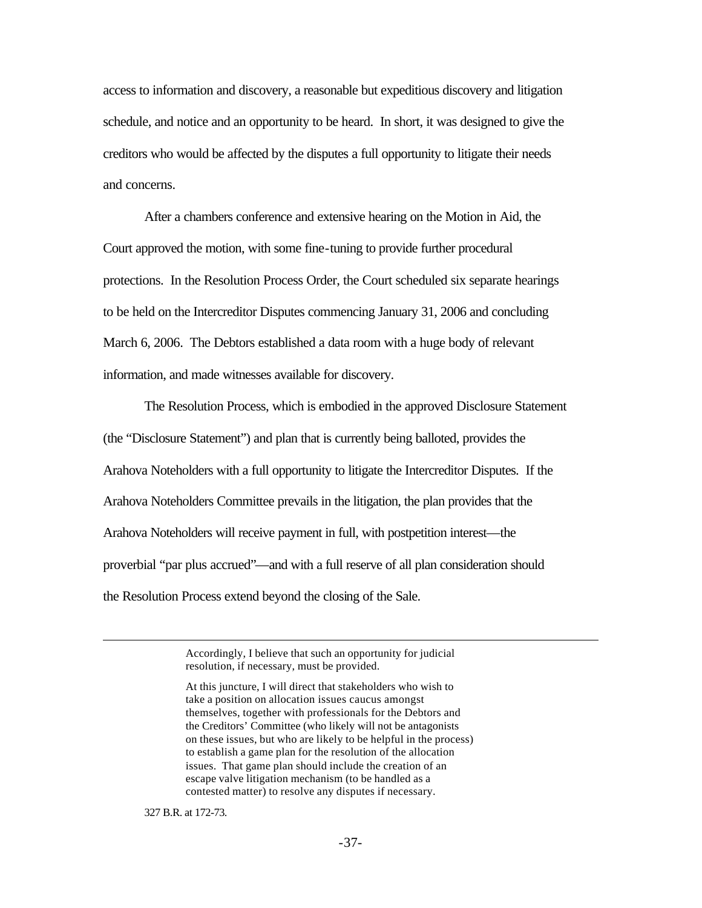access to information and discovery, a reasonable but expeditious discovery and litigation schedule, and notice and an opportunity to be heard. In short, it was designed to give the creditors who would be affected by the disputes a full opportunity to litigate their needs and concerns.

After a chambers conference and extensive hearing on the Motion in Aid, the Court approved the motion, with some fine-tuning to provide further procedural protections. In the Resolution Process Order, the Court scheduled six separate hearings to be held on the Intercreditor Disputes commencing January 31, 2006 and concluding March 6, 2006. The Debtors established a data room with a huge body of relevant information, and made witnesses available for discovery.

The Resolution Process, which is embodied in the approved Disclosure Statement (the "Disclosure Statement") and plan that is currently being balloted, provides the Arahova Noteholders with a full opportunity to litigate the Intercreditor Disputes. If the Arahova Noteholders Committee prevails in the litigation, the plan provides that the Arahova Noteholders will receive payment in full, with postpetition interest—the proverbial "par plus accrued"—and with a full reserve of all plan consideration should the Resolution Process extend beyond the closing of the Sale.

> Accordingly, I believe that such an opportunity for judicial resolution, if necessary, must be provided.

327 B.R. at 172-73.

 $\overline{a}$ 

At this juncture, I will direct that stakeholders who wish to take a position on allocation issues caucus amongst themselves, together with professionals for the Debtors and the Creditors' Committee (who likely will not be antagonists on these issues, but who are likely to be helpful in the process) to establish a game plan for the resolution of the allocation issues. That game plan should include the creation of an escape valve litigation mechanism (to be handled as a contested matter) to resolve any disputes if necessary.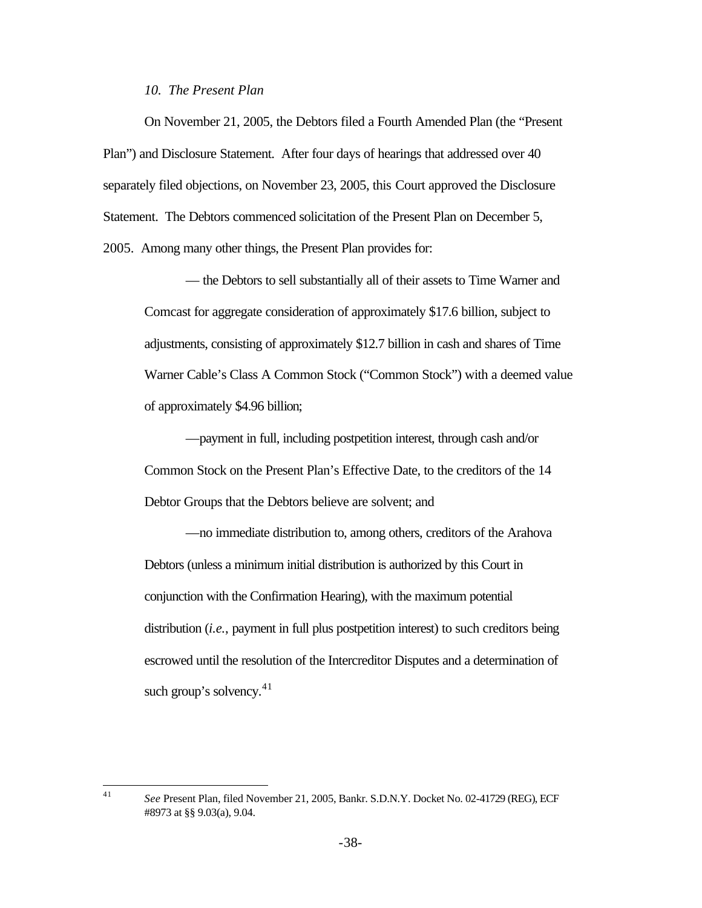#### *10. The Present Plan*

On November 21, 2005, the Debtors filed a Fourth Amended Plan (the "Present Plan") and Disclosure Statement. After four days of hearings that addressed over 40 separately filed objections, on November 23, 2005, this Court approved the Disclosure Statement. The Debtors commenced solicitation of the Present Plan on December 5, 2005. Among many other things, the Present Plan provides for:

— the Debtors to sell substantially all of their assets to Time Warner and Comcast for aggregate consideration of approximately \$17.6 billion, subject to adjustments, consisting of approximately \$12.7 billion in cash and shares of Time Warner Cable's Class A Common Stock ("Common Stock") with a deemed value of approximately \$4.96 billion;

—payment in full, including postpetition interest, through cash and/or Common Stock on the Present Plan's Effective Date, to the creditors of the 14 Debtor Groups that the Debtors believe are solvent; and

—no immediate distribution to, among others, creditors of the Arahova Debtors (unless a minimum initial distribution is authorized by this Court in conjunction with the Confirmation Hearing), with the maximum potential distribution (*i.e.*, payment in full plus postpetition interest) to such creditors being escrowed until the resolution of the Intercreditor Disputes and a determination of such group's solvency. $41$ 

 $41$ 

<sup>41</sup> *See* Present Plan, filed November 21, 2005, Bankr. S.D.N.Y. Docket No. 02-41729 (REG), ECF #8973 at §§ 9.03(a), 9.04.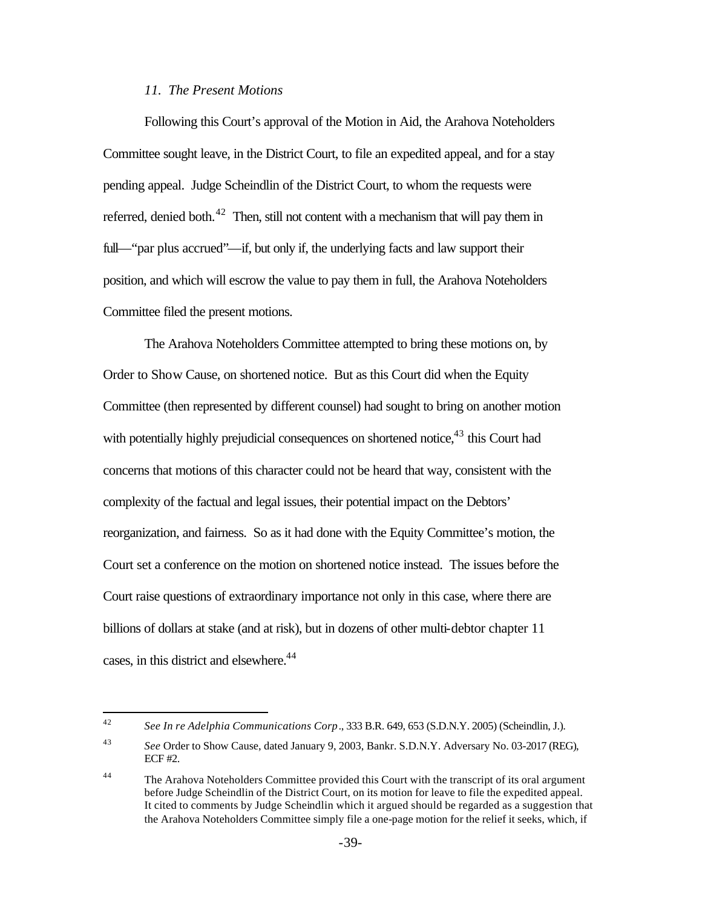### *11. The Present Motions*

Following this Court's approval of the Motion in Aid, the Arahova Noteholders Committee sought leave, in the District Court, to file an expedited appeal, and for a stay pending appeal. Judge Scheindlin of the District Court, to whom the requests were referred, denied both.<sup>42</sup> Then, still not content with a mechanism that will pay them in full—"par plus accrued"—if, but only if, the underlying facts and law support their position, and which will escrow the value to pay them in full, the Arahova Noteholders Committee filed the present motions.

The Arahova Noteholders Committee attempted to bring these motions on, by Order to Show Cause, on shortened notice. But as this Court did when the Equity Committee (then represented by different counsel) had sought to bring on another motion with potentially highly prejudicial consequences on shortened notice, $43$  this Court had concerns that motions of this character could not be heard that way, consistent with the complexity of the factual and legal issues, their potential impact on the Debtors' reorganization, and fairness. So as it had done with the Equity Committee's motion, the Court set a conference on the motion on shortened notice instead. The issues before the Court raise questions of extraordinary importance not only in this case, where there are billions of dollars at stake (and at risk), but in dozens of other multi-debtor chapter 11 cases, in this district and elsewhere.<sup>44</sup>

 $\overline{a}$ 

<sup>42</sup> *See In re Adelphia Communications Corp*., 333 B.R. 649, 653 (S.D.N.Y. 2005) (Scheindlin, J.).

<sup>43</sup> *See* Order to Show Cause, dated January 9, 2003, Bankr. S.D.N.Y. Adversary No. 03-2017 (REG), ECF #2.

<sup>&</sup>lt;sup>44</sup> The Arahova Noteholders Committee provided this Court with the transcript of its oral argument before Judge Scheindlin of the District Court, on its motion for leave to file the expedited appeal. It cited to comments by Judge Scheindlin which it argued should be regarded as a suggestion that the Arahova Noteholders Committee simply file a one-page motion for the relief it seeks, which, if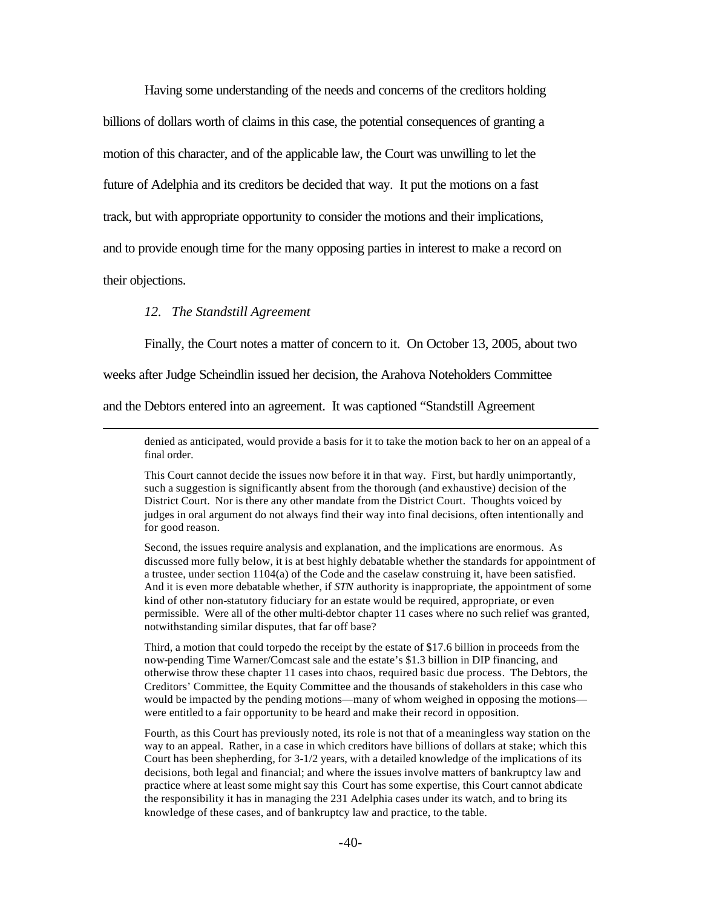Having some understanding of the needs and concerns of the creditors holding billions of dollars worth of claims in this case, the potential consequences of granting a motion of this character, and of the applicable law, the Court was unwilling to let the future of Adelphia and its creditors be decided that way. It put the motions on a fast track, but with appropriate opportunity to consider the motions and their implications, and to provide enough time for the many opposing parties in interest to make a record on their objections.

#### *12. The Standstill Agreement*

 $\overline{a}$ 

Finally, the Court notes a matter of concern to it. On October 13, 2005, about two

weeks after Judge Scheindlin issued her decision, the Arahova Noteholders Committee

and the Debtors entered into an agreement. It was captioned "Standstill Agreement

denied as anticipated, would provide a basis for it to take the motion back to her on an appeal of a final order.

This Court cannot decide the issues now before it in that way. First, but hardly unimportantly, such a suggestion is significantly absent from the thorough (and exhaustive) decision of the District Court. Nor is there any other mandate from the District Court. Thoughts voiced by judges in oral argument do not always find their way into final decisions, often intentionally and for good reason.

Second, the issues require analysis and explanation, and the implications are enormous. As discussed more fully below, it is at best highly debatable whether the standards for appointment of a trustee, under section  $1104(a)$  of the Code and the caselaw construing it, have been satisfied. And it is even more debatable whether, if *STN* authority is inappropriate, the appointment of some kind of other non-statutory fiduciary for an estate would be required, appropriate, or even permissible. Were all of the other multi-debtor chapter 11 cases where no such relief was granted, notwithstanding similar disputes, that far off base?

Third, a motion that could torpedo the receipt by the estate of \$17.6 billion in proceeds from the now-pending Time Warner/Comcast sale and the estate's \$1.3 billion in DIP financing, and otherwise throw these chapter 11 cases into chaos, required basic due process. The Debtors, the Creditors' Committee, the Equity Committee and the thousands of stakeholders in this case who would be impacted by the pending motions—many of whom weighed in opposing the motions were entitled to a fair opportunity to be heard and make their record in opposition.

Fourth, as this Court has previously noted, its role is not that of a meaningless way station on the way to an appeal. Rather, in a case in which creditors have billions of dollars at stake; which this Court has been shepherding, for 3-1/2 years, with a detailed knowledge of the implications of its decisions, both legal and financial; and where the issues involve matters of bankruptcy law and practice where at least some might say this Court has some expertise, this Court cannot abdicate the responsibility it has in managing the 231 Adelphia cases under its watch, and to bring its knowledge of these cases, and of bankruptcy law and practice, to the table.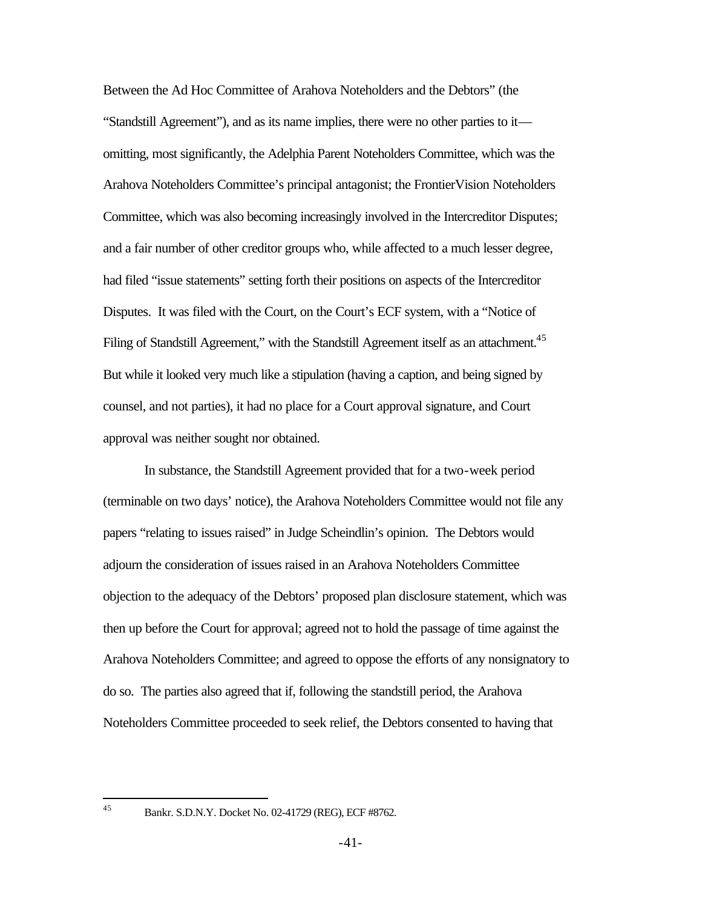Between the Ad Hoc Committee of Arahova Noteholders and the Debtors" (the "Standstill Agreement"), and as its name implies, there were no other parties to it omitting, most significantly, the Adelphia Parent Noteholders Committee, which was the Arahova Noteholders Committee's principal antagonist; the FrontierVision Noteholders Committee, which was also becoming increasingly involved in the Intercreditor Disputes; and a fair number of other creditor groups who, while affected to a much lesser degree, had filed "issue statements" setting forth their positions on aspects of the Intercreditor Disputes. It was filed with the Court, on the Court's ECF system, with a "Notice of Filing of Standstill Agreement," with the Standstill Agreement itself as an attachment.<sup>45</sup> But while it looked very much like a stipulation (having a caption, and being signed by counsel, and not parties), it had no place for a Court approval signature, and Court approval was neither sought nor obtained.

In substance, the Standstill Agreement provided that for a two-week period (terminable on two days' notice), the Arahova Noteholders Committee would not file any papers "relating to issues raised" in Judge Scheindlin's opinion. The Debtors would adjourn the consideration of issues raised in an Arahova Noteholders Committee objection to the adequacy of the Debtors' proposed plan disclosure statement, which was then up before the Court for approval; agreed not to hold the passage of time against the Arahova Noteholders Committee; and agreed to oppose the efforts of any nonsignatory to do so. The parties also agreed that if, following the standstill period, the Arahova Noteholders Committee proceeded to seek relief, the Debtors consented to having that

45

<sup>45</sup> Bankr. S.D.N.Y. Docket No. 02-41729 (REG), ECF #8762.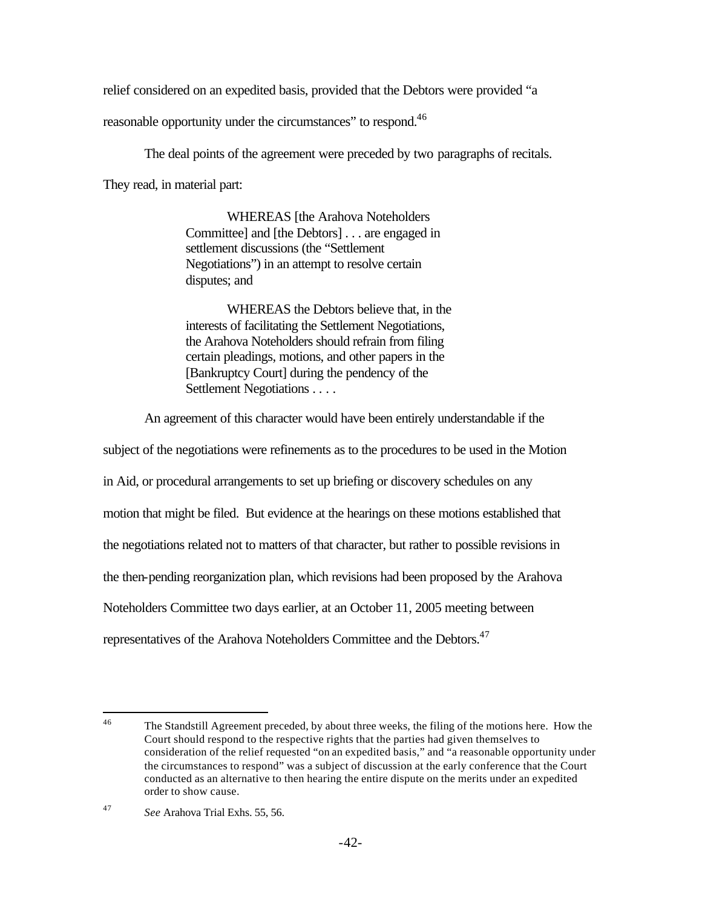relief considered on an expedited basis, provided that the Debtors were provided "a

reasonable opportunity under the circumstances" to respond.<sup>46</sup>

The deal points of the agreement were preceded by two paragraphs of recitals.

They read, in material part:

WHEREAS [the Arahova Noteholders Committee] and [the Debtors] . . . are engaged in settlement discussions (the "Settlement Negotiations") in an attempt to resolve certain disputes; and

WHEREAS the Debtors believe that, in the interests of facilitating the Settlement Negotiations, the Arahova Noteholders should refrain from filing certain pleadings, motions, and other papers in the [Bankruptcy Court] during the pendency of the Settlement Negotiations . . . .

An agreement of this character would have been entirely understandable if the

subject of the negotiations were refinements as to the procedures to be used in the Motion

in Aid, or procedural arrangements to set up briefing or discovery schedules on any

motion that might be filed. But evidence at the hearings on these motions established that

the negotiations related not to matters of that character, but rather to possible revisions in

the then-pending reorganization plan, which revisions had been proposed by the Arahova

Noteholders Committee two days earlier, at an October 11, 2005 meeting between

representatives of the Arahova Noteholders Committee and the Debtors.<sup>47</sup>

 $\overline{a}$ 

<sup>&</sup>lt;sup>46</sup> The Standstill Agreement preceded, by about three weeks, the filing of the motions here. How the Court should respond to the respective rights that the parties had given themselves to consideration of the relief requested "on an expedited basis," and "a reasonable opportunity under the circumstances to respond" was a subject of discussion at the early conference that the Court conducted as an alternative to then hearing the entire dispute on the merits under an expedited order to show cause.

<sup>47</sup> *See* Arahova Trial Exhs. 55, 56.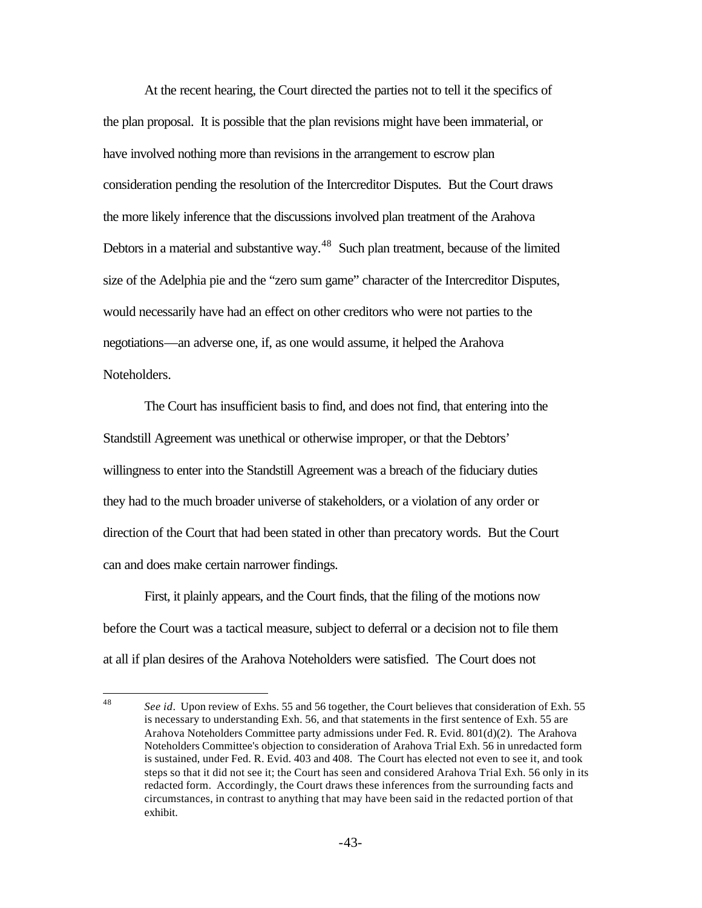At the recent hearing, the Court directed the parties not to tell it the specifics of the plan proposal. It is possible that the plan revisions might have been immaterial, or have involved nothing more than revisions in the arrangement to escrow plan consideration pending the resolution of the Intercreditor Disputes. But the Court draws the more likely inference that the discussions involved plan treatment of the Arahova Debtors in a material and substantive way.<sup>48</sup> Such plan treatment, because of the limited size of the Adelphia pie and the "zero sum game" character of the Intercreditor Disputes, would necessarily have had an effect on other creditors who were not parties to the negotiations—an adverse one, if, as one would assume, it helped the Arahova Noteholders.

The Court has insufficient basis to find, and does not find, that entering into the Standstill Agreement was unethical or otherwise improper, or that the Debtors' willingness to enter into the Standstill Agreement was a breach of the fiduciary duties they had to the much broader universe of stakeholders, or a violation of any order or direction of the Court that had been stated in other than precatory words. But the Court can and does make certain narrower findings.

First, it plainly appears, and the Court finds, that the filing of the motions now before the Court was a tactical measure, subject to deferral or a decision not to file them at all if plan desires of the Arahova Noteholders were satisfied. The Court does not

<sup>48</sup> See id. Upon review of Exhs. 55 and 56 together, the Court believes that consideration of Exh. 55 is necessary to understanding Exh. 56, and that statements in the first sentence of Exh. 55 are Arahova Noteholders Committee party admissions under Fed. R. Evid. 801(d)(2). The Arahova Noteholders Committee's objection to consideration of Arahova Trial Exh. 56 in unredacted form is sustained, under Fed. R. Evid. 403 and 408. The Court has elected not even to see it, and took steps so that it did not see it; the Court has seen and considered Arahova Trial Exh. 56 only in its redacted form. Accordingly, the Court draws these inferences from the surrounding facts and circumstances, in contrast to anything that may have been said in the redacted portion of that exhibit.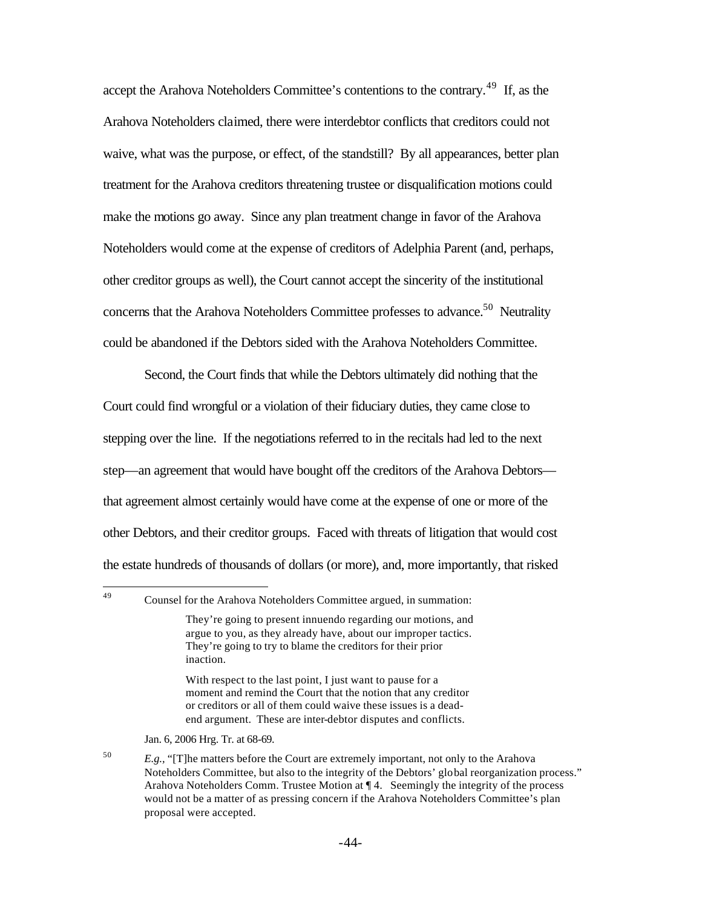accept the Arahova Noteholders Committee's contentions to the contrary.<sup>49</sup> If, as the Arahova Noteholders claimed, there were interdebtor conflicts that creditors could not waive, what was the purpose, or effect, of the standstill? By all appearances, better plan treatment for the Arahova creditors threatening trustee or disqualification motions could make the motions go away. Since any plan treatment change in favor of the Arahova Noteholders would come at the expense of creditors of Adelphia Parent (and, perhaps, other creditor groups as well), the Court cannot accept the sincerity of the institutional concerns that the Arahova Noteholders Committee professes to advance.<sup>50</sup> Neutrality could be abandoned if the Debtors sided with the Arahova Noteholders Committee.

Second, the Court finds that while the Debtors ultimately did nothing that the Court could find wrongful or a violation of their fiduciary duties, they came close to stepping over the line. If the negotiations referred to in the recitals had led to the next step—an agreement that would have bought off the creditors of the Arahova Debtors that agreement almost certainly would have come at the expense of one or more of the other Debtors, and their creditor groups. Faced with threats of litigation that would cost the estate hundreds of thousands of dollars (or more), and, more importantly, that risked

With respect to the last point, I just want to pause for a moment and remind the Court that the notion that any creditor or creditors or all of them could waive these issues is a deadend argument. These are inter-debtor disputes and conflicts.

Jan. 6, 2006 Hrg. Tr. at 68-69.

<sup>49</sup> Counsel for the Arahova Noteholders Committee argued, in summation:

They're going to present innuendo regarding our motions, and argue to you, as they already have, about our improper tactics. They're going to try to blame the creditors for their prior inaction.

<sup>50</sup> *E.g.,* "[T]he matters before the Court are extremely important, not only to the Arahova Noteholders Committee, but also to the integrity of the Debtors' global reorganization process." Arahova Noteholders Comm. Trustee Motion at ¶ 4. Seemingly the integrity of the process would not be a matter of as pressing concern if the Arahova Noteholders Committee's plan proposal were accepted.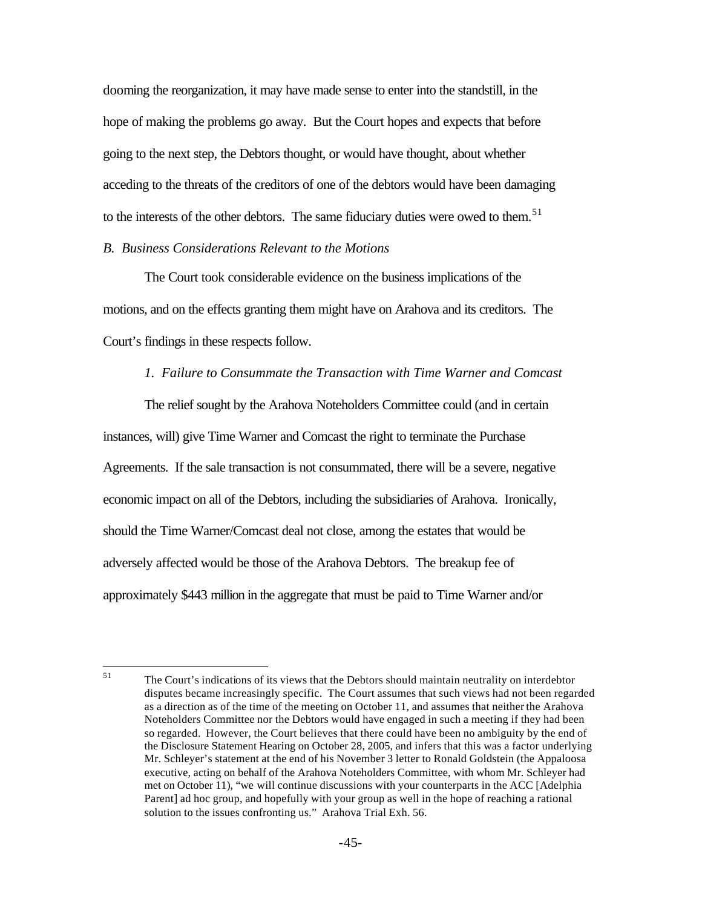dooming the reorganization, it may have made sense to enter into the standstill, in the hope of making the problems go away. But the Court hopes and expects that before going to the next step, the Debtors thought, or would have thought, about whether acceding to the threats of the creditors of one of the debtors would have been damaging to the interests of the other debtors. The same fiduciary duties were owed to them.<sup>51</sup>

## *B. Business Considerations Relevant to the Motions*

The Court took considerable evidence on the business implications of the motions, and on the effects granting them might have on Arahova and its creditors. The Court's findings in these respects follow.

### *1. Failure to Consummate the Transaction with Time Warner and Comcast*

The relief sought by the Arahova Noteholders Committee could (and in certain instances, will) give Time Warner and Comcast the right to terminate the Purchase Agreements. If the sale transaction is not consummated, there will be a severe, negative economic impact on all of the Debtors, including the subsidiaries of Arahova. Ironically, should the Time Warner/Comcast deal not close, among the estates that would be adversely affected would be those of the Arahova Debtors. The breakup fee of approximately \$443 million in the aggregate that must be paid to Time Warner and/or

<sup>51</sup> The Court's indications of its views that the Debtors should maintain neutrality on interdebtor disputes became increasingly specific. The Court assumes that such views had not been regarded as a direction as of the time of the meeting on October 11, and assumes that neither the Arahova Noteholders Committee nor the Debtors would have engaged in such a meeting if they had been so regarded. However, the Court believes that there could have been no ambiguity by the end of the Disclosure Statement Hearing on October 28, 2005, and infers that this was a factor underlying Mr. Schleyer's statement at the end of his November 3 letter to Ronald Goldstein (the Appaloosa executive, acting on behalf of the Arahova Noteholders Committee, with whom Mr. Schleyer had met on October 11), "we will continue discussions with your counterparts in the ACC [Adelphia Parent] ad hoc group, and hopefully with your group as well in the hope of reaching a rational solution to the issues confronting us." Arahova Trial Exh. 56.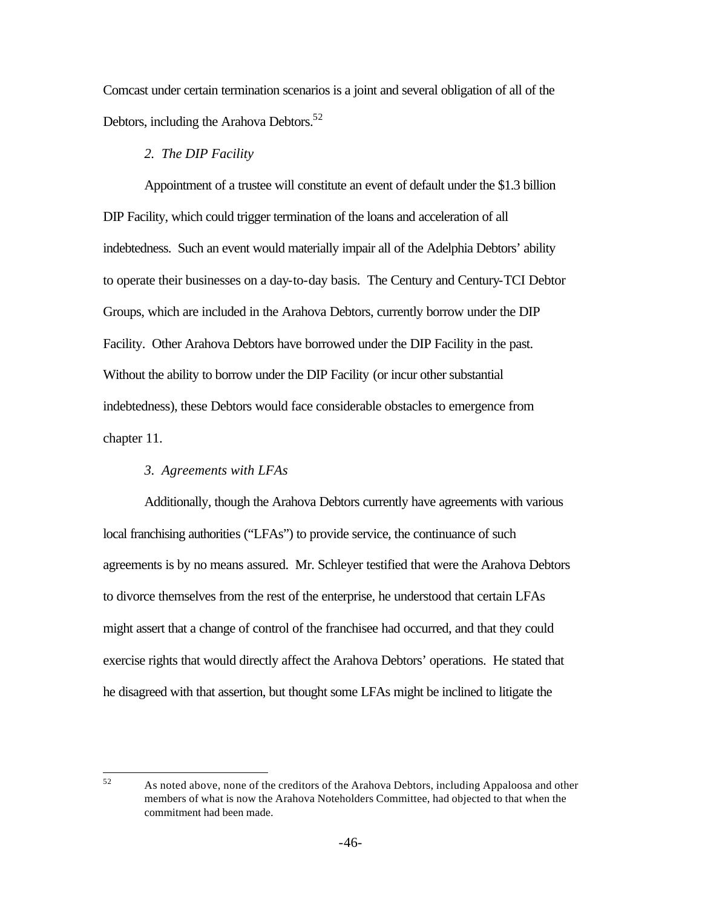Comcast under certain termination scenarios is a joint and several obligation of all of the Debtors, including the Arahova Debtors.<sup>52</sup>

### *2. The DIP Facility*

Appointment of a trustee will constitute an event of default under the \$1.3 billion DIP Facility, which could trigger termination of the loans and acceleration of all indebtedness. Such an event would materially impair all of the Adelphia Debtors' ability to operate their businesses on a day-to-day basis. The Century and Century-TCI Debtor Groups, which are included in the Arahova Debtors, currently borrow under the DIP Facility. Other Arahova Debtors have borrowed under the DIP Facility in the past. Without the ability to borrow under the DIP Facility (or incur other substantial indebtedness), these Debtors would face considerable obstacles to emergence from chapter 11.

### *3. Agreements with LFAs*

Additionally, though the Arahova Debtors currently have agreements with various local franchising authorities ("LFAs") to provide service, the continuance of such agreements is by no means assured. Mr. Schleyer testified that were the Arahova Debtors to divorce themselves from the rest of the enterprise, he understood that certain LFAs might assert that a change of control of the franchisee had occurred, and that they could exercise rights that would directly affect the Arahova Debtors' operations. He stated that he disagreed with that assertion, but thought some LFAs might be inclined to litigate the

<sup>52</sup> 

As noted above, none of the creditors of the Arahova Debtors, including Appaloosa and other members of what is now the Arahova Noteholders Committee, had objected to that when the commitment had been made.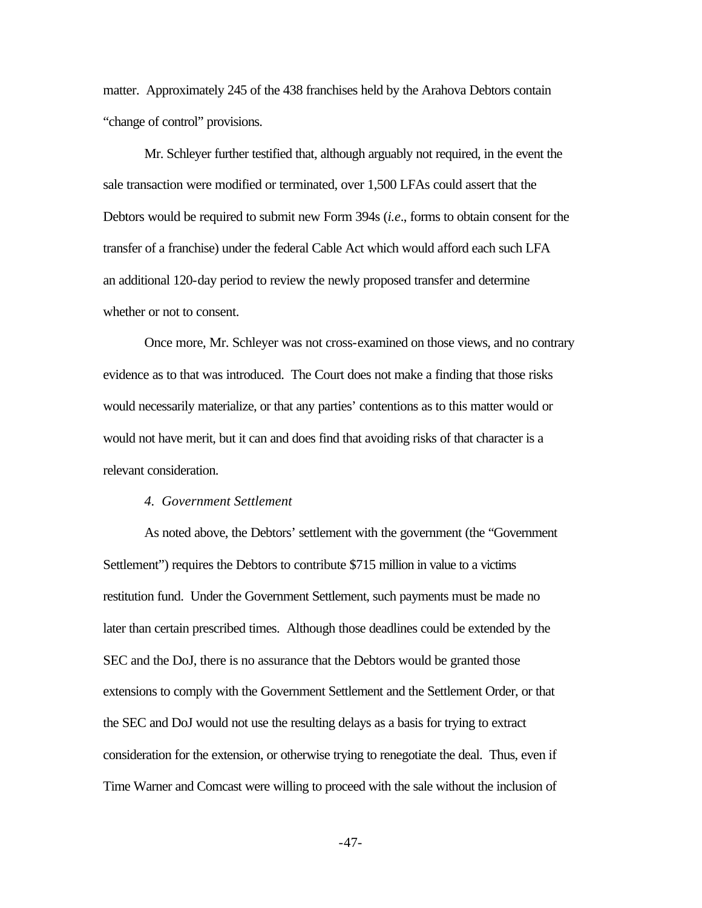matter. Approximately 245 of the 438 franchises held by the Arahova Debtors contain "change of control" provisions.

Mr. Schleyer further testified that, although arguably not required, in the event the sale transaction were modified or terminated, over 1,500 LFAs could assert that the Debtors would be required to submit new Form 394s (*i.e*., forms to obtain consent for the transfer of a franchise) under the federal Cable Act which would afford each such LFA an additional 120-day period to review the newly proposed transfer and determine whether or not to consent.

Once more, Mr. Schleyer was not cross-examined on those views, and no contrary evidence as to that was introduced. The Court does not make a finding that those risks would necessarily materialize, or that any parties' contentions as to this matter would or would not have merit, but it can and does find that avoiding risks of that character is a relevant consideration.

#### *4. Government Settlement*

As noted above, the Debtors' settlement with the government (the "Government Settlement") requires the Debtors to contribute \$715 million in value to a victims restitution fund. Under the Government Settlement, such payments must be made no later than certain prescribed times. Although those deadlines could be extended by the SEC and the DoJ, there is no assurance that the Debtors would be granted those extensions to comply with the Government Settlement and the Settlement Order, or that the SEC and DoJ would not use the resulting delays as a basis for trying to extract consideration for the extension, or otherwise trying to renegotiate the deal. Thus, even if Time Warner and Comcast were willing to proceed with the sale without the inclusion of

-47-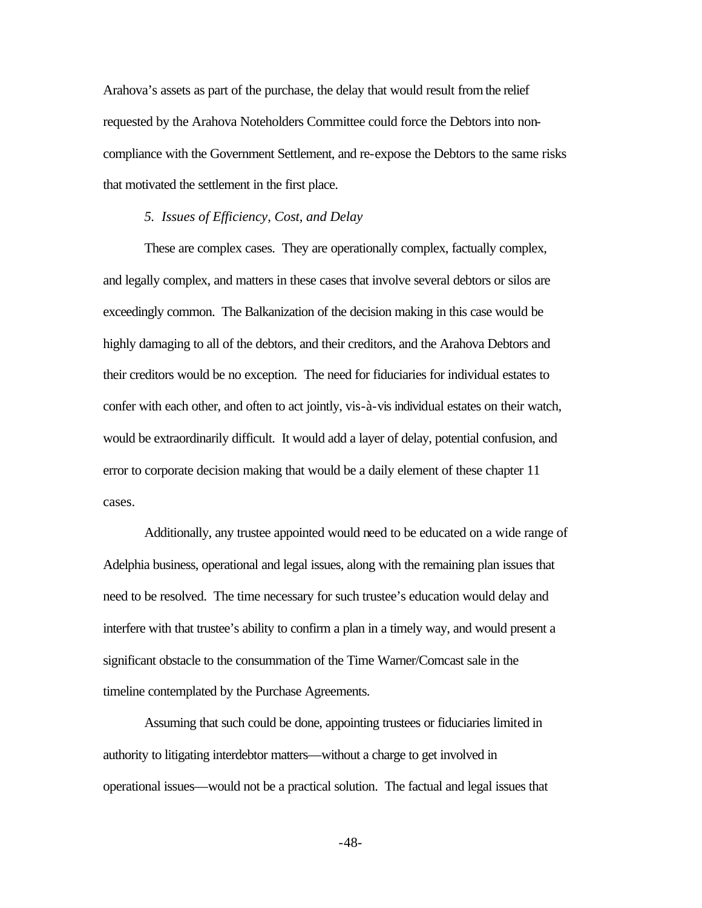Arahova's assets as part of the purchase, the delay that would result from the relief requested by the Arahova Noteholders Committee could force the Debtors into noncompliance with the Government Settlement, and re-expose the Debtors to the same risks that motivated the settlement in the first place.

#### *5. Issues of Efficiency, Cost, and Delay*

These are complex cases. They are operationally complex, factually complex, and legally complex, and matters in these cases that involve several debtors or silos are exceedingly common. The Balkanization of the decision making in this case would be highly damaging to all of the debtors, and their creditors, and the Arahova Debtors and their creditors would be no exception. The need for fiduciaries for individual estates to confer with each other, and often to act jointly, vis-à-vis individual estates on their watch, would be extraordinarily difficult. It would add a layer of delay, potential confusion, and error to corporate decision making that would be a daily element of these chapter 11 cases.

Additionally, any trustee appointed would need to be educated on a wide range of Adelphia business, operational and legal issues, along with the remaining plan issues that need to be resolved. The time necessary for such trustee's education would delay and interfere with that trustee's ability to confirm a plan in a timely way, and would present a significant obstacle to the consummation of the Time Warner/Comcast sale in the timeline contemplated by the Purchase Agreements.

Assuming that such could be done, appointing trustees or fiduciaries limited in authority to litigating interdebtor matters—without a charge to get involved in operational issues—would not be a practical solution. The factual and legal issues that

-48-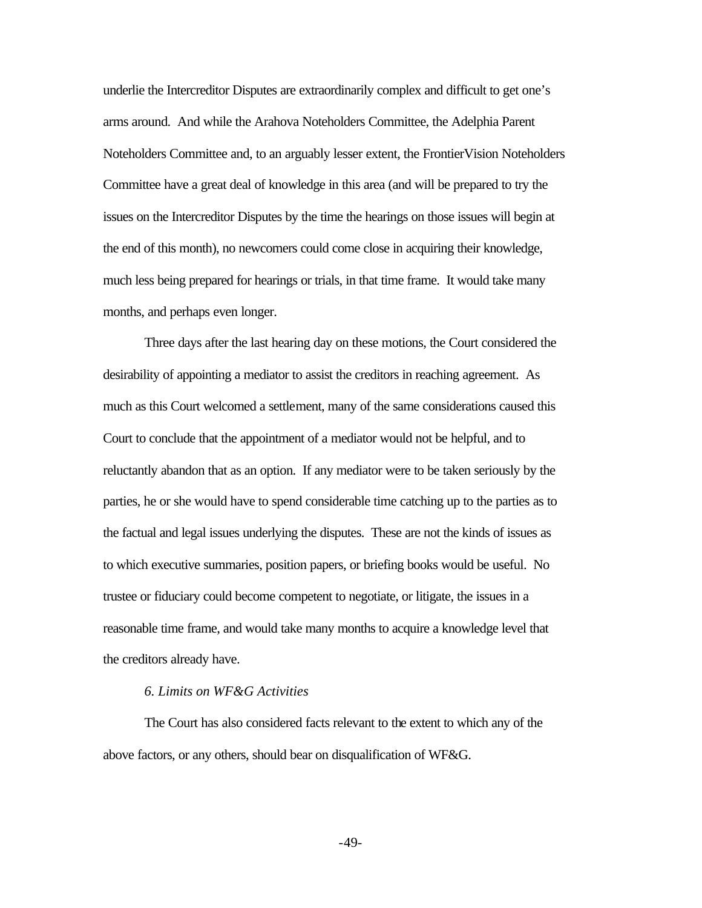underlie the Intercreditor Disputes are extraordinarily complex and difficult to get one's arms around. And while the Arahova Noteholders Committee, the Adelphia Parent Noteholders Committee and, to an arguably lesser extent, the FrontierVision Noteholders Committee have a great deal of knowledge in this area (and will be prepared to try the issues on the Intercreditor Disputes by the time the hearings on those issues will begin at the end of this month), no newcomers could come close in acquiring their knowledge, much less being prepared for hearings or trials, in that time frame. It would take many months, and perhaps even longer.

Three days after the last hearing day on these motions, the Court considered the desirability of appointing a mediator to assist the creditors in reaching agreement. As much as this Court welcomed a settlement, many of the same considerations caused this Court to conclude that the appointment of a mediator would not be helpful, and to reluctantly abandon that as an option. If any mediator were to be taken seriously by the parties, he or she would have to spend considerable time catching up to the parties as to the factual and legal issues underlying the disputes. These are not the kinds of issues as to which executive summaries, position papers, or briefing books would be useful. No trustee or fiduciary could become competent to negotiate, or litigate, the issues in a reasonable time frame, and would take many months to acquire a knowledge level that the creditors already have.

#### *6. Limits on WF&G Activities*

The Court has also considered facts relevant to the extent to which any of the above factors, or any others, should bear on disqualification of WF&G.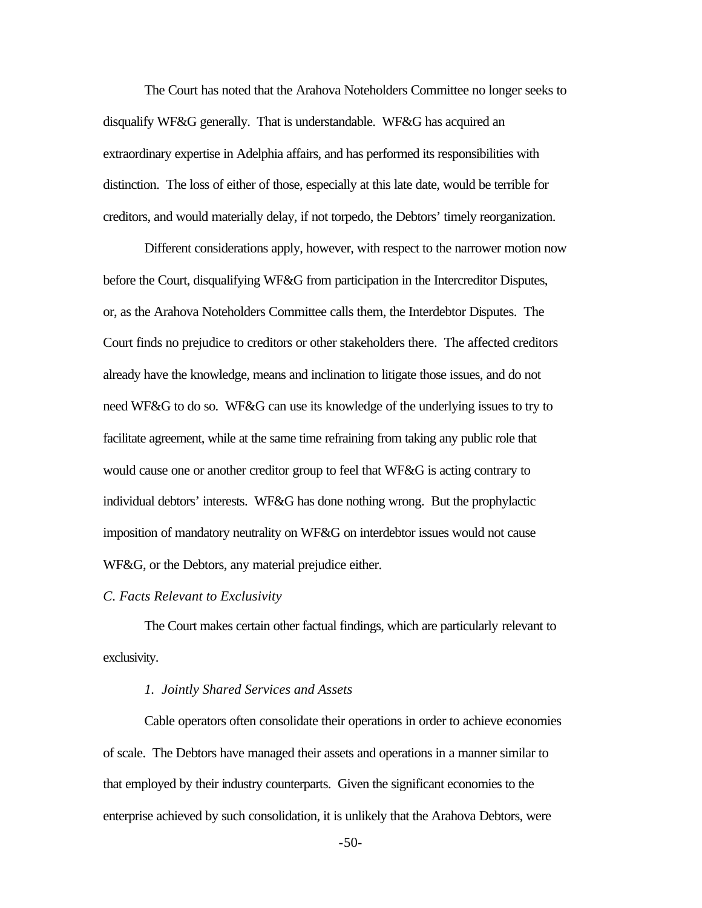The Court has noted that the Arahova Noteholders Committee no longer seeks to disqualify WF&G generally. That is understandable. WF&G has acquired an extraordinary expertise in Adelphia affairs, and has performed its responsibilities with distinction. The loss of either of those, especially at this late date, would be terrible for creditors, and would materially delay, if not torpedo, the Debtors' timely reorganization.

Different considerations apply, however, with respect to the narrower motion now before the Court, disqualifying WF&G from participation in the Intercreditor Disputes, or, as the Arahova Noteholders Committee calls them, the Interdebtor Disputes. The Court finds no prejudice to creditors or other stakeholders there. The affected creditors already have the knowledge, means and inclination to litigate those issues, and do not need WF&G to do so. WF&G can use its knowledge of the underlying issues to try to facilitate agreement, while at the same time refraining from taking any public role that would cause one or another creditor group to feel that WF&G is acting contrary to individual debtors' interests. WF&G has done nothing wrong. But the prophylactic imposition of mandatory neutrality on WF&G on interdebtor issues would not cause WF&G, or the Debtors, any material prejudice either.

#### *C. Facts Relevant to Exclusivity*

The Court makes certain other factual findings, which are particularly relevant to exclusivity.

#### *1. Jointly Shared Services and Assets*

Cable operators often consolidate their operations in order to achieve economies of scale. The Debtors have managed their assets and operations in a manner similar to that employed by their industry counterparts. Given the significant economies to the enterprise achieved by such consolidation, it is unlikely that the Arahova Debtors, were

-50-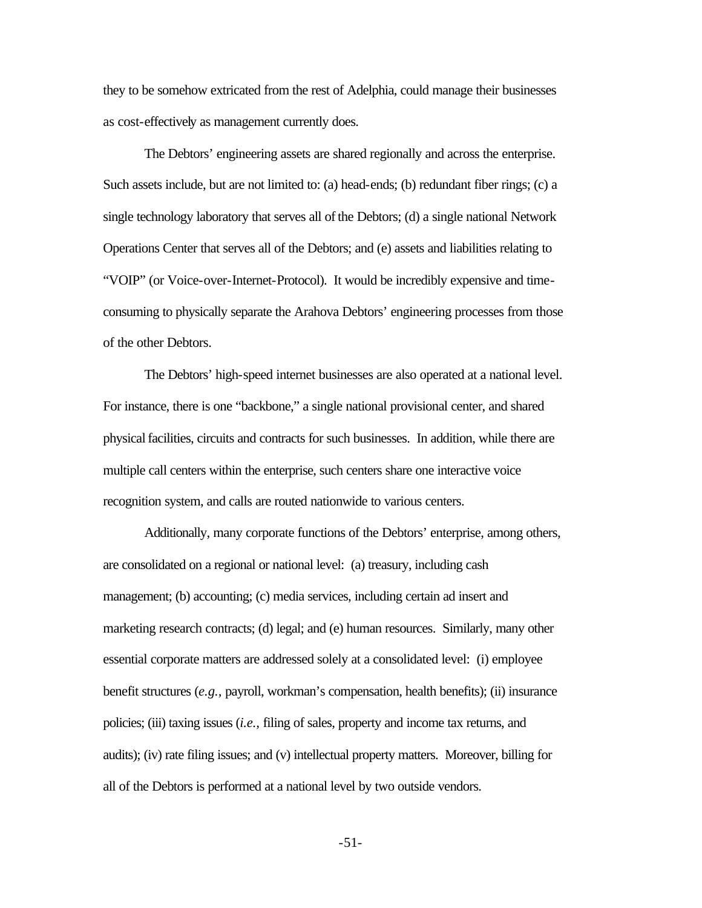they to be somehow extricated from the rest of Adelphia, could manage their businesses as cost-effectively as management currently does.

The Debtors' engineering assets are shared regionally and across the enterprise. Such assets include, but are not limited to: (a) head-ends; (b) redundant fiber rings; (c) a single technology laboratory that serves all of the Debtors; (d) a single national Network Operations Center that serves all of the Debtors; and (e) assets and liabilities relating to "VOIP" (or Voice-over-Internet-Protocol). It would be incredibly expensive and timeconsuming to physically separate the Arahova Debtors' engineering processes from those of the other Debtors.

The Debtors' high-speed internet businesses are also operated at a national level. For instance, there is one "backbone," a single national provisional center, and shared physical facilities, circuits and contracts for such businesses. In addition, while there are multiple call centers within the enterprise, such centers share one interactive voice recognition system, and calls are routed nationwide to various centers.

Additionally, many corporate functions of the Debtors' enterprise, among others, are consolidated on a regional or national level: (a) treasury, including cash management; (b) accounting; (c) media services, including certain ad insert and marketing research contracts; (d) legal; and (e) human resources. Similarly, many other essential corporate matters are addressed solely at a consolidated level: (i) employee benefit structures (*e.g.,* payroll, workman's compensation, health benefits); (ii) insurance policies; (iii) taxing issues (*i.e.,* filing of sales, property and income tax returns, and audits); (iv) rate filing issues; and (v) intellectual property matters. Moreover, billing for all of the Debtors is performed at a national level by two outside vendors.

-51-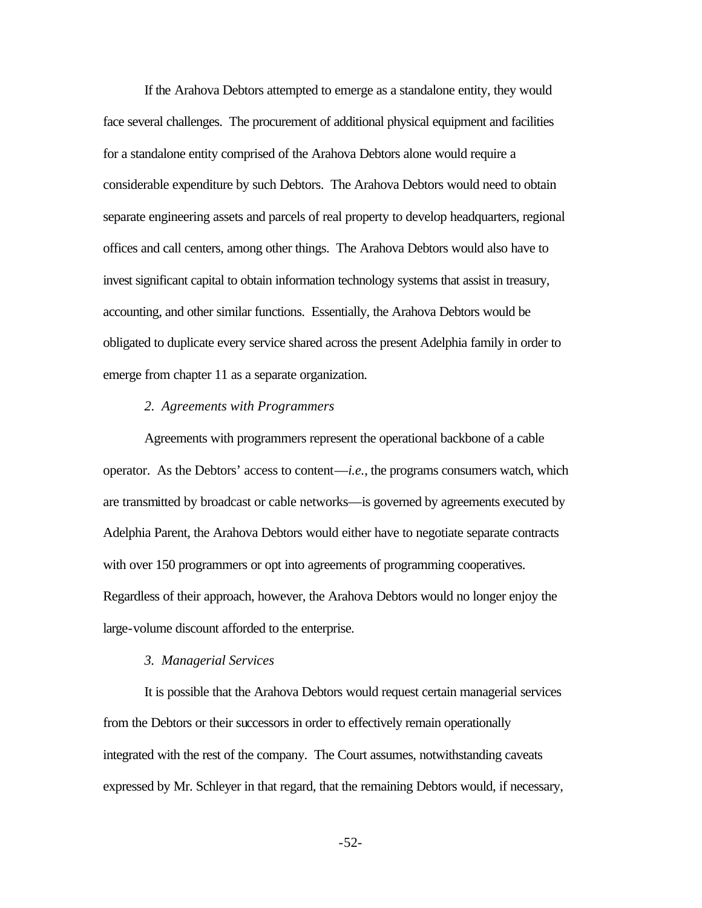If the Arahova Debtors attempted to emerge as a standalone entity, they would face several challenges. The procurement of additional physical equipment and facilities for a standalone entity comprised of the Arahova Debtors alone would require a considerable expenditure by such Debtors. The Arahova Debtors would need to obtain separate engineering assets and parcels of real property to develop headquarters, regional offices and call centers, among other things. The Arahova Debtors would also have to invest significant capital to obtain information technology systems that assist in treasury, accounting, and other similar functions. Essentially, the Arahova Debtors would be obligated to duplicate every service shared across the present Adelphia family in order to emerge from chapter 11 as a separate organization.

#### *2. Agreements with Programmers*

Agreements with programmers represent the operational backbone of a cable operator. As the Debtors' access to content—*i.e.*, the programs consumers watch, which are transmitted by broadcast or cable networks—is governed by agreements executed by Adelphia Parent, the Arahova Debtors would either have to negotiate separate contracts with over 150 programmers or opt into agreements of programming cooperatives. Regardless of their approach, however, the Arahova Debtors would no longer enjoy the large-volume discount afforded to the enterprise.

#### *3. Managerial Services*

It is possible that the Arahova Debtors would request certain managerial services from the Debtors or their successors in order to effectively remain operationally integrated with the rest of the company. The Court assumes, notwithstanding caveats expressed by Mr. Schleyer in that regard, that the remaining Debtors would, if necessary,

-52-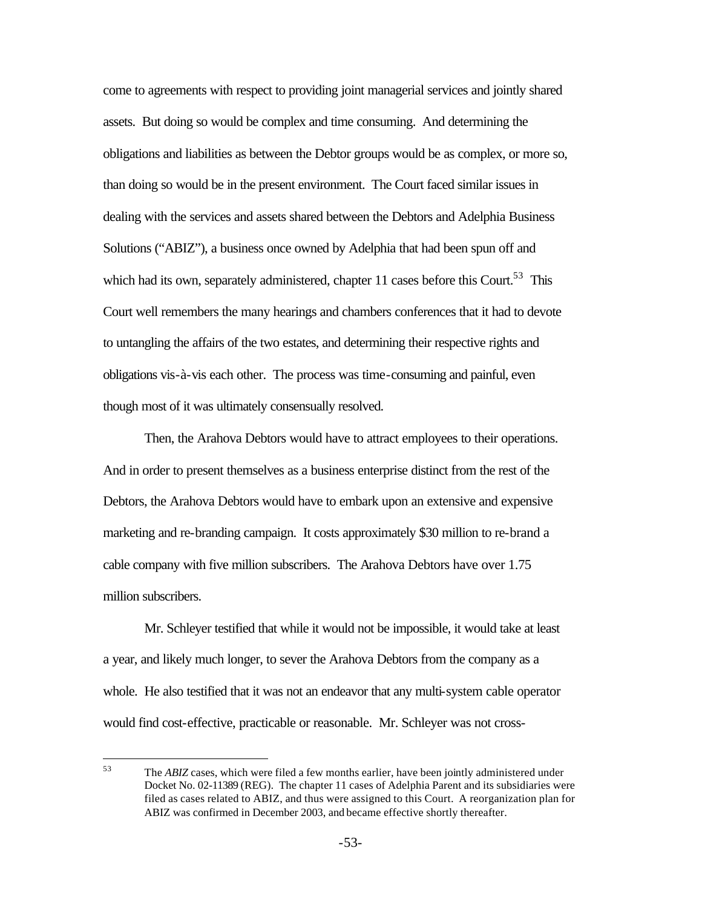come to agreements with respect to providing joint managerial services and jointly shared assets. But doing so would be complex and time consuming. And determining the obligations and liabilities as between the Debtor groups would be as complex, or more so, than doing so would be in the present environment. The Court faced similar issues in dealing with the services and assets shared between the Debtors and Adelphia Business Solutions ("ABIZ"), a business once owned by Adelphia that had been spun off and which had its own, separately administered, chapter 11 cases before this Court.<sup>53</sup> This Court well remembers the many hearings and chambers conferences that it had to devote to untangling the affairs of the two estates, and determining their respective rights and obligations vis-à-vis each other. The process was time-consuming and painful, even though most of it was ultimately consensually resolved.

Then, the Arahova Debtors would have to attract employees to their operations. And in order to present themselves as a business enterprise distinct from the rest of the Debtors, the Arahova Debtors would have to embark upon an extensive and expensive marketing and re-branding campaign. It costs approximately \$30 million to re-brand a cable company with five million subscribers. The Arahova Debtors have over 1.75 million subscribers.

Mr. Schleyer testified that while it would not be impossible, it would take at least a year, and likely much longer, to sever the Arahova Debtors from the company as a whole. He also testified that it was not an endeavor that any multi-system cable operator would find cost-effective, practicable or reasonable. Mr. Schleyer was not cross-

<sup>53</sup> The *ABIZ* cases, which were filed a few months earlier, have been jointly administered under Docket No. 02-11389 (REG). The chapter 11 cases of Adelphia Parent and its subsidiaries were filed as cases related to ABIZ, and thus were assigned to this Court. A reorganization plan for ABIZ was confirmed in December 2003, and became effective shortly thereafter.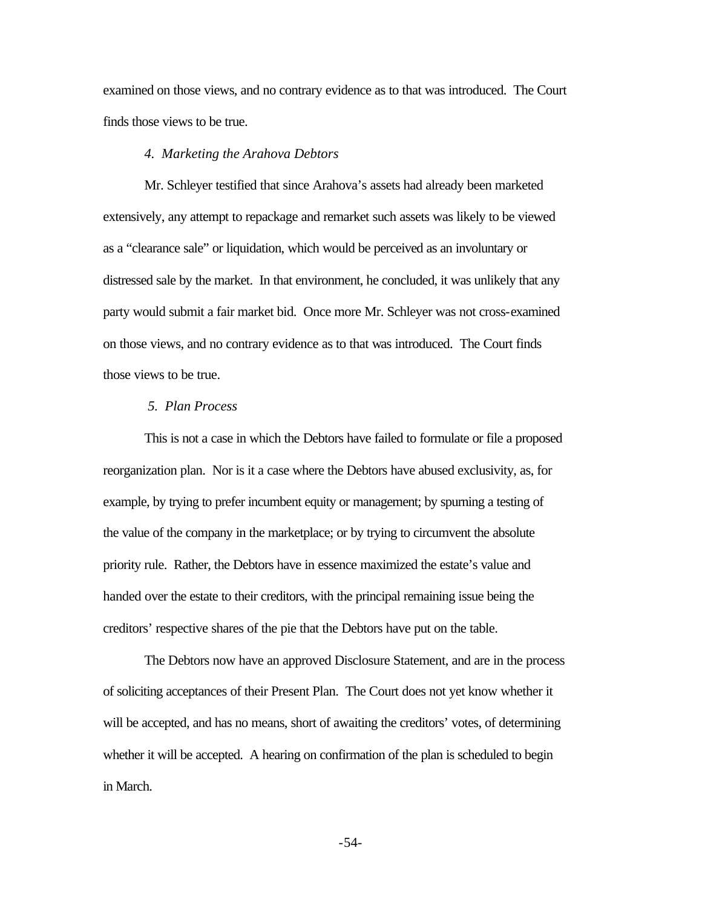examined on those views, and no contrary evidence as to that was introduced. The Court finds those views to be true.

#### *4. Marketing the Arahova Debtors*

Mr. Schleyer testified that since Arahova's assets had already been marketed extensively, any attempt to repackage and remarket such assets was likely to be viewed as a "clearance sale" or liquidation, which would be perceived as an involuntary or distressed sale by the market. In that environment, he concluded, it was unlikely that any party would submit a fair market bid. Once more Mr. Schleyer was not cross-examined on those views, and no contrary evidence as to that was introduced. The Court finds those views to be true.

#### *5. Plan Process*

This is not a case in which the Debtors have failed to formulate or file a proposed reorganization plan. Nor is it a case where the Debtors have abused exclusivity, as, for example, by trying to prefer incumbent equity or management; by spurning a testing of the value of the company in the marketplace; or by trying to circumvent the absolute priority rule. Rather, the Debtors have in essence maximized the estate's value and handed over the estate to their creditors, with the principal remaining issue being the creditors' respective shares of the pie that the Debtors have put on the table.

The Debtors now have an approved Disclosure Statement, and are in the process of soliciting acceptances of their Present Plan. The Court does not yet know whether it will be accepted, and has no means, short of awaiting the creditors' votes, of determining whether it will be accepted. A hearing on confirmation of the plan is scheduled to begin in March.

-54-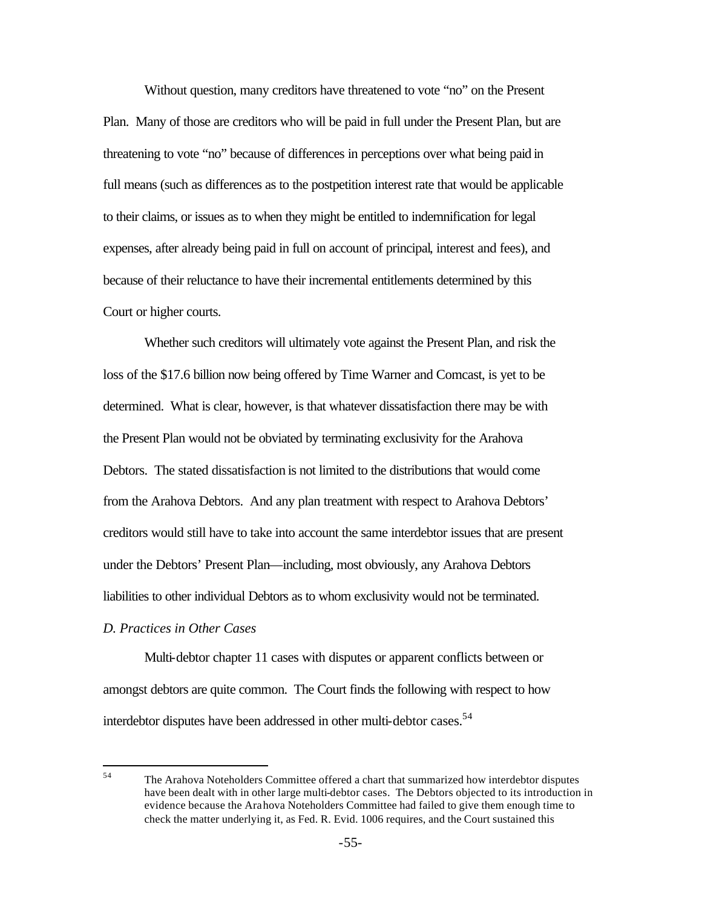Without question, many creditors have threatened to vote "no" on the Present Plan. Many of those are creditors who will be paid in full under the Present Plan, but are threatening to vote "no" because of differences in perceptions over what being paid in full means (such as differences as to the postpetition interest rate that would be applicable to their claims, or issues as to when they might be entitled to indemnification for legal expenses, after already being paid in full on account of principal, interest and fees), and because of their reluctance to have their incremental entitlements determined by this Court or higher courts.

Whether such creditors will ultimately vote against the Present Plan, and risk the loss of the \$17.6 billion now being offered by Time Warner and Comcast, is yet to be determined. What is clear, however, is that whatever dissatisfaction there may be with the Present Plan would not be obviated by terminating exclusivity for the Arahova Debtors. The stated dissatisfaction is not limited to the distributions that would come from the Arahova Debtors. And any plan treatment with respect to Arahova Debtors' creditors would still have to take into account the same interdebtor issues that are present under the Debtors' Present Plan—including, most obviously, any Arahova Debtors liabilities to other individual Debtors as to whom exclusivity would not be terminated.

### *D. Practices in Other Cases*

Multi-debtor chapter 11 cases with disputes or apparent conflicts between or amongst debtors are quite common. The Court finds the following with respect to how interdebtor disputes have been addressed in other multi-debtor cases.<sup>54</sup>

<sup>54</sup> <sup>54</sup> The Arahova Noteholders Committee offered a chart that summarized how interdebtor disputes have been dealt with in other large multi-debtor cases. The Debtors objected to its introduction in evidence because the Arahova Noteholders Committee had failed to give them enough time to check the matter underlying it, as Fed. R. Evid. 1006 requires, and the Court sustained this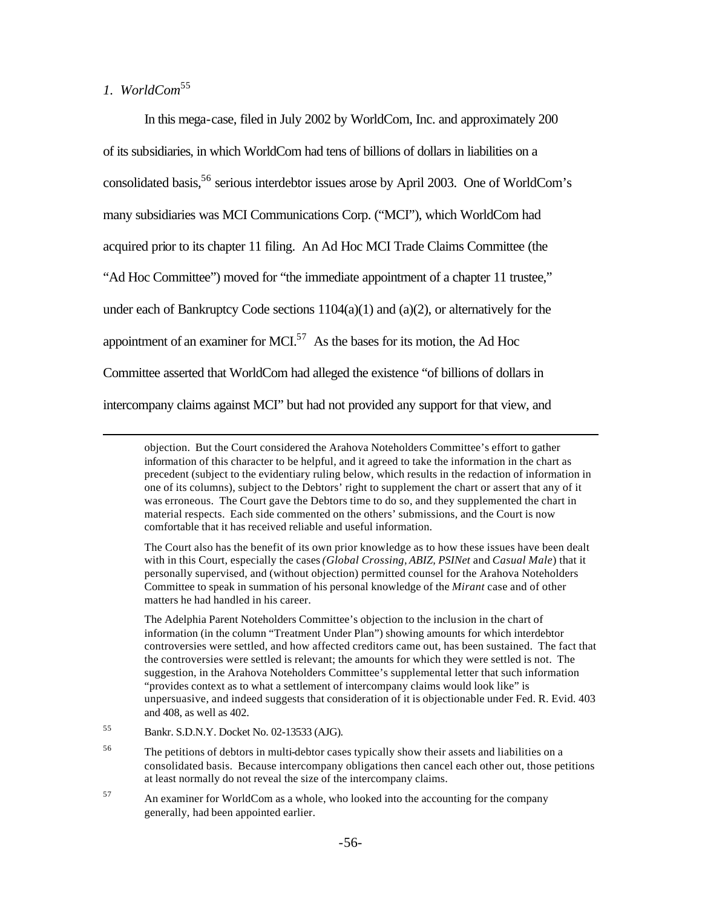# *1. WorldCom*<sup>55</sup>

 $\overline{a}$ 

In this mega-case, filed in July 2002 by WorldCom, Inc. and approximately 200 of its subsidiaries, in which WorldCom had tens of billions of dollars in liabilities on a consolidated basis,<sup>56</sup> serious interdebtor issues arose by April 2003. One of WorldCom's many subsidiaries was MCI Communications Corp. ("MCI"), which WorldCom had acquired prior to its chapter 11 filing. An Ad Hoc MCI Trade Claims Committee (the "Ad Hoc Committee") moved for "the immediate appointment of a chapter 11 trustee," under each of Bankruptcy Code sections  $1104(a)(1)$  and  $(a)(2)$ , or alternatively for the appointment of an examiner for MCI.<sup>57</sup> As the bases for its motion, the Ad Hoc Committee asserted that WorldCom had alleged the existence "of billions of dollars in intercompany claims against MCI" but had not provided any support for that view, and

<sup>57</sup> An examiner for WorldCom as a whole, who looked into the accounting for the company generally, had been appointed earlier.

objection. But the Court considered the Arahova Noteholders Committee's effort to gather information of this character to be helpful, and it agreed to take the information in the chart as precedent (subject to the evidentiary ruling below, which results in the redaction of information in one of its columns), subject to the Debtors' right to supplement the chart or assert that any of it was erroneous. The Court gave the Debtors time to do so, and they supplemented the chart in material respects. Each side commented on the others' submissions, and the Court is now comfortable that it has received reliable and useful information.

The Court also has the benefit of its own prior knowledge as to how these issues have been dealt with in this Court, especially the cases *(Global Crossing, ABIZ, PSINet* and *Casual Male*) that it personally supervised, and (without objection) permitted counsel for the Arahova Noteholders Committee to speak in summation of his personal knowledge of the *Mirant* case and of other matters he had handled in his career.

The Adelphia Parent Noteholders Committee's objection to the inclusion in the chart of information (in the column "Treatment Under Plan") showing amounts for which interdebtor controversies were settled, and how affected creditors came out, has been sustained. The fact that the controversies were settled is relevant; the amounts for which they were settled is not. The suggestion, in the Arahova Noteholders Committee's supplemental letter that such information "provides context as to what a settlement of intercompany claims would look like" is unpersuasive, and indeed suggests that consideration of it is objectionable under Fed. R. Evid. 403 and 408, as well as 402.

<sup>55</sup> Bankr. S.D.N.Y. Docket No. 02-13533 (AJG).

<sup>&</sup>lt;sup>56</sup> The petitions of debtors in multi-debtor cases typically show their assets and liabilities on a consolidated basis. Because intercompany obligations then cancel each other out, those petitions at least normally do not reveal the size of the intercompany claims.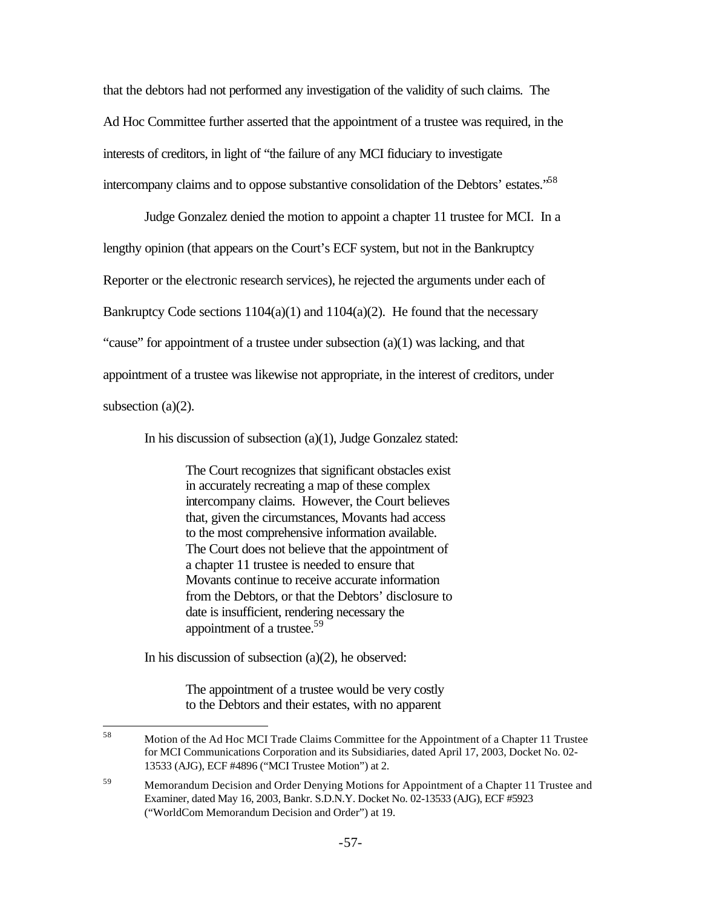that the debtors had not performed any investigation of the validity of such claims. The Ad Hoc Committee further asserted that the appointment of a trustee was required, in the interests of creditors, in light of "the failure of any MCI fiduciary to investigate intercompany claims and to oppose substantive consolidation of the Debtors' estates."<sup>58</sup>

Judge Gonzalez denied the motion to appoint a chapter 11 trustee for MCI. In a lengthy opinion (that appears on the Court's ECF system, but not in the Bankruptcy Reporter or the electronic research services), he rejected the arguments under each of Bankruptcy Code sections  $1104(a)(1)$  and  $1104(a)(2)$ . He found that the necessary "cause" for appointment of a trustee under subsection (a)(1) was lacking, and that appointment of a trustee was likewise not appropriate, in the interest of creditors, under subsection (a)(2).

In his discussion of subsection (a)(1), Judge Gonzalez stated:

The Court recognizes that significant obstacles exist in accurately recreating a map of these complex intercompany claims. However, the Court believes that, given the circumstances, Movants had access to the most comprehensive information available. The Court does not believe that the appointment of a chapter 11 trustee is needed to ensure that Movants continue to receive accurate information from the Debtors, or that the Debtors' disclosure to date is insufficient, rendering necessary the appointment of a trustee.<sup>59</sup>

In his discussion of subsection  $(a)(2)$ , he observed:

The appointment of a trustee would be very costly to the Debtors and their estates, with no apparent

<sup>58</sup> Motion of the Ad Hoc MCI Trade Claims Committee for the Appointment of a Chapter 11 Trustee for MCI Communications Corporation and its Subsidiaries, dated April 17, 2003, Docket No. 02- 13533 (AJG), ECF #4896 ("MCI Trustee Motion") at 2.

<sup>&</sup>lt;sup>59</sup> Memorandum Decision and Order Denying Motions for Appointment of a Chapter 11 Trustee and Examiner, dated May 16, 2003, Bankr. S.D.N.Y. Docket No. 02-13533 (AJG), ECF #5923 ("WorldCom Memorandum Decision and Order") at 19.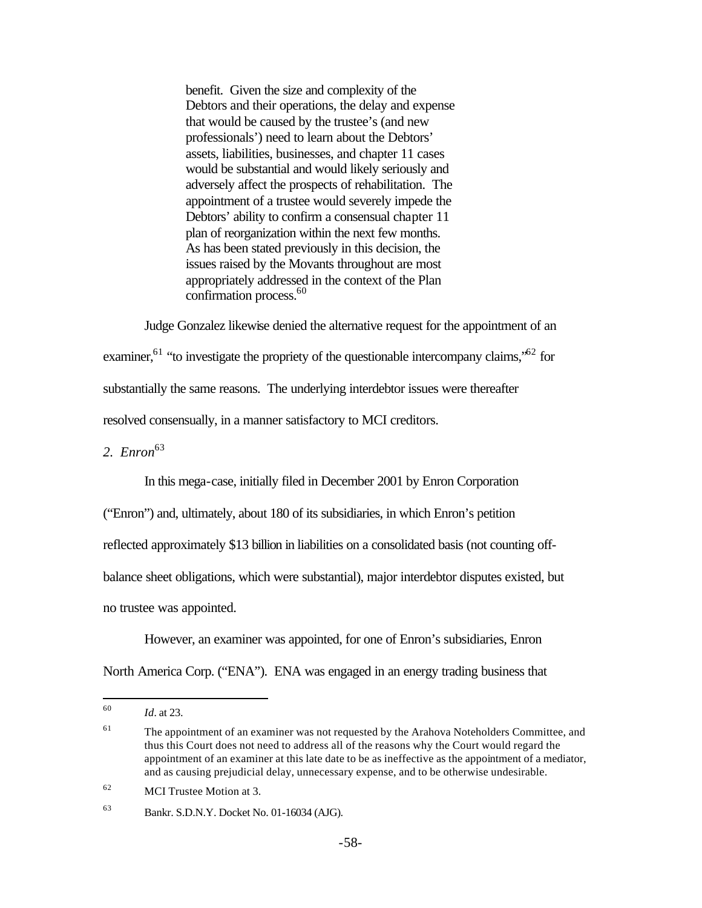benefit. Given the size and complexity of the Debtors and their operations, the delay and expense that would be caused by the trustee's (and new professionals') need to learn about the Debtors' assets, liabilities, businesses, and chapter 11 cases would be substantial and would likely seriously and adversely affect the prospects of rehabilitation. The appointment of a trustee would severely impede the Debtors' ability to confirm a consensual chapter 11 plan of reorganization within the next few months. As has been stated previously in this decision, the issues raised by the Movants throughout are most appropriately addressed in the context of the Plan confirmation process.<sup>60</sup>

Judge Gonzalez likewise denied the alternative request for the appointment of an examiner,<sup>61</sup> "to investigate the propriety of the questionable intercompany claims,<sup> $52$ </sup> for substantially the same reasons. The underlying interdebtor issues were thereafter resolved consensually, in a manner satisfactory to MCI creditors.

*2. Enron*<sup>63</sup>

In this mega-case, initially filed in December 2001 by Enron Corporation

("Enron") and, ultimately, about 180 of its subsidiaries, in which Enron's petition

reflected approximately \$13 billion in liabilities on a consolidated basis (not counting off-

balance sheet obligations, which were substantial), major interdebtor disputes existed, but

no trustee was appointed.

However, an examiner was appointed, for one of Enron's subsidiaries, Enron North America Corp. ("ENA"). ENA was engaged in an energy trading business that

<sup>60</sup> *Id.* at 23.

 $61$  The appointment of an examiner was not requested by the Arahova Noteholders Committee, and thus this Court does not need to address all of the reasons why the Court would regard the appointment of an examiner at this late date to be as ineffective as the appointment of a mediator, and as causing prejudicial delay, unnecessary expense, and to be otherwise undesirable.

<sup>62</sup> MCI Trustee Motion at 3.

<sup>63</sup> Bankr. S.D.N.Y. Docket No. 01-16034 (AJG).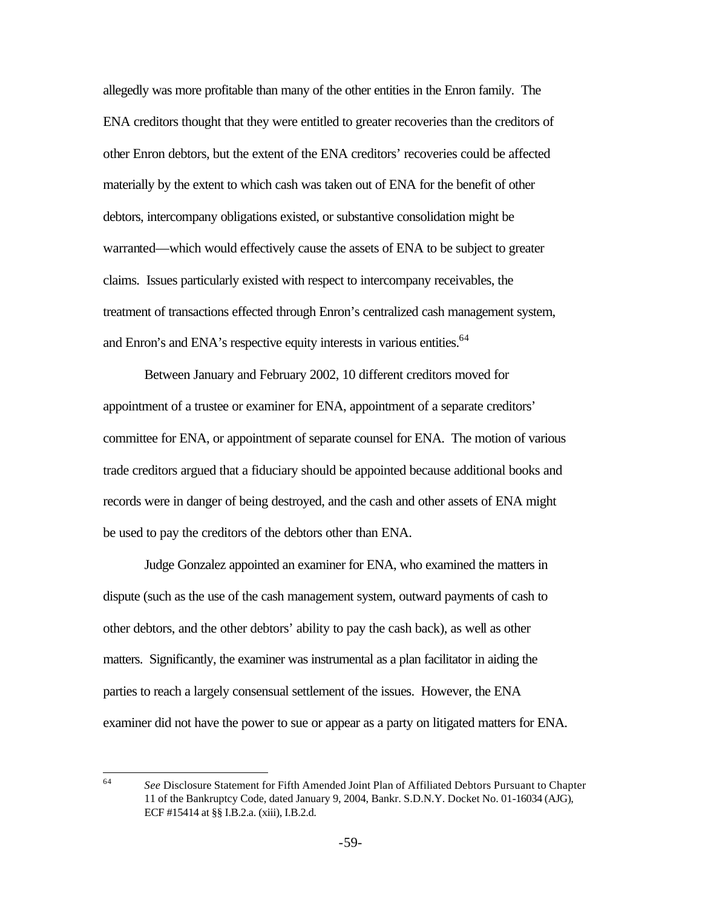allegedly was more profitable than many of the other entities in the Enron family. The ENA creditors thought that they were entitled to greater recoveries than the creditors of other Enron debtors, but the extent of the ENA creditors' recoveries could be affected materially by the extent to which cash was taken out of ENA for the benefit of other debtors, intercompany obligations existed, or substantive consolidation might be warranted—which would effectively cause the assets of ENA to be subject to greater claims. Issues particularly existed with respect to intercompany receivables, the treatment of transactions effected through Enron's centralized cash management system, and Enron's and ENA's respective equity interests in various entities.<sup>64</sup>

Between January and February 2002, 10 different creditors moved for appointment of a trustee or examiner for ENA, appointment of a separate creditors' committee for ENA, or appointment of separate counsel for ENA. The motion of various trade creditors argued that a fiduciary should be appointed because additional books and records were in danger of being destroyed, and the cash and other assets of ENA might be used to pay the creditors of the debtors other than ENA.

Judge Gonzalez appointed an examiner for ENA, who examined the matters in dispute (such as the use of the cash management system, outward payments of cash to other debtors, and the other debtors' ability to pay the cash back), as well as other matters. Significantly, the examiner was instrumental as a plan facilitator in aiding the parties to reach a largely consensual settlement of the issues. However, the ENA examiner did not have the power to sue or appear as a party on litigated matters for ENA.

<sup>64</sup> <sup>64</sup> *See* Disclosure Statement for Fifth Amended Joint Plan of Affiliated Debtors Pursuant to Chapter 11 of the Bankruptcy Code, dated January 9, 2004, Bankr. S.D.N.Y. Docket No. 01-16034 (AJG), ECF #15414 at §§ I.B.2.a. (xiii), I.B.2.d.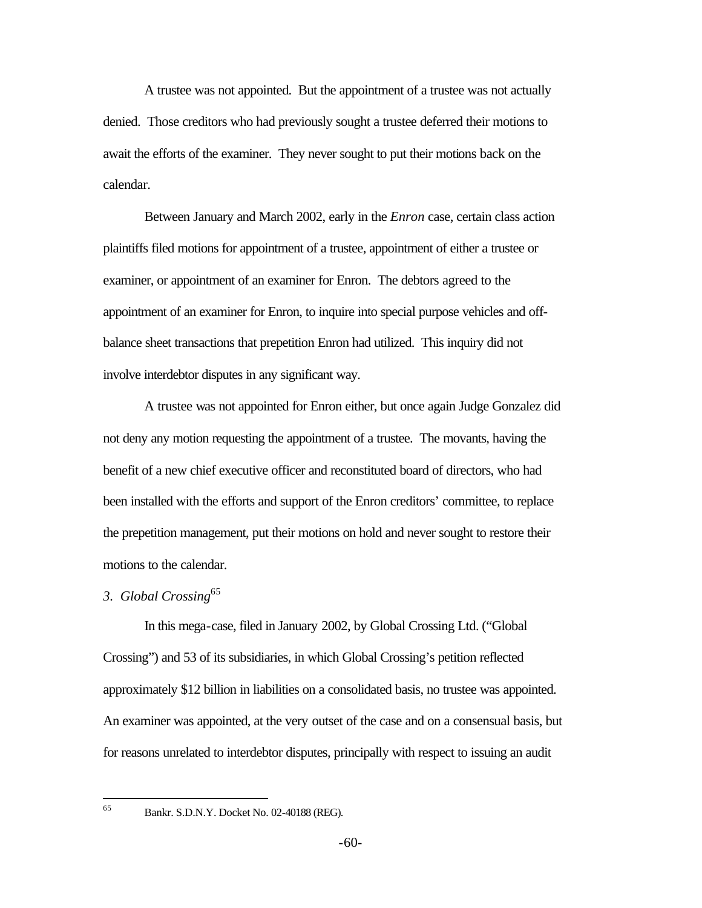A trustee was not appointed. But the appointment of a trustee was not actually denied. Those creditors who had previously sought a trustee deferred their motions to await the efforts of the examiner. They never sought to put their motions back on the calendar.

Between January and March 2002, early in the *Enron* case, certain class action plaintiffs filed motions for appointment of a trustee, appointment of either a trustee or examiner, or appointment of an examiner for Enron. The debtors agreed to the appointment of an examiner for Enron, to inquire into special purpose vehicles and offbalance sheet transactions that prepetition Enron had utilized. This inquiry did not involve interdebtor disputes in any significant way.

A trustee was not appointed for Enron either, but once again Judge Gonzalez did not deny any motion requesting the appointment of a trustee. The movants, having the benefit of a new chief executive officer and reconstituted board of directors, who had been installed with the efforts and support of the Enron creditors' committee, to replace the prepetition management, put their motions on hold and never sought to restore their motions to the calendar.

## *3. Global Crossing*<sup>65</sup>

In this mega-case, filed in January 2002, by Global Crossing Ltd. ("Global Crossing") and 53 of its subsidiaries, in which Global Crossing's petition reflected approximately \$12 billion in liabilities on a consolidated basis, no trustee was appointed. An examiner was appointed, at the very outset of the case and on a consensual basis, but for reasons unrelated to interdebtor disputes, principally with respect to issuing an audit

65

<sup>65</sup> Bankr. S.D.N.Y. Docket No. 02-40188 (REG).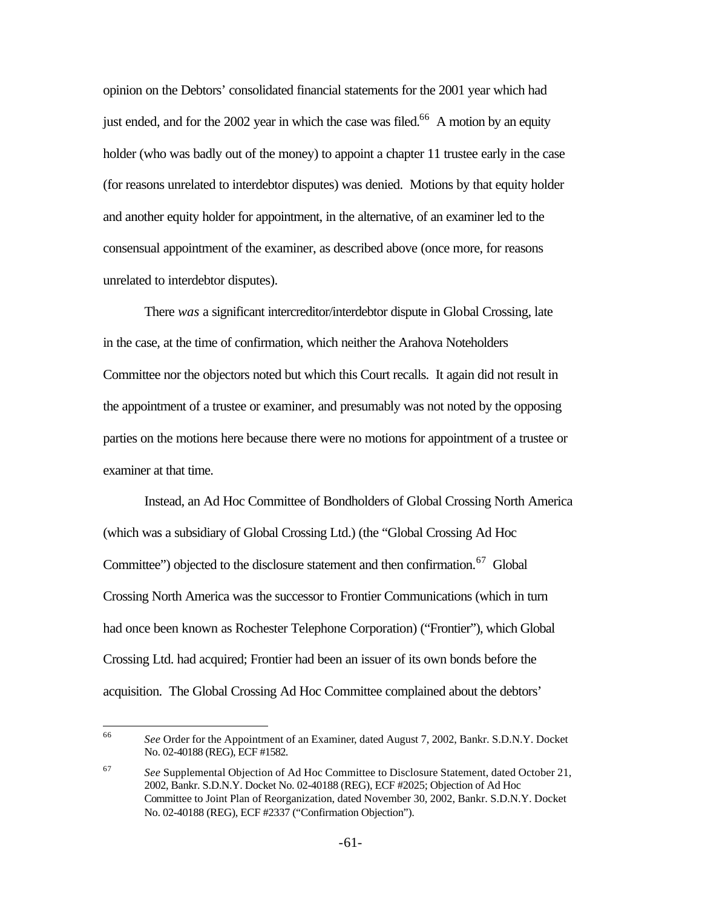opinion on the Debtors' consolidated financial statements for the 2001 year which had just ended, and for the  $2002$  year in which the case was filed.<sup>66</sup> A motion by an equity holder (who was badly out of the money) to appoint a chapter 11 trustee early in the case (for reasons unrelated to interdebtor disputes) was denied. Motions by that equity holder and another equity holder for appointment, in the alternative, of an examiner led to the consensual appointment of the examiner, as described above (once more, for reasons unrelated to interdebtor disputes).

There *was* a significant intercreditor/interdebtor dispute in Global Crossing, late in the case, at the time of confirmation, which neither the Arahova Noteholders Committee nor the objectors noted but which this Court recalls. It again did not result in the appointment of a trustee or examiner*,* and presumably was not noted by the opposing parties on the motions here because there were no motions for appointment of a trustee or examiner at that time.

Instead, an Ad Hoc Committee of Bondholders of Global Crossing North America (which was a subsidiary of Global Crossing Ltd.) (the "Global Crossing Ad Hoc Committee") objected to the disclosure statement and then confirmation.<sup>67</sup> Global Crossing North America was the successor to Frontier Communications (which in turn had once been known as Rochester Telephone Corporation) ("Frontier"), which Global Crossing Ltd. had acquired; Frontier had been an issuer of its own bonds before the acquisition. The Global Crossing Ad Hoc Committee complained about the debtors'

<sup>66</sup> <sup>66</sup> *See* Order for the Appointment of an Examiner, dated August 7, 2002, Bankr. S.D.N.Y. Docket No. 02-40188 (REG), ECF #1582.

<sup>67</sup> *See* Supplemental Objection of Ad Hoc Committee to Disclosure Statement, dated October 21, 2002, Bankr. S.D.N.Y. Docket No. 02-40188 (REG), ECF #2025; Objection of Ad Hoc Committee to Joint Plan of Reorganization, dated November 30, 2002, Bankr. S.D.N.Y. Docket No. 02-40188 (REG), ECF #2337 ("Confirmation Objection").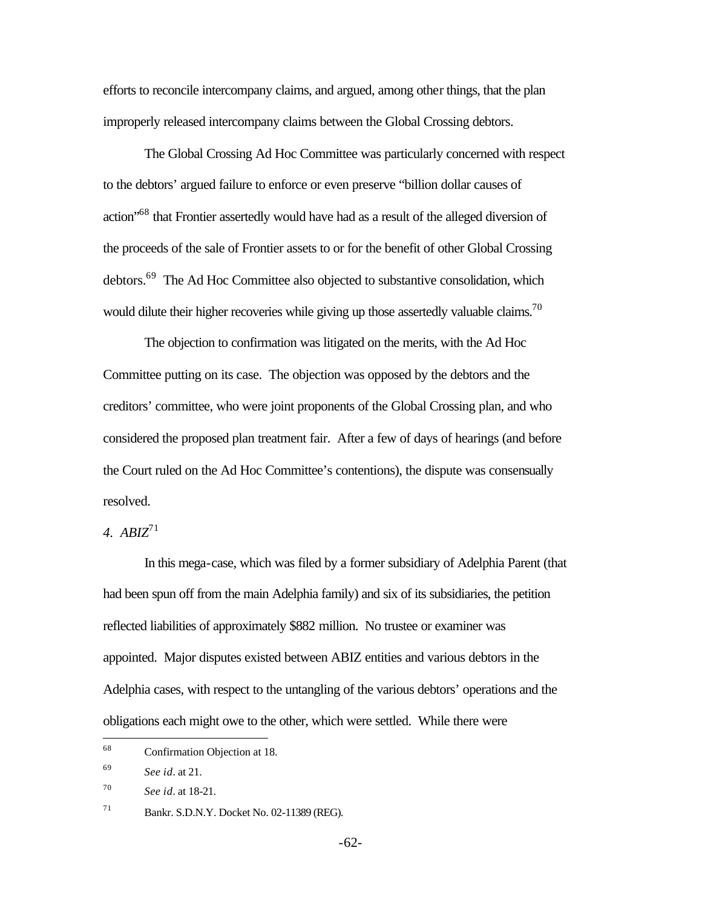efforts to reconcile intercompany claims, and argued, among other things, that the plan improperly released intercompany claims between the Global Crossing debtors.

The Global Crossing Ad Hoc Committee was particularly concerned with respect to the debtors' argued failure to enforce or even preserve "billion dollar causes of action"<sup>68</sup> that Frontier assertedly would have had as a result of the alleged diversion of the proceeds of the sale of Frontier assets to or for the benefit of other Global Crossing debtors.<sup>69</sup> The Ad Hoc Committee also objected to substantive consolidation, which would dilute their higher recoveries while giving up those assertedly valuable claims.<sup>70</sup>

The objection to confirmation was litigated on the merits, with the Ad Hoc Committee putting on its case. The objection was opposed by the debtors and the creditors' committee, who were joint proponents of the Global Crossing plan, and who considered the proposed plan treatment fair. After a few of days of hearings (and before the Court ruled on the Ad Hoc Committee's contentions), the dispute was consensually resolved.

*4. ABIZ*<sup>71</sup>

In this mega-case, which was filed by a former subsidiary of Adelphia Parent (that had been spun off from the main Adelphia family) and six of its subsidiaries, the petition reflected liabilities of approximately \$882 million. No trustee or examiner was appointed. Major disputes existed between ABIZ entities and various debtors in the Adelphia cases, with respect to the untangling of the various debtors' operations and the obligations each might owe to the other, which were settled. While there were

 $\overline{a}$ 

<sup>68</sup> Confirmation Objection at 18.

<sup>69</sup> *See id.* at 21.

<sup>70</sup> *See id.* at 18-21.

<sup>71</sup> Bankr. S.D.N.Y. Docket No. 02-11389 (REG).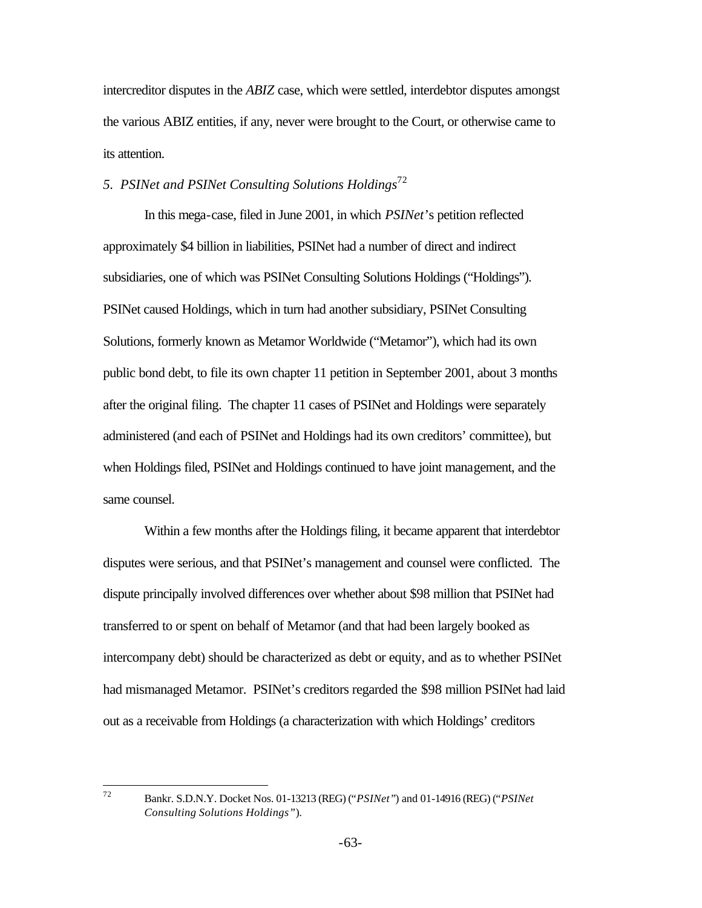intercreditor disputes in the *ABIZ* case, which were settled, interdebtor disputes amongst the various ABIZ entities, if any, never were brought to the Court, or otherwise came to its attention.

### *5. PSINet and PSINet Consulting Solutions Holdings*<sup>72</sup>

In this mega-case, filed in June 2001, in which *PSINet*'s petition reflected approximately \$4 billion in liabilities, PSINet had a number of direct and indirect subsidiaries, one of which was PSINet Consulting Solutions Holdings ("Holdings"). PSINet caused Holdings, which in turn had another subsidiary, PSINet Consulting Solutions, formerly known as Metamor Worldwide ("Metamor"), which had its own public bond debt, to file its own chapter 11 petition in September 2001, about 3 months after the original filing. The chapter 11 cases of PSINet and Holdings were separately administered (and each of PSINet and Holdings had its own creditors' committee), but when Holdings filed, PSINet and Holdings continued to have joint management, and the same counsel.

Within a few months after the Holdings filing, it became apparent that interdebtor disputes were serious, and that PSINet's management and counsel were conflicted. The dispute principally involved differences over whether about \$98 million that PSINet had transferred to or spent on behalf of Metamor (and that had been largely booked as intercompany debt) should be characterized as debt or equity, and as to whether PSINet had mismanaged Metamor. PSINet's creditors regarded the \$98 million PSINet had laid out as a receivable from Holdings (a characterization with which Holdings' creditors

 $72$ 

<sup>72</sup> Bankr. S.D.N.Y. Docket Nos. 01-13213 (REG) ("*PSINet"*) and 01-14916 (REG) ("*PSINet Consulting Solutions Holdings"*).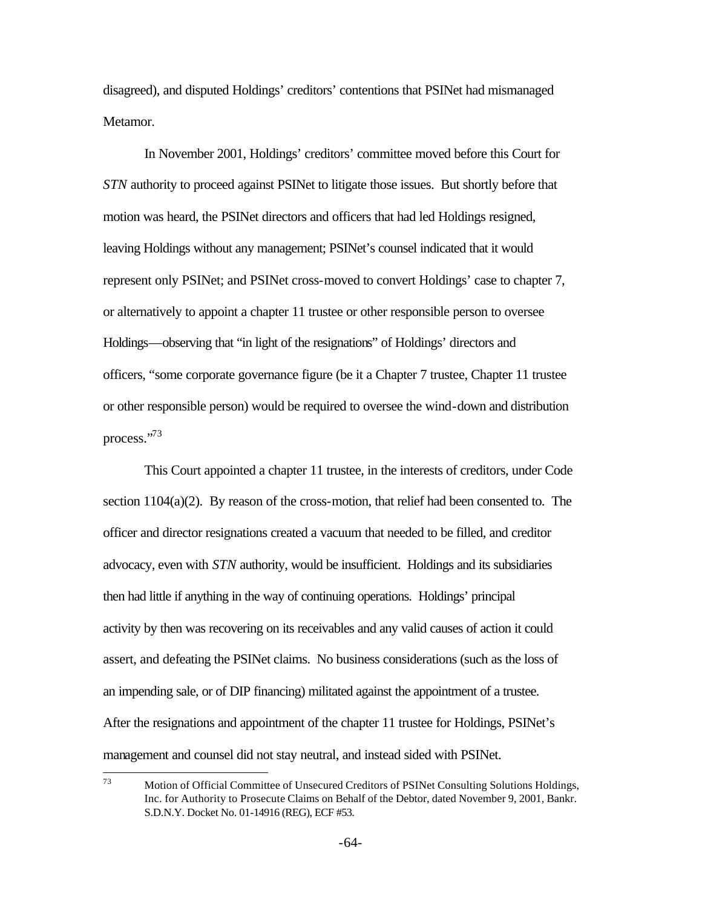disagreed), and disputed Holdings' creditors' contentions that PSINet had mismanaged Metamor.

In November 2001, Holdings' creditors' committee moved before this Court for *STN* authority to proceed against PSINet to litigate those issues. But shortly before that motion was heard, the PSINet directors and officers that had led Holdings resigned, leaving Holdings without any management; PSINet's counsel indicated that it would represent only PSINet; and PSINet cross-moved to convert Holdings' case to chapter 7, or alternatively to appoint a chapter 11 trustee or other responsible person to oversee Holdings—observing that "in light of the resignations" of Holdings' directors and officers, "some corporate governance figure (be it a Chapter 7 trustee, Chapter 11 trustee or other responsible person) would be required to oversee the wind-down and distribution process."<sup>73</sup>

This Court appointed a chapter 11 trustee, in the interests of creditors, under Code section 1104(a)(2). By reason of the cross-motion, that relief had been consented to. The officer and director resignations created a vacuum that needed to be filled, and creditor advocacy, even with *STN* authority, would be insufficient. Holdings and its subsidiaries then had little if anything in the way of continuing operations. Holdings' principal activity by then was recovering on its receivables and any valid causes of action it could assert, and defeating the PSINet claims. No business considerations (such as the loss of an impending sale, or of DIP financing) militated against the appointment of a trustee. After the resignations and appointment of the chapter 11 trustee for Holdings, PSINet's management and counsel did not stay neutral, and instead sided with PSINet.

<sup>73</sup> <sup>73</sup> Motion of Official Committee of Unsecured Creditors of PSINet Consulting Solutions Holdings, Inc. for Authority to Prosecute Claims on Behalf of the Debtor, dated November 9, 2001, Bankr. S.D.N.Y. Docket No. 01-14916 (REG), ECF #53.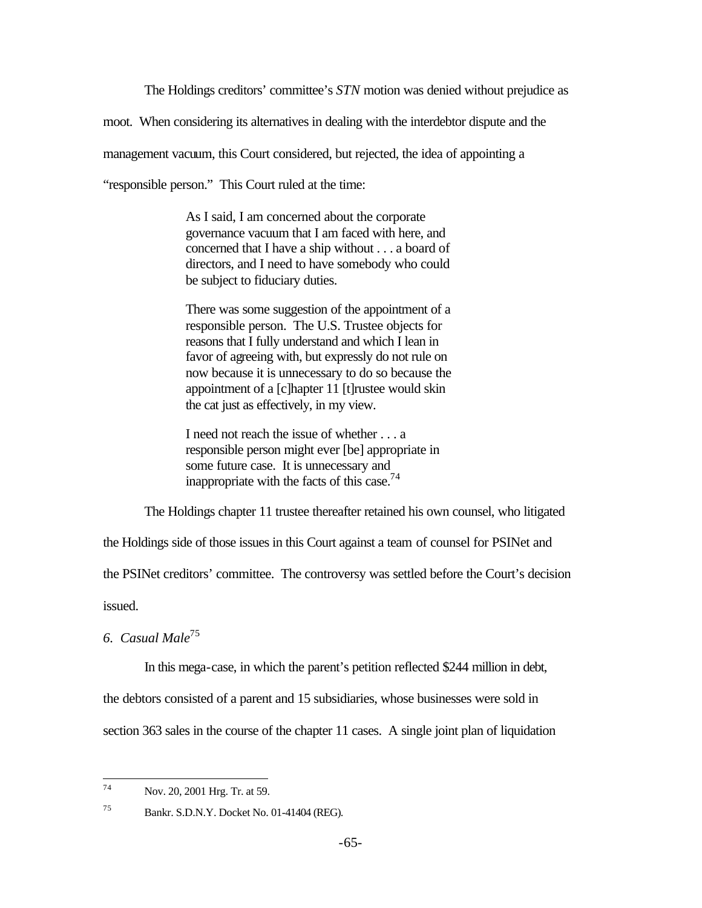The Holdings creditors' committee's *STN* motion was denied without prejudice as

moot. When considering its alternatives in dealing with the interdebtor dispute and the

management vacuum, this Court considered, but rejected, the idea of appointing a

"responsible person." This Court ruled at the time:

As I said, I am concerned about the corporate governance vacuum that I am faced with here, and concerned that I have a ship without . . . a board of directors, and I need to have somebody who could be subject to fiduciary duties.

There was some suggestion of the appointment of a responsible person. The U.S. Trustee objects for reasons that I fully understand and which I lean in favor of agreeing with, but expressly do not rule on now because it is unnecessary to do so because the appointment of a [c]hapter 11 [t]rustee would skin the cat just as effectively, in my view.

I need not reach the issue of whether . . . a responsible person might ever [be] appropriate in some future case. It is unnecessary and inappropriate with the facts of this case.<sup>74</sup>

The Holdings chapter 11 trustee thereafter retained his own counsel, who litigated

the Holdings side of those issues in this Court against a team of counsel for PSINet and

the PSINet creditors' committee. The controversy was settled before the Court's decision

issued.

### *6. Casual Male*<sup>75</sup>

In this mega-case, in which the parent's petition reflected \$244 million in debt,

the debtors consisted of a parent and 15 subsidiaries, whose businesses were sold in

section 363 sales in the course of the chapter 11 cases. A single joint plan of liquidation

 $74$ Nov. 20, 2001 Hrg. Tr. at 59.

<sup>75</sup> Bankr. S.D.N.Y. Docket No. 01-41404 (REG).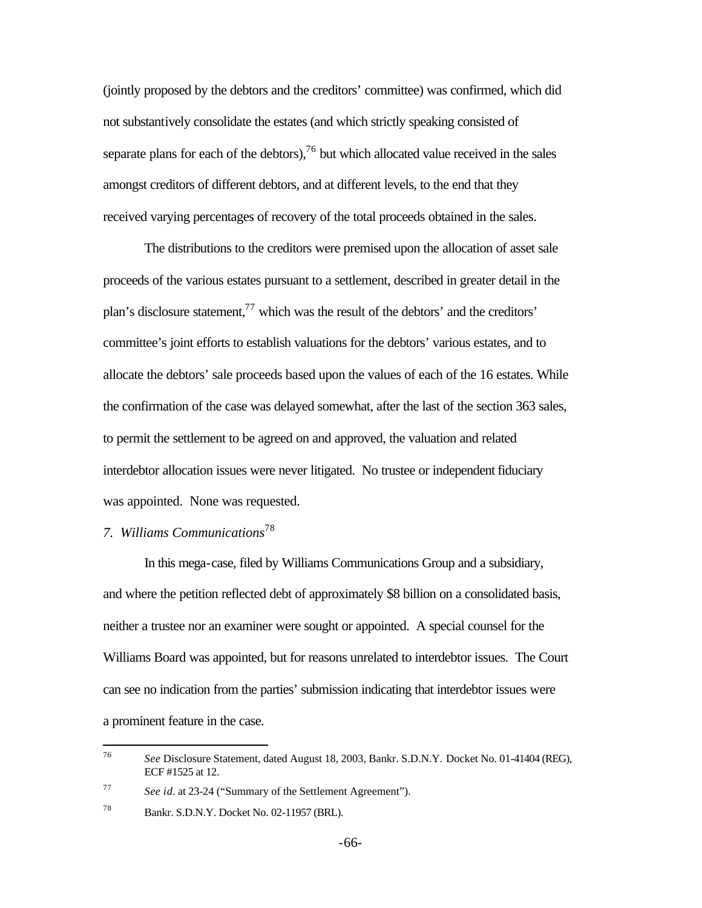(jointly proposed by the debtors and the creditors' committee) was confirmed, which did not substantively consolidate the estates (and which strictly speaking consisted of separate plans for each of the debtors),  $^{76}$  but which allocated value received in the sales amongst creditors of different debtors, and at different levels, to the end that they received varying percentages of recovery of the total proceeds obtained in the sales.

The distributions to the creditors were premised upon the allocation of asset sale proceeds of the various estates pursuant to a settlement, described in greater detail in the plan's disclosure statement,  $^{77}$  which was the result of the debtors' and the creditors' committee's joint efforts to establish valuations for the debtors' various estates, and to allocate the debtors' sale proceeds based upon the values of each of the 16 estates. While the confirmation of the case was delayed somewhat, after the last of the section 363 sales, to permit the settlement to be agreed on and approved, the valuation and related interdebtor allocation issues were never litigated. No trustee or independent fiduciary was appointed. None was requested.

# *7. Williams Communications*<sup>78</sup>

In this mega-case, filed by Williams Communications Group and a subsidiary, and where the petition reflected debt of approximately \$8 billion on a consolidated basis, neither a trustee nor an examiner were sought or appointed. A special counsel for the Williams Board was appointed, but for reasons unrelated to interdebtor issues. The Court can see no indication from the parties' submission indicating that interdebtor issues were a prominent feature in the case.

<sup>76</sup> <sup>76</sup> *See* Disclosure Statement, dated August 18, 2003, Bankr. S.D.N.Y. Docket No. 01-41404 (REG), ECF #1525 at 12.

<sup>77</sup> *See id.* at 23-24 ("Summary of the Settlement Agreement").

<sup>78</sup> Bankr. S.D.N.Y. Docket No. 02-11957 (BRL).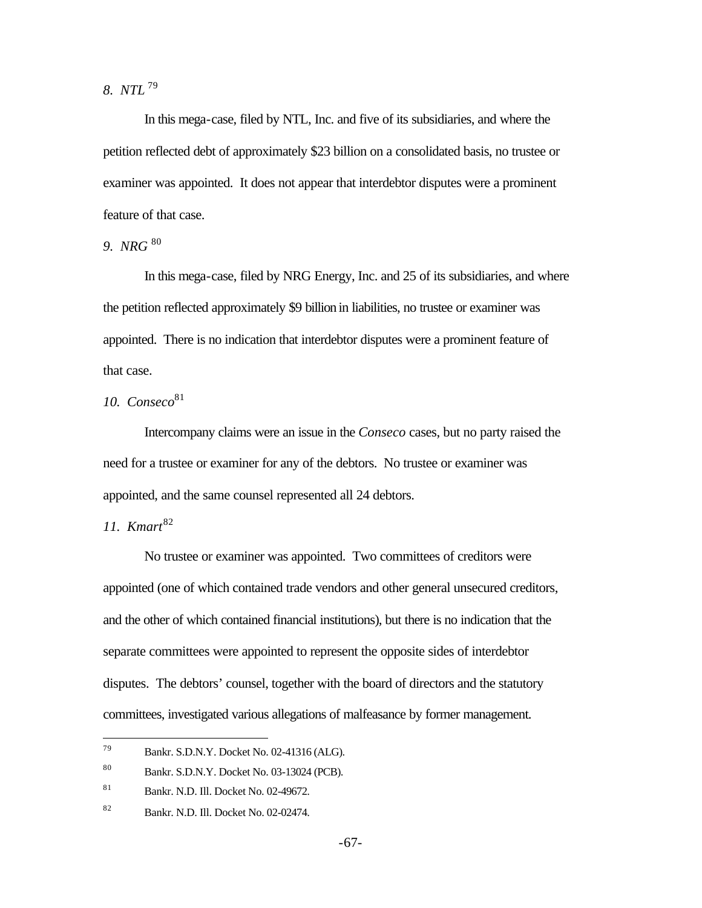*8. NTL* <sup>79</sup>

In this mega-case, filed by NTL, Inc. and five of its subsidiaries, and where the petition reflected debt of approximately \$23 billion on a consolidated basis, no trustee or examiner was appointed. It does not appear that interdebtor disputes were a prominent feature of that case.

*9. NRG* <sup>80</sup>

In this mega-case, filed by NRG Energy, Inc. and 25 of its subsidiaries, and where the petition reflected approximately \$9 billion in liabilities, no trustee or examiner was appointed. There is no indication that interdebtor disputes were a prominent feature of that case.

# *10. Conseco*<sup>81</sup>

Intercompany claims were an issue in the *Conseco* cases, but no party raised the need for a trustee or examiner for any of the debtors. No trustee or examiner was appointed, and the same counsel represented all 24 debtors.

# *11. Kmart*<sup>82</sup>

 $\overline{a}$ 

No trustee or examiner was appointed. Two committees of creditors were appointed (one of which contained trade vendors and other general unsecured creditors, and the other of which contained financial institutions), but there is no indication that the separate committees were appointed to represent the opposite sides of interdebtor disputes. The debtors' counsel, together with the board of directors and the statutory committees, investigated various allegations of malfeasance by former management.

<sup>79</sup> Bankr. S.D.N.Y. Docket No. 02-41316 (ALG).

<sup>80</sup> Bankr. S.D.N.Y. Docket No. 03-13024 (PCB).

<sup>81</sup> Bankr. N.D. Ill. Docket No. 02-49672.

<sup>82</sup> Bankr. N.D. Ill. Docket No. 02-02474.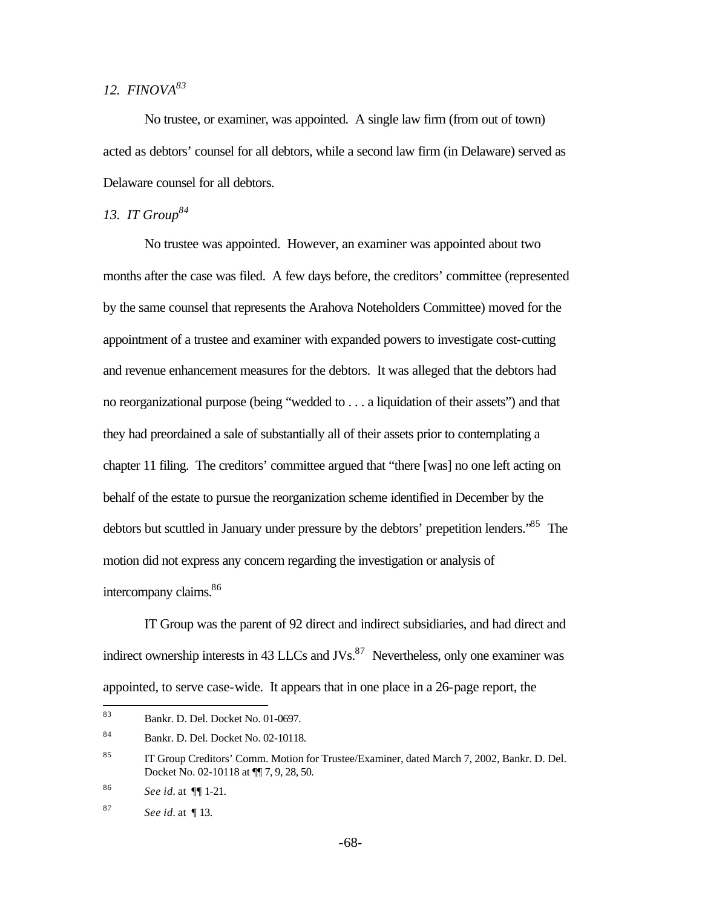# *12. FINOVA<sup>83</sup>*

No trustee, or examiner, was appointed. A single law firm (from out of town) acted as debtors' counsel for all debtors, while a second law firm (in Delaware) served as Delaware counsel for all debtors.

### *13. IT Group<sup>84</sup>*

No trustee was appointed. However, an examiner was appointed about two months after the case was filed. A few days before, the creditors' committee (represented by the same counsel that represents the Arahova Noteholders Committee) moved for the appointment of a trustee and examiner with expanded powers to investigate cost-cutting and revenue enhancement measures for the debtors. It was alleged that the debtors had no reorganizational purpose (being "wedded to . . . a liquidation of their assets") and that they had preordained a sale of substantially all of their assets prior to contemplating a chapter 11 filing. The creditors' committee argued that "there [was] no one left acting on behalf of the estate to pursue the reorganization scheme identified in December by the debtors but scuttled in January under pressure by the debtors' prepetition lenders.<sup>85</sup> The motion did not express any concern regarding the investigation or analysis of intercompany claims.<sup>86</sup>

IT Group was the parent of 92 direct and indirect subsidiaries, and had direct and indirect ownership interests in 43 LLCs and JVs. $87$  Nevertheless, only one examiner was appointed, to serve case-wide. It appears that in one place in a 26-page report, the

<sup>83</sup> <sup>83</sup> Bankr. D. Del. Docket No. 01-0697.

<sup>84</sup> Bankr. D. Del. Docket No. 02-10118.

<sup>&</sup>lt;sup>85</sup> IT Group Creditors' Comm. Motion for Trustee/Examiner, dated March 7, 2002, Bankr. D. Del. Docket No. 02-10118 at ¶¶ 7, 9, 28, 50.

<sup>86</sup> *See id.* at ¶¶ 1-21.

<sup>87</sup> *See id.* at ¶ 13.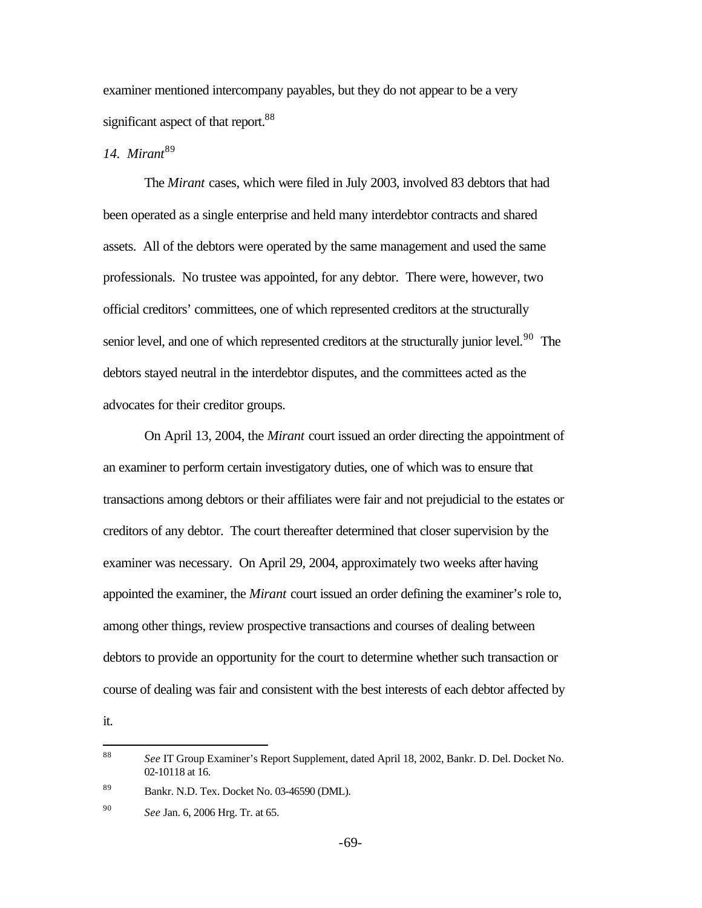examiner mentioned intercompany payables, but they do not appear to be a very significant aspect of that report.<sup>88</sup>

# 14. Mirant<sup>89</sup>

The *Mirant* cases, which were filed in July 2003, involved 83 debtors that had been operated as a single enterprise and held many interdebtor contracts and shared assets. All of the debtors were operated by the same management and used the same professionals. No trustee was appointed, for any debtor. There were, however, two official creditors' committees, one of which represented creditors at the structurally senior level, and one of which represented creditors at the structurally junior level.<sup>90</sup> The debtors stayed neutral in the interdebtor disputes, and the committees acted as the advocates for their creditor groups.

On April 13, 2004, the *Mirant* court issued an order directing the appointment of an examiner to perform certain investigatory duties, one of which was to ensure that transactions among debtors or their affiliates were fair and not prejudicial to the estates or creditors of any debtor. The court thereafter determined that closer supervision by the examiner was necessary. On April 29, 2004, approximately two weeks after having appointed the examiner, the *Mirant* court issued an order defining the examiner's role to, among other things, review prospective transactions and courses of dealing between debtors to provide an opportunity for the court to determine whether such transaction or course of dealing was fair and consistent with the best interests of each debtor affected by

it.

<sup>88</sup> <sup>88</sup> *See* IT Group Examiner's Report Supplement, dated April 18, 2002, Bankr. D. Del. Docket No. 02-10118 at 16.

<sup>89</sup> Bankr. N.D. Tex. Docket No. 03-46590 (DML).

<sup>90</sup> *See* Jan. 6, 2006 Hrg. Tr. at 65.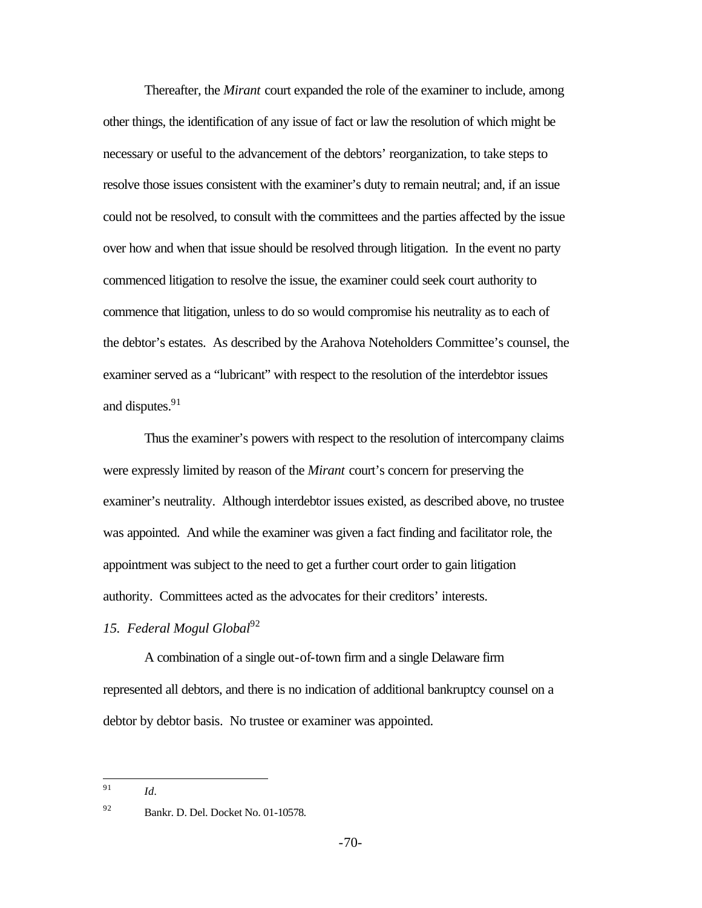Thereafter, the *Mirant* court expanded the role of the examiner to include, among other things, the identification of any issue of fact or law the resolution of which might be necessary or useful to the advancement of the debtors' reorganization, to take steps to resolve those issues consistent with the examiner's duty to remain neutral; and, if an issue could not be resolved, to consult with the committees and the parties affected by the issue over how and when that issue should be resolved through litigation. In the event no party commenced litigation to resolve the issue, the examiner could seek court authority to commence that litigation, unless to do so would compromise his neutrality as to each of the debtor's estates. As described by the Arahova Noteholders Committee's counsel, the examiner served as a "lubricant" with respect to the resolution of the interdebtor issues and disputes.<sup>91</sup>

Thus the examiner's powers with respect to the resolution of intercompany claims were expressly limited by reason of the *Mirant* court's concern for preserving the examiner's neutrality. Although interdebtor issues existed, as described above, no trustee was appointed. And while the examiner was given a fact finding and facilitator role, the appointment was subject to the need to get a further court order to gain litigation authority. Committees acted as the advocates for their creditors' interests.

## *15. Federal Mogul Global*<sup>92</sup>

A combination of a single out-of-town firm and a single Delaware firm represented all debtors, and there is no indication of additional bankruptcy counsel on a debtor by debtor basis. No trustee or examiner was appointed.

<sup>91</sup> *Id.*

<sup>91</sup> 

<sup>92</sup> Bankr. D. Del. Docket No. 01-10578.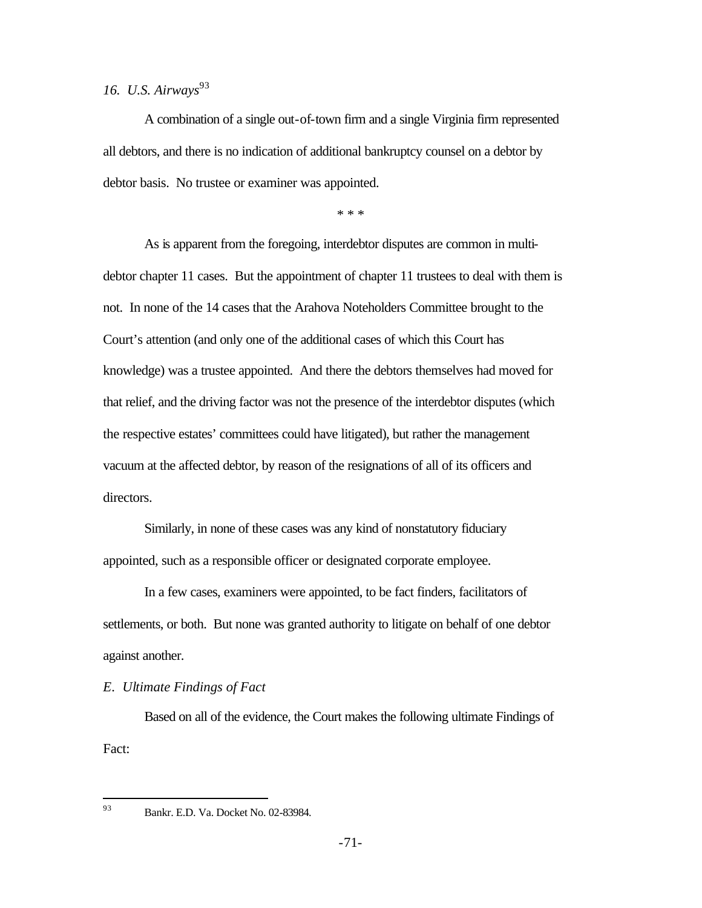# 16. U.S. Airways<sup>93</sup>

A combination of a single out-of-town firm and a single Virginia firm represented all debtors, and there is no indication of additional bankruptcy counsel on a debtor by debtor basis. No trustee or examiner was appointed.

\* \* \*

As is apparent from the foregoing, interdebtor disputes are common in multidebtor chapter 11 cases. But the appointment of chapter 11 trustees to deal with them is not. In none of the 14 cases that the Arahova Noteholders Committee brought to the Court's attention (and only one of the additional cases of which this Court has knowledge) was a trustee appointed. And there the debtors themselves had moved for that relief, and the driving factor was not the presence of the interdebtor disputes (which the respective estates' committees could have litigated), but rather the management vacuum at the affected debtor, by reason of the resignations of all of its officers and directors.

Similarly, in none of these cases was any kind of nonstatutory fiduciary appointed, such as a responsible officer or designated corporate employee.

In a few cases, examiners were appointed, to be fact finders, facilitators of settlements, or both. But none was granted authority to litigate on behalf of one debtor against another.

*E. Ultimate Findings of Fact*

Based on all of the evidence, the Court makes the following ultimate Findings of Fact:

93

<sup>93</sup> Bankr. E.D. Va. Docket No. 02-83984.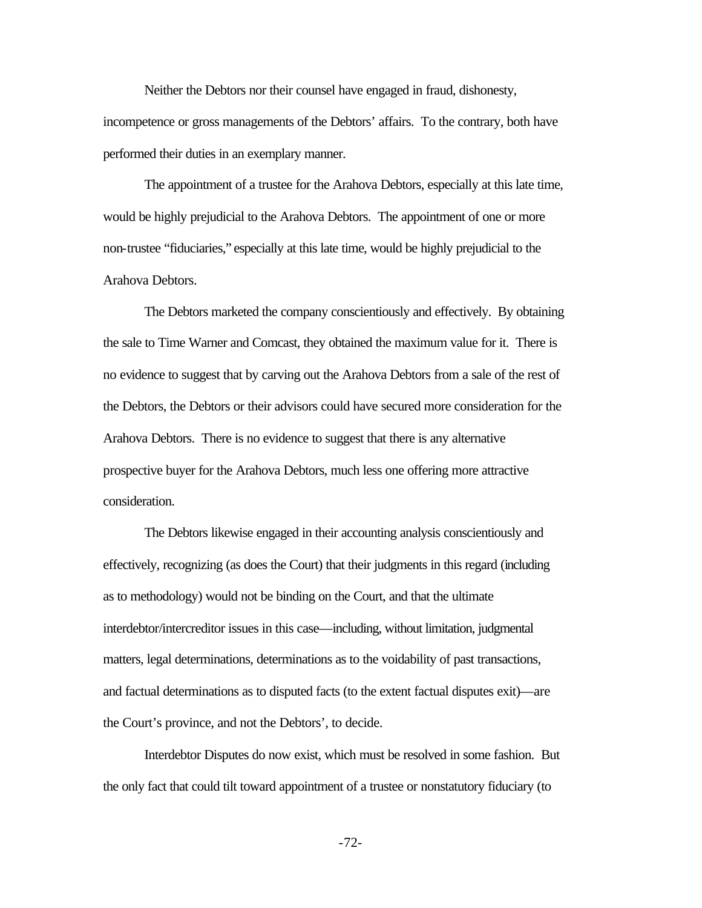Neither the Debtors nor their counsel have engaged in fraud, dishonesty, incompetence or gross managements of the Debtors' affairs. To the contrary, both have performed their duties in an exemplary manner.

The appointment of a trustee for the Arahova Debtors, especially at this late time, would be highly prejudicial to the Arahova Debtors. The appointment of one or more non-trustee "fiduciaries," especially at this late time, would be highly prejudicial to the Arahova Debtors.

The Debtors marketed the company conscientiously and effectively. By obtaining the sale to Time Warner and Comcast, they obtained the maximum value for it. There is no evidence to suggest that by carving out the Arahova Debtors from a sale of the rest of the Debtors, the Debtors or their advisors could have secured more consideration for the Arahova Debtors. There is no evidence to suggest that there is any alternative prospective buyer for the Arahova Debtors, much less one offering more attractive consideration.

The Debtors likewise engaged in their accounting analysis conscientiously and effectively, recognizing (as does the Court) that their judgments in this regard (including as to methodology) would not be binding on the Court, and that the ultimate interdebtor/intercreditor issues in this case—including, without limitation, judgmental matters, legal determinations, determinations as to the voidability of past transactions, and factual determinations as to disputed facts (to the extent factual disputes exit)—are the Court's province, and not the Debtors', to decide.

Interdebtor Disputes do now exist, which must be resolved in some fashion. But the only fact that could tilt toward appointment of a trustee or nonstatutory fiduciary (to

-72-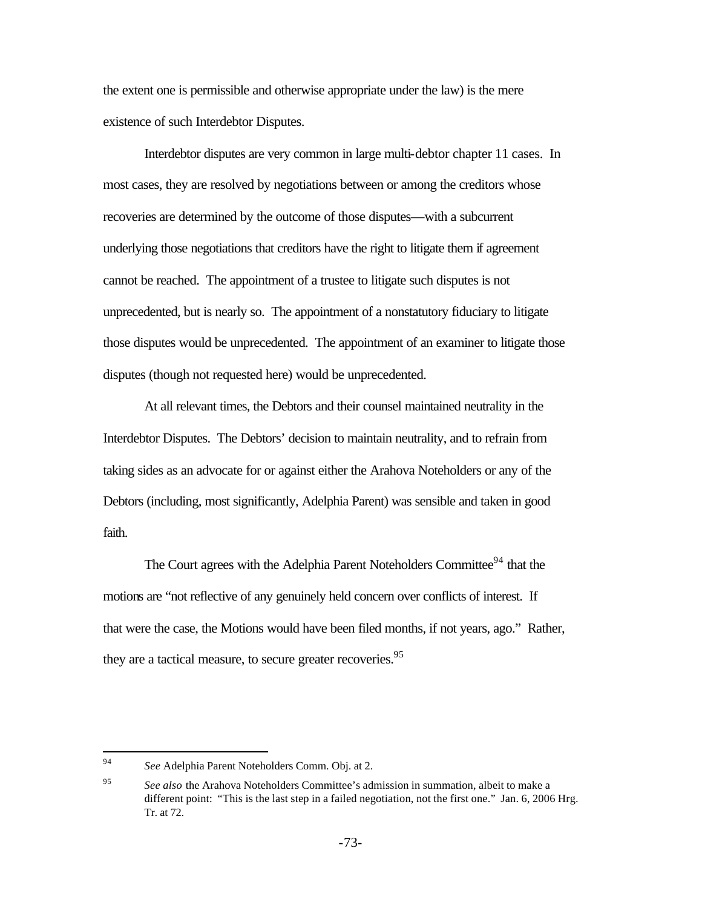the extent one is permissible and otherwise appropriate under the law) is the mere existence of such Interdebtor Disputes.

Interdebtor disputes are very common in large multi-debtor chapter 11 cases. In most cases, they are resolved by negotiations between or among the creditors whose recoveries are determined by the outcome of those disputes—with a subcurrent underlying those negotiations that creditors have the right to litigate them if agreement cannot be reached. The appointment of a trustee to litigate such disputes is not unprecedented, but is nearly so. The appointment of a nonstatutory fiduciary to litigate those disputes would be unprecedented. The appointment of an examiner to litigate those disputes (though not requested here) would be unprecedented.

At all relevant times, the Debtors and their counsel maintained neutrality in the Interdebtor Disputes. The Debtors' decision to maintain neutrality, and to refrain from taking sides as an advocate for or against either the Arahova Noteholders or any of the Debtors (including, most significantly, Adelphia Parent) was sensible and taken in good faith.

The Court agrees with the Adelphia Parent Noteholders Committee<sup>94</sup> that the motions are "not reflective of any genuinely held concern over conflicts of interest. If that were the case, the Motions would have been filed months, if not years, ago." Rather, they are a tactical measure, to secure greater recoveries.<sup>95</sup>

<sup>94</sup> See Adelphia Parent Noteholders Comm. Obj. at 2.

<sup>95</sup> *See also* the Arahova Noteholders Committee's admission in summation, albeit to make a different point: "This is the last step in a failed negotiation, not the first one." Jan. 6, 2006 Hrg. Tr. at 72.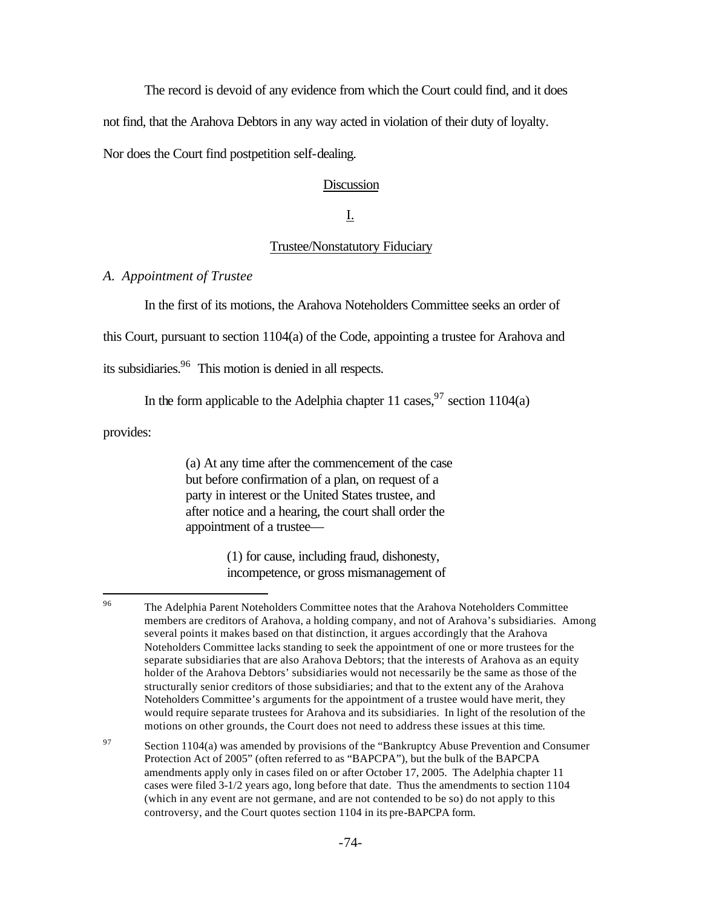The record is devoid of any evidence from which the Court could find, and it does

not find, that the Arahova Debtors in any way acted in violation of their duty of loyalty.

Nor does the Court find postpetition self-dealing.

### Discussion

# I.

#### Trustee/Nonstatutory Fiduciary

#### *A. Appointment of Trustee*

In the first of its motions, the Arahova Noteholders Committee seeks an order of

this Court, pursuant to section 1104(a) of the Code, appointing a trustee for Arahova and

its subsidiaries.<sup>96</sup> This motion is denied in all respects.

In the form applicable to the Adelphia chapter 11 cases,  $97$  section 1104(a)

provides:

(a) At any time after the commencement of the case but before confirmation of a plan, on request of a party in interest or the United States trustee, and after notice and a hearing, the court shall order the appointment of a trustee—

> (1) for cause, including fraud, dishonesty, incompetence, or gross mismanagement of

<sup>96</sup> <sup>96</sup> The Adelphia Parent Noteholders Committee notes that the Arahova Noteholders Committee members are creditors of Arahova, a holding company, and not of Arahova's subsidiaries. Among several points it makes based on that distinction, it argues accordingly that the Arahova Noteholders Committee lacks standing to seek the appointment of one or more trustees for the separate subsidiaries that are also Arahova Debtors; that the interests of Arahova as an equity holder of the Arahova Debtors' subsidiaries would not necessarily be the same as those of the structurally senior creditors of those subsidiaries; and that to the extent any of the Arahova Noteholders Committee's arguments for the appointment of a trustee would have merit, they would require separate trustees for Arahova and its subsidiaries. In light of the resolution of the motions on other grounds, the Court does not need to address these issues at this time.

 $97$  Section 1104(a) was amended by provisions of the "Bankruptcy Abuse Prevention and Consumer Protection Act of 2005" (often referred to as "BAPCPA"), but the bulk of the BAPCPA amendments apply only in cases filed on or after October 17, 2005. The Adelphia chapter 11 cases were filed 3-1/2 years ago, long before that date. Thus the amendments to section 1104 (which in any event are not germane, and are not contended to be so) do not apply to this controversy, and the Court quotes section 1104 in its pre-BAPCPA form.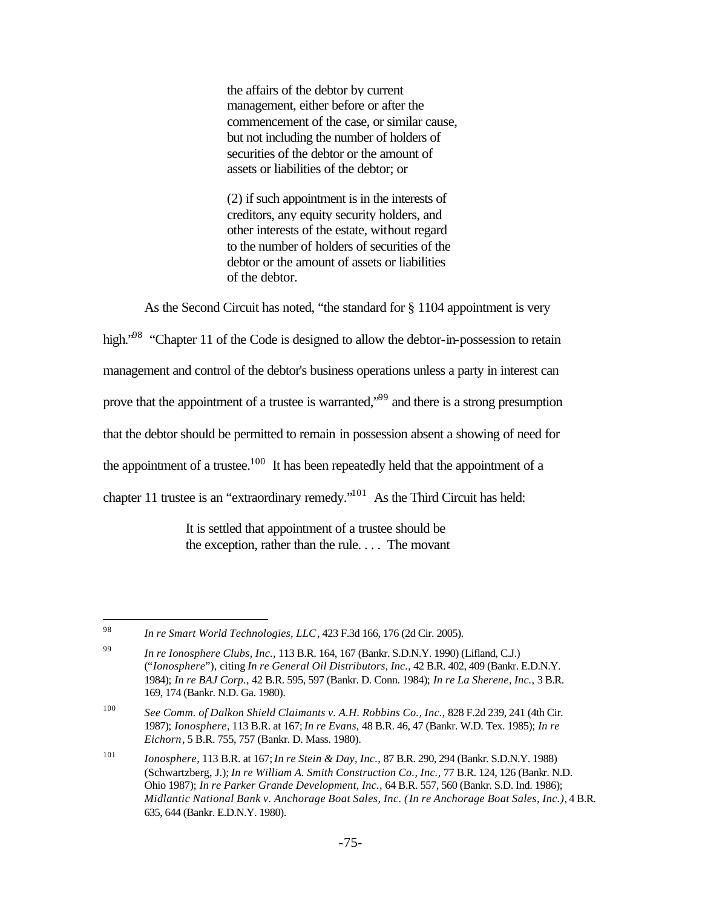the affairs of the debtor by current management, either before or after the commencement of the case, or similar cause, but not including the number of holders of securities of the debtor or the amount of assets or liabilities of the debtor; or

(2) if such appointment is in the interests of creditors, any equity security holders, and other interests of the estate, without regard to the number of holders of securities of the debtor or the amount of assets or liabilities of the debtor.

As the Second Circuit has noted, "the standard for § 1104 appointment is very

high.<sup>"98</sup> "Chapter 11 of the Code is designed to allow the debtor-in-possession to retain management and control of the debtor's business operations unless a party in interest can prove that the appointment of a trustee is warranted,"<sup>99</sup> and there is a strong presumption that the debtor should be permitted to remain in possession absent a showing of need for the appointment of a trustee.<sup>100</sup> It has been repeatedly held that the appointment of a chapter 11 trustee is an "extraordinary remedy."<sup>101</sup> As the Third Circuit has held:

> It is settled that appointment of a trustee should be the exception, rather than the rule. . . . The movant

<sup>98</sup> <sup>98</sup> *In re Smart World Technologies, LLC*, 423 F.3d 166, 176 (2d Cir. 2005).

<sup>99</sup> *In re Ionosphere Clubs, Inc.,* 113 B.R. 164, 167 (Bankr. S.D.N.Y. 1990) (Lifland, C.J.) ("*Ionosphere*"), citing *In re General Oil Distributors, Inc.,* 42 B.R. 402, 409 (Bankr. E.D.N.Y. 1984); *In re BAJ Corp.,* 42 B.R. 595, 597 (Bankr. D. Conn. 1984); *In re La Sherene, Inc.,* 3 B.R. 169, 174 (Bankr. N.D. Ga. 1980).

<sup>100</sup> *See Comm. of Dalkon Shield Claimants v. A.H. Robbins Co., Inc.,* 828 F.2d 239, 241 (4th Cir. 1987); *Ionosphere*, 113 B.R. at 167; *In re Evans,* 48 B.R. 46, 47 (Bankr. W.D. Tex. 1985); *In re Eichorn,* 5 B.R. 755, 757 (Bankr. D. Mass. 1980).

<sup>101</sup> *Ionosphere*, 113 B.R. at 167; *In re Stein & Day, Inc.,* 87 B.R. 290, 294 (Bankr. S.D.N.Y. 1988) (Schwartzberg, J.); *In re William A. Smith Construction Co., Inc.,* 77 B.R. 124, 126 (Bankr. N.D. Ohio 1987); *In re Parker Grande Development, Inc.,* 64 B.R. 557, 560 (Bankr. S.D. Ind. 1986); *Midlantic National Bank v. Anchorage Boat Sales, Inc. (In re Anchorage Boat Sales, Inc.),* 4 B.R. 635, 644 (Bankr. E.D.N.Y. 1980).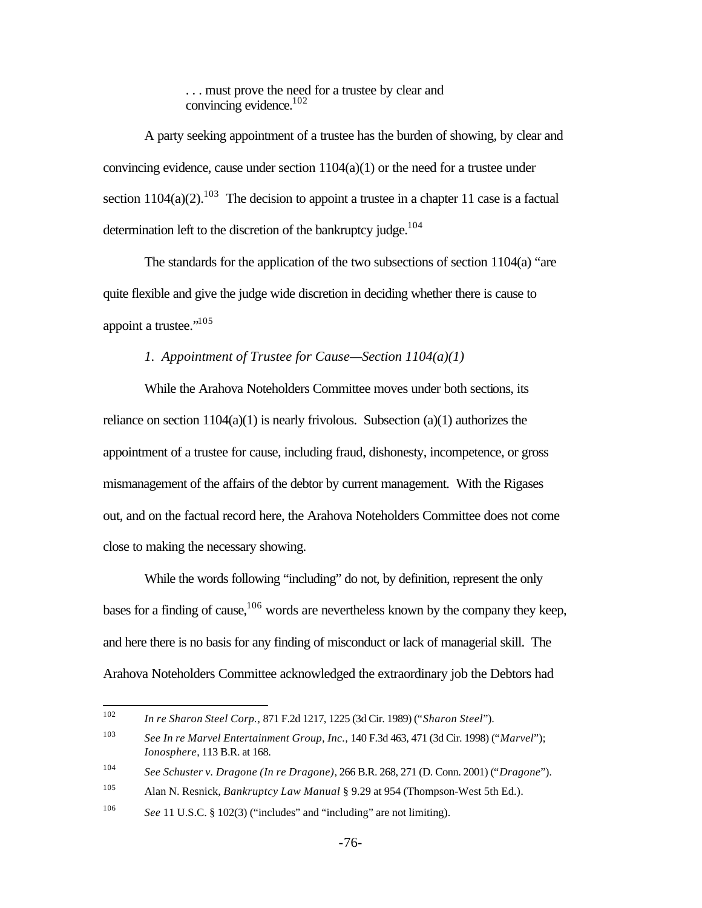. . . must prove the need for a trustee by clear and convincing evidence. $102$ 

A party seeking appointment of a trustee has the burden of showing, by clear and convincing evidence, cause under section  $1104(a)(1)$  or the need for a trustee under section  $1104(a)(2)$ <sup>103</sup>. The decision to appoint a trustee in a chapter 11 case is a factual determination left to the discretion of the bankruptcy judge.<sup>104</sup>

The standards for the application of the two subsections of section 1104(a) "are quite flexible and give the judge wide discretion in deciding whether there is cause to appoint a trustee."<sup>105</sup>

## *1. Appointment of Trustee for Cause—Section 1104(a)(1)*

While the Arahova Noteholders Committee moves under both sections, its reliance on section  $1104(a)(1)$  is nearly frivolous. Subsection  $(a)(1)$  authorizes the appointment of a trustee for cause, including fraud, dishonesty, incompetence, or gross mismanagement of the affairs of the debtor by current management. With the Rigases out, and on the factual record here, the Arahova Noteholders Committee does not come close to making the necessary showing.

While the words following "including" do not, by definition, represent the only bases for a finding of cause,  $106$  words are nevertheless known by the company they keep, and here there is no basis for any finding of misconduct or lack of managerial skill. The Arahova Noteholders Committee acknowledged the extraordinary job the Debtors had

<sup>102</sup> <sup>102</sup> *In re Sharon Steel Corp.,* 871 F.2d 1217, 1225 (3d Cir. 1989) ("*Sharon Steel*").

<sup>103</sup> *See In re Marvel Entertainment Group, Inc.,* 140 F.3d 463, 471 (3d Cir. 1998) ("*Marvel*"); *Ionosphere*, 113 B.R. at 168.

<sup>104</sup> *See Schuster v. Dragone (In re Dragone)*, 266 B.R. 268, 271 (D. Conn. 2001) ("*Dragone*").

<sup>105</sup> Alan N. Resnick, *Bankruptcy Law Manual* § 9.29 at 954 (Thompson-West 5th Ed.).

<sup>&</sup>lt;sup>106</sup> *See* 11 U.S.C. § 102(3) ("includes" and "including" are not limiting).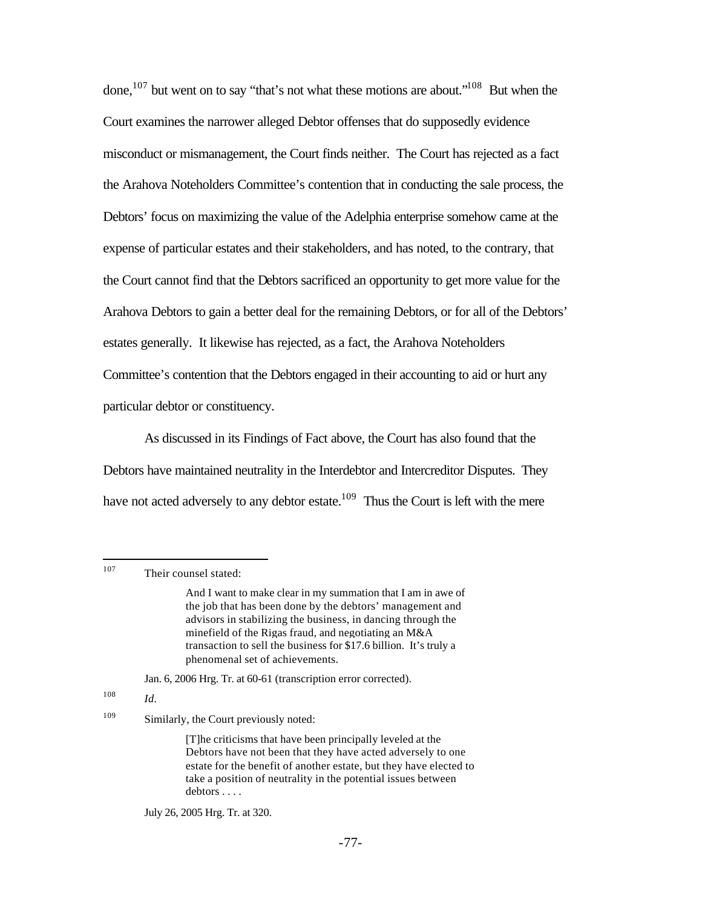done,<sup>107</sup> but went on to say "that's not what these motions are about."<sup>108</sup> But when the Court examines the narrower alleged Debtor offenses that do supposedly evidence misconduct or mismanagement, the Court finds neither. The Court has rejected as a fact the Arahova Noteholders Committee's contention that in conducting the sale process, the Debtors' focus on maximizing the value of the Adelphia enterprise somehow came at the expense of particular estates and their stakeholders, and has noted, to the contrary, that the Court cannot find that the Debtors sacrificed an opportunity to get more value for the Arahova Debtors to gain a better deal for the remaining Debtors, or for all of the Debtors' estates generally. It likewise has rejected, as a fact, the Arahova Noteholders Committee's contention that the Debtors engaged in their accounting to aid or hurt any particular debtor or constituency.

As discussed in its Findings of Fact above, the Court has also found that the Debtors have maintained neutrality in the Interdebtor and Intercreditor Disputes. They have not acted adversely to any debtor estate.<sup>109</sup> Thus the Court is left with the mere

107 Their counsel stated:

Jan. 6, 2006 Hrg. Tr. at 60-61 (transcription error corrected).

<sup>108</sup> *Id.*

### <sup>109</sup> Similarly, the Court previously noted:

[T]he criticisms that have been principally leveled at the Debtors have not been that they have acted adversely to one estate for the benefit of another estate, but they have elected to take a position of neutrality in the potential issues between debtors . . . .

July 26, 2005 Hrg. Tr. at 320.

And I want to make clear in my summation that I am in awe of the job that has been done by the debtors' management and advisors in stabilizing the business, in dancing through the minefield of the Rigas fraud, and negotiating an M&A transaction to sell the business for \$17.6 billion. It's truly a phenomenal set of achievements.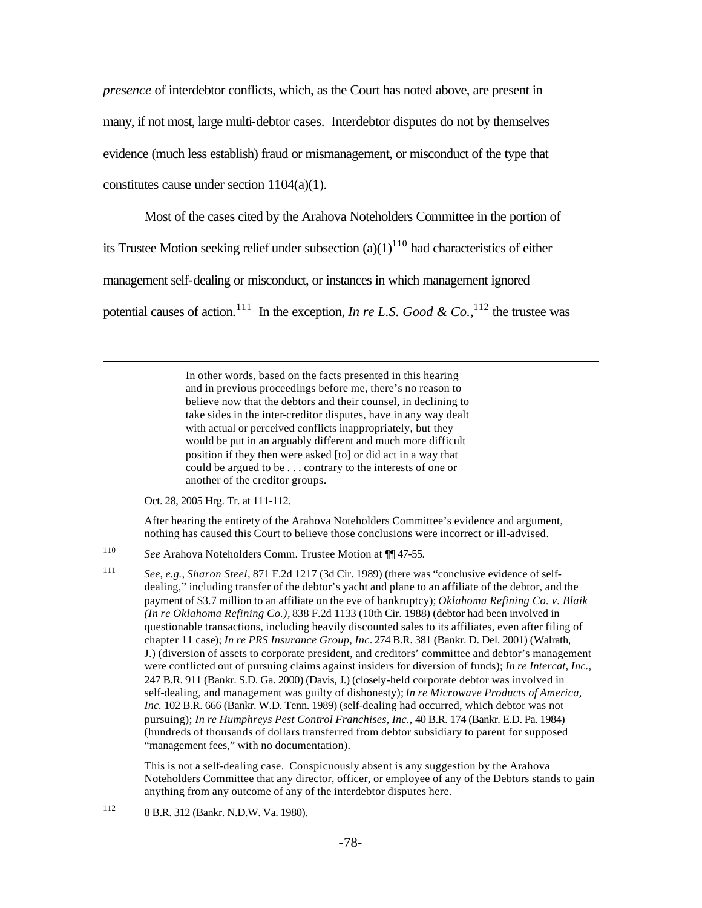*presence* of interdebtor conflicts, which, as the Court has noted above, are present in many, if not most, large multi-debtor cases. Interdebtor disputes do not by themselves evidence (much less establish) fraud or mismanagement, or misconduct of the type that constitutes cause under section 1104(a)(1).

Most of the cases cited by the Arahova Noteholders Committee in the portion of

its Trustee Motion seeking relief under subsection  $(a)(1)^{110}$  had characteristics of either

management self-dealing or misconduct, or instances in which management ignored

potential causes of action.<sup>111</sup> In the exception, *In re L.S. Good & Co.*,<sup>112</sup> the trustee was

In other words, based on the facts presented in this hearing and in previous proceedings before me, there's no reason to believe now that the debtors and their counsel, in declining to take sides in the inter-creditor disputes, have in any way dealt with actual or perceived conflicts inappropriately, but they would be put in an arguably different and much more difficult position if they then were asked [to] or did act in a way that could be argued to be . . . contrary to the interests of one or another of the creditor groups.

Oct. 28, 2005 Hrg. Tr. at 111-112.

 $\overline{a}$ 

After hearing the entirety of the Arahova Noteholders Committee's evidence and argument, nothing has caused this Court to believe those conclusions were incorrect or ill-advised.

- <sup>110</sup> *See* Arahova Noteholders Comm. Trustee Motion at ¶¶ 47-55.
- <sup>111</sup> *See, e.g., Sharon Steel*, 871 F.2d 1217 (3d Cir. 1989) (there was "conclusive evidence of selfdealing," including transfer of the debtor's yacht and plane to an affiliate of the debtor, and the payment of \$3.7 million to an affiliate on the eve of bankruptcy); *Oklahoma Refining Co. v. Blaik (In re Oklahoma Refining Co.),* 838 F.2d 1133 (10th Cir. 1988) (debtor had been involved in questionable transactions, including heavily discounted sales to its affiliates, even after filing of chapter 11 case); *In re PRS Insurance Group, Inc*. 274 B.R. 381 (Bankr. D. Del. 2001) (Walrath, J.) (diversion of assets to corporate president, and creditors' committee and debtor's management were conflicted out of pursuing claims against insiders for diversion of funds); *In re Intercat, Inc.,*  247 B.R. 911 (Bankr. S.D. Ga. 2000) (Davis, J.) (closely-held corporate debtor was involved in self-dealing, and management was guilty of dishonesty); *In re Microwave Products of America, Inc.* 102 B.R. 666 (Bankr. W.D. Tenn. 1989) (self-dealing had occurred, which debtor was not pursuing); *In re Humphreys Pest Control Franchises, Inc.,* 40 B.R. 174 (Bankr. E.D. Pa. 1984) (hundreds of thousands of dollars transferred from debtor subsidiary to parent for supposed "management fees," with no documentation).

This is not a self-dealing case. Conspicuously absent is any suggestion by the Arahova Noteholders Committee that any director, officer, or employee of any of the Debtors stands to gain anything from any outcome of any of the interdebtor disputes here.

<sup>112</sup> 8 B.R. 312 (Bankr. N.D.W. Va. 1980).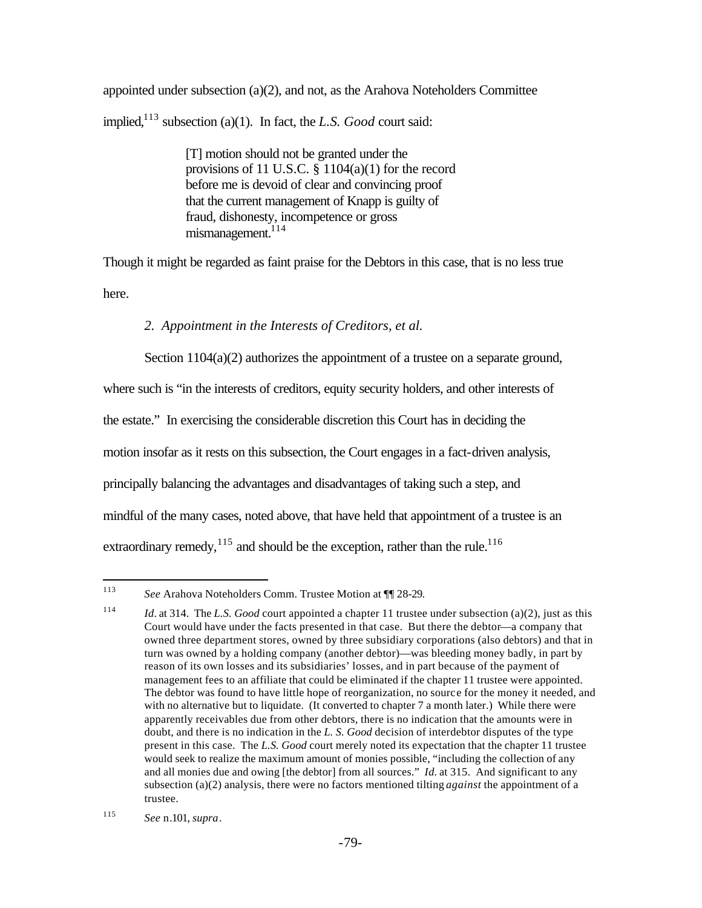appointed under subsection  $(a)(2)$ , and not, as the Arahova Noteholders Committee implied,<sup>113</sup> subsection (a)(1). In fact, the *L.S. Good* court said:

> [T] motion should not be granted under the provisions of 11 U.S.C. § 1104(a)(1) for the record before me is devoid of clear and convincing proof that the current management of Knapp is guilty of fraud, dishonesty, incompetence or gross  $mismanaeement.<sup>114</sup>$

Though it might be regarded as faint praise for the Debtors in this case, that is no less true here.

## *2. Appointment in the Interests of Creditors, et al.*

Section 1104(a)(2) authorizes the appointment of a trustee on a separate ground,

where such is "in the interests of creditors, equity security holders, and other interests of the estate." In exercising the considerable discretion this Court has in deciding the motion insofar as it rests on this subsection, the Court engages in a fact-driven analysis, principally balancing the advantages and disadvantages of taking such a step, and mindful of the many cases, noted above, that have held that appointment of a trustee is an extraordinary remedy,  $^{115}$  and should be the exception, rather than the rule.<sup>116</sup>

 $\overline{a}$ <sup>113</sup> *See* Arahova Noteholders Comm. Trustee Motion at ¶¶ 28-29.

<sup>114</sup> *Id.* at 314. The *L.S. Good* court appointed a chapter 11 trustee under subsection (a)(2), just as this Court would have under the facts presented in that case. But there the debtor—a company that owned three department stores, owned by three subsidiary corporations (also debtors) and that in turn was owned by a holding company (another debtor)—was bleeding money badly, in part by reason of its own losses and its subsidiaries' losses, and in part because of the payment of management fees to an affiliate that could be eliminated if the chapter 11 trustee were appointed. The debtor was found to have little hope of reorganization, no source for the money it needed, and with no alternative but to liquidate. (It converted to chapter 7 a month later.) While there were apparently receivables due from other debtors, there is no indication that the amounts were in doubt, and there is no indication in the *L. S. Good* decision of interdebtor disputes of the type present in this case. The *L.S. Good* court merely noted its expectation that the chapter 11 trustee would seek to realize the maximum amount of monies possible, "including the collection of any and all monies due and owing [the debtor] from all sources." *Id.* at 315. And significant to any subsection (a)(2) analysis, there were no factors mentioned tilting *against* the appointment of a trustee.

<sup>115</sup> *See* n.101, *supra*.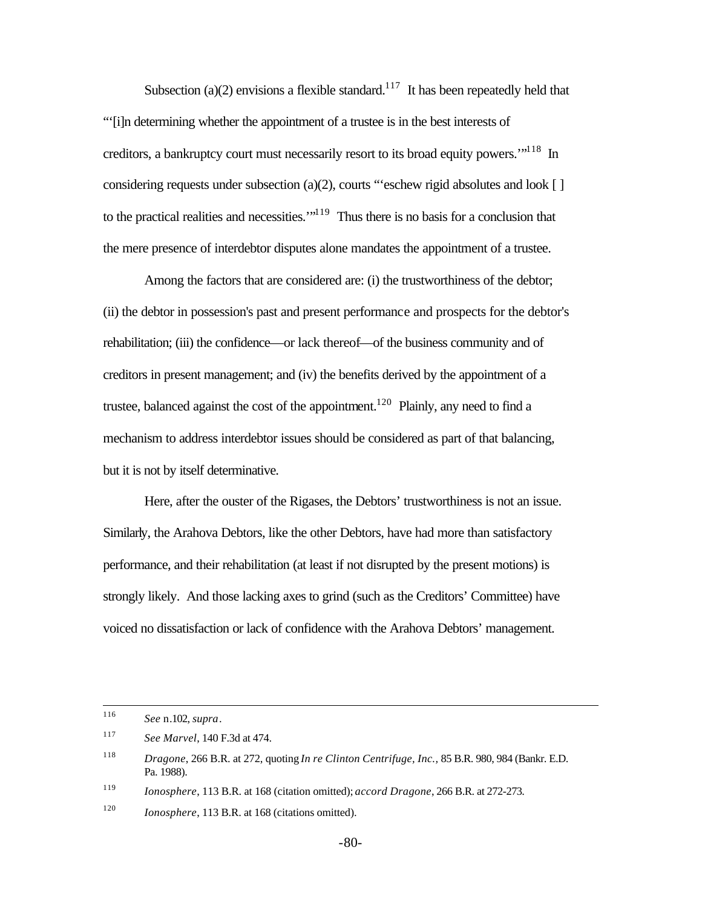Subsection (a)(2) envisions a flexible standard.<sup>117</sup> It has been repeatedly held that "'[i]n determining whether the appointment of a trustee is in the best interests of creditors, a bankruptcy court must necessarily resort to its broad equity powers.<sup>"118</sup> In considering requests under subsection (a)(2), courts "'eschew rigid absolutes and look [ ] to the practical realities and necessities. $1^{19}$  Thus there is no basis for a conclusion that the mere presence of interdebtor disputes alone mandates the appointment of a trustee.

Among the factors that are considered are: (i) the trustworthiness of the debtor; (ii) the debtor in possession's past and present performance and prospects for the debtor's rehabilitation; (iii) the confidence—or lack thereof—of the business community and of creditors in present management; and (iv) the benefits derived by the appointment of a trustee, balanced against the cost of the appointment.<sup>120</sup> Plainly, any need to find a mechanism to address interdebtor issues should be considered as part of that balancing, but it is not by itself determinative.

Here, after the ouster of the Rigases, the Debtors' trustworthiness is not an issue. Similarly, the Arahova Debtors, like the other Debtors, have had more than satisfactory performance, and their rehabilitation (at least if not disrupted by the present motions) is strongly likely. And those lacking axes to grind (such as the Creditors' Committee) have voiced no dissatisfaction or lack of confidence with the Arahova Debtors' management.

<sup>116</sup> <sup>116</sup> *See* n.102, *supra*.

<sup>117</sup> *See Marvel*, 140 F.3d at 474.

<sup>118</sup> *Dragone*, 266 B.R. at 272, quoting *In re Clinton Centrifuge, Inc.,* 85 B.R. 980, 984 (Bankr. E.D. Pa. 1988).

<sup>119</sup> *Ionosphere*, 113 B.R. at 168 (citation omitted); *accord Dragone*, 266 B.R. at 272-273.

<sup>120</sup> *Ionosphere*, 113 B.R. at 168 (citations omitted).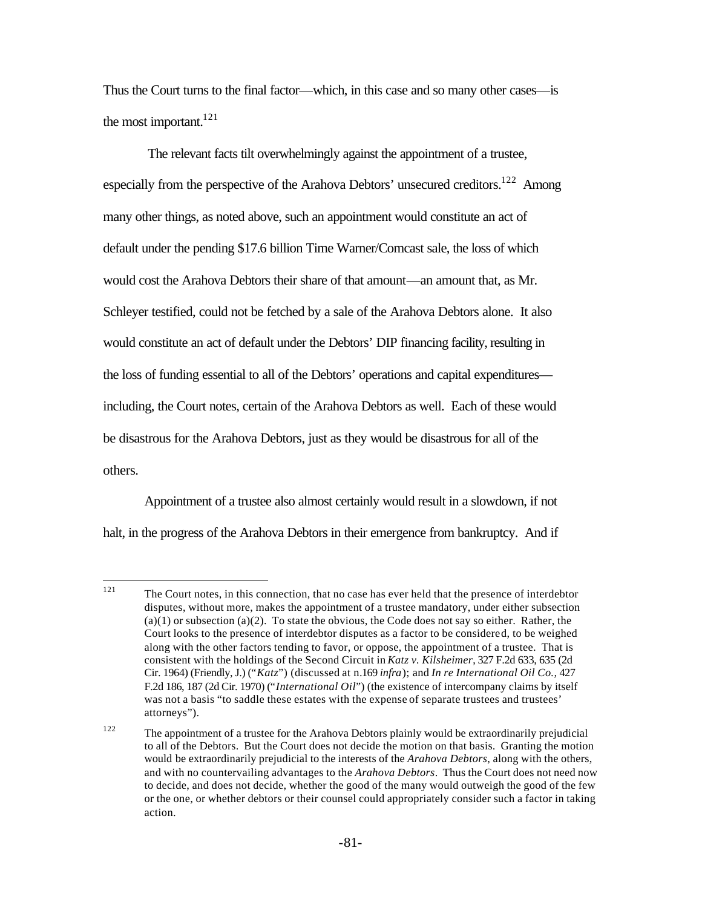Thus the Court turns to the final factor—which, in this case and so many other cases—is the most important.<sup>121</sup>

 The relevant facts tilt overwhelmingly against the appointment of a trustee, especially from the perspective of the Arahova Debtors' unsecured creditors.<sup>122</sup> Among many other things, as noted above, such an appointment would constitute an act of default under the pending \$17.6 billion Time Warner/Comcast sale, the loss of which would cost the Arahova Debtors their share of that amount—an amount that, as Mr. Schleyer testified, could not be fetched by a sale of the Arahova Debtors alone. It also would constitute an act of default under the Debtors' DIP financing facility, resulting in the loss of funding essential to all of the Debtors' operations and capital expenditures including, the Court notes, certain of the Arahova Debtors as well. Each of these would be disastrous for the Arahova Debtors, just as they would be disastrous for all of the others.

Appointment of a trustee also almost certainly would result in a slowdown, if not halt, in the progress of the Arahova Debtors in their emergence from bankruptcy. And if

<sup>121</sup> The Court notes, in this connection, that no case has ever held that the presence of interdebtor disputes, without more, makes the appointment of a trustee mandatory, under either subsection  $(a)(1)$  or subsection  $(a)(2)$ . To state the obvious, the Code does not say so either. Rather, the Court looks to the presence of interdebtor disputes as a factor to be considered, to be weighed along with the other factors tending to favor, or oppose, the appointment of a trustee. That is consistent with the holdings of the Second Circuit in *Katz v. Kilsheimer*, 327 F.2d 633, 635 (2d Cir. 1964) (Friendly, J.) ("*Katz*") (discussed at n.169 *infra*); and *In re International Oil Co.,* 427 F.2d 186, 187 (2d Cir. 1970) ("*International Oil*") (the existence of intercompany claims by itself was not a basis "to saddle these estates with the expense of separate trustees and trustees' attorneys").

<sup>&</sup>lt;sup>122</sup> The appointment of a trustee for the Arahova Debtors plainly would be extraordinarily prejudicial to all of the Debtors. But the Court does not decide the motion on that basis. Granting the motion would be extraordinarily prejudicial to the interests of the *Arahova Debtors*, along with the others, and with no countervailing advantages to the *Arahova Debtors*. Thus the Court does not need now to decide, and does not decide, whether the good of the many would outweigh the good of the few or the one, or whether debtors or their counsel could appropriately consider such a factor in taking action.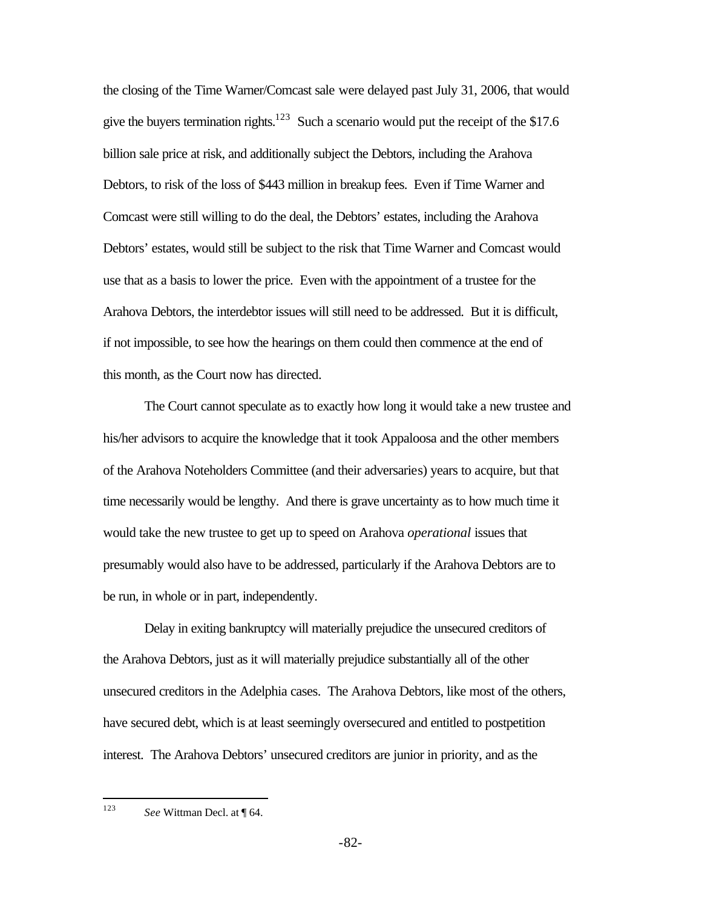the closing of the Time Warner/Comcast sale were delayed past July 31, 2006, that would give the buyers termination rights.<sup>123</sup> Such a scenario would put the receipt of the \$17.6 billion sale price at risk, and additionally subject the Debtors, including the Arahova Debtors, to risk of the loss of \$443 million in breakup fees. Even if Time Warner and Comcast were still willing to do the deal, the Debtors' estates, including the Arahova Debtors' estates, would still be subject to the risk that Time Warner and Comcast would use that as a basis to lower the price. Even with the appointment of a trustee for the Arahova Debtors, the interdebtor issues will still need to be addressed. But it is difficult, if not impossible, to see how the hearings on them could then commence at the end of this month, as the Court now has directed.

The Court cannot speculate as to exactly how long it would take a new trustee and his/her advisors to acquire the knowledge that it took Appaloosa and the other members of the Arahova Noteholders Committee (and their adversaries) years to acquire, but that time necessarily would be lengthy. And there is grave uncertainty as to how much time it would take the new trustee to get up to speed on Arahova *operational* issues that presumably would also have to be addressed, particularly if the Arahova Debtors are to be run, in whole or in part, independently.

Delay in exiting bankruptcy will materially prejudice the unsecured creditors of the Arahova Debtors, just as it will materially prejudice substantially all of the other unsecured creditors in the Adelphia cases. The Arahova Debtors, like most of the others, have secured debt, which is at least seemingly oversecured and entitled to postpetition interest. The Arahova Debtors' unsecured creditors are junior in priority, and as the

<sup>123</sup> See Wittman Decl. at ¶ 64.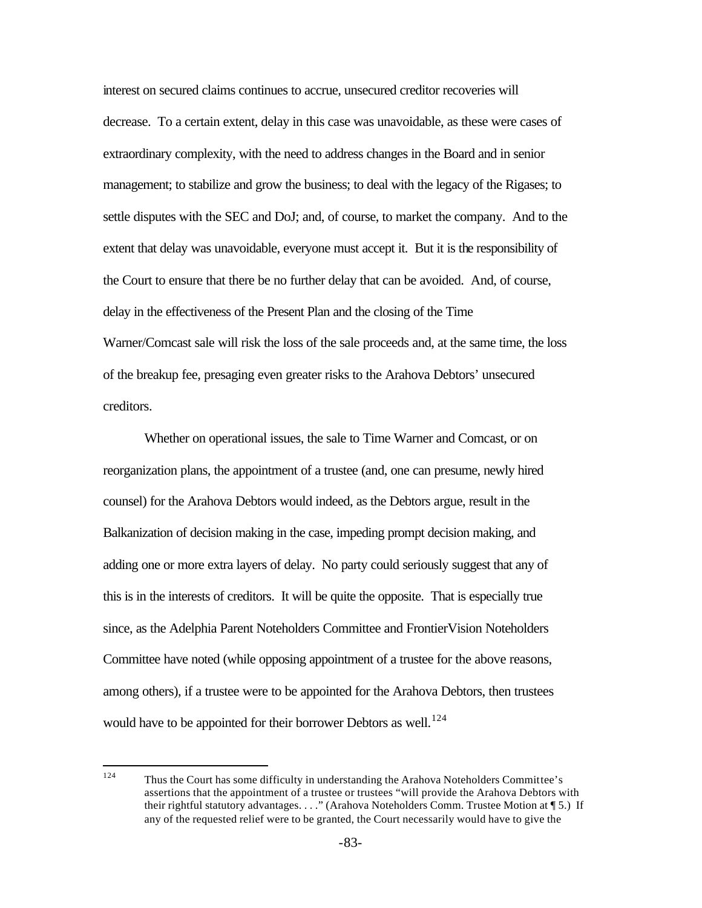interest on secured claims continues to accrue, unsecured creditor recoveries will decrease. To a certain extent, delay in this case was unavoidable, as these were cases of extraordinary complexity, with the need to address changes in the Board and in senior management; to stabilize and grow the business; to deal with the legacy of the Rigases; to settle disputes with the SEC and DoJ; and, of course, to market the company. And to the extent that delay was unavoidable, everyone must accept it. But it is the responsibility of the Court to ensure that there be no further delay that can be avoided. And, of course, delay in the effectiveness of the Present Plan and the closing of the Time Warner/Comcast sale will risk the loss of the sale proceeds and, at the same time, the loss of the breakup fee, presaging even greater risks to the Arahova Debtors' unsecured creditors.

Whether on operational issues, the sale to Time Warner and Comcast, or on reorganization plans, the appointment of a trustee (and, one can presume, newly hired counsel) for the Arahova Debtors would indeed, as the Debtors argue, result in the Balkanization of decision making in the case, impeding prompt decision making, and adding one or more extra layers of delay. No party could seriously suggest that any of this is in the interests of creditors. It will be quite the opposite. That is especially true since, as the Adelphia Parent Noteholders Committee and FrontierVision Noteholders Committee have noted (while opposing appointment of a trustee for the above reasons, among others), if a trustee were to be appointed for the Arahova Debtors, then trustees would have to be appointed for their borrower Debtors as well.<sup>124</sup>

<sup>124</sup> Thus the Court has some difficulty in understanding the Arahova Noteholders Committee's assertions that the appointment of a trustee or trustees "will provide the Arahova Debtors with their rightful statutory advantages. . . ." (Arahova Noteholders Comm. Trustee Motion at ¶ 5.) If any of the requested relief were to be granted, the Court necessarily would have to give the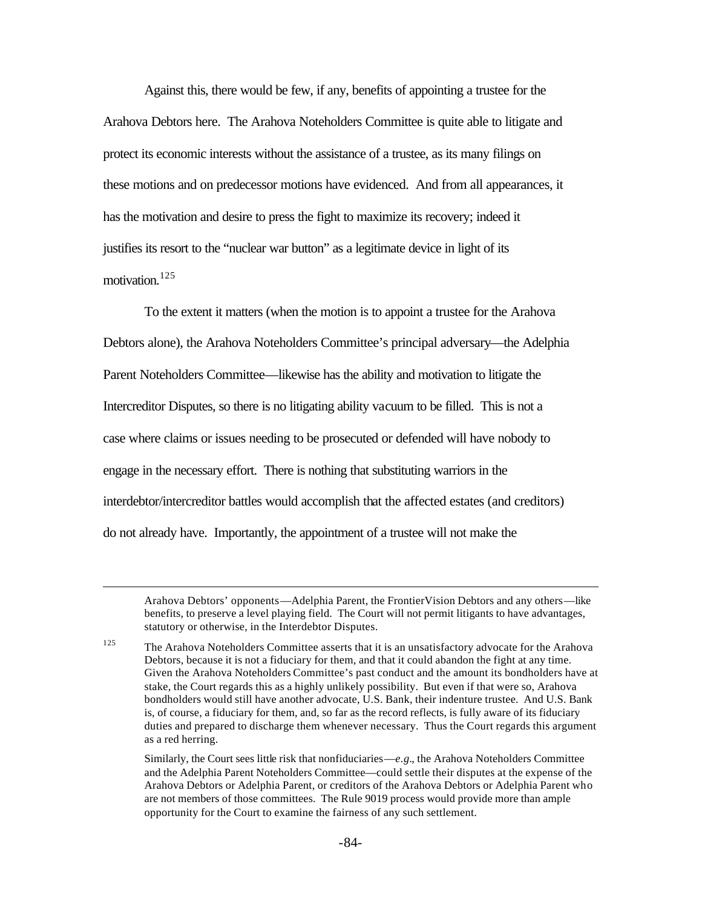Against this, there would be few, if any, benefits of appointing a trustee for the Arahova Debtors here. The Arahova Noteholders Committee is quite able to litigate and protect its economic interests without the assistance of a trustee, as its many filings on these motions and on predecessor motions have evidenced. And from all appearances, it has the motivation and desire to press the fight to maximize its recovery; indeed it justifies its resort to the "nuclear war button" as a legitimate device in light of its motivation.<sup>125</sup>

To the extent it matters (when the motion is to appoint a trustee for the Arahova Debtors alone), the Arahova Noteholders Committee's principal adversary—the Adelphia Parent Noteholders Committee—likewise has the ability and motivation to litigate the Intercreditor Disputes, so there is no litigating ability vacuum to be filled. This is not a case where claims or issues needing to be prosecuted or defended will have nobody to engage in the necessary effort. There is nothing that substituting warriors in the interdebtor/intercreditor battles would accomplish that the affected estates (and creditors) do not already have. Importantly, the appointment of a trustee will not make the

 $\overline{a}$ 

Arahova Debtors' opponents—Adelphia Parent, the FrontierVision Debtors and any others—like benefits, to preserve a level playing field. The Court will not permit litigants to have advantages, statutory or otherwise, in the Interdebtor Disputes.

<sup>&</sup>lt;sup>125</sup> The Arahova Noteholders Committee asserts that it is an unsatisfactory advocate for the Arahova Debtors, because it is not a fiduciary for them, and that it could abandon the fight at any time. Given the Arahova Noteholders Committee's past conduct and the amount its bondholders have at stake, the Court regards this as a highly unlikely possibility. But even if that were so, Arahova bondholders would still have another advocate, U.S. Bank, their indenture trustee. And U.S. Bank is, of course, a fiduciary for them, and, so far as the record reflects, is fully aware of its fiduciary duties and prepared to discharge them whenever necessary. Thus the Court regards this argument as a red herring.

Similarly, the Court sees little risk that nonfiduciaries—*e.g.*, the Arahova Noteholders Committee and the Adelphia Parent Noteholders Committee—could settle their disputes at the expense of the Arahova Debtors or Adelphia Parent, or creditors of the Arahova Debtors or Adelphia Parent who are not members of those committees. The Rule 9019 process would provide more than ample opportunity for the Court to examine the fairness of any such settlement.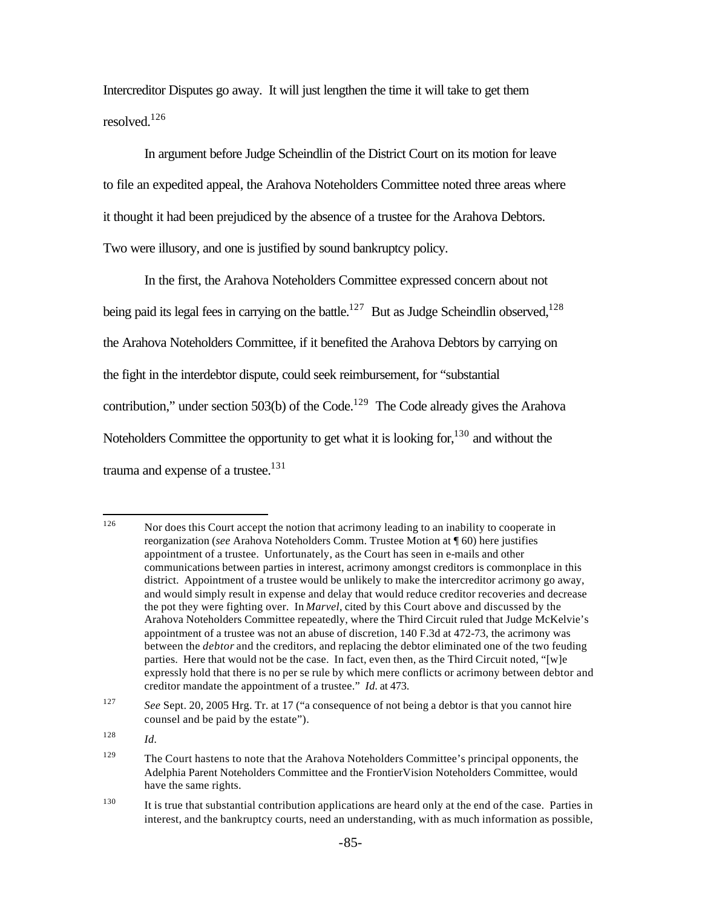Intercreditor Disputes go away. It will just lengthen the time it will take to get them resolved.<sup>126</sup>

In argument before Judge Scheindlin of the District Court on its motion for leave to file an expedited appeal, the Arahova Noteholders Committee noted three areas where it thought it had been prejudiced by the absence of a trustee for the Arahova Debtors. Two were illusory, and one is justified by sound bankruptcy policy.

In the first, the Arahova Noteholders Committee expressed concern about not being paid its legal fees in carrying on the battle.<sup>127</sup> But as Judge Scheindlin observed,<sup>128</sup> the Arahova Noteholders Committee, if it benefited the Arahova Debtors by carrying on the fight in the interdebtor dispute, could seek reimbursement, for "substantial contribution," under section 503(b) of the Code.<sup>129</sup> The Code already gives the Arahova Noteholders Committee the opportunity to get what it is looking for,  $130$  and without the trauma and expense of a trustee. $131$ 

<sup>126</sup> Nor does this Court accept the notion that acrimony leading to an inability to cooperate in reorganization (*see* Arahova Noteholders Comm. Trustee Motion at ¶ 60) here justifies appointment of a trustee. Unfortunately, as the Court has seen in e-mails and other communications between parties in interest, acrimony amongst creditors is commonplace in this district. Appointment of a trustee would be unlikely to make the intercreditor acrimony go away, and would simply result in expense and delay that would reduce creditor recoveries and decrease the pot they were fighting over. In *Marvel*, cited by this Court above and discussed by the Arahova Noteholders Committee repeatedly, where the Third Circuit ruled that Judge McKelvie's appointment of a trustee was not an abuse of discretion, 140 F.3d at 472-73, the acrimony was between the *debtor* and the creditors, and replacing the debtor eliminated one of the two feuding parties. Here that would not be the case. In fact, even then, as the Third Circuit noted, "[w]e expressly hold that there is no per se rule by which mere conflicts or acrimony between debtor and creditor mandate the appointment of a trustee." *Id.* at 473.

<sup>127</sup> *See* Sept. 20, 2005 Hrg. Tr. at 17 ("a consequence of not being a debtor is that you cannot hire counsel and be paid by the estate").

<sup>128</sup> *Id.*

<sup>&</sup>lt;sup>129</sup> The Court hastens to note that the Arahova Noteholders Committee's principal opponents, the Adelphia Parent Noteholders Committee and the FrontierVision Noteholders Committee, would have the same rights.

<sup>&</sup>lt;sup>130</sup> It is true that substantial contribution applications are heard only at the end of the case. Parties in interest, and the bankruptcy courts, need an understanding, with as much information as possible,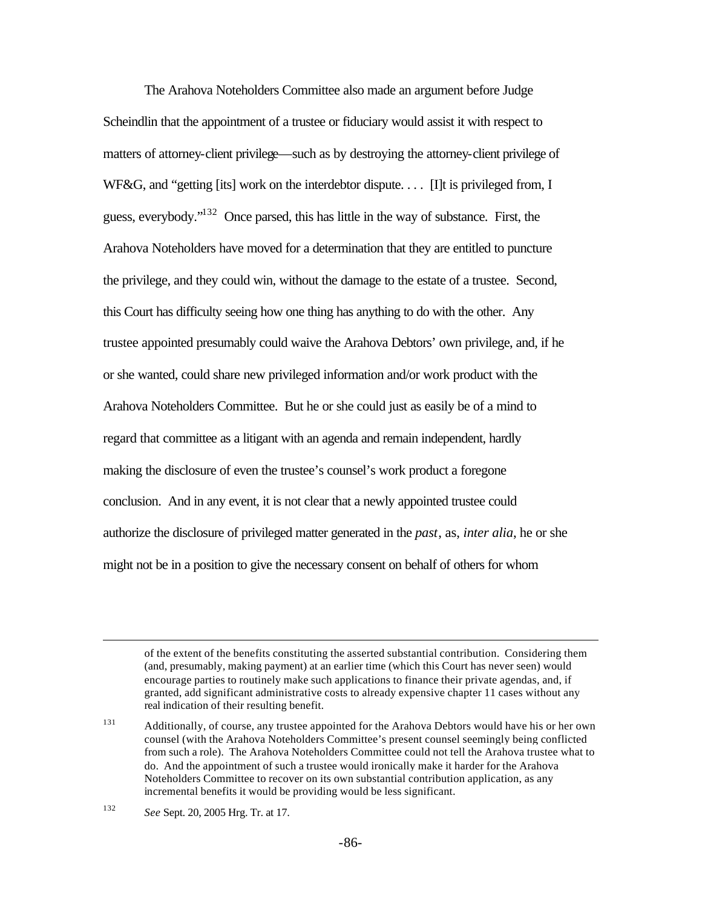The Arahova Noteholders Committee also made an argument before Judge Scheindlin that the appointment of a trustee or fiduciary would assist it with respect to matters of attorney-client privilege—such as by destroying the attorney-client privilege of WF&G, and "getting [its] work on the interdebtor dispute.... [I]t is privileged from, I guess, everybody."<sup>132</sup> Once parsed, this has little in the way of substance. First, the Arahova Noteholders have moved for a determination that they are entitled to puncture the privilege, and they could win, without the damage to the estate of a trustee. Second, this Court has difficulty seeing how one thing has anything to do with the other. Any trustee appointed presumably could waive the Arahova Debtors' own privilege, and, if he or she wanted, could share new privileged information and/or work product with the Arahova Noteholders Committee. But he or she could just as easily be of a mind to regard that committee as a litigant with an agenda and remain independent, hardly making the disclosure of even the trustee's counsel's work product a foregone conclusion. And in any event, it is not clear that a newly appointed trustee could authorize the disclosure of privileged matter generated in the *past*, as, *inter alia*, he or she might not be in a position to give the necessary consent on behalf of others for whom

of the extent of the benefits constituting the asserted substantial contribution. Considering them (and, presumably, making payment) at an earlier time (which this Court has never seen) would encourage parties to routinely make such applications to finance their private agendas, and, if granted, add significant administrative costs to already expensive chapter 11 cases without any real indication of their resulting benefit.

<sup>131</sup> Additionally, of course, any trustee appointed for the Arahova Debtors would have his or her own counsel (with the Arahova Noteholders Committee's present counsel seemingly being conflicted from such a role). The Arahova Noteholders Committee could not tell the Arahova trustee what to do. And the appointment of such a trustee would ironically make it harder for the Arahova Noteholders Committee to recover on its own substantial contribution application, as any incremental benefits it would be providing would be less significant.

<sup>132</sup> *See* Sept. 20, 2005 Hrg. Tr. at 17.

 $\overline{a}$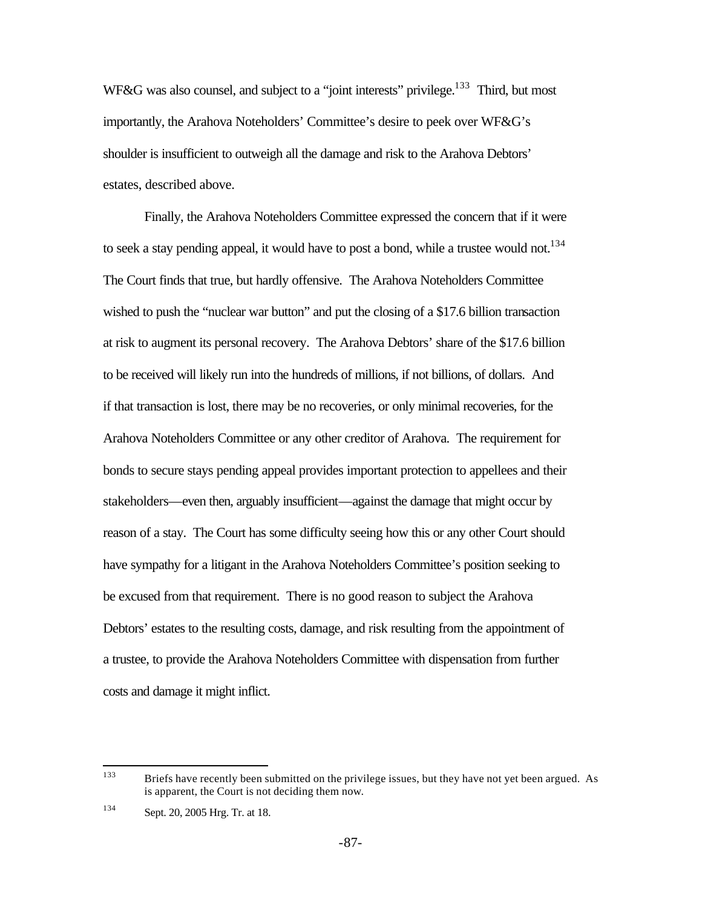WF&G was also counsel, and subject to a "joint interests" privilege.<sup>133</sup> Third, but most importantly, the Arahova Noteholders' Committee's desire to peek over WF&G's shoulder is insufficient to outweigh all the damage and risk to the Arahova Debtors' estates, described above.

Finally, the Arahova Noteholders Committee expressed the concern that if it were to seek a stay pending appeal, it would have to post a bond, while a trustee would not.<sup>134</sup> The Court finds that true, but hardly offensive. The Arahova Noteholders Committee wished to push the "nuclear war button" and put the closing of a \$17.6 billion transaction at risk to augment its personal recovery. The Arahova Debtors' share of the \$17.6 billion to be received will likely run into the hundreds of millions, if not billions, of dollars. And if that transaction is lost, there may be no recoveries, or only minimal recoveries, for the Arahova Noteholders Committee or any other creditor of Arahova. The requirement for bonds to secure stays pending appeal provides important protection to appellees and their stakeholders—even then, arguably insufficient—against the damage that might occur by reason of a stay. The Court has some difficulty seeing how this or any other Court should have sympathy for a litigant in the Arahova Noteholders Committee's position seeking to be excused from that requirement. There is no good reason to subject the Arahova Debtors' estates to the resulting costs, damage, and risk resulting from the appointment of a trustee, to provide the Arahova Noteholders Committee with dispensation from further costs and damage it might inflict.

<sup>133</sup> Briefs have recently been submitted on the privilege issues, but they have not yet been argued. As is apparent, the Court is not deciding them now.

<sup>134</sup> Sept. 20, 2005 Hrg. Tr. at 18.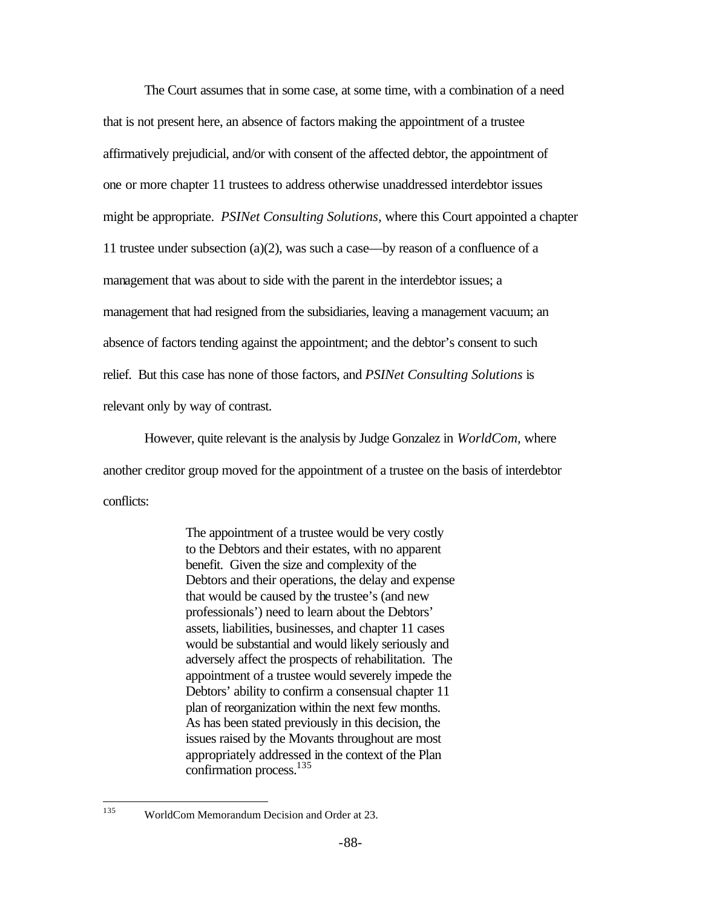The Court assumes that in some case, at some time, with a combination of a need that is not present here, an absence of factors making the appointment of a trustee affirmatively prejudicial, and/or with consent of the affected debtor, the appointment of one or more chapter 11 trustees to address otherwise unaddressed interdebtor issues might be appropriate. *PSINet Consulting Solutions,* where this Court appointed a chapter 11 trustee under subsection (a)(2), was such a case—by reason of a confluence of a management that was about to side with the parent in the interdebtor issues; a management that had resigned from the subsidiaries, leaving a management vacuum; an absence of factors tending against the appointment; and the debtor's consent to such relief. But this case has none of those factors, and *PSINet Consulting Solutions* is relevant only by way of contrast.

However, quite relevant is the analysis by Judge Gonzalez in *WorldCom,* where another creditor group moved for the appointment of a trustee on the basis of interdebtor conflicts:

> The appointment of a trustee would be very costly to the Debtors and their estates, with no apparent benefit. Given the size and complexity of the Debtors and their operations, the delay and expense that would be caused by the trustee's (and new professionals') need to learn about the Debtors' assets, liabilities, businesses, and chapter 11 cases would be substantial and would likely seriously and adversely affect the prospects of rehabilitation. The appointment of a trustee would severely impede the Debtors' ability to confirm a consensual chapter 11 plan of reorganization within the next few months. As has been stated previously in this decision, the issues raised by the Movants throughout are most appropriately addressed in the context of the Plan confirmation process.<sup>135</sup>

<sup>135</sup> WorldCom Memorandum Decision and Order at 23.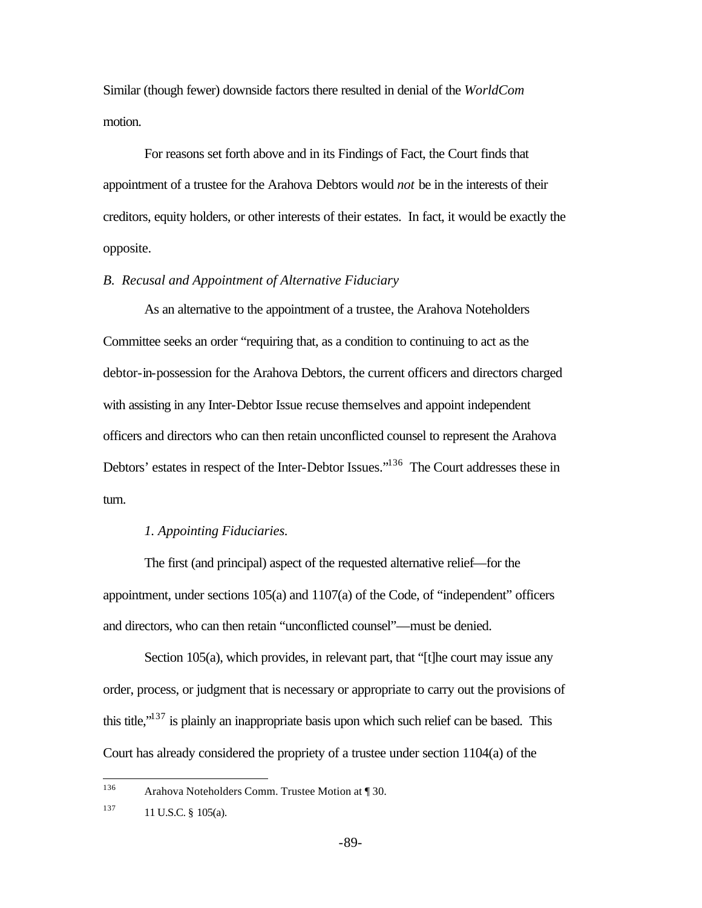Similar (though fewer) downside factors there resulted in denial of the *WorldCom* motion.

For reasons set forth above and in its Findings of Fact, the Court finds that appointment of a trustee for the Arahova Debtors would *not* be in the interests of their creditors, equity holders, or other interests of their estates. In fact, it would be exactly the opposite.

### *B. Recusal and Appointment of Alternative Fiduciary*

As an alternative to the appointment of a trustee, the Arahova Noteholders Committee seeks an order "requiring that, as a condition to continuing to act as the debtor-in-possession for the Arahova Debtors, the current officers and directors charged with assisting in any Inter-Debtor Issue recuse themselves and appoint independent officers and directors who can then retain unconflicted counsel to represent the Arahova Debtors' estates in respect of the Inter-Debtor Issues."<sup>136</sup> The Court addresses these in turn.

## *1. Appointing Fiduciaries.*

The first (and principal) aspect of the requested alternative relief—for the appointment, under sections 105(a) and 1107(a) of the Code, of "independent" officers and directors, who can then retain "unconflicted counsel"—must be denied.

Section 105(a), which provides, in relevant part, that "[t]he court may issue any order, process, or judgment that is necessary or appropriate to carry out the provisions of this title," $137$  is plainly an inappropriate basis upon which such relief can be based. This Court has already considered the propriety of a trustee under section 1104(a) of the

<sup>136</sup> Arahova Noteholders Comm. Trustee Motion at ¶ 30.

 $137$  11 U.S.C. § 105(a).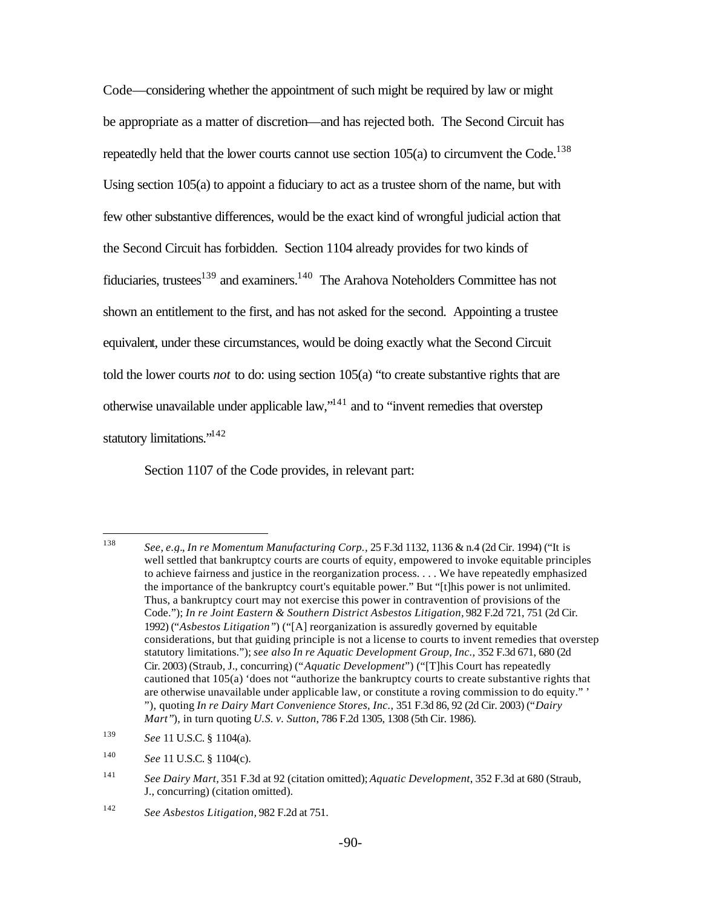Code—considering whether the appointment of such might be required by law or might be appropriate as a matter of discretion—and has rejected both. The Second Circuit has repeatedly held that the lower courts cannot use section  $105(a)$  to circumvent the Code.<sup>138</sup> Using section 105(a) to appoint a fiduciary to act as a trustee shorn of the name, but with few other substantive differences, would be the exact kind of wrongful judicial action that the Second Circuit has forbidden. Section 1104 already provides for two kinds of fiduciaries, trustees<sup>139</sup> and examiners.<sup>140</sup> The Arahova Noteholders Committee has not shown an entitlement to the first, and has not asked for the second. Appointing a trustee equivalent, under these circumstances, would be doing exactly what the Second Circuit told the lower courts *not* to do: using section 105(a) "to create substantive rights that are otherwise unavailable under applicable law,"<sup>141</sup> and to "invent remedies that overstep statutory limitations."<sup>142</sup>

Section 1107 of the Code provides, in relevant part:

<sup>138</sup> <sup>138</sup> *See*, *e.g.*, *In re Momentum Manufacturing Corp.,* 25 F.3d 1132, 1136 & n.4 (2d Cir. 1994) ("It is well settled that bankruptcy courts are courts of equity, empowered to invoke equitable principles to achieve fairness and justice in the reorganization process. . . . We have repeatedly emphasized the importance of the bankruptcy court's equitable power." But "[t]his power is not unlimited. Thus, a bankruptcy court may not exercise this power in contravention of provisions of the Code."); *In re Joint Eastern & Southern District Asbestos Litigation,* 982 F.2d 721, 751 (2d Cir. 1992) ("*Asbestos Litigation"*) ("[A] reorganization is assuredly governed by equitable considerations, but that guiding principle is not a license to courts to invent remedies that overstep statutory limitations."); *see also In re Aquatic Development Group, Inc.,* 352 F.3d 671, 680 (2d Cir. 2003) (Straub, J., concurring) ("*Aquatic Development*") ("[T]his Court has repeatedly cautioned that 105(a) 'does not "authorize the bankruptcy courts to create substantive rights that are otherwise unavailable under applicable law, or constitute a roving commission to do equity." ' "), quoting *In re Dairy Mart Convenience Stores, Inc.,* 351 F.3d 86, 92 (2d Cir. 2003) ("*Dairy Mart"*), in turn quoting *U.S. v. Sutton*, 786 F.2d 1305, 1308 (5th Cir. 1986).

<sup>139</sup> *See* 11 U.S.C. § 1104(a).

<sup>140</sup> *See* 11 U.S.C. § 1104(c).

<sup>141</sup> *See Dairy Mart,* 351 F.3d at 92 (citation omitted); *Aquatic Development*, 352 F.3d at 680 (Straub, J., concurring) (citation omitted).

<sup>142</sup> *See Asbestos Litigation,* 982 F.2d at 751.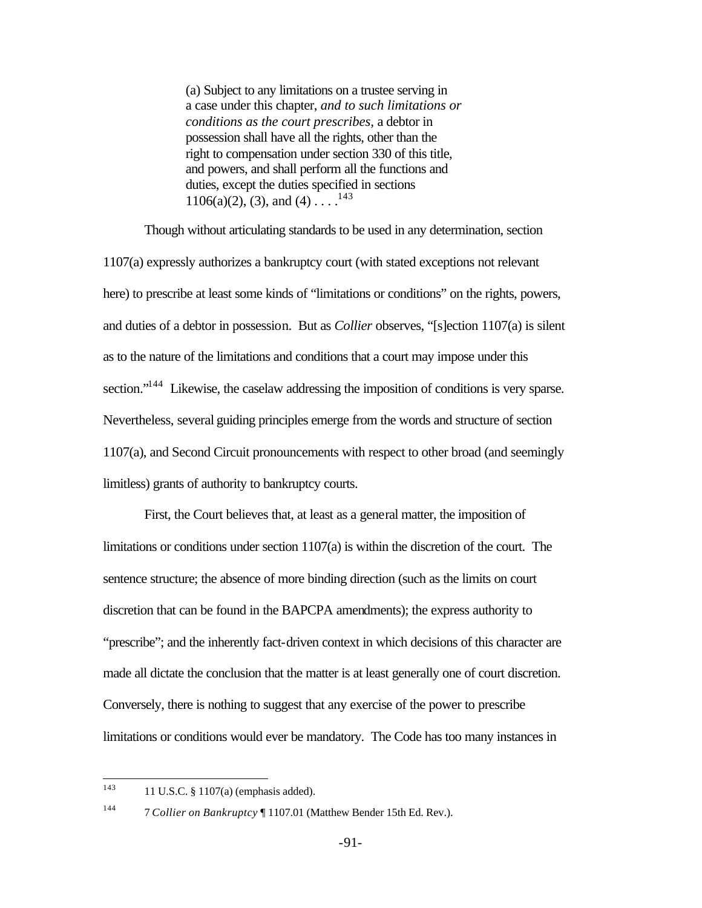(a) Subject to any limitations on a trustee serving in a case under this chapter, *and to such limitations or conditions as the court prescribes,* a debtor in possession shall have all the rights, other than the right to compensation under section 330 of this title, and powers, and shall perform all the functions and duties, except the duties specified in sections 1106(a)(2), (3), and (4) . . . .<sup>143</sup>

Though without articulating standards to be used in any determination, section 1107(a) expressly authorizes a bankruptcy court (with stated exceptions not relevant here) to prescribe at least some kinds of "limitations or conditions" on the rights, powers, and duties of a debtor in possession. But as *Collier* observes, "[s]ection 1107(a) is silent as to the nature of the limitations and conditions that a court may impose under this section."<sup>144</sup> Likewise, the caselaw addressing the imposition of conditions is very sparse. Nevertheless, several guiding principles emerge from the words and structure of section 1107(a), and Second Circuit pronouncements with respect to other broad (and seemingly limitless) grants of authority to bankruptcy courts.

First, the Court believes that, at least as a general matter, the imposition of limitations or conditions under section 1107(a) is within the discretion of the court. The sentence structure; the absence of more binding direction (such as the limits on court discretion that can be found in the BAPCPA amendments); the express authority to "prescribe"; and the inherently fact-driven context in which decisions of this character are made all dictate the conclusion that the matter is at least generally one of court discretion. Conversely, there is nothing to suggest that any exercise of the power to prescribe limitations or conditions would ever be mandatory. The Code has too many instances in

<sup>143</sup> 11 U.S.C. § 1107(a) (emphasis added).

<sup>144</sup> 7 *Collier on Bankruptcy* ¶ 1107.01 (Matthew Bender 15th Ed. Rev.).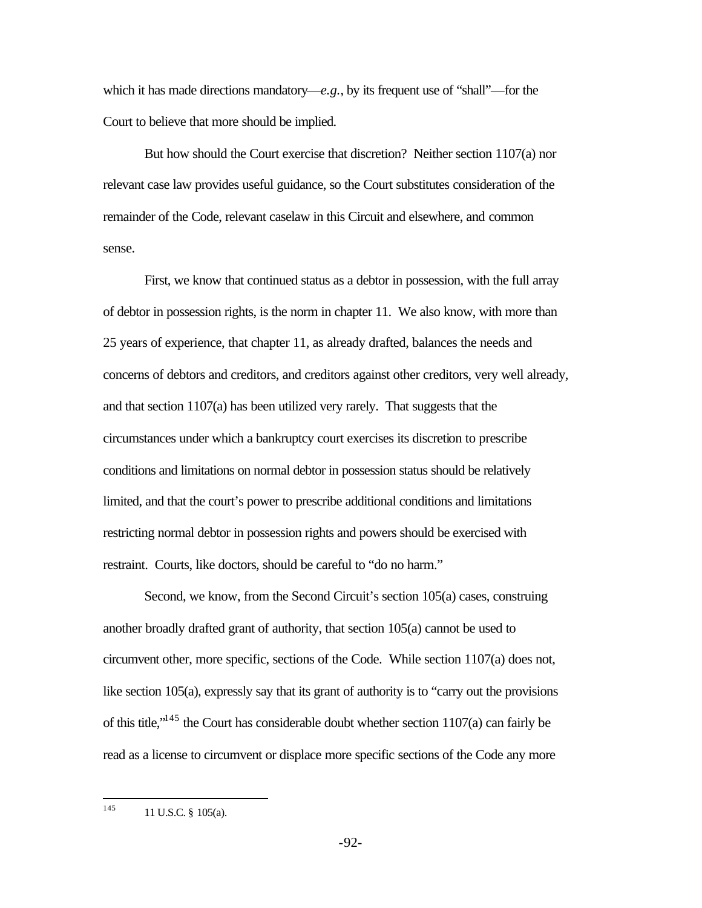which it has made directions mandatory— $e.g.,$  by its frequent use of "shall"—for the Court to believe that more should be implied.

But how should the Court exercise that discretion? Neither section 1107(a) nor relevant case law provides useful guidance, so the Court substitutes consideration of the remainder of the Code, relevant caselaw in this Circuit and elsewhere, and common sense.

First, we know that continued status as a debtor in possession, with the full array of debtor in possession rights, is the norm in chapter 11. We also know, with more than 25 years of experience, that chapter 11, as already drafted, balances the needs and concerns of debtors and creditors, and creditors against other creditors, very well already, and that section 1107(a) has been utilized very rarely. That suggests that the circumstances under which a bankruptcy court exercises its discretion to prescribe conditions and limitations on normal debtor in possession status should be relatively limited, and that the court's power to prescribe additional conditions and limitations restricting normal debtor in possession rights and powers should be exercised with restraint. Courts, like doctors, should be careful to "do no harm."

Second, we know, from the Second Circuit's section 105(a) cases, construing another broadly drafted grant of authority, that section 105(a) cannot be used to circumvent other, more specific, sections of the Code. While section 1107(a) does not, like section 105(a), expressly say that its grant of authority is to "carry out the provisions of this title,"<sup>145</sup> the Court has considerable doubt whether section 1107(a) can fairly be read as a license to circumvent or displace more specific sections of the Code any more

<sup>145</sup> 11 U.S.C. § 105(a).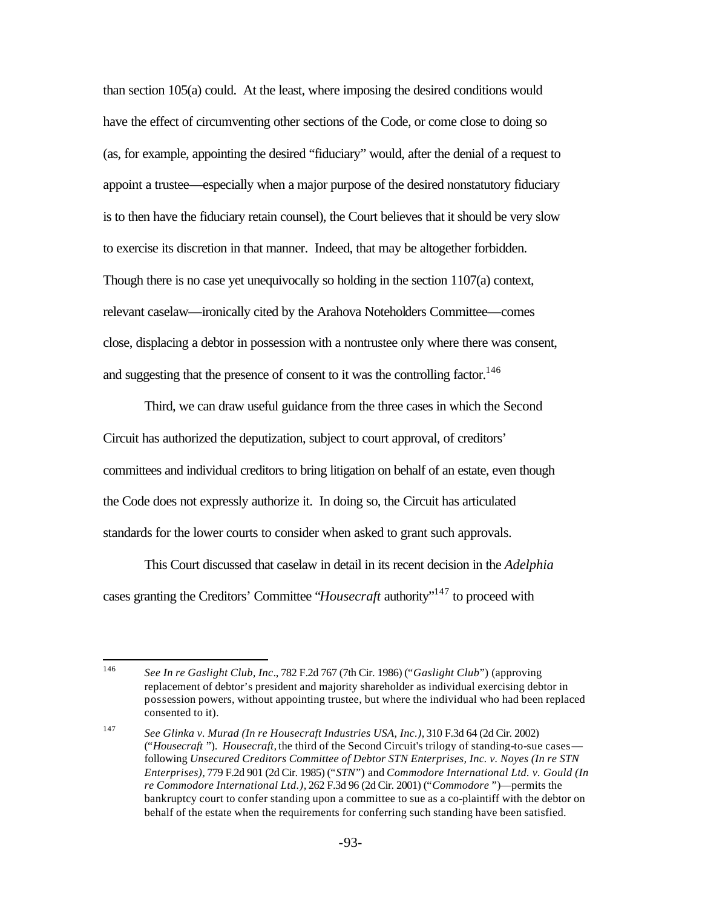than section 105(a) could. At the least, where imposing the desired conditions would have the effect of circumventing other sections of the Code, or come close to doing so (as, for example, appointing the desired "fiduciary" would, after the denial of a request to appoint a trustee—especially when a major purpose of the desired nonstatutory fiduciary is to then have the fiduciary retain counsel), the Court believes that it should be very slow to exercise its discretion in that manner. Indeed, that may be altogether forbidden. Though there is no case yet unequivocally so holding in the section 1107(a) context, relevant caselaw—ironically cited by the Arahova Noteholders Committee—comes close, displacing a debtor in possession with a nontrustee only where there was consent, and suggesting that the presence of consent to it was the controlling factor.<sup>146</sup>

Third, we can draw useful guidance from the three cases in which the Second Circuit has authorized the deputization, subject to court approval, of creditors' committees and individual creditors to bring litigation on behalf of an estate, even though the Code does not expressly authorize it. In doing so, the Circuit has articulated standards for the lower courts to consider when asked to grant such approvals.

This Court discussed that caselaw in detail in its recent decision in the *Adelphia* cases granting the Creditors' Committee "*Housecraft* authority"<sup>147</sup> to proceed with

<sup>146</sup> <sup>146</sup> *See In re Gaslight Club, Inc*., 782 F.2d 767 (7th Cir. 1986) ("*Gaslight Club*") (approving replacement of debtor's president and majority shareholder as individual exercising debtor in possession powers, without appointing trustee, but where the individual who had been replaced consented to it).

<sup>147</sup> *See Glinka v. Murad (In re Housecraft Industries USA, Inc.),* 310 F.3d 64 (2d Cir. 2002) ("*Housecraft* "). *Housecraft,* the third of the Second Circuit's trilogy of standing-to-sue cases following *Unsecured Creditors Committee of Debtor STN Enterprises, Inc. v. Noyes (In re STN Enterprises),* 779 F.2d 901 (2d Cir. 1985) ("*STN*") and *Commodore International Ltd. v. Gould (In re Commodore International Ltd.),* 262 F.3d 96 (2d Cir. 2001) ("*Commodore* ")—permits the bankruptcy court to confer standing upon a committee to sue as a co-plaintiff with the debtor on behalf of the estate when the requirements for conferring such standing have been satisfied.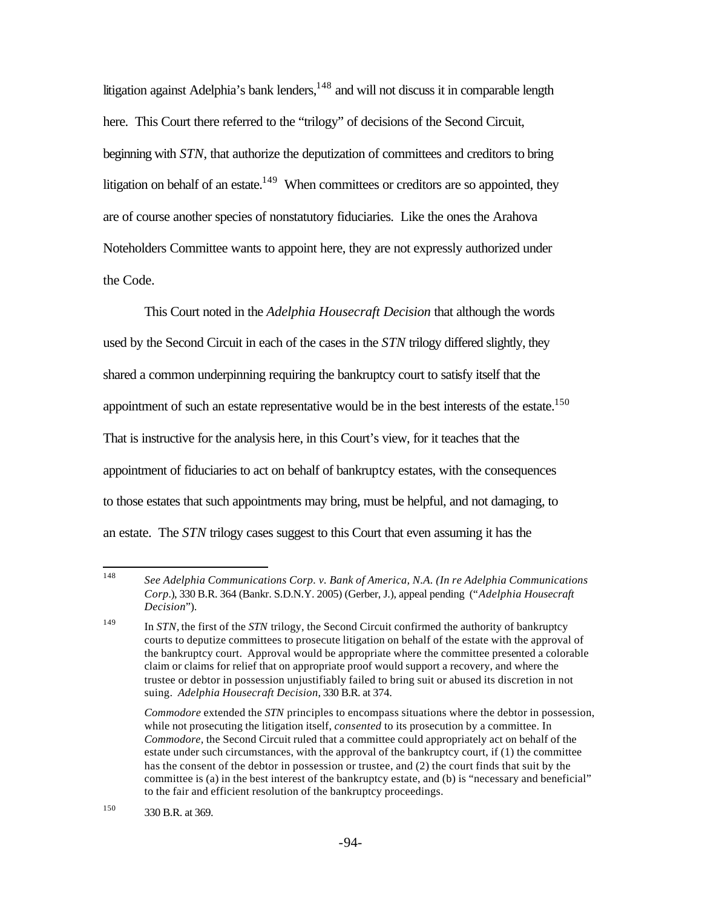litigation against Adelphia's bank lenders,  $148$  and will not discuss it in comparable length here. This Court there referred to the "trilogy" of decisions of the Second Circuit, beginning with *STN*, that authorize the deputization of committees and creditors to bring litigation on behalf of an estate. $149$  When committees or creditors are so appointed, they are of course another species of nonstatutory fiduciaries. Like the ones the Arahova Noteholders Committee wants to appoint here, they are not expressly authorized under the Code.

This Court noted in the *Adelphia Housecraft Decision* that although the words used by the Second Circuit in each of the cases in the *STN* trilogy differed slightly, they shared a common underpinning requiring the bankruptcy court to satisfy itself that the appointment of such an estate representative would be in the best interests of the estate.<sup>150</sup> That is instructive for the analysis here, in this Court's view, for it teaches that the appointment of fiduciaries to act on behalf of bankruptcy estates, with the consequences to those estates that such appointments may bring, must be helpful, and not damaging, to an estate. The *STN* trilogy cases suggest to this Court that even assuming it has the

<sup>148</sup> <sup>148</sup> *See Adelphia Communications Corp. v. Bank of America, N.A. (In re Adelphia Communications Corp.*), 330 B.R. 364 (Bankr. S.D.N.Y. 2005) (Gerber, J.), appeal pending ("*Adelphia Housecraft Decision*").

<sup>149</sup> In *STN,* the first of the *STN* trilogy, the Second Circuit confirmed the authority of bankruptcy courts to deputize committees to prosecute litigation on behalf of the estate with the approval of the bankruptcy court. Approval would be appropriate where the committee presented a colorable claim or claims for relief that on appropriate proof would support a recovery, and where the trustee or debtor in possession unjustifiably failed to bring suit or abused its discretion in not suing. *Adelphia Housecraft Decision*, 330 B.R. at 374.

*Commodore* extended the *STN* principles to encompass situations where the debtor in possession, while not prosecuting the litigation itself, *consented* to its prosecution by a committee. In *Commodore,* the Second Circuit ruled that a committee could appropriately act on behalf of the estate under such circumstances, with the approval of the bankruptcy court, if (1) the committee has the consent of the debtor in possession or trustee, and (2) the court finds that suit by the committee is (a) in the best interest of the bankruptcy estate, and (b) is "necessary and beneficial" to the fair and efficient resolution of the bankruptcy proceedings.

<sup>150</sup> 330 B.R. at 369.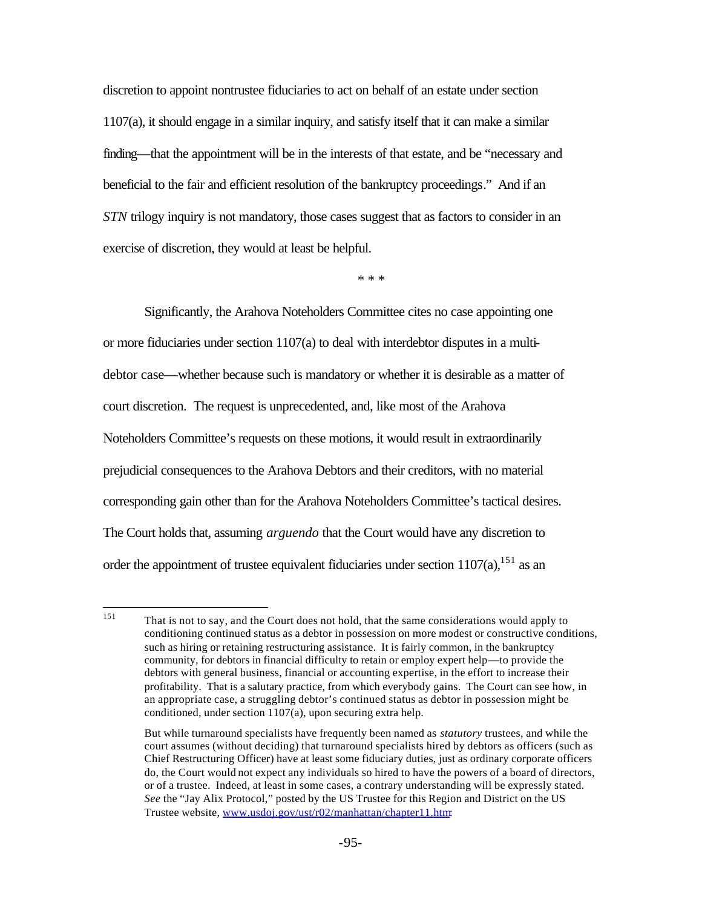discretion to appoint nontrustee fiduciaries to act on behalf of an estate under section 1107(a), it should engage in a similar inquiry, and satisfy itself that it can make a similar finding—that the appointment will be in the interests of that estate, and be "necessary and beneficial to the fair and efficient resolution of the bankruptcy proceedings." And if an *STN* trilogy inquiry is not mandatory, those cases suggest that as factors to consider in an exercise of discretion, they would at least be helpful.

\* \* \*

Significantly, the Arahova Noteholders Committee cites no case appointing one or more fiduciaries under section  $1107(a)$  to deal with interdebtor disputes in a multidebtor case—whether because such is mandatory or whether it is desirable as a matter of court discretion. The request is unprecedented, and, like most of the Arahova Noteholders Committee's requests on these motions, it would result in extraordinarily prejudicial consequences to the Arahova Debtors and their creditors, with no material corresponding gain other than for the Arahova Noteholders Committee's tactical desires. The Court holds that, assuming *arguendo* that the Court would have any discretion to order the appointment of trustee equivalent fiduciaries under section  $1107(a)$ , <sup>151</sup> as an

<sup>151</sup> <sup>151</sup> That is not to say, and the Court does not hold, that the same considerations would apply to conditioning continued status as a debtor in possession on more modest or constructive conditions, such as hiring or retaining restructuring assistance. It is fairly common, in the bankruptcy community, for debtors in financial difficulty to retain or employ expert help—to provide the debtors with general business, financial or accounting expertise, in the effort to increase their profitability. That is a salutary practice, from which everybody gains. The Court can see how, in an appropriate case, a struggling debtor's continued status as debtor in possession might be conditioned, under section 1107(a), upon securing extra help.

But while turnaround specialists have frequently been named as *statutory* trustees, and while the court assumes (without deciding) that turnaround specialists hired by debtors as officers (such as Chief Restructuring Officer) have at least some fiduciary duties, just as ordinary corporate officers do, the Court would not expect any individuals so hired to have the powers of a board of directors, or of a trustee. Indeed, at least in some cases, a contrary understanding will be expressly stated. *See* the "Jay Alix Protocol," posted by the US Trustee for this Region and District on the US Trustee website, www.usdoj.gov/ust/r02/manhattan/chapter11.htm: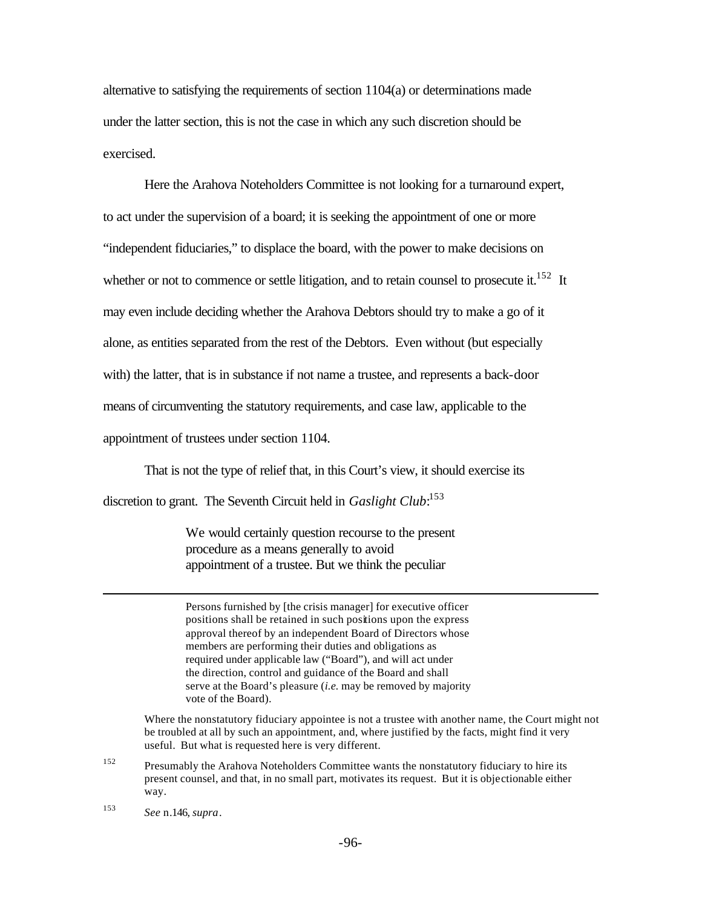alternative to satisfying the requirements of section 1104(a) or determinations made under the latter section, this is not the case in which any such discretion should be exercised.

Here the Arahova Noteholders Committee is not looking for a turnaround expert, to act under the supervision of a board; it is seeking the appointment of one or more "independent fiduciaries," to displace the board, with the power to make decisions on whether or not to commence or settle litigation, and to retain counsel to prosecute it.<sup>152</sup> It may even include deciding whether the Arahova Debtors should try to make a go of it alone, as entities separated from the rest of the Debtors. Even without (but especially with) the latter, that is in substance if not name a trustee, and represents a back-door means of circumventing the statutory requirements, and case law, applicable to the appointment of trustees under section 1104.

That is not the type of relief that, in this Court's view, it should exercise its

discretion to grant. The Seventh Circuit held in *Gaslight Club*: 153

We would certainly question recourse to the present procedure as a means generally to avoid appointment of a trustee. But we think the peculiar

Persons furnished by [the crisis manager] for executive officer positions shall be retained in such positions upon the express approval thereof by an independent Board of Directors whose members are performing their duties and obligations as required under applicable law ("Board"), and will act under the direction, control and guidance of the Board and shall serve at the Board's pleasure (*i.e.* may be removed by majority vote of the Board).

Where the nonstatutory fiduciary appointee is not a trustee with another name, the Court might not be troubled at all by such an appointment, and, where justified by the facts, might find it very useful. But what is requested here is very different.

 $152$  Presumably the Arahova Noteholders Committee wants the nonstatutory fiduciary to hire its present counsel, and that, in no small part, motivates its request. But it is objectionable either way.

<sup>153</sup> *See* n.146, *supra*.

 $\overline{a}$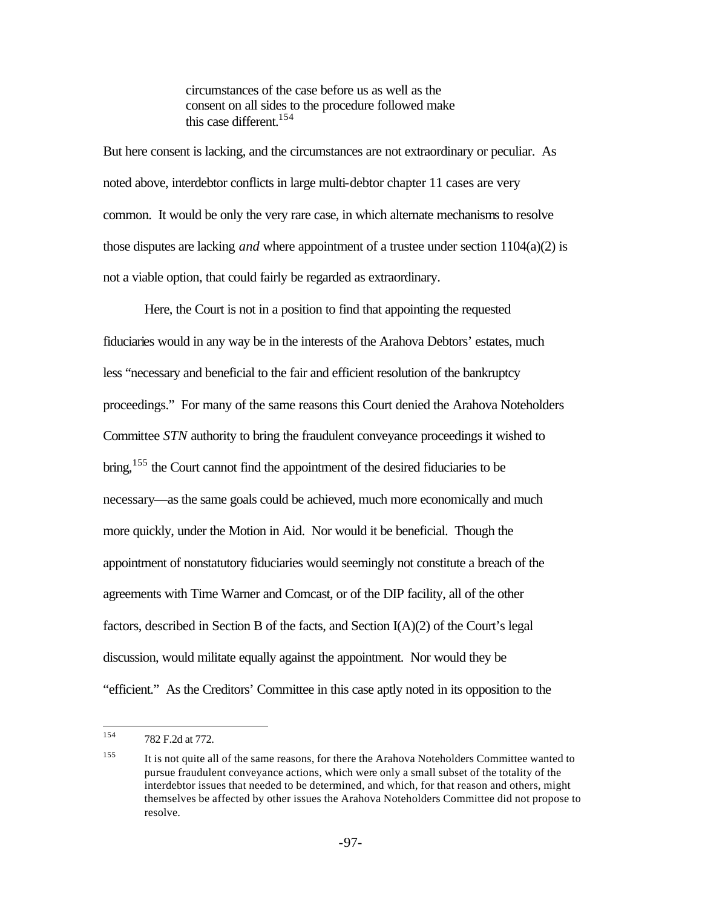circumstances of the case before us as well as the consent on all sides to the procedure followed make this case different.<sup>154</sup>

But here consent is lacking, and the circumstances are not extraordinary or peculiar. As noted above, interdebtor conflicts in large multi-debtor chapter 11 cases are very common. It would be only the very rare case, in which alternate mechanisms to resolve those disputes are lacking *and* where appointment of a trustee under section 1104(a)(2) is not a viable option, that could fairly be regarded as extraordinary.

Here, the Court is not in a position to find that appointing the requested fiduciaries would in any way be in the interests of the Arahova Debtors' estates, much less "necessary and beneficial to the fair and efficient resolution of the bankruptcy proceedings." For many of the same reasons this Court denied the Arahova Noteholders Committee *STN* authority to bring the fraudulent conveyance proceedings it wished to bring,<sup>155</sup> the Court cannot find the appointment of the desired fiduciaries to be necessary—as the same goals could be achieved, much more economically and much more quickly, under the Motion in Aid. Nor would it be beneficial. Though the appointment of nonstatutory fiduciaries would seemingly not constitute a breach of the agreements with Time Warner and Comcast, or of the DIP facility, all of the other factors, described in Section B of the facts, and Section I(A)(2) of the Court's legal discussion, would militate equally against the appointment. Nor would they be "efficient." As the Creditors' Committee in this case aptly noted in its opposition to the

<sup>154</sup> 782 F.2d at 772.

<sup>155</sup> It is not quite all of the same reasons, for there the Arahova Noteholders Committee wanted to pursue fraudulent conveyance actions, which were only a small subset of the totality of the interdebtor issues that needed to be determined, and which, for that reason and others, might themselves be affected by other issues the Arahova Noteholders Committee did not propose to resolve.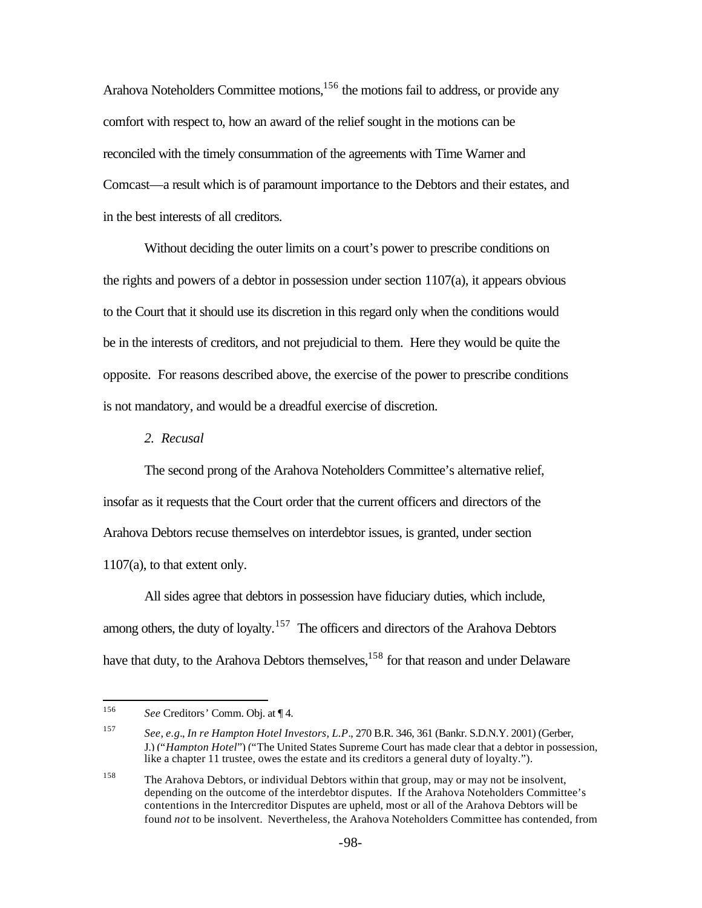Arahova Noteholders Committee motions, <sup>156</sup> the motions fail to address, or provide any comfort with respect to, how an award of the relief sought in the motions can be reconciled with the timely consummation of the agreements with Time Warner and Comcast—a result which is of paramount importance to the Debtors and their estates, and in the best interests of all creditors.

Without deciding the outer limits on a court's power to prescribe conditions on the rights and powers of a debtor in possession under section  $1107(a)$ , it appears obvious to the Court that it should use its discretion in this regard only when the conditions would be in the interests of creditors, and not prejudicial to them. Here they would be quite the opposite. For reasons described above, the exercise of the power to prescribe conditions is not mandatory, and would be a dreadful exercise of discretion.

*2. Recusal*

The second prong of the Arahova Noteholders Committee's alternative relief, insofar as it requests that the Court order that the current officers and directors of the Arahova Debtors recuse themselves on interdebtor issues, is granted, under section 1107(a), to that extent only.

All sides agree that debtors in possession have fiduciary duties, which include, among others, the duty of loyalty.<sup>157</sup> The officers and directors of the Arahova Debtors have that duty, to the Arahova Debtors themselves,<sup>158</sup> for that reason and under Delaware

<sup>158</sup> The Arahova Debtors, or individual Debtors within that group, may or may not be insolvent, depending on the outcome of the interdebtor disputes. If the Arahova Noteholders Committee's contentions in the Intercreditor Disputes are upheld, most or all of the Arahova Debtors will be found *not* to be insolvent. Nevertheless, the Arahova Noteholders Committee has contended, from

<sup>156</sup> See Creditors' Comm. Obj. at [4.

<sup>157</sup> *See*, *e.g.*, *In re Hampton Hotel Investors, L.P*., 270 B.R. 346, 361 (Bankr. S.D.N.Y. 2001) (Gerber, J.) ("*Hampton Hotel*") ("The United States Supreme Court has made clear that a debtor in possession, like a chapter 11 trustee, owes the estate and its creditors a general duty of loyalty.").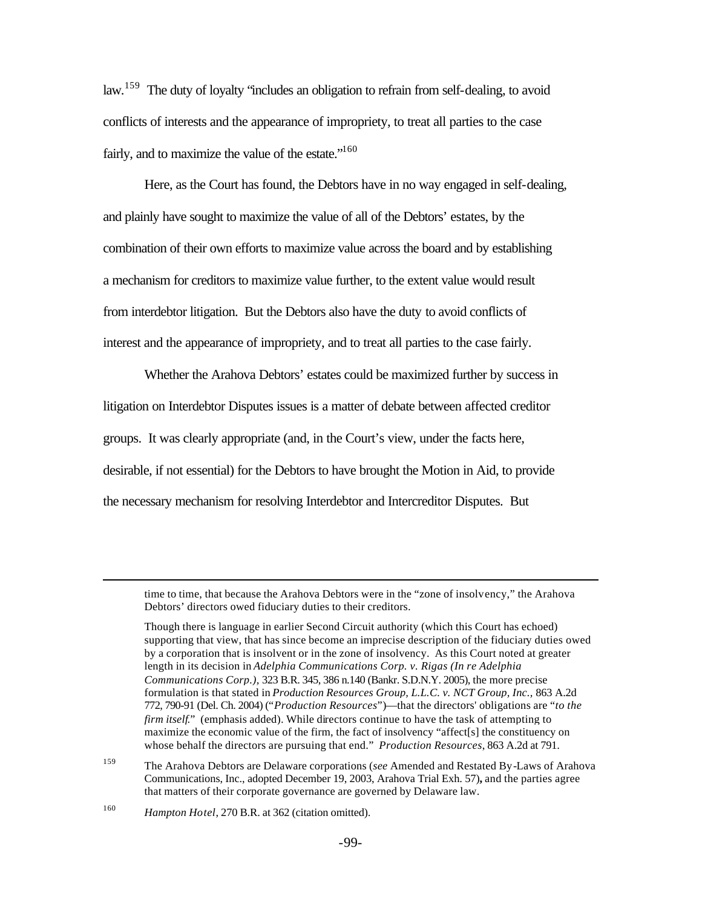law.<sup>159</sup> The duty of loyalty "includes an obligation to refrain from self-dealing, to avoid conflicts of interests and the appearance of impropriety, to treat all parties to the case fairly, and to maximize the value of the estate."<sup>160</sup>

Here, as the Court has found, the Debtors have in no way engaged in self-dealing, and plainly have sought to maximize the value of all of the Debtors' estates, by the combination of their own efforts to maximize value across the board and by establishing a mechanism for creditors to maximize value further, to the extent value would result from interdebtor litigation. But the Debtors also have the duty to avoid conflicts of interest and the appearance of impropriety, and to treat all parties to the case fairly.

Whether the Arahova Debtors' estates could be maximized further by success in litigation on Interdebtor Disputes issues is a matter of debate between affected creditor groups. It was clearly appropriate (and, in the Court's view, under the facts here, desirable, if not essential) for the Debtors to have brought the Motion in Aid, to provide the necessary mechanism for resolving Interdebtor and Intercreditor Disputes. But

time to time, that because the Arahova Debtors were in the "zone of insolvency," the Arahova Debtors' directors owed fiduciary duties to their creditors.

Though there is language in earlier Second Circuit authority (which this Court has echoed) supporting that view, that has since become an imprecise description of the fiduciary duties owed by a corporation that is insolvent or in the zone of insolvency. As this Court noted at greater length in its decision in *Adelphia Communications Corp. v. Rigas (In re Adelphia Communications Corp.),* 323 B.R. 345, 386 n.140 (Bankr. S.D.N.Y. 2005), the more precise formulation is that stated in *Production Resources Group, L.L.C. v. NCT Group, Inc.,* 863 A.2d 772, 790-91 (Del. Ch. 2004) ("*Production Resources*")—that the directors' obligations are "*to the firm itself.*" (emphasis added). While directors continue to have the task of attempting to maximize the economic value of the firm, the fact of insolvency "affect[s] the constituency on whose behalf the directors are pursuing that end." *Production Resources*, 863 A.2d at 791.

<sup>159</sup> The Arahova Debtors are Delaware corporations (*see* Amended and Restated By-Laws of Arahova Communications, Inc., adopted December 19, 2003, Arahova Trial Exh. 57)**,** and the parties agree that matters of their corporate governance are governed by Delaware law.

<sup>160</sup> *Hampton Hotel*, 270 B.R. at 362 (citation omitted).

 $\overline{a}$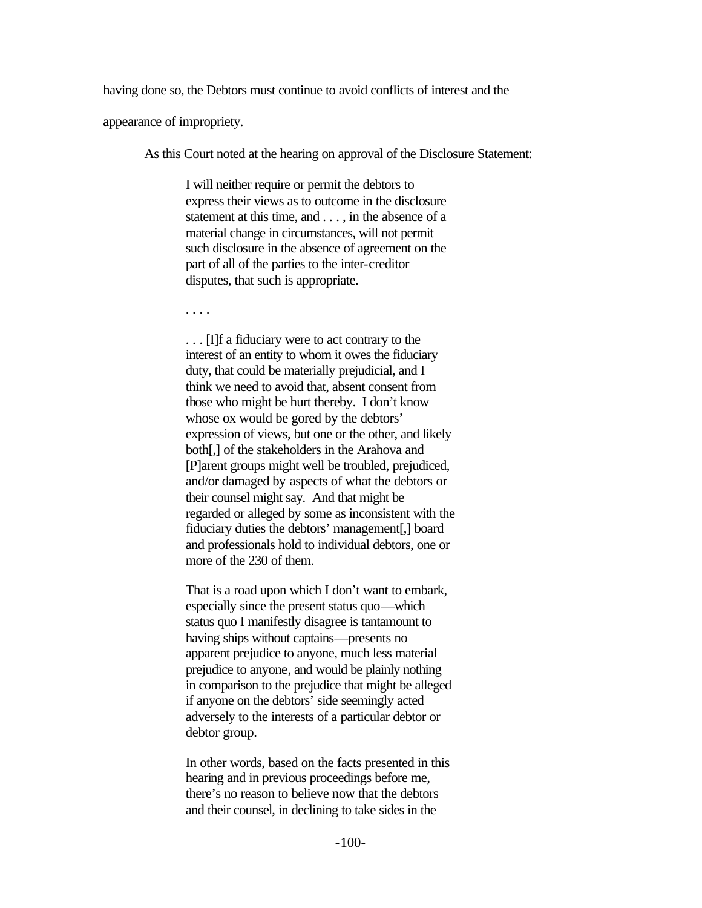having done so, the Debtors must continue to avoid conflicts of interest and the

appearance of impropriety.

As this Court noted at the hearing on approval of the Disclosure Statement:

I will neither require or permit the debtors to express their views as to outcome in the disclosure statement at this time, and . . . , in the absence of a material change in circumstances, will not permit such disclosure in the absence of agreement on the part of all of the parties to the inter-creditor disputes, that such is appropriate.

. . . .

. . . [I]f a fiduciary were to act contrary to the interest of an entity to whom it owes the fiduciary duty, that could be materially prejudicial, and I think we need to avoid that, absent consent from those who might be hurt thereby. I don't know whose ox would be gored by the debtors' expression of views, but one or the other, and likely both[,] of the stakeholders in the Arahova and [P]arent groups might well be troubled, prejudiced, and/or damaged by aspects of what the debtors or their counsel might say. And that might be regarded or alleged by some as inconsistent with the fiduciary duties the debtors' management[,] board and professionals hold to individual debtors, one or more of the 230 of them.

That is a road upon which I don't want to embark, especially since the present status quo—which status quo I manifestly disagree is tantamount to having ships without captains—presents no apparent prejudice to anyone, much less material prejudice to anyone, and would be plainly nothing in comparison to the prejudice that might be alleged if anyone on the debtors' side seemingly acted adversely to the interests of a particular debtor or debtor group.

In other words, based on the facts presented in this hearing and in previous proceedings before me, there's no reason to believe now that the debtors and their counsel, in declining to take sides in the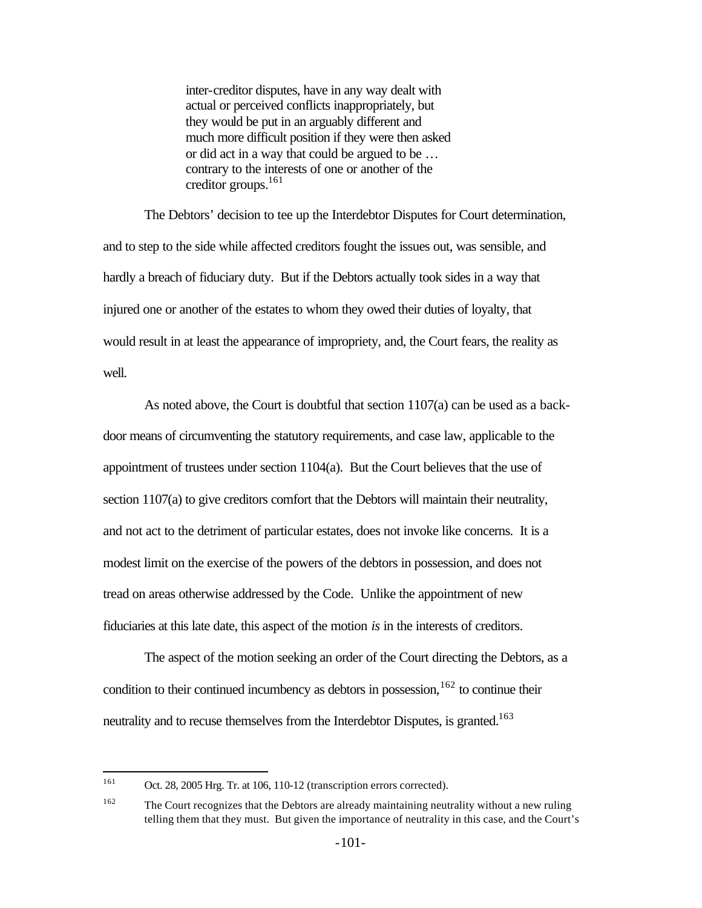inter-creditor disputes, have in any way dealt with actual or perceived conflicts inappropriately, but they would be put in an arguably different and much more difficult position if they were then asked or did act in a way that could be argued to be … contrary to the interests of one or another of the creditor groups.<sup>161</sup>

The Debtors' decision to tee up the Interdebtor Disputes for Court determination, and to step to the side while affected creditors fought the issues out, was sensible, and hardly a breach of fiduciary duty. But if the Debtors actually took sides in a way that injured one or another of the estates to whom they owed their duties of loyalty, that would result in at least the appearance of impropriety, and, the Court fears, the reality as well.

As noted above, the Court is doubtful that section 1107(a) can be used as a backdoor means of circumventing the statutory requirements, and case law, applicable to the appointment of trustees under section 1104(a). But the Court believes that the use of section 1107(a) to give creditors comfort that the Debtors will maintain their neutrality, and not act to the detriment of particular estates, does not invoke like concerns. It is a modest limit on the exercise of the powers of the debtors in possession, and does not tread on areas otherwise addressed by the Code. Unlike the appointment of new fiduciaries at this late date, this aspect of the motion *is* in the interests of creditors.

The aspect of the motion seeking an order of the Court directing the Debtors, as a condition to their continued incumbency as debtors in possession,  $162$  to continue their neutrality and to recuse themselves from the Interdebtor Disputes, is granted.<sup>163</sup>

<sup>161</sup> Oct. 28, 2005 Hrg. Tr. at 106, 110-12 (transcription errors corrected).

<sup>&</sup>lt;sup>162</sup> The Court recognizes that the Debtors are already maintaining neutrality without a new ruling telling them that they must. But given the importance of neutrality in this case, and the Court's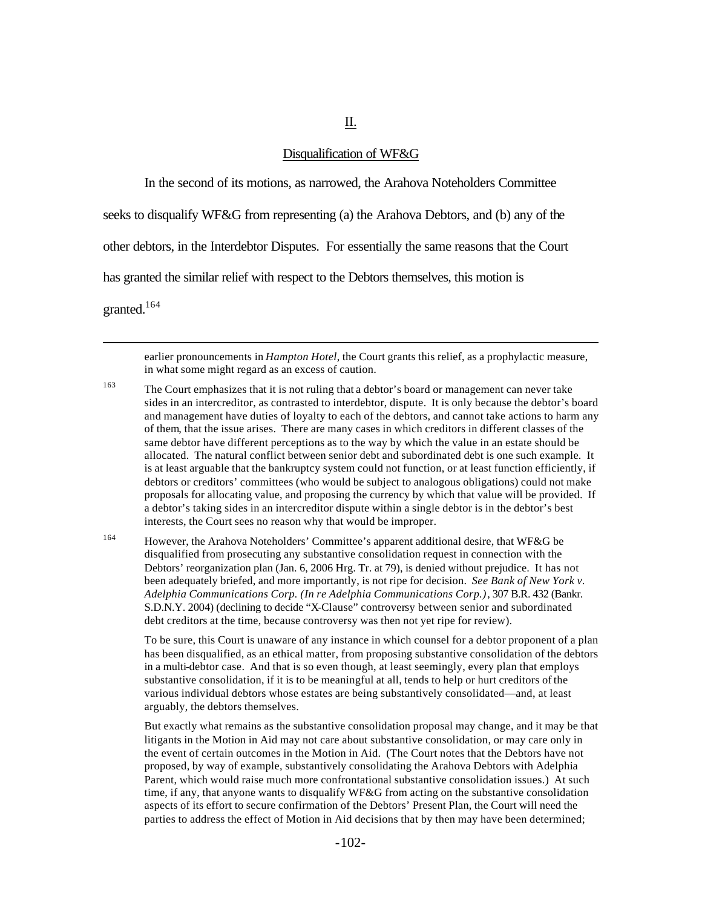#### Disqualification of WF&G

II.

In the second of its motions, as narrowed, the Arahova Noteholders Committee

seeks to disqualify WF&G from representing (a) the Arahova Debtors, and (b) any of the

other debtors, in the Interdebtor Disputes. For essentially the same reasons that the Court

has granted the similar relief with respect to the Debtors themselves, this motion is

granted.<sup>164</sup>

 $\overline{a}$ 

earlier pronouncements in *Hampton Hotel*, the Court grants this relief, as a prophylactic measure, in what some might regard as an excess of caution.

- <sup>163</sup> The Court emphasizes that it is not ruling that a debtor's board or management can never take sides in an intercreditor, as contrasted to interdebtor, dispute. It is only because the debtor's board and management have duties of loyalty to each of the debtors, and cannot take actions to harm any of them, that the issue arises. There are many cases in which creditors in different classes of the same debtor have different perceptions as to the way by which the value in an estate should be allocated. The natural conflict between senior debt and subordinated debt is one such example. It is at least arguable that the bankruptcy system could not function, or at least function efficiently, if debtors or creditors' committees (who would be subject to analogous obligations) could not make proposals for allocating value, and proposing the currency by which that value will be provided. If a debtor's taking sides in an intercreditor dispute within a single debtor is in the debtor's best interests, the Court sees no reason why that would be improper.
- <sup>164</sup> However, the Arahova Noteholders' Committee's apparent additional desire, that WF&G be disqualified from prosecuting any substantive consolidation request in connection with the Debtors' reorganization plan (Jan. 6, 2006 Hrg. Tr. at 79), is denied without prejudice. It has not been adequately briefed, and more importantly, is not ripe for decision. *See Bank of New York v. Adelphia Communications Corp. (In re Adelphia Communications Corp.)*, 307 B.R. 432 (Bankr. S.D.N.Y. 2004) (declining to decide "X-Clause" controversy between senior and subordinated debt creditors at the time, because controversy was then not yet ripe for review).

To be sure, this Court is unaware of any instance in which counsel for a debtor proponent of a plan has been disqualified, as an ethical matter, from proposing substantive consolidation of the debtors in a multi-debtor case. And that is so even though, at least seemingly, every plan that employs substantive consolidation, if it is to be meaningful at all, tends to help or hurt creditors of the various individual debtors whose estates are being substantively consolidated—and, at least arguably, the debtors themselves.

But exactly what remains as the substantive consolidation proposal may change, and it may be that litigants in the Motion in Aid may not care about substantive consolidation, or may care only in the event of certain outcomes in the Motion in Aid. (The Court notes that the Debtors have not proposed, by way of example, substantively consolidating the Arahova Debtors with Adelphia Parent, which would raise much more confrontational substantive consolidation issues.) At such time, if any, that anyone wants to disqualify WF&G from acting on the substantive consolidation aspects of its effort to secure confirmation of the Debtors' Present Plan, the Court will need the parties to address the effect of Motion in Aid decisions that by then may have been determined;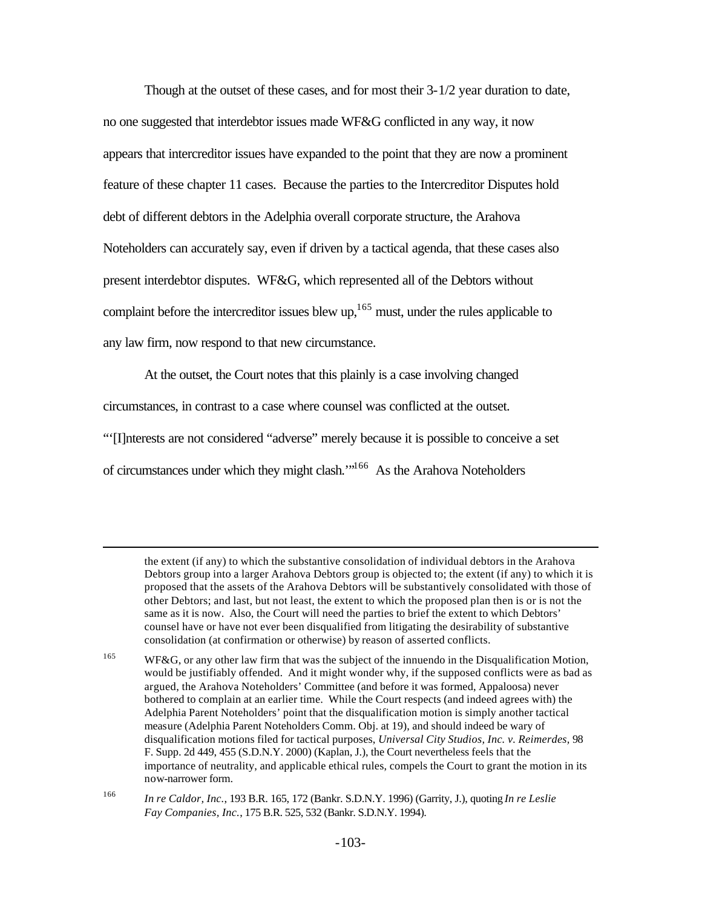Though at the outset of these cases, and for most their 3-1/2 year duration to date, no one suggested that interdebtor issues made WF&G conflicted in any way, it now appears that intercreditor issues have expanded to the point that they are now a prominent feature of these chapter 11 cases. Because the parties to the Intercreditor Disputes hold debt of different debtors in the Adelphia overall corporate structure, the Arahova Noteholders can accurately say, even if driven by a tactical agenda, that these cases also present interdebtor disputes. WF&G, which represented all of the Debtors without complaint before the intercreditor issues blew up,<sup>165</sup> must, under the rules applicable to any law firm, now respond to that new circumstance.

At the outset, the Court notes that this plainly is a case involving changed circumstances, in contrast to a case where counsel was conflicted at the outset. "'[I]nterests are not considered "adverse" merely because it is possible to conceive a set of circumstances under which they might clash.'"<sup>166</sup> As the Arahova Noteholders

 $\overline{a}$ 

<sup>165</sup> WF&G, or any other law firm that was the subject of the innuendo in the Disqualification Motion, would be justifiably offended. And it might wonder why, if the supposed conflicts were as bad as argued, the Arahova Noteholders' Committee (and before it was formed, Appaloosa) never bothered to complain at an earlier time. While the Court respects (and indeed agrees with) the Adelphia Parent Noteholders' point that the disqualification motion is simply another tactical measure (Adelphia Parent Noteholders Comm. Obj. at 19), and should indeed be wary of disqualification motions filed for tactical purposes, *Universal City Studios, Inc. v. Reimerdes,* 98 F. Supp. 2d 449, 455 (S.D.N.Y. 2000) (Kaplan, J.), the Court nevertheless feels that the importance of neutrality, and applicable ethical rules, compels the Court to grant the motion in its now-narrower form.

<sup>166</sup> *In re Caldor, Inc.*, 193 B.R. 165, 172 (Bankr. S.D.N.Y. 1996) (Garrity, J.), quoting *In re Leslie Fay Companies, Inc.*, 175 B.R. 525, 532 (Bankr. S.D.N.Y. 1994).

the extent (if any) to which the substantive consolidation of individual debtors in the Arahova Debtors group into a larger Arahova Debtors group is objected to; the extent (if any) to which it is proposed that the assets of the Arahova Debtors will be substantively consolidated with those of other Debtors; and last, but not least, the extent to which the proposed plan then is or is not the same as it is now. Also, the Court will need the parties to brief the extent to which Debtors' counsel have or have not ever been disqualified from litigating the desirability of substantive consolidation (at confirmation or otherwise) by reason of asserted conflicts.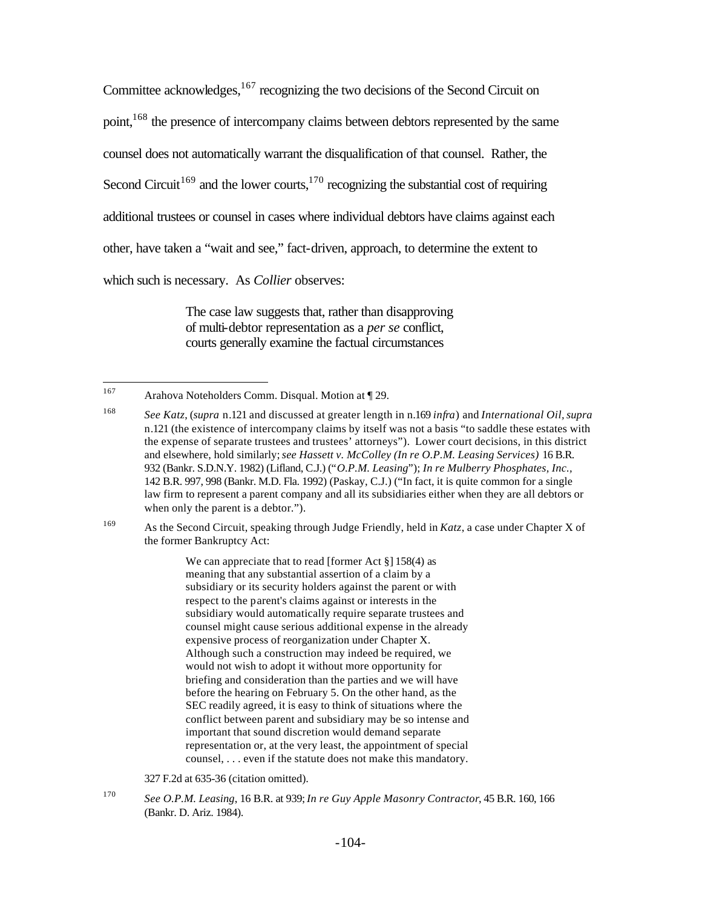Committee acknowledges, $167$  recognizing the two decisions of the Second Circuit on point,<sup>168</sup> the presence of intercompany claims between debtors represented by the same counsel does not automatically warrant the disqualification of that counsel. Rather, the Second Circuit<sup>169</sup> and the lower courts,<sup>170</sup> recognizing the substantial cost of requiring additional trustees or counsel in cases where individual debtors have claims against each other, have taken a "wait and see," fact-driven, approach, to determine the extent to which such is necessary. As *Collier* observes:

> The case law suggests that, rather than disapproving of multi-debtor representation as a *per se* conflict, courts generally examine the factual circumstances

<sup>169</sup> As the Second Circuit, speaking through Judge Friendly, held in *Katz*, a case under Chapter X of the former Bankruptcy Act:

> We can appreciate that to read [former Act §] 158(4) as meaning that any substantial assertion of a claim by a subsidiary or its security holders against the parent or with respect to the parent's claims against or interests in the subsidiary would automatically require separate trustees and counsel might cause serious additional expense in the already expensive process of reorganization under Chapter X. Although such a construction may indeed be required, we would not wish to adopt it without more opportunity for briefing and consideration than the parties and we will have before the hearing on February 5. On the other hand, as the SEC readily agreed, it is easy to think of situations where the conflict between parent and subsidiary may be so intense and important that sound discretion would demand separate representation or, at the very least, the appointment of special counsel, . . . even if the statute does not make this mandatory.

327 F.2d at 635-36 (citation omitted).

<sup>167</sup> Arahova Noteholders Comm. Disqual. Motion at ¶ 29.

<sup>168</sup> *See Katz*, (*supra* n.121 and discussed at greater length in n.169 *infra*) and *International Oil,supra* n.121 (the existence of intercompany claims by itself was not a basis "to saddle these estates with the expense of separate trustees and trustees' attorneys"). Lower court decisions, in this district and elsewhere, hold similarly; *see Hassett v. McColley (In re O.P.M. Leasing Services)* 16 B.R. 932 (Bankr. S.D.N.Y. 1982) (Lifland, C.J.) ("*O.P.M. Leasing*"); *In re Mulberry Phosphates, Inc.,* 142 B.R. 997, 998 (Bankr. M.D. Fla. 1992) (Paskay, C.J.) ("In fact, it is quite common for a single law firm to represent a parent company and all its subsidiaries either when they are all debtors or when only the parent is a debtor.").

<sup>170</sup> *See O.P.M. Leasing*, 16 B.R. at 939; *In re Guy Apple Masonry Contractor*, 45 B.R. 160, 166 (Bankr. D. Ariz. 1984).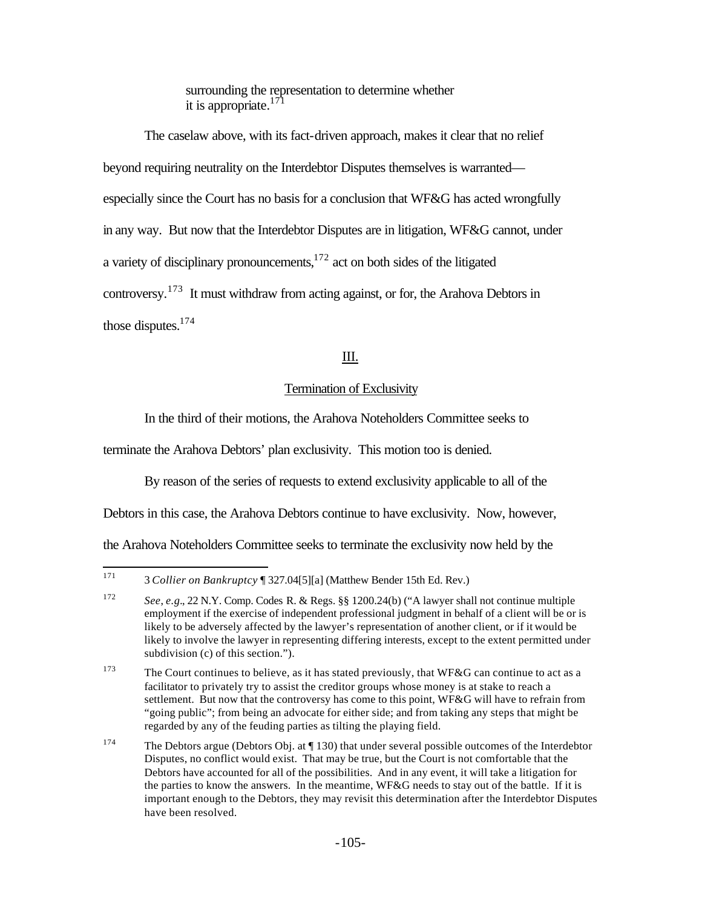surrounding the representation to determine whether it is appropriate. $171$ 

The caselaw above, with its fact-driven approach, makes it clear that no relief beyond requiring neutrality on the Interdebtor Disputes themselves is warranted especially since the Court has no basis for a conclusion that WF&G has acted wrongfully in any way. But now that the Interdebtor Disputes are in litigation, WF&G cannot, under a variety of disciplinary pronouncements, $1^{172}$  act on both sides of the litigated controversy.<sup>173</sup> It must withdraw from acting against, or for, the Arahova Debtors in those disputes. $174$ 

# III.

## Termination of Exclusivity

In the third of their motions, the Arahova Noteholders Committee seeks to

terminate the Arahova Debtors' plan exclusivity. This motion too is denied.

By reason of the series of requests to extend exclusivity applicable to all of the

Debtors in this case, the Arahova Debtors continue to have exclusivity. Now, however,

the Arahova Noteholders Committee seeks to terminate the exclusivity now held by the

<sup>171</sup> <sup>171</sup> 3 *Collier on Bankruptcy* ¶ 327.04[5][a] (Matthew Bender 15th Ed. Rev.)

<sup>172</sup> *See*, *e.g.*, 22 N.Y. Comp. Codes R. & Regs. §§ 1200.24(b) ("A lawyer shall not continue multiple employment if the exercise of independent professional judgment in behalf of a client will be or is likely to be adversely affected by the lawyer's representation of another client, or if it would be likely to involve the lawyer in representing differing interests, except to the extent permitted under subdivision (c) of this section.").

<sup>&</sup>lt;sup>173</sup> The Court continues to believe, as it has stated previously, that WF&G can continue to act as a facilitator to privately try to assist the creditor groups whose money is at stake to reach a settlement. But now that the controversy has come to this point, WF&G will have to refrain from "going public"; from being an advocate for either side; and from taking any steps that might be regarded by any of the feuding parties as tilting the playing field.

<sup>&</sup>lt;sup>174</sup> The Debtors argue (Debtors Obj. at ¶ 130) that under several possible outcomes of the Interdebtor Disputes, no conflict would exist. That may be true, but the Court is not comfortable that the Debtors have accounted for all of the possibilities. And in any event, it will take a litigation for the parties to know the answers. In the meantime, WF&G needs to stay out of the battle. If it is important enough to the Debtors, they may revisit this determination after the Interdebtor Disputes have been resolved.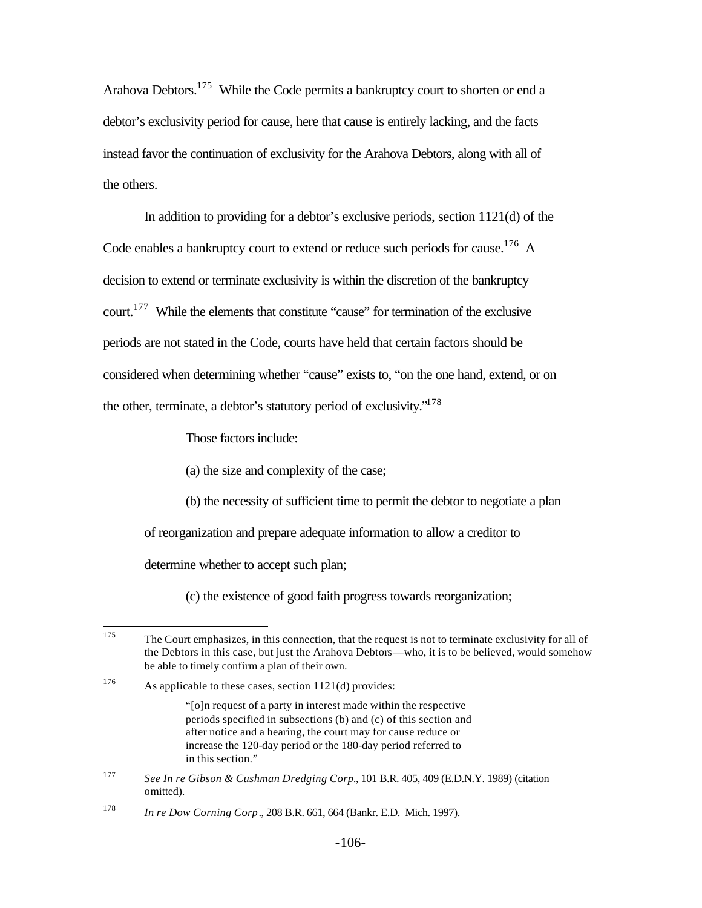Arahova Debtors.<sup>175</sup> While the Code permits a bankruptcy court to shorten or end a debtor's exclusivity period for cause, here that cause is entirely lacking, and the facts instead favor the continuation of exclusivity for the Arahova Debtors, along with all of the others.

In addition to providing for a debtor's exclusive periods, section 1121(d) of the Code enables a bankruptcy court to extend or reduce such periods for cause.<sup>176</sup> A decision to extend or terminate exclusivity is within the discretion of the bankruptcy court.<sup>177</sup> While the elements that constitute "cause" for termination of the exclusive periods are not stated in the Code, courts have held that certain factors should be considered when determining whether "cause" exists to, "on the one hand, extend, or on the other, terminate, a debtor's statutory period of exclusivity."<sup>178</sup>

Those factors include:

(a) the size and complexity of the case;

(b) the necessity of sufficient time to permit the debtor to negotiate a plan

of reorganization and prepare adequate information to allow a creditor to

determine whether to accept such plan;

(c) the existence of good faith progress towards reorganization;

"[o]n request of a party in interest made within the respective periods specified in subsections (b) and (c) of this section and after notice and a hearing, the court may for cause reduce or increase the 120-day period or the 180-day period referred to in this section."

<sup>175</sup> The Court emphasizes, in this connection, that the request is not to terminate exclusivity for all of the Debtors in this case, but just the Arahova Debtors—who, it is to be believed, would somehow be able to timely confirm a plan of their own.

<sup>&</sup>lt;sup>176</sup> As applicable to these cases, section  $1121(d)$  provides:

<sup>177</sup> *See In re Gibson & Cushman Dredging Corp.*, 101 B.R. 405, 409 (E.D.N.Y. 1989) (citation omitted).

<sup>178</sup> *In re Dow Corning Corp*., 208 B.R. 661, 664 (Bankr. E.D. Mich. 1997).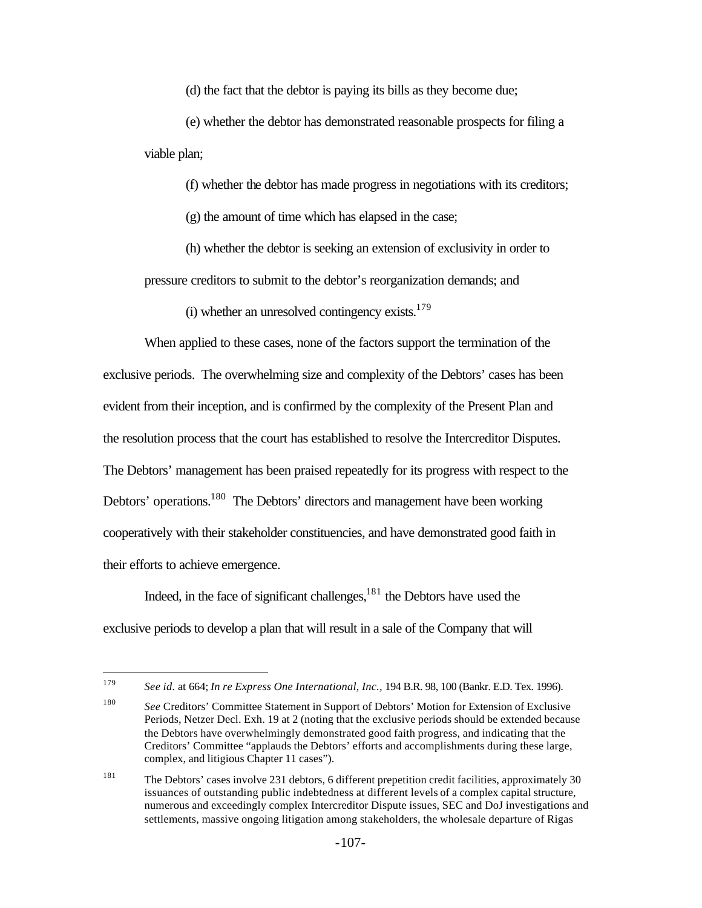(d) the fact that the debtor is paying its bills as they become due;

(e) whether the debtor has demonstrated reasonable prospects for filing a viable plan;

(f) whether the debtor has made progress in negotiations with its creditors;

(g) the amount of time which has elapsed in the case;

(h) whether the debtor is seeking an extension of exclusivity in order to pressure creditors to submit to the debtor's reorganization demands; and

(i) whether an unresolved contingency exists. $179$ 

When applied to these cases, none of the factors support the termination of the exclusive periods. The overwhelming size and complexity of the Debtors' cases has been evident from their inception, and is confirmed by the complexity of the Present Plan and the resolution process that the court has established to resolve the Intercreditor Disputes. The Debtors' management has been praised repeatedly for its progress with respect to the Debtors' operations.<sup>180</sup> The Debtors' directors and management have been working cooperatively with their stakeholder constituencies, and have demonstrated good faith in their efforts to achieve emergence.

Indeed, in the face of significant challenges, $181$  the Debtors have used the exclusive periods to develop a plan that will result in a sale of the Company that will

<sup>179</sup> <sup>179</sup> *See id.* at 664; *In re Express One International, Inc.,* 194 B.R. 98, 100 (Bankr. E.D. Tex. 1996).

<sup>180</sup> *See* Creditors' Committee Statement in Support of Debtors' Motion for Extension of Exclusive Periods, Netzer Decl. Exh. 19 at 2 (noting that the exclusive periods should be extended because the Debtors have overwhelmingly demonstrated good faith progress, and indicating that the Creditors' Committee "applauds the Debtors' efforts and accomplishments during these large, complex, and litigious Chapter 11 cases").

<sup>&</sup>lt;sup>181</sup> The Debtors' cases involve 231 debtors, 6 different prepetition credit facilities, approximately 30 issuances of outstanding public indebtedness at different levels of a complex capital structure, numerous and exceedingly complex Intercreditor Dispute issues, SEC and DoJ investigations and settlements, massive ongoing litigation among stakeholders, the wholesale departure of Rigas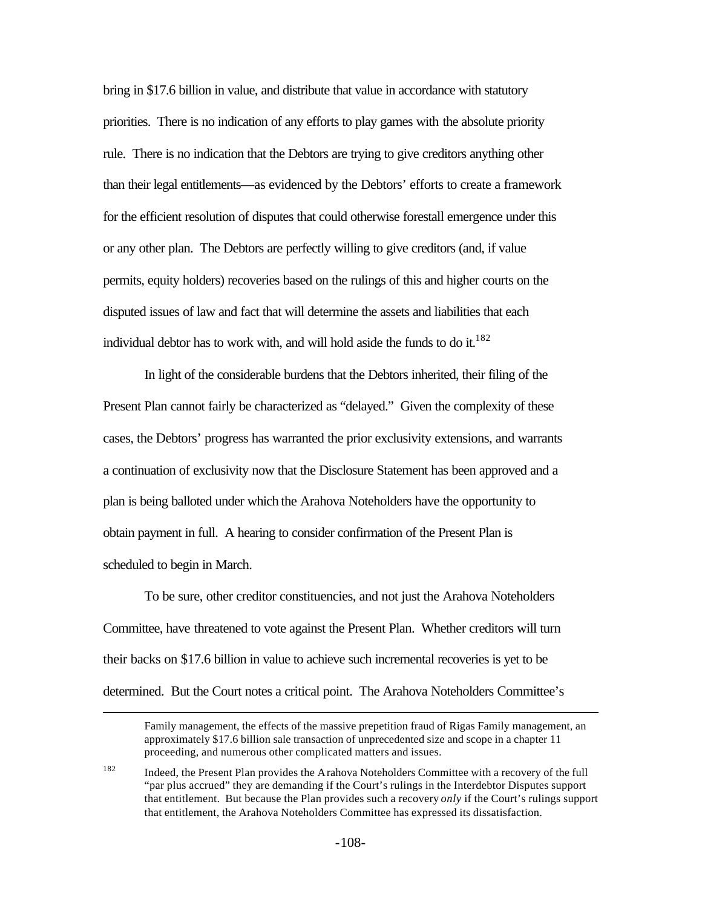bring in \$17.6 billion in value, and distribute that value in accordance with statutory priorities. There is no indication of any efforts to play games with the absolute priority rule. There is no indication that the Debtors are trying to give creditors anything other than their legal entitlements—as evidenced by the Debtors' efforts to create a framework for the efficient resolution of disputes that could otherwise forestall emergence under this or any other plan. The Debtors are perfectly willing to give creditors (and, if value permits, equity holders) recoveries based on the rulings of this and higher courts on the disputed issues of law and fact that will determine the assets and liabilities that each individual debtor has to work with, and will hold aside the funds to do it.<sup>182</sup>

In light of the considerable burdens that the Debtors inherited, their filing of the Present Plan cannot fairly be characterized as "delayed." Given the complexity of these cases, the Debtors' progress has warranted the prior exclusivity extensions, and warrants a continuation of exclusivity now that the Disclosure Statement has been approved and a plan is being balloted under which the Arahova Noteholders have the opportunity to obtain payment in full. A hearing to consider confirmation of the Present Plan is scheduled to begin in March.

To be sure, other creditor constituencies, and not just the Arahova Noteholders Committee, have threatened to vote against the Present Plan. Whether creditors will turn their backs on \$17.6 billion in value to achieve such incremental recoveries is yet to be determined. But the Court notes a critical point. The Arahova Noteholders Committee's

 $\overline{a}$ 

Family management, the effects of the massive prepetition fraud of Rigas Family management, an approximately \$17.6 billion sale transaction of unprecedented size and scope in a chapter 11 proceeding, and numerous other complicated matters and issues.

<sup>182</sup> Indeed, the Present Plan provides the Arahova Noteholders Committee with a recovery of the full "par plus accrued" they are demanding if the Court's rulings in the Interdebtor Disputes support that entitlement. But because the Plan provides such a recovery *only* if the Court's rulings support that entitlement, the Arahova Noteholders Committee has expressed its dissatisfaction.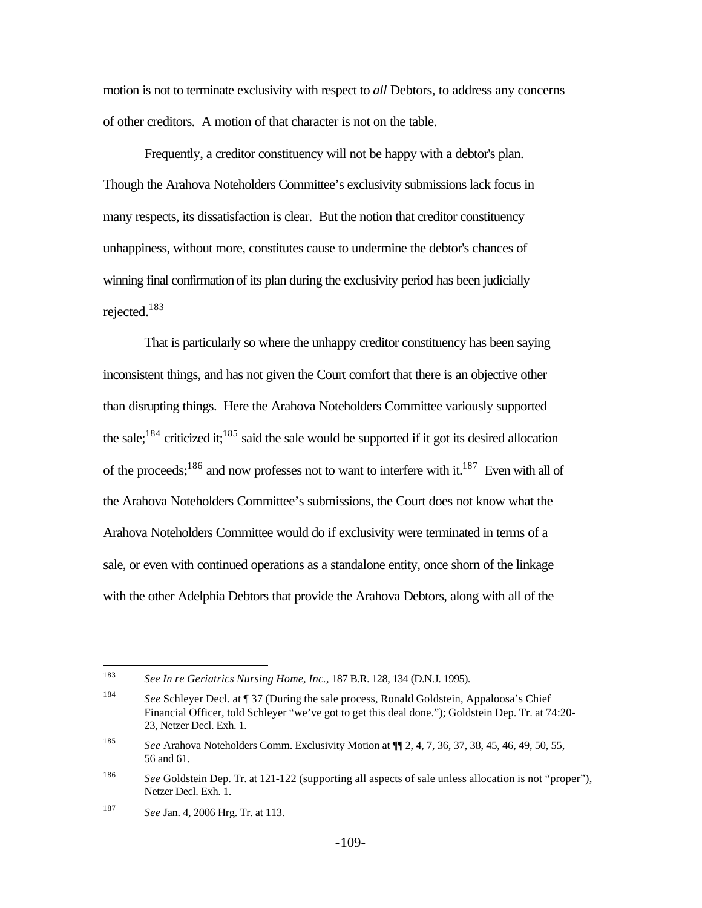motion is not to terminate exclusivity with respect to *all* Debtors, to address any concerns of other creditors. A motion of that character is not on the table.

Frequently, a creditor constituency will not be happy with a debtor's plan. Though the Arahova Noteholders Committee's exclusivity submissions lack focus in many respects, its dissatisfaction is clear. But the notion that creditor constituency unhappiness, without more, constitutes cause to undermine the debtor's chances of winning final confirmation of its plan during the exclusivity period has been judicially rejected.<sup>183</sup>

That is particularly so where the unhappy creditor constituency has been saying inconsistent things, and has not given the Court comfort that there is an objective other than disrupting things. Here the Arahova Noteholders Committee variously supported the sale;<sup>184</sup> criticized it;<sup>185</sup> said the sale would be supported if it got its desired allocation of the proceeds;<sup>186</sup> and now professes not to want to interfere with it.<sup>187</sup> Even with all of the Arahova Noteholders Committee's submissions, the Court does not know what the Arahova Noteholders Committee would do if exclusivity were terminated in terms of a sale, or even with continued operations as a standalone entity, once shorn of the linkage with the other Adelphia Debtors that provide the Arahova Debtors, along with all of the

<sup>183</sup> <sup>183</sup> *See In re Geriatrics Nursing Home, Inc.,* 187 B.R. 128, 134 (D.N.J. 1995).

<sup>184</sup> *See* Schleyer Decl. at ¶ 37 (During the sale process, Ronald Goldstein, Appaloosa's Chief Financial Officer, told Schleyer "we've got to get this deal done."); Goldstein Dep. Tr. at 74:20- 23, Netzer Decl. Exh. 1.

<sup>185</sup> *See* Arahova Noteholders Comm. Exclusivity Motion at ¶¶ 2, 4, 7, 36, 37, 38, 45, 46, 49, 50, 55, 56 and 61.

<sup>186</sup> *See* Goldstein Dep. Tr. at 121-122 (supporting all aspects of sale unless allocation is not "proper"), Netzer Decl. Exh. 1.

<sup>187</sup> *See* Jan. 4, 2006 Hrg. Tr. at 113.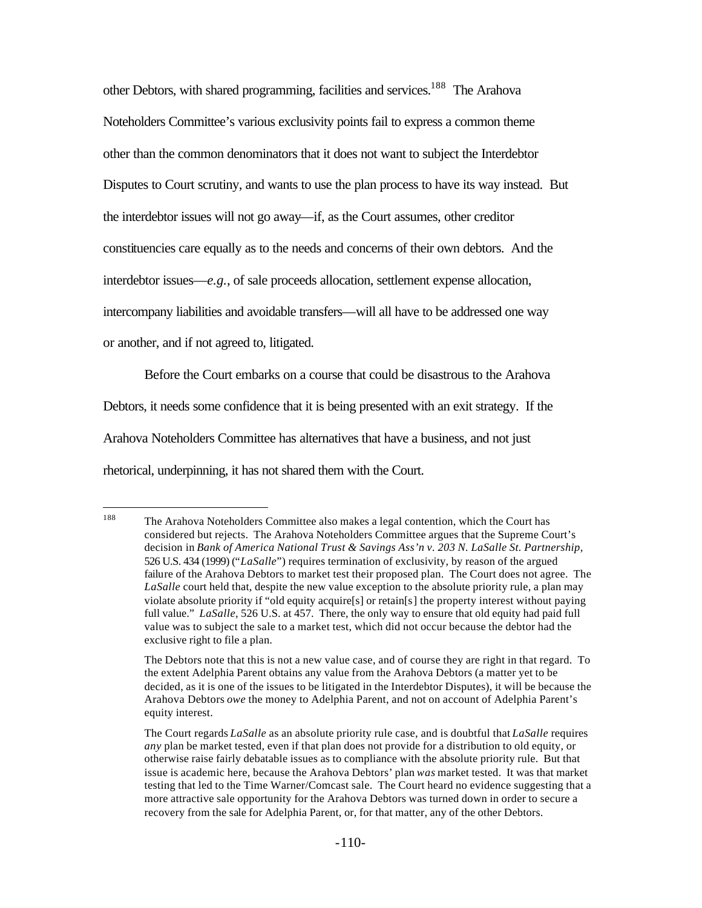other Debtors, with shared programming, facilities and services.<sup>188</sup> The Arahova Noteholders Committee's various exclusivity points fail to express a common theme other than the common denominators that it does not want to subject the Interdebtor Disputes to Court scrutiny, and wants to use the plan process to have its way instead. But the interdebtor issues will not go away—if, as the Court assumes, other creditor constituencies care equally as to the needs and concerns of their own debtors. And the interdebtor issues—*e.g.*, of sale proceeds allocation, settlement expense allocation, intercompany liabilities and avoidable transfers—will all have to be addressed one way or another, and if not agreed to, litigated.

Before the Court embarks on a course that could be disastrous to the Arahova Debtors, it needs some confidence that it is being presented with an exit strategy. If the Arahova Noteholders Committee has alternatives that have a business, and not just rhetorical, underpinning, it has not shared them with the Court.

<sup>188</sup> The Arahova Noteholders Committee also makes a legal contention, which the Court has considered but rejects. The Arahova Noteholders Committee argues that the Supreme Court's decision in *Bank of America National Trust & Savings Ass'n v. 203 N. LaSalle St. Partnership*, 526 U.S. 434 (1999) ("*LaSalle*") requires termination of exclusivity, by reason of the argued failure of the Arahova Debtors to market test their proposed plan. The Court does not agree. The *LaSalle* court held that, despite the new value exception to the absolute priority rule, a plan may violate absolute priority if "old equity acquire[s] or retain[s] the property interest without paying full value." *LaSalle*, 526 U.S. at 457. There, the only way to ensure that old equity had paid full value was to subject the sale to a market test, which did not occur because the debtor had the exclusive right to file a plan.

The Debtors note that this is not a new value case, and of course they are right in that regard. To the extent Adelphia Parent obtains any value from the Arahova Debtors (a matter yet to be decided, as it is one of the issues to be litigated in the Interdebtor Disputes), it will be because the Arahova Debtors *owe* the money to Adelphia Parent, and not on account of Adelphia Parent's equity interest.

The Court regards *LaSalle* as an absolute priority rule case, and is doubtful that *LaSalle* requires *any* plan be market tested, even if that plan does not provide for a distribution to old equity, or otherwise raise fairly debatable issues as to compliance with the absolute priority rule. But that issue is academic here, because the Arahova Debtors' plan *was* market tested. It was that market testing that led to the Time Warner/Comcast sale. The Court heard no evidence suggesting that a more attractive sale opportunity for the Arahova Debtors was turned down in order to secure a recovery from the sale for Adelphia Parent, or, for that matter, any of the other Debtors.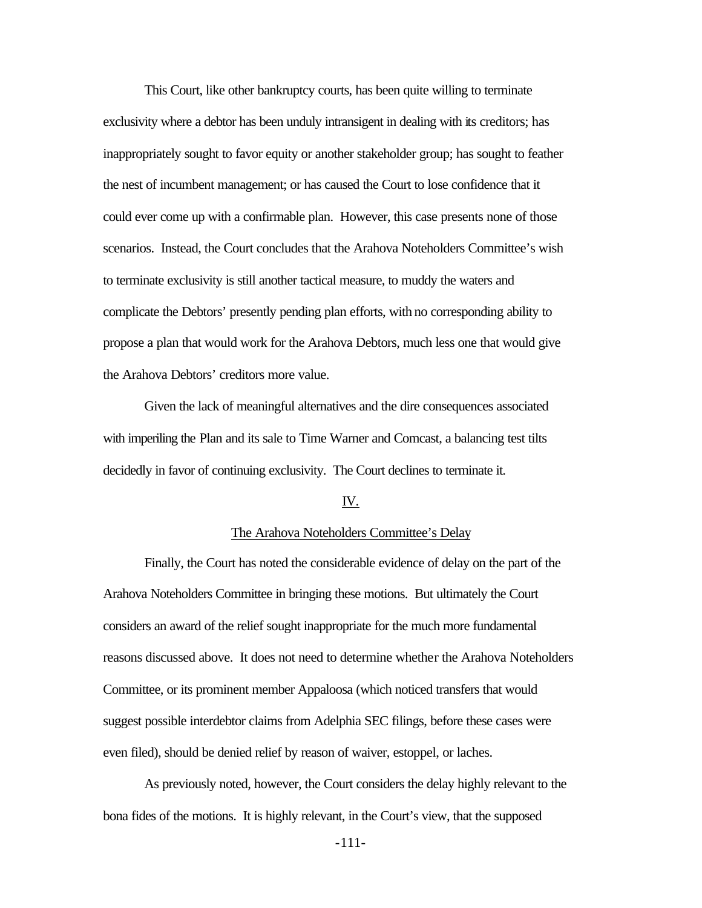This Court, like other bankruptcy courts, has been quite willing to terminate exclusivity where a debtor has been unduly intransigent in dealing with its creditors; has inappropriately sought to favor equity or another stakeholder group; has sought to feather the nest of incumbent management; or has caused the Court to lose confidence that it could ever come up with a confirmable plan. However, this case presents none of those scenarios. Instead, the Court concludes that the Arahova Noteholders Committee's wish to terminate exclusivity is still another tactical measure, to muddy the waters and complicate the Debtors' presently pending plan efforts, with no corresponding ability to propose a plan that would work for the Arahova Debtors, much less one that would give the Arahova Debtors' creditors more value.

Given the lack of meaningful alternatives and the dire consequences associated with imperiling the Plan and its sale to Time Warner and Comcast, a balancing test tilts decidedly in favor of continuing exclusivity. The Court declines to terminate it.

## IV.

## The Arahova Noteholders Committee's Delay

Finally, the Court has noted the considerable evidence of delay on the part of the Arahova Noteholders Committee in bringing these motions. But ultimately the Court considers an award of the relief sought inappropriate for the much more fundamental reasons discussed above. It does not need to determine whether the Arahova Noteholders Committee, or its prominent member Appaloosa (which noticed transfers that would suggest possible interdebtor claims from Adelphia SEC filings, before these cases were even filed), should be denied relief by reason of waiver, estoppel, or laches.

As previously noted, however, the Court considers the delay highly relevant to the bona fides of the motions. It is highly relevant, in the Court's view, that the supposed

-111-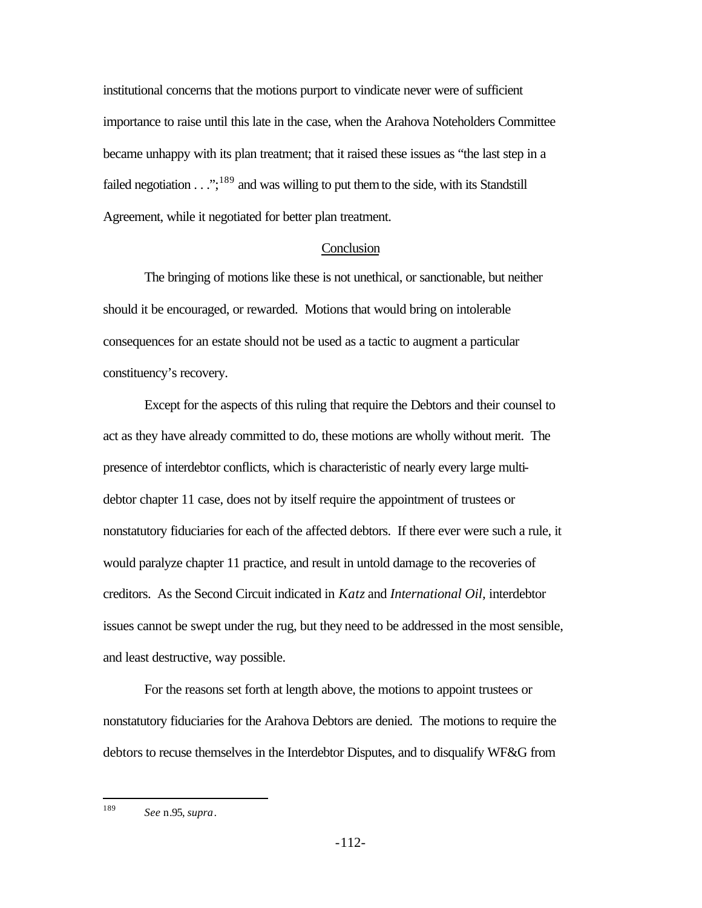institutional concerns that the motions purport to vindicate never were of sufficient importance to raise until this late in the case, when the Arahova Noteholders Committee became unhappy with its plan treatment; that it raised these issues as "the last step in a failed negotiation  $\dots$ ;<sup>189</sup> and was willing to put them to the side, with its Standstill Agreement, while it negotiated for better plan treatment.

## **Conclusion**

The bringing of motions like these is not unethical, or sanctionable, but neither should it be encouraged, or rewarded. Motions that would bring on intolerable consequences for an estate should not be used as a tactic to augment a particular constituency's recovery.

Except for the aspects of this ruling that require the Debtors and their counsel to act as they have already committed to do, these motions are wholly without merit. The presence of interdebtor conflicts, which is characteristic of nearly every large multidebtor chapter 11 case, does not by itself require the appointment of trustees or nonstatutory fiduciaries for each of the affected debtors. If there ever were such a rule, it would paralyze chapter 11 practice, and result in untold damage to the recoveries of creditors. As the Second Circuit indicated in *Katz* and *International Oil,* interdebtor issues cannot be swept under the rug, but they need to be addressed in the most sensible, and least destructive, way possible.

For the reasons set forth at length above, the motions to appoint trustees or nonstatutory fiduciaries for the Arahova Debtors are denied. The motions to require the debtors to recuse themselves in the Interdebtor Disputes, and to disqualify WF&G from

<sup>189</sup> <sup>189</sup> *See* n.95, *supra*.